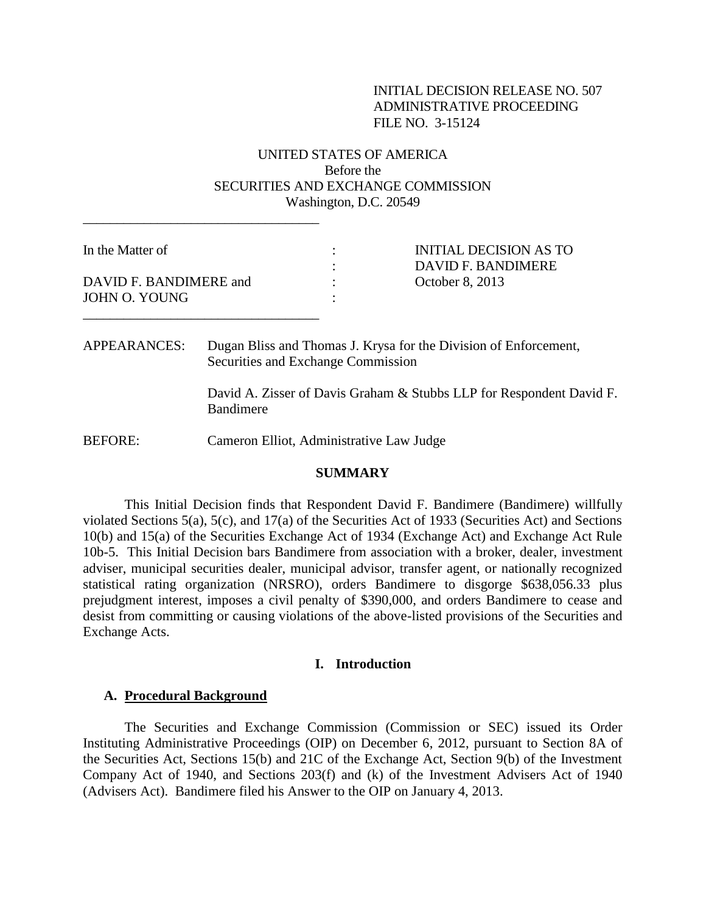## INITIAL DECISION RELEASE NO. 507 ADMINISTRATIVE PROCEEDING FILE NO. 3-15124

# UNITED STATES OF AMERICA Before the SECURITIES AND EXCHANGE COMMISSION Washington, D.C. 20549

| In the Matter of       | INITIAL DECISION AS TO<br>DAVID F. BANDIMERE |
|------------------------|----------------------------------------------|
|                        |                                              |
| DAVID F. BANDIMERE and | October 8, 2013                              |
| JOHN O. YOUNG          |                                              |
|                        |                                              |

APPEARANCES: Dugan Bliss and Thomas J. Krysa for the Division of Enforcement, Securities and Exchange Commission

> David A. Zisser of Davis Graham & Stubbs LLP for Respondent David F. Bandimere

BEFORE: Cameron Elliot, Administrative Law Judge

\_\_\_\_\_\_\_\_\_\_\_\_\_\_\_\_\_\_\_\_\_\_\_\_\_\_\_\_\_\_\_\_\_\_\_

#### **SUMMARY**

This Initial Decision finds that Respondent David F. Bandimere (Bandimere) willfully violated Sections 5(a), 5(c), and 17(a) of the Securities Act of 1933 (Securities Act) and Sections 10(b) and 15(a) of the Securities Exchange Act of 1934 (Exchange Act) and Exchange Act Rule 10b-5. This Initial Decision bars Bandimere from association with a broker, dealer, investment adviser, municipal securities dealer, municipal advisor, transfer agent, or nationally recognized statistical rating organization (NRSRO), orders Bandimere to disgorge \$638,056.33 plus prejudgment interest, imposes a civil penalty of \$390,000, and orders Bandimere to cease and desist from committing or causing violations of the above-listed provisions of the Securities and Exchange Acts.

#### **I. Introduction**

#### **A. Procedural Background**

The Securities and Exchange Commission (Commission or SEC) issued its Order Instituting Administrative Proceedings (OIP) on December 6, 2012, pursuant to Section 8A of the Securities Act, Sections 15(b) and 21C of the Exchange Act, Section 9(b) of the Investment Company Act of 1940, and Sections 203(f) and (k) of the Investment Advisers Act of 1940 (Advisers Act). Bandimere filed his Answer to the OIP on January 4, 2013.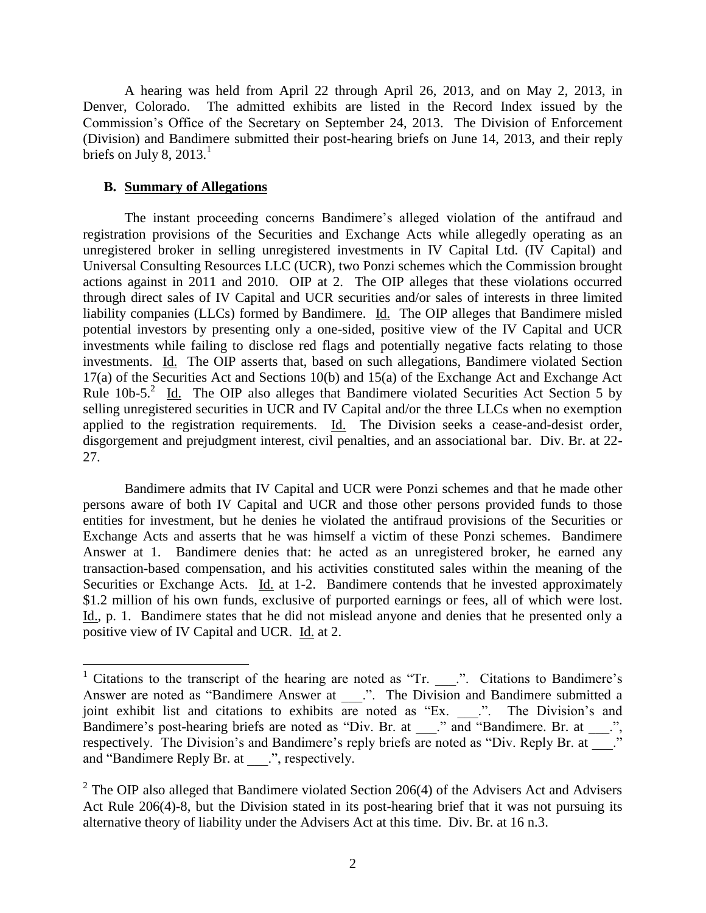A hearing was held from April 22 through April 26, 2013, and on May 2, 2013, in Denver, Colorado. The admitted exhibits are listed in the Record Index issued by the Commission's Office of the Secretary on September 24, 2013. The Division of Enforcement (Division) and Bandimere submitted their post-hearing briefs on June 14, 2013, and their reply briefs on July 8, 2013. $^1$ 

## **B. Summary of Allegations**

 $\overline{a}$ 

The instant proceeding concerns Bandimere's alleged violation of the antifraud and registration provisions of the Securities and Exchange Acts while allegedly operating as an unregistered broker in selling unregistered investments in IV Capital Ltd. (IV Capital) and Universal Consulting Resources LLC (UCR), two Ponzi schemes which the Commission brought actions against in 2011 and 2010. OIP at 2. The OIP alleges that these violations occurred through direct sales of IV Capital and UCR securities and/or sales of interests in three limited liability companies (LLCs) formed by Bandimere. Id. The OIP alleges that Bandimere misled potential investors by presenting only a one-sided, positive view of the IV Capital and UCR investments while failing to disclose red flags and potentially negative facts relating to those investments. Id. The OIP asserts that, based on such allegations, Bandimere violated Section 17(a) of the Securities Act and Sections 10(b) and 15(a) of the Exchange Act and Exchange Act Rule  $10b-5$ .<sup>2</sup> Id. The OIP also alleges that Bandimere violated Securities Act Section 5 by selling unregistered securities in UCR and IV Capital and/or the three LLCs when no exemption applied to the registration requirements. Id. The Division seeks a cease-and-desist order, disgorgement and prejudgment interest, civil penalties, and an associational bar. Div. Br. at 22- 27.

Bandimere admits that IV Capital and UCR were Ponzi schemes and that he made other persons aware of both IV Capital and UCR and those other persons provided funds to those entities for investment, but he denies he violated the antifraud provisions of the Securities or Exchange Acts and asserts that he was himself a victim of these Ponzi schemes. Bandimere Answer at 1. Bandimere denies that: he acted as an unregistered broker, he earned any transaction-based compensation, and his activities constituted sales within the meaning of the Securities or Exchange Acts. Id. at 1-2. Bandimere contends that he invested approximately \$1.2 million of his own funds, exclusive of purported earnings or fees, all of which were lost. Id., p. 1. Bandimere states that he did not mislead anyone and denies that he presented only a positive view of IV Capital and UCR. Id. at 2.

<sup>&</sup>lt;sup>1</sup> Citations to the transcript of the hearing are noted as "Tr.  $\Box$ ". Citations to Bandimere's Answer are noted as "Bandimere Answer at \_\_\_..". The Division and Bandimere submitted a joint exhibit list and citations to exhibits  $\overline{\text{are}}$  noted as "Ex. \_\_\_.". The Division's and Bandimere's post-hearing briefs are noted as "Div. Br. at \_\_\_." and "Bandimere. Br. at \_\_\_.", respectively. The Division's and Bandimere's reply briefs are noted as "Div. Reply Br. at and "Bandimere Reply Br. at \_\_\_.", respectively.

 $2^2$  The OIP also alleged that Bandimere violated Section 206(4) of the Advisers Act and Advisers Act Rule 206(4)-8, but the Division stated in its post-hearing brief that it was not pursuing its alternative theory of liability under the Advisers Act at this time. Div. Br. at 16 n.3.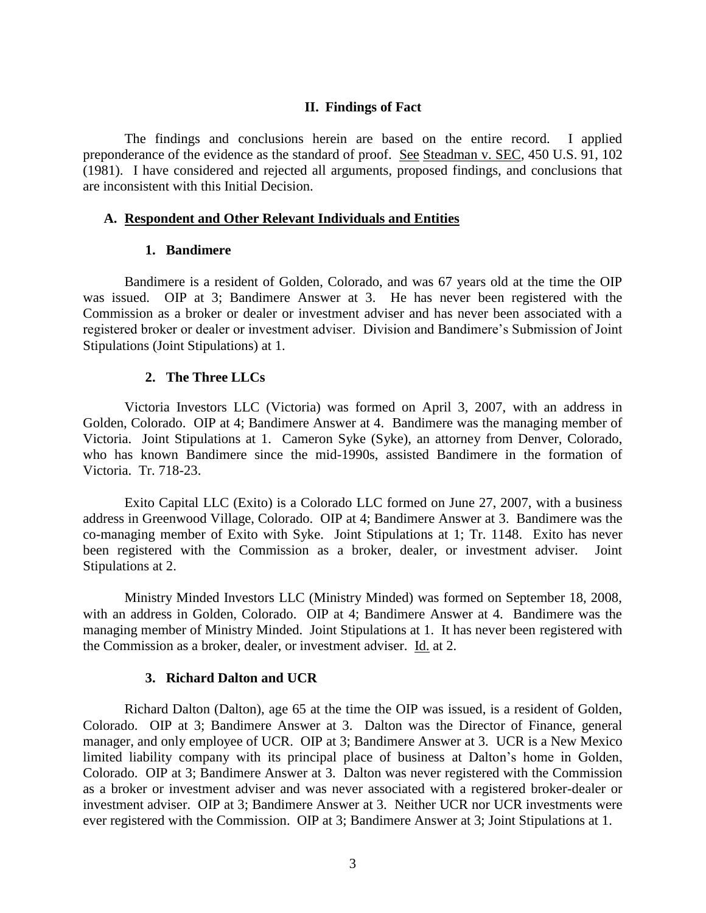#### **II. Findings of Fact**

The findings and conclusions herein are based on the entire record. I applied preponderance of the evidence as the standard of proof. See Steadman v. SEC, 450 U.S. 91, 102 (1981). I have considered and rejected all arguments, proposed findings, and conclusions that are inconsistent with this Initial Decision.

#### **A. Respondent and Other Relevant Individuals and Entities**

#### **1. Bandimere**

Bandimere is a resident of Golden, Colorado, and was 67 years old at the time the OIP was issued. OIP at 3; Bandimere Answer at 3. He has never been registered with the Commission as a broker or dealer or investment adviser and has never been associated with a registered broker or dealer or investment adviser. Division and Bandimere's Submission of Joint Stipulations (Joint Stipulations) at 1.

#### **2. The Three LLCs**

Victoria Investors LLC (Victoria) was formed on April 3, 2007, with an address in Golden, Colorado. OIP at 4; Bandimere Answer at 4. Bandimere was the managing member of Victoria. Joint Stipulations at 1.Cameron Syke (Syke), an attorney from Denver, Colorado, who has known Bandimere since the mid-1990s, assisted Bandimere in the formation of Victoria. Tr. 718-23.

Exito Capital LLC (Exito) is a Colorado LLC formed on June 27, 2007, with a business address in Greenwood Village, Colorado. OIP at 4; Bandimere Answer at 3. Bandimere was the co-managing member of Exito with Syke. Joint Stipulations at 1; Tr. 1148. Exito has never been registered with the Commission as a broker, dealer, or investment adviser. Joint Stipulations at 2.

Ministry Minded Investors LLC (Ministry Minded) was formed on September 18, 2008, with an address in Golden, Colorado. OIP at 4; Bandimere Answer at 4. Bandimere was the managing member of Ministry Minded. Joint Stipulations at 1. It has never been registered with the Commission as a broker, dealer, or investment adviser. Id. at 2.

#### **3. Richard Dalton and UCR**

Richard Dalton (Dalton), age 65 at the time the OIP was issued, is a resident of Golden, Colorado. OIP at 3; Bandimere Answer at 3. Dalton was the Director of Finance, general manager, and only employee of UCR. OIP at 3; Bandimere Answer at 3. UCR is a New Mexico limited liability company with its principal place of business at Dalton's home in Golden, Colorado. OIP at 3; Bandimere Answer at 3. Dalton was never registered with the Commission as a broker or investment adviser and was never associated with a registered broker-dealer or investment adviser. OIP at 3; Bandimere Answer at 3. Neither UCR nor UCR investments were ever registered with the Commission. OIP at 3; Bandimere Answer at 3; Joint Stipulations at 1.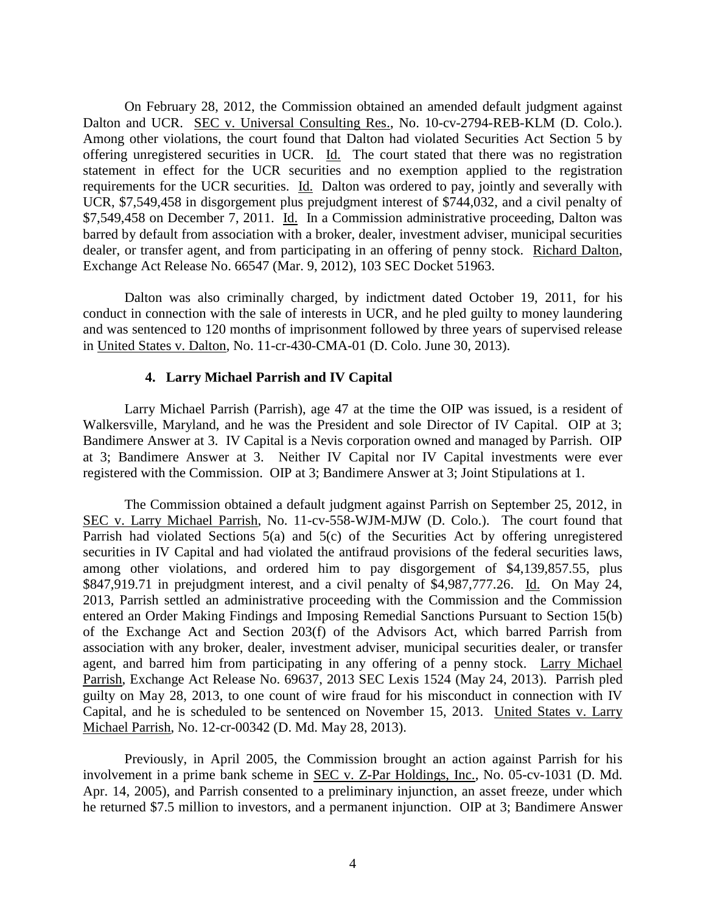On February 28, 2012, the Commission obtained an amended default judgment against Dalton and UCR. SEC v. Universal Consulting Res., No. 10-cv-2794-REB-KLM (D. Colo.). Among other violations, the court found that Dalton had violated Securities Act Section 5 by offering unregistered securities in UCR. Id. The court stated that there was no registration statement in effect for the UCR securities and no exemption applied to the registration requirements for the UCR securities. Id. Dalton was ordered to pay, jointly and severally with UCR, \$7,549,458 in disgorgement plus prejudgment interest of \$744,032, and a civil penalty of \$7,549,458 on December 7, 2011. Id. In a Commission administrative proceeding, Dalton was barred by default from association with a broker, dealer, investment adviser, municipal securities dealer, or transfer agent, and from participating in an offering of penny stock. Richard Dalton, Exchange Act Release No. 66547 (Mar. 9, 2012), 103 SEC Docket 51963.

Dalton was also criminally charged, by indictment dated October 19, 2011, for his conduct in connection with the sale of interests in UCR, and he pled guilty to money laundering and was sentenced to 120 months of imprisonment followed by three years of supervised release in United States v. Dalton, No. 11-cr-430-CMA-01 (D. Colo. June 30, 2013).

## **4. Larry Michael Parrish and IV Capital**

Larry Michael Parrish (Parrish), age 47 at the time the OIP was issued, is a resident of Walkersville, Maryland, and he was the President and sole Director of IV Capital. OIP at 3; Bandimere Answer at 3. IV Capital is a Nevis corporation owned and managed by Parrish. OIP at 3; Bandimere Answer at 3. Neither IV Capital nor IV Capital investments were ever registered with the Commission. OIP at 3; Bandimere Answer at 3; Joint Stipulations at 1.

The Commission obtained a default judgment against Parrish on September 25, 2012, in SEC v. Larry Michael Parrish, No. 11-cv-558-WJM-MJW (D. Colo.). The court found that Parrish had violated Sections 5(a) and 5(c) of the Securities Act by offering unregistered securities in IV Capital and had violated the antifraud provisions of the federal securities laws, among other violations, and ordered him to pay disgorgement of \$4,139,857.55, plus \$847,919.71 in prejudgment interest, and a civil penalty of \$4,987,777.26. Id. On May 24, 2013, Parrish settled an administrative proceeding with the Commission and the Commission entered an Order Making Findings and Imposing Remedial Sanctions Pursuant to Section 15(b) of the Exchange Act and Section 203(f) of the Advisors Act, which barred Parrish from association with any broker, dealer, investment adviser, municipal securities dealer, or transfer agent, and barred him from participating in any offering of a penny stock. Larry Michael Parrish, Exchange Act Release No. 69637, 2013 SEC Lexis 1524 (May 24, 2013). Parrish pled guilty on May 28, 2013, to one count of wire fraud for his misconduct in connection with IV Capital, and he is scheduled to be sentenced on November 15, 2013. United States v. Larry Michael Parrish, No. 12-cr-00342 (D. Md. May 28, 2013).

Previously, in April 2005, the Commission brought an action against Parrish for his involvement in a prime bank scheme in SEC v. Z-Par Holdings, Inc., No. 05-cv-1031 (D. Md. Apr. 14, 2005), and Parrish consented to a preliminary injunction, an asset freeze, under which he returned \$7.5 million to investors, and a permanent injunction. OIP at 3; Bandimere Answer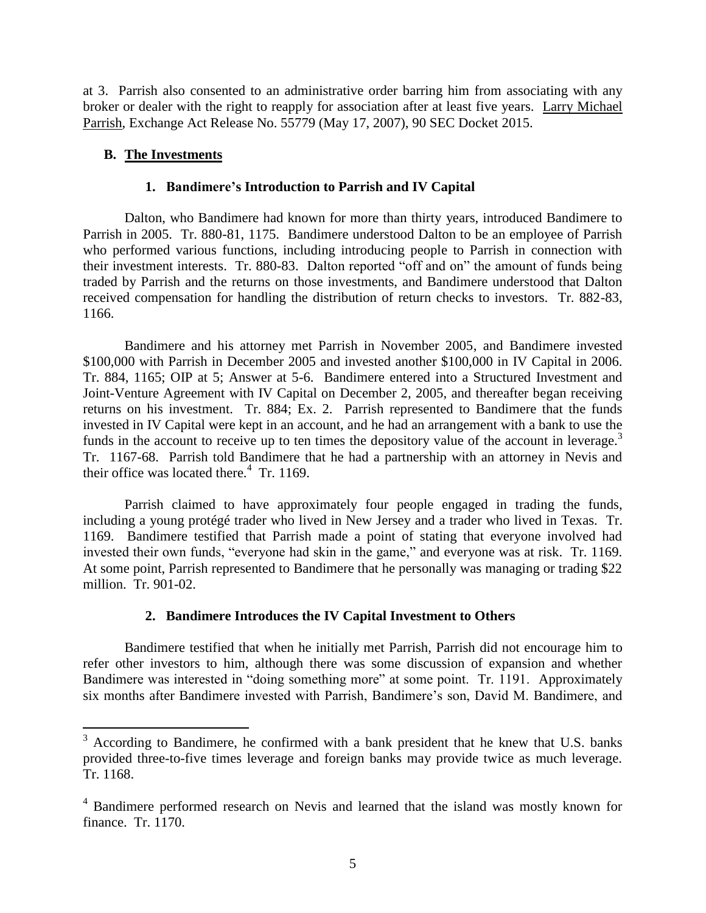at 3. Parrish also consented to an administrative order barring him from associating with any broker or dealer with the right to reapply for association after at least five years. Larry Michael Parrish, Exchange Act Release No. 55779 (May 17, 2007), 90 SEC Docket 2015.

# **B. The Investments**

 $\overline{a}$ 

## **1. Bandimere's Introduction to Parrish and IV Capital**

Dalton, who Bandimere had known for more than thirty years, introduced Bandimere to Parrish in 2005. Tr. 880-81, 1175. Bandimere understood Dalton to be an employee of Parrish who performed various functions, including introducing people to Parrish in connection with their investment interests. Tr. 880-83. Dalton reported "off and on" the amount of funds being traded by Parrish and the returns on those investments, and Bandimere understood that Dalton received compensation for handling the distribution of return checks to investors. Tr. 882-83, 1166.

Bandimere and his attorney met Parrish in November 2005, and Bandimere invested \$100,000 with Parrish in December 2005 and invested another \$100,000 in IV Capital in 2006. Tr. 884, 1165; OIP at 5; Answer at 5-6. Bandimere entered into a Structured Investment and Joint-Venture Agreement with IV Capital on December 2, 2005, and thereafter began receiving returns on his investment. Tr. 884; Ex. 2. Parrish represented to Bandimere that the funds invested in IV Capital were kept in an account, and he had an arrangement with a bank to use the funds in the account to receive up to ten times the depository value of the account in leverage.<sup>3</sup> Tr. 1167-68. Parrish told Bandimere that he had a partnership with an attorney in Nevis and their office was located there. $4$  Tr. 1169.

Parrish claimed to have approximately four people engaged in trading the funds, including a young protégé trader who lived in New Jersey and a trader who lived in Texas. Tr. 1169. Bandimere testified that Parrish made a point of stating that everyone involved had invested their own funds, "everyone had skin in the game," and everyone was at risk. Tr. 1169. At some point, Parrish represented to Bandimere that he personally was managing or trading \$22 million. Tr. 901-02.

## **2. Bandimere Introduces the IV Capital Investment to Others**

Bandimere testified that when he initially met Parrish, Parrish did not encourage him to refer other investors to him, although there was some discussion of expansion and whether Bandimere was interested in "doing something more" at some point. Tr. 1191. Approximately six months after Bandimere invested with Parrish, Bandimere's son, David M. Bandimere, and

 $3$  According to Bandimere, he confirmed with a bank president that he knew that U.S. banks provided three-to-five times leverage and foreign banks may provide twice as much leverage. Tr. 1168.

<sup>4</sup> Bandimere performed research on Nevis and learned that the island was mostly known for finance. Tr. 1170.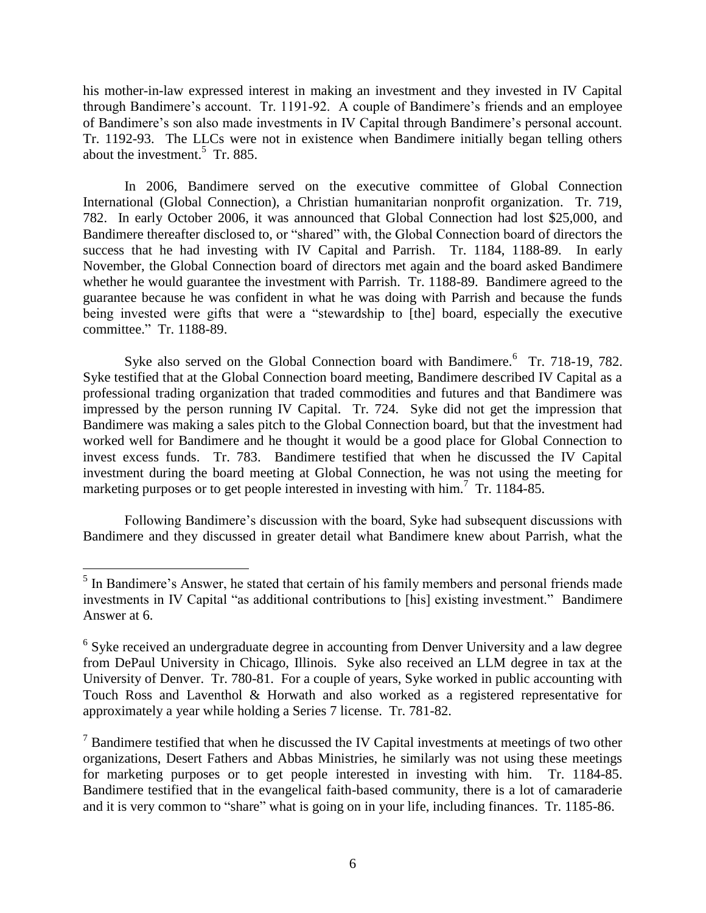his mother-in-law expressed interest in making an investment and they invested in IV Capital through Bandimere's account. Tr. 1191-92. A couple of Bandimere's friends and an employee of Bandimere's son also made investments in IV Capital through Bandimere's personal account. Tr. 1192-93. The LLCs were not in existence when Bandimere initially began telling others about the investment.<sup>5</sup> Tr. 885.

In 2006, Bandimere served on the executive committee of Global Connection International (Global Connection), a Christian humanitarian nonprofit organization. Tr. 719, 782. In early October 2006, it was announced that Global Connection had lost \$25,000, and Bandimere thereafter disclosed to, or "shared" with, the Global Connection board of directors the success that he had investing with IV Capital and Parrish. Tr. 1184, 1188-89. In early November, the Global Connection board of directors met again and the board asked Bandimere whether he would guarantee the investment with Parrish. Tr. 1188-89. Bandimere agreed to the guarantee because he was confident in what he was doing with Parrish and because the funds being invested were gifts that were a "stewardship to [the] board, especially the executive committee." Tr. 1188-89.

Syke also served on the Global Connection board with Bandimere.<sup>6</sup> Tr. 718-19, 782. Syke testified that at the Global Connection board meeting, Bandimere described IV Capital as a professional trading organization that traded commodities and futures and that Bandimere was impressed by the person running IV Capital. Tr. 724. Syke did not get the impression that Bandimere was making a sales pitch to the Global Connection board, but that the investment had worked well for Bandimere and he thought it would be a good place for Global Connection to invest excess funds. Tr. 783. Bandimere testified that when he discussed the IV Capital investment during the board meeting at Global Connection, he was not using the meeting for marketing purposes or to get people interested in investing with him.<sup>7</sup> Tr. 1184-85.

Following Bandimere's discussion with the board, Syke had subsequent discussions with Bandimere and they discussed in greater detail what Bandimere knew about Parrish, what the

<sup>&</sup>lt;sup>5</sup> In Bandimere's Answer, he stated that certain of his family members and personal friends made investments in IV Capital "as additional contributions to [his] existing investment." Bandimere Answer at 6.

<sup>&</sup>lt;sup>6</sup> Syke received an undergraduate degree in accounting from Denver University and a law degree from DePaul University in Chicago, Illinois. Syke also received an LLM degree in tax at the University of Denver. Tr. 780-81. For a couple of years, Syke worked in public accounting with Touch Ross and Laventhol & Horwath and also worked as a registered representative for approximately a year while holding a Series 7 license. Tr. 781-82.

 $<sup>7</sup>$  Bandimere testified that when he discussed the IV Capital investments at meetings of two other</sup> organizations, Desert Fathers and Abbas Ministries, he similarly was not using these meetings for marketing purposes or to get people interested in investing with him. Tr. 1184-85. Bandimere testified that in the evangelical faith-based community, there is a lot of camaraderie and it is very common to "share" what is going on in your life, including finances. Tr. 1185-86.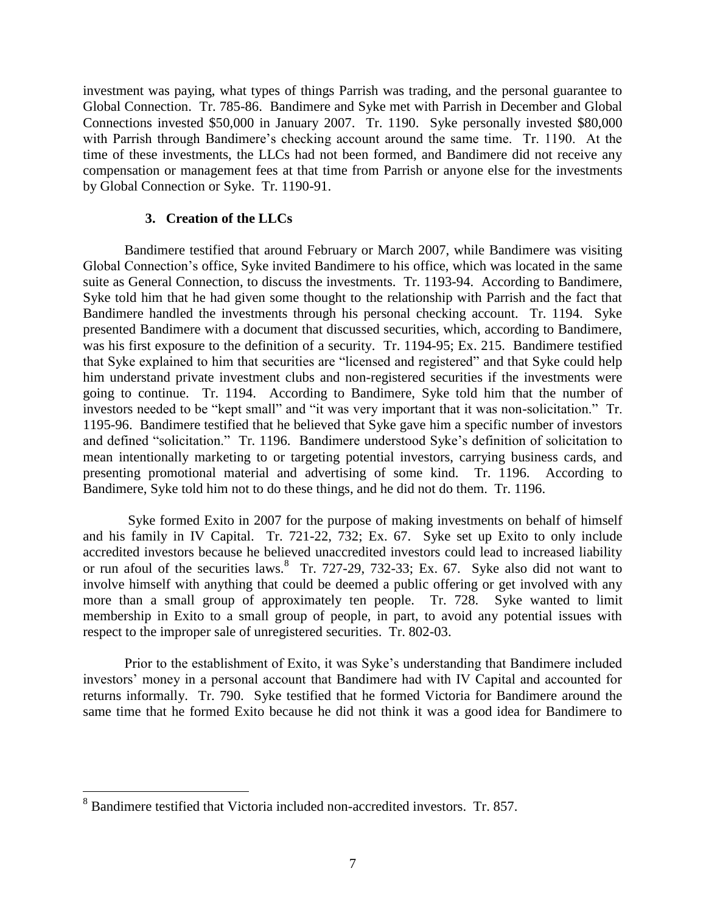investment was paying, what types of things Parrish was trading, and the personal guarantee to Global Connection. Tr. 785-86. Bandimere and Syke met with Parrish in December and Global Connections invested \$50,000 in January 2007. Tr. 1190. Syke personally invested \$80,000 with Parrish through Bandimere's checking account around the same time. Tr. 1190. At the time of these investments, the LLCs had not been formed, and Bandimere did not receive any compensation or management fees at that time from Parrish or anyone else for the investments by Global Connection or Syke. Tr. 1190-91.

# **3. Creation of the LLCs**

Bandimere testified that around February or March 2007, while Bandimere was visiting Global Connection's office, Syke invited Bandimere to his office, which was located in the same suite as General Connection, to discuss the investments. Tr. 1193-94. According to Bandimere, Syke told him that he had given some thought to the relationship with Parrish and the fact that Bandimere handled the investments through his personal checking account. Tr. 1194. Syke presented Bandimere with a document that discussed securities, which, according to Bandimere, was his first exposure to the definition of a security. Tr. 1194-95; Ex. 215. Bandimere testified that Syke explained to him that securities are "licensed and registered" and that Syke could help him understand private investment clubs and non-registered securities if the investments were going to continue. Tr. 1194. According to Bandimere, Syke told him that the number of investors needed to be "kept small" and "it was very important that it was non-solicitation." Tr. 1195-96. Bandimere testified that he believed that Syke gave him a specific number of investors and defined "solicitation." Tr. 1196. Bandimere understood Syke's definition of solicitation to mean intentionally marketing to or targeting potential investors, carrying business cards, and presenting promotional material and advertising of some kind. Tr. 1196. According to Bandimere, Syke told him not to do these things, and he did not do them. Tr. 1196.

Syke formed Exito in 2007 for the purpose of making investments on behalf of himself and his family in IV Capital. Tr. 721-22, 732; Ex. 67. Syke set up Exito to only include accredited investors because he believed unaccredited investors could lead to increased liability or run afoul of the securities laws.  $8$  Tr. 727-29, 732-33; Ex. 67. Syke also did not want to involve himself with anything that could be deemed a public offering or get involved with any more than a small group of approximately ten people. Tr. 728. Syke wanted to limit membership in Exito to a small group of people, in part, to avoid any potential issues with respect to the improper sale of unregistered securities. Tr. 802-03.

Prior to the establishment of Exito, it was Syke's understanding that Bandimere included investors' money in a personal account that Bandimere had with IV Capital and accounted for returns informally. Tr. 790. Syke testified that he formed Victoria for Bandimere around the same time that he formed Exito because he did not think it was a good idea for Bandimere to

<sup>8</sup> Bandimere testified that Victoria included non-accredited investors. Tr. 857.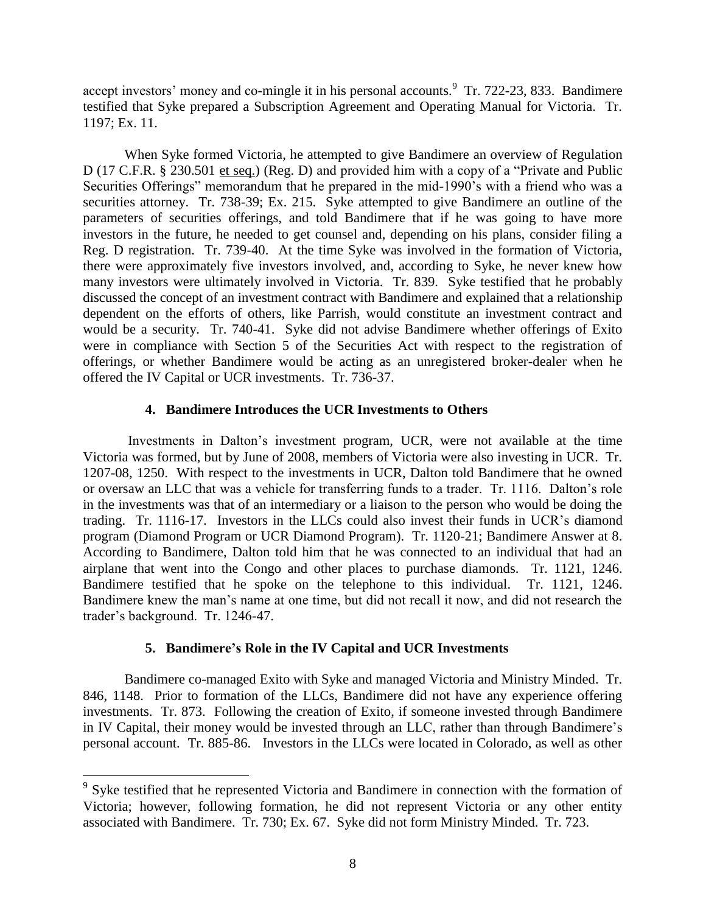accept investors' money and co-mingle it in his personal accounts.<sup>9</sup> Tr. 722-23, 833. Bandimere testified that Syke prepared a Subscription Agreement and Operating Manual for Victoria. Tr. 1197; Ex. 11.

When Syke formed Victoria, he attempted to give Bandimere an overview of Regulation D (17 C.F.R. § 230.501 et seq.) (Reg. D) and provided him with a copy of a "Private and Public Securities Offerings" memorandum that he prepared in the mid-1990's with a friend who was a securities attorney. Tr. 738-39; Ex. 215. Syke attempted to give Bandimere an outline of the parameters of securities offerings, and told Bandimere that if he was going to have more investors in the future, he needed to get counsel and, depending on his plans, consider filing a Reg. D registration. Tr. 739-40. At the time Syke was involved in the formation of Victoria, there were approximately five investors involved, and, according to Syke, he never knew how many investors were ultimately involved in Victoria. Tr. 839. Syke testified that he probably discussed the concept of an investment contract with Bandimere and explained that a relationship dependent on the efforts of others, like Parrish, would constitute an investment contract and would be a security. Tr. 740-41. Syke did not advise Bandimere whether offerings of Exito were in compliance with Section 5 of the Securities Act with respect to the registration of offerings, or whether Bandimere would be acting as an unregistered broker-dealer when he offered the IV Capital or UCR investments. Tr. 736-37.

# **4. Bandimere Introduces the UCR Investments to Others**

Investments in Dalton's investment program, UCR, were not available at the time Victoria was formed, but by June of 2008, members of Victoria were also investing in UCR. Tr. 1207-08, 1250. With respect to the investments in UCR, Dalton told Bandimere that he owned or oversaw an LLC that was a vehicle for transferring funds to a trader. Tr. 1116. Dalton's role in the investments was that of an intermediary or a liaison to the person who would be doing the trading. Tr. 1116-17. Investors in the LLCs could also invest their funds in UCR's diamond program (Diamond Program or UCR Diamond Program). Tr. 1120-21; Bandimere Answer at 8. According to Bandimere, Dalton told him that he was connected to an individual that had an airplane that went into the Congo and other places to purchase diamonds. Tr. 1121, 1246. Bandimere testified that he spoke on the telephone to this individual. Tr. 1121, 1246. Bandimere knew the man's name at one time, but did not recall it now, and did not research the trader's background. Tr. 1246-47.

# **5. Bandimere's Role in the IV Capital and UCR Investments**

Bandimere co-managed Exito with Syke and managed Victoria and Ministry Minded. Tr. 846, 1148. Prior to formation of the LLCs, Bandimere did not have any experience offering investments. Tr. 873. Following the creation of Exito, if someone invested through Bandimere in IV Capital, their money would be invested through an LLC, rather than through Bandimere's personal account. Tr. 885-86. Investors in the LLCs were located in Colorado, as well as other

<sup>&</sup>lt;sup>9</sup> Syke testified that he represented Victoria and Bandimere in connection with the formation of Victoria; however, following formation, he did not represent Victoria or any other entity associated with Bandimere. Tr. 730; Ex. 67. Syke did not form Ministry Minded. Tr. 723.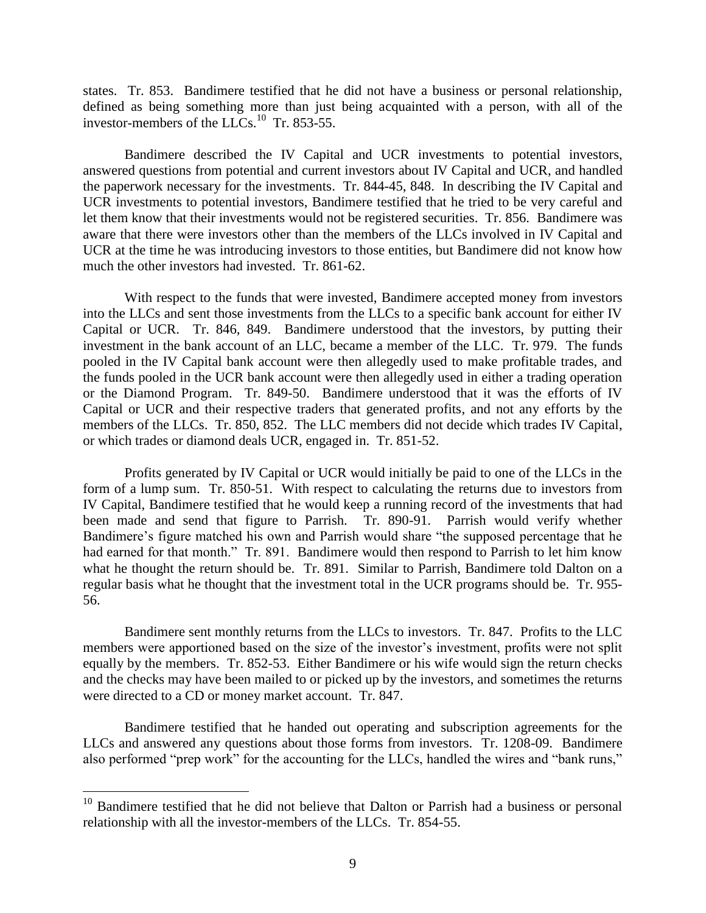states. Tr. 853. Bandimere testified that he did not have a business or personal relationship, defined as being something more than just being acquainted with a person, with all of the investor-members of the LLCs.<sup>10</sup> Tr. 853-55.

Bandimere described the IV Capital and UCR investments to potential investors, answered questions from potential and current investors about IV Capital and UCR, and handled the paperwork necessary for the investments. Tr. 844-45, 848. In describing the IV Capital and UCR investments to potential investors, Bandimere testified that he tried to be very careful and let them know that their investments would not be registered securities. Tr. 856. Bandimere was aware that there were investors other than the members of the LLCs involved in IV Capital and UCR at the time he was introducing investors to those entities, but Bandimere did not know how much the other investors had invested. Tr. 861-62.

With respect to the funds that were invested, Bandimere accepted money from investors into the LLCs and sent those investments from the LLCs to a specific bank account for either IV Capital or UCR. Tr. 846, 849. Bandimere understood that the investors, by putting their investment in the bank account of an LLC, became a member of the LLC. Tr. 979. The funds pooled in the IV Capital bank account were then allegedly used to make profitable trades, and the funds pooled in the UCR bank account were then allegedly used in either a trading operation or the Diamond Program. Tr. 849-50. Bandimere understood that it was the efforts of IV Capital or UCR and their respective traders that generated profits, and not any efforts by the members of the LLCs. Tr. 850, 852. The LLC members did not decide which trades IV Capital, or which trades or diamond deals UCR, engaged in. Tr. 851-52.

Profits generated by IV Capital or UCR would initially be paid to one of the LLCs in the form of a lump sum. Tr. 850-51. With respect to calculating the returns due to investors from IV Capital, Bandimere testified that he would keep a running record of the investments that had been made and send that figure to Parrish. Tr. 890-91. Parrish would verify whether Bandimere's figure matched his own and Parrish would share "the supposed percentage that he had earned for that month." Tr. 891. Bandimere would then respond to Parrish to let him know what he thought the return should be. Tr. 891. Similar to Parrish, Bandimere told Dalton on a regular basis what he thought that the investment total in the UCR programs should be. Tr. 955- 56.

Bandimere sent monthly returns from the LLCs to investors. Tr. 847. Profits to the LLC members were apportioned based on the size of the investor's investment, profits were not split equally by the members. Tr. 852-53. Either Bandimere or his wife would sign the return checks and the checks may have been mailed to or picked up by the investors, and sometimes the returns were directed to a CD or money market account. Tr. 847.

Bandimere testified that he handed out operating and subscription agreements for the LLCs and answered any questions about those forms from investors. Tr. 1208-09. Bandimere also performed "prep work" for the accounting for the LLCs, handled the wires and "bank runs,"

 $10$  Bandimere testified that he did not believe that Dalton or Parrish had a business or personal relationship with all the investor-members of the LLCs. Tr. 854-55.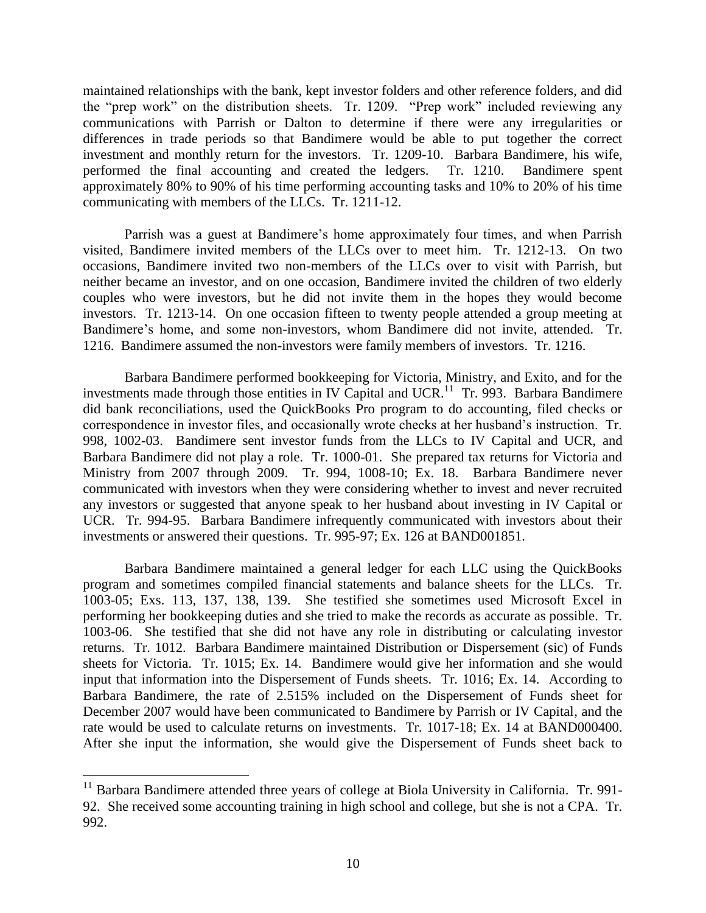maintained relationships with the bank, kept investor folders and other reference folders, and did the "prep work" on the distribution sheets. Tr. 1209. "Prep work" included reviewing any communications with Parrish or Dalton to determine if there were any irregularities or differences in trade periods so that Bandimere would be able to put together the correct investment and monthly return for the investors. Tr. 1209-10. Barbara Bandimere, his wife, performed the final accounting and created the ledgers. Tr. 1210. Bandimere spent approximately 80% to 90% of his time performing accounting tasks and 10% to 20% of his time communicating with members of the LLCs. Tr. 1211-12.

Parrish was a guest at Bandimere's home approximately four times, and when Parrish visited, Bandimere invited members of the LLCs over to meet him. Tr. 1212-13. On two occasions, Bandimere invited two non-members of the LLCs over to visit with Parrish, but neither became an investor, and on one occasion, Bandimere invited the children of two elderly couples who were investors, but he did not invite them in the hopes they would become investors. Tr. 1213-14. On one occasion fifteen to twenty people attended a group meeting at Bandimere's home, and some non-investors, whom Bandimere did not invite, attended. Tr. 1216. Bandimere assumed the non-investors were family members of investors. Tr. 1216.

Barbara Bandimere performed bookkeeping for Victoria, Ministry, and Exito, and for the investments made through those entities in IV Capital and UCR.<sup>11</sup> Tr. 993. Barbara Bandimere did bank reconciliations, used the QuickBooks Pro program to do accounting, filed checks or correspondence in investor files, and occasionally wrote checks at her husband's instruction. Tr. 998, 1002-03. Bandimere sent investor funds from the LLCs to IV Capital and UCR, and Barbara Bandimere did not play a role. Tr. 1000-01. She prepared tax returns for Victoria and Ministry from 2007 through 2009. Tr. 994, 1008-10; Ex. 18. Barbara Bandimere never communicated with investors when they were considering whether to invest and never recruited any investors or suggested that anyone speak to her husband about investing in IV Capital or UCR. Tr. 994-95. Barbara Bandimere infrequently communicated with investors about their investments or answered their questions. Tr. 995-97; Ex. 126 at BAND001851.

Barbara Bandimere maintained a general ledger for each LLC using the QuickBooks program and sometimes compiled financial statements and balance sheets for the LLCs. Tr. 1003-05; Exs. 113, 137, 138, 139. She testified she sometimes used Microsoft Excel in performing her bookkeeping duties and she tried to make the records as accurate as possible. Tr. 1003-06. She testified that she did not have any role in distributing or calculating investor returns. Tr. 1012. Barbara Bandimere maintained Distribution or Dispersement (sic) of Funds sheets for Victoria. Tr. 1015; Ex. 14. Bandimere would give her information and she would input that information into the Dispersement of Funds sheets. Tr. 1016; Ex. 14. According to Barbara Bandimere, the rate of 2.515% included on the Dispersement of Funds sheet for December 2007 would have been communicated to Bandimere by Parrish or IV Capital, and the rate would be used to calculate returns on investments. Tr. 1017-18; Ex. 14 at BAND000400. After she input the information, she would give the Dispersement of Funds sheet back to

<sup>&</sup>lt;sup>11</sup> Barbara Bandimere attended three years of college at Biola University in California. Tr. 991-92. She received some accounting training in high school and college, but she is not a CPA. Tr. 992.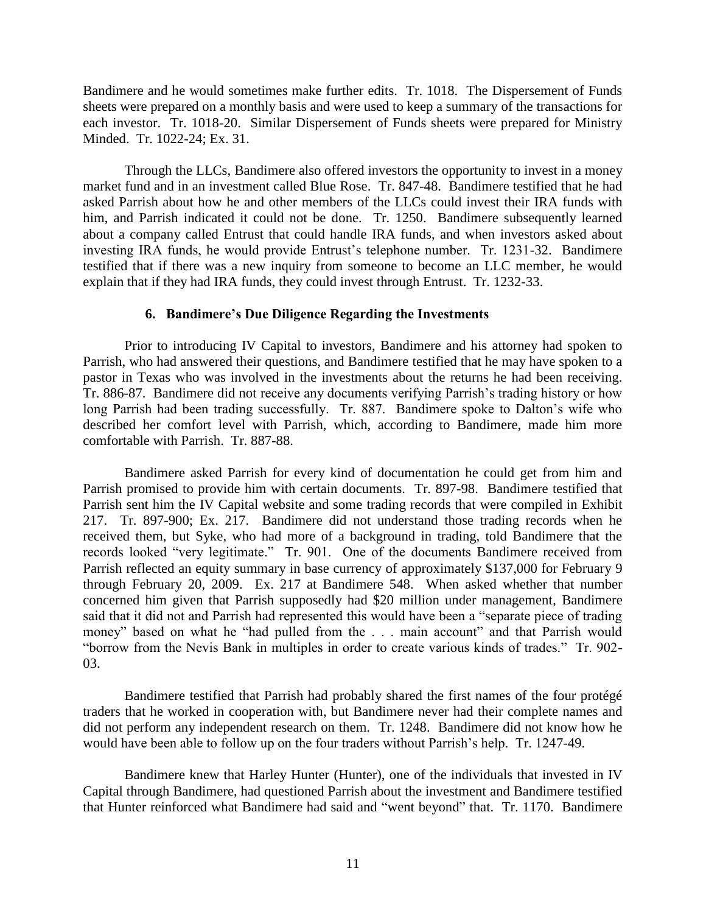Bandimere and he would sometimes make further edits. Tr. 1018. The Dispersement of Funds sheets were prepared on a monthly basis and were used to keep a summary of the transactions for each investor. Tr. 1018-20. Similar Dispersement of Funds sheets were prepared for Ministry Minded. Tr. 1022-24; Ex. 31.

Through the LLCs, Bandimere also offered investors the opportunity to invest in a money market fund and in an investment called Blue Rose. Tr. 847-48. Bandimere testified that he had asked Parrish about how he and other members of the LLCs could invest their IRA funds with him, and Parrish indicated it could not be done. Tr. 1250. Bandimere subsequently learned about a company called Entrust that could handle IRA funds, and when investors asked about investing IRA funds, he would provide Entrust's telephone number. Tr. 1231-32. Bandimere testified that if there was a new inquiry from someone to become an LLC member, he would explain that if they had IRA funds, they could invest through Entrust. Tr. 1232-33.

#### **6. Bandimere's Due Diligence Regarding the Investments**

Prior to introducing IV Capital to investors, Bandimere and his attorney had spoken to Parrish, who had answered their questions, and Bandimere testified that he may have spoken to a pastor in Texas who was involved in the investments about the returns he had been receiving. Tr. 886-87. Bandimere did not receive any documents verifying Parrish's trading history or how long Parrish had been trading successfully. Tr. 887. Bandimere spoke to Dalton's wife who described her comfort level with Parrish, which, according to Bandimere, made him more comfortable with Parrish. Tr. 887-88.

Bandimere asked Parrish for every kind of documentation he could get from him and Parrish promised to provide him with certain documents. Tr. 897-98. Bandimere testified that Parrish sent him the IV Capital website and some trading records that were compiled in Exhibit 217. Tr. 897-900; Ex. 217. Bandimere did not understand those trading records when he received them, but Syke, who had more of a background in trading, told Bandimere that the records looked "very legitimate." Tr. 901. One of the documents Bandimere received from Parrish reflected an equity summary in base currency of approximately \$137,000 for February 9 through February 20, 2009. Ex. 217 at Bandimere 548. When asked whether that number concerned him given that Parrish supposedly had \$20 million under management, Bandimere said that it did not and Parrish had represented this would have been a "separate piece of trading money" based on what he "had pulled from the . . . main account" and that Parrish would "borrow from the Nevis Bank in multiples in order to create various kinds of trades." Tr. 902- 03.

Bandimere testified that Parrish had probably shared the first names of the four protégé traders that he worked in cooperation with, but Bandimere never had their complete names and did not perform any independent research on them. Tr. 1248. Bandimere did not know how he would have been able to follow up on the four traders without Parrish's help. Tr. 1247-49.

Bandimere knew that Harley Hunter (Hunter), one of the individuals that invested in IV Capital through Bandimere, had questioned Parrish about the investment and Bandimere testified that Hunter reinforced what Bandimere had said and "went beyond" that. Tr. 1170. Bandimere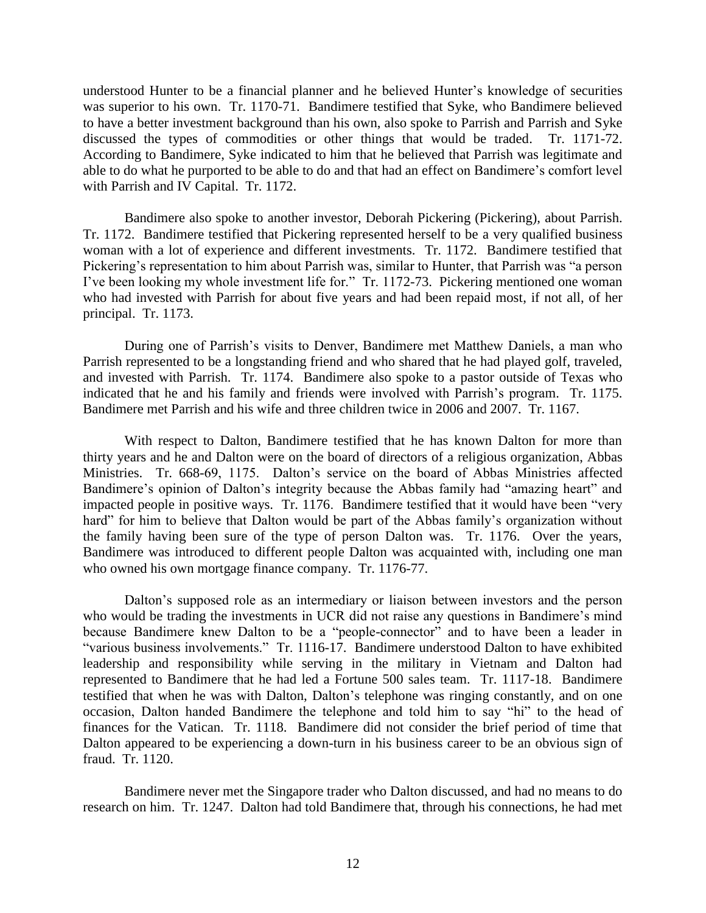understood Hunter to be a financial planner and he believed Hunter's knowledge of securities was superior to his own. Tr. 1170-71. Bandimere testified that Syke, who Bandimere believed to have a better investment background than his own, also spoke to Parrish and Parrish and Syke discussed the types of commodities or other things that would be traded. Tr. 1171-72. According to Bandimere, Syke indicated to him that he believed that Parrish was legitimate and able to do what he purported to be able to do and that had an effect on Bandimere's comfort level with Parrish and IV Capital. Tr. 1172.

Bandimere also spoke to another investor, Deborah Pickering (Pickering), about Parrish. Tr. 1172. Bandimere testified that Pickering represented herself to be a very qualified business woman with a lot of experience and different investments. Tr. 1172. Bandimere testified that Pickering's representation to him about Parrish was, similar to Hunter, that Parrish was "a person I've been looking my whole investment life for." Tr. 1172-73. Pickering mentioned one woman who had invested with Parrish for about five years and had been repaid most, if not all, of her principal. Tr. 1173.

During one of Parrish's visits to Denver, Bandimere met Matthew Daniels, a man who Parrish represented to be a longstanding friend and who shared that he had played golf, traveled, and invested with Parrish. Tr. 1174. Bandimere also spoke to a pastor outside of Texas who indicated that he and his family and friends were involved with Parrish's program. Tr. 1175. Bandimere met Parrish and his wife and three children twice in 2006 and 2007. Tr. 1167.

With respect to Dalton, Bandimere testified that he has known Dalton for more than thirty years and he and Dalton were on the board of directors of a religious organization, Abbas Ministries. Tr. 668-69, 1175. Dalton's service on the board of Abbas Ministries affected Bandimere's opinion of Dalton's integrity because the Abbas family had "amazing heart" and impacted people in positive ways. Tr. 1176. Bandimere testified that it would have been "very hard" for him to believe that Dalton would be part of the Abbas family's organization without the family having been sure of the type of person Dalton was. Tr. 1176. Over the years, Bandimere was introduced to different people Dalton was acquainted with, including one man who owned his own mortgage finance company. Tr. 1176-77.

Dalton's supposed role as an intermediary or liaison between investors and the person who would be trading the investments in UCR did not raise any questions in Bandimere's mind because Bandimere knew Dalton to be a "people-connector" and to have been a leader in "various business involvements." Tr. 1116-17. Bandimere understood Dalton to have exhibited leadership and responsibility while serving in the military in Vietnam and Dalton had represented to Bandimere that he had led a Fortune 500 sales team. Tr. 1117-18. Bandimere testified that when he was with Dalton, Dalton's telephone was ringing constantly, and on one occasion, Dalton handed Bandimere the telephone and told him to say "hi" to the head of finances for the Vatican. Tr. 1118. Bandimere did not consider the brief period of time that Dalton appeared to be experiencing a down-turn in his business career to be an obvious sign of fraud. Tr. 1120.

Bandimere never met the Singapore trader who Dalton discussed, and had no means to do research on him. Tr. 1247. Dalton had told Bandimere that, through his connections, he had met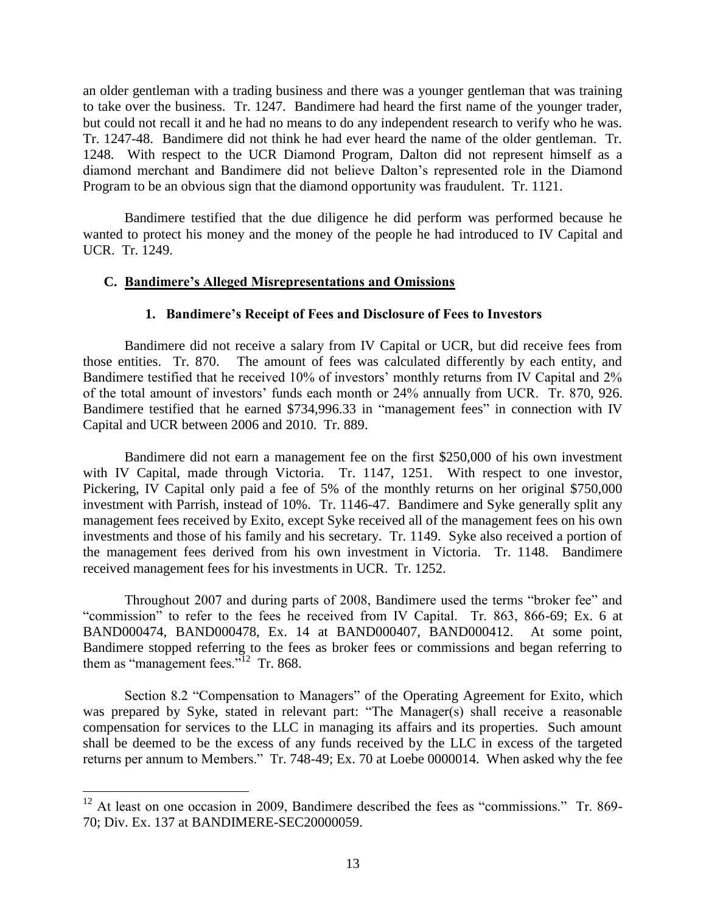an older gentleman with a trading business and there was a younger gentleman that was training to take over the business. Tr. 1247. Bandimere had heard the first name of the younger trader, but could not recall it and he had no means to do any independent research to verify who he was. Tr. 1247-48. Bandimere did not think he had ever heard the name of the older gentleman. Tr. 1248. With respect to the UCR Diamond Program, Dalton did not represent himself as a diamond merchant and Bandimere did not believe Dalton's represented role in the Diamond Program to be an obvious sign that the diamond opportunity was fraudulent. Tr. 1121.

Bandimere testified that the due diligence he did perform was performed because he wanted to protect his money and the money of the people he had introduced to IV Capital and UCR. Tr. 1249.

## **C. Bandimere's Alleged Misrepresentations and Omissions**

#### **1. Bandimere's Receipt of Fees and Disclosure of Fees to Investors**

Bandimere did not receive a salary from IV Capital or UCR, but did receive fees from those entities. Tr. 870. The amount of fees was calculated differently by each entity, and Bandimere testified that he received 10% of investors' monthly returns from IV Capital and 2% of the total amount of investors' funds each month or 24% annually from UCR. Tr. 870, 926. Bandimere testified that he earned \$734,996.33 in "management fees" in connection with IV Capital and UCR between 2006 and 2010. Tr. 889.

Bandimere did not earn a management fee on the first \$250,000 of his own investment with IV Capital, made through Victoria. Tr. 1147, 1251. With respect to one investor, Pickering, IV Capital only paid a fee of 5% of the monthly returns on her original \$750,000 investment with Parrish, instead of 10%. Tr. 1146-47. Bandimere and Syke generally split any management fees received by Exito, except Syke received all of the management fees on his own investments and those of his family and his secretary. Tr. 1149. Syke also received a portion of the management fees derived from his own investment in Victoria. Tr. 1148. Bandimere received management fees for his investments in UCR. Tr. 1252.

Throughout 2007 and during parts of 2008, Bandimere used the terms "broker fee" and "commission" to refer to the fees he received from IV Capital. Tr. 863, 866-69; Ex. 6 at BAND000474, BAND000478, Ex. 14 at BAND000407, BAND000412. At some point, Bandimere stopped referring to the fees as broker fees or commissions and began referring to them as "management fees." $12$  Tr. 868.

Section 8.2 "Compensation to Managers" of the Operating Agreement for Exito, which was prepared by Syke, stated in relevant part: "The Manager(s) shall receive a reasonable compensation for services to the LLC in managing its affairs and its properties. Such amount shall be deemed to be the excess of any funds received by the LLC in excess of the targeted returns per annum to Members." Tr. 748-49; Ex. 70 at Loebe 0000014. When asked why the fee

<sup>&</sup>lt;sup>12</sup> At least on one occasion in 2009, Bandimere described the fees as "commissions." Tr. 869-70; Div. Ex. 137 at BANDIMERE-SEC20000059.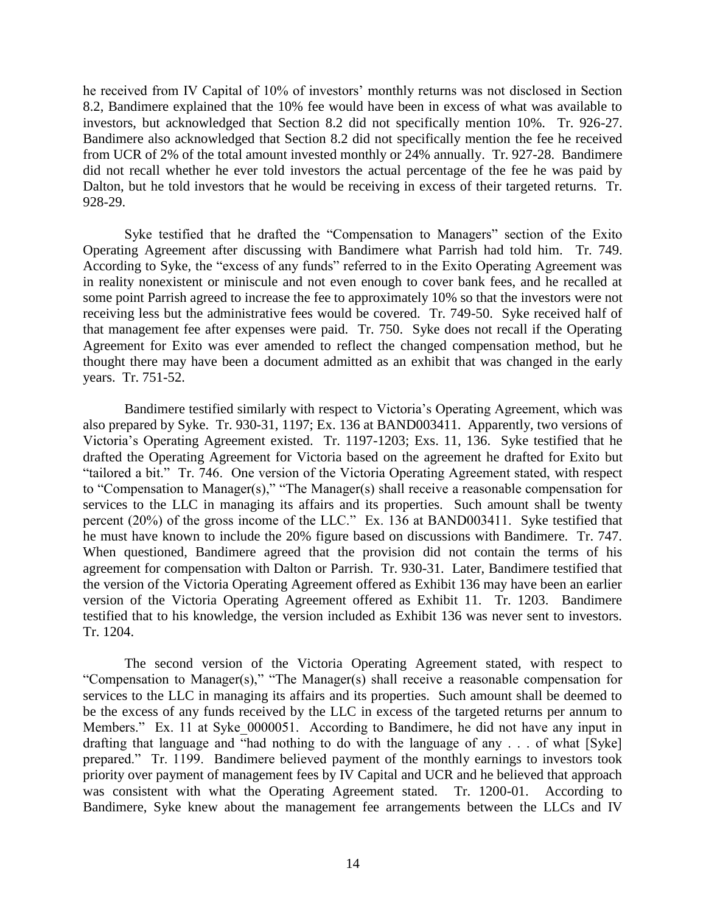he received from IV Capital of 10% of investors' monthly returns was not disclosed in Section 8.2, Bandimere explained that the 10% fee would have been in excess of what was available to investors, but acknowledged that Section 8.2 did not specifically mention 10%. Tr. 926-27. Bandimere also acknowledged that Section 8.2 did not specifically mention the fee he received from UCR of 2% of the total amount invested monthly or 24% annually. Tr. 927-28. Bandimere did not recall whether he ever told investors the actual percentage of the fee he was paid by Dalton, but he told investors that he would be receiving in excess of their targeted returns. Tr. 928-29.

Syke testified that he drafted the "Compensation to Managers" section of the Exito Operating Agreement after discussing with Bandimere what Parrish had told him. Tr. 749. According to Syke, the "excess of any funds" referred to in the Exito Operating Agreement was in reality nonexistent or miniscule and not even enough to cover bank fees, and he recalled at some point Parrish agreed to increase the fee to approximately 10% so that the investors were not receiving less but the administrative fees would be covered. Tr. 749-50. Syke received half of that management fee after expenses were paid. Tr. 750. Syke does not recall if the Operating Agreement for Exito was ever amended to reflect the changed compensation method, but he thought there may have been a document admitted as an exhibit that was changed in the early years. Tr. 751-52.

Bandimere testified similarly with respect to Victoria's Operating Agreement, which was also prepared by Syke. Tr. 930-31, 1197; Ex. 136 at BAND003411. Apparently, two versions of Victoria's Operating Agreement existed. Tr. 1197-1203; Exs. 11, 136. Syke testified that he drafted the Operating Agreement for Victoria based on the agreement he drafted for Exito but "tailored a bit." Tr. 746. One version of the Victoria Operating Agreement stated, with respect to "Compensation to Manager(s)," "The Manager(s) shall receive a reasonable compensation for services to the LLC in managing its affairs and its properties. Such amount shall be twenty percent (20%) of the gross income of the LLC." Ex. 136 at BAND003411. Syke testified that he must have known to include the 20% figure based on discussions with Bandimere. Tr. 747. When questioned, Bandimere agreed that the provision did not contain the terms of his agreement for compensation with Dalton or Parrish. Tr. 930-31. Later, Bandimere testified that the version of the Victoria Operating Agreement offered as Exhibit 136 may have been an earlier version of the Victoria Operating Agreement offered as Exhibit 11. Tr. 1203. Bandimere testified that to his knowledge, the version included as Exhibit 136 was never sent to investors. Tr. 1204.

The second version of the Victoria Operating Agreement stated, with respect to "Compensation to Manager(s)," "The Manager(s) shall receive a reasonable compensation for services to the LLC in managing its affairs and its properties. Such amount shall be deemed to be the excess of any funds received by the LLC in excess of the targeted returns per annum to Members." Ex. 11 at Syke 0000051. According to Bandimere, he did not have any input in drafting that language and "had nothing to do with the language of any . . . of what [Syke] prepared." Tr. 1199. Bandimere believed payment of the monthly earnings to investors took priority over payment of management fees by IV Capital and UCR and he believed that approach was consistent with what the Operating Agreement stated. Tr. 1200-01. According to Bandimere, Syke knew about the management fee arrangements between the LLCs and IV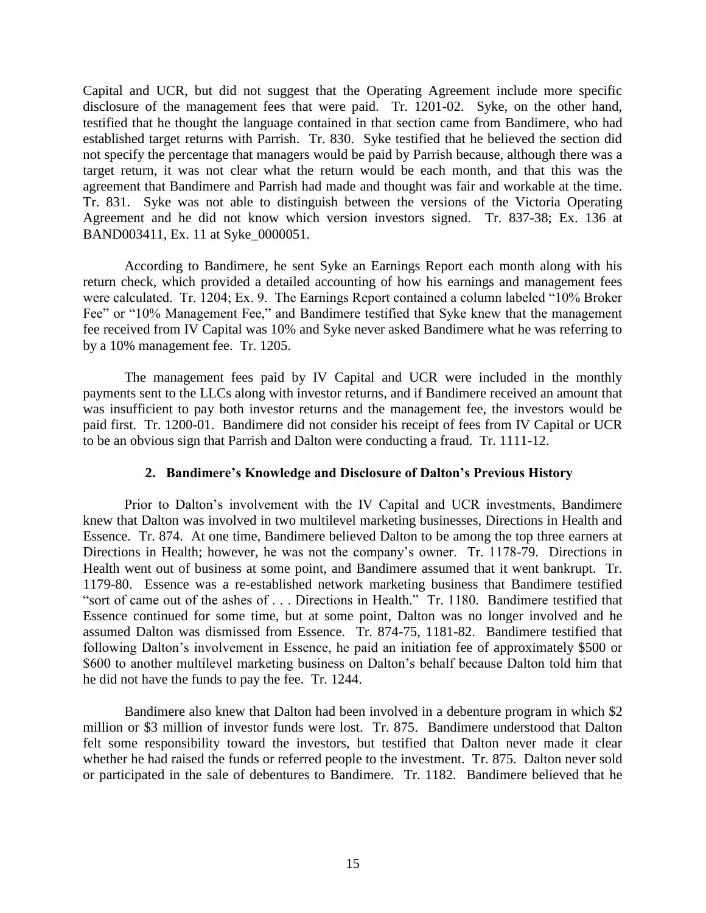Capital and UCR, but did not suggest that the Operating Agreement include more specific disclosure of the management fees that were paid. Tr. 1201-02. Syke, on the other hand, testified that he thought the language contained in that section came from Bandimere, who had established target returns with Parrish. Tr. 830. Syke testified that he believed the section did not specify the percentage that managers would be paid by Parrish because, although there was a target return, it was not clear what the return would be each month, and that this was the agreement that Bandimere and Parrish had made and thought was fair and workable at the time. Tr. 831. Syke was not able to distinguish between the versions of the Victoria Operating Agreement and he did not know which version investors signed. Tr. 837-38; Ex. 136 at BAND003411, Ex. 11 at Syke\_0000051.

According to Bandimere, he sent Syke an Earnings Report each month along with his return check, which provided a detailed accounting of how his earnings and management fees were calculated. Tr. 1204; Ex. 9. The Earnings Report contained a column labeled "10% Broker Fee" or "10% Management Fee," and Bandimere testified that Syke knew that the management fee received from IV Capital was 10% and Syke never asked Bandimere what he was referring to by a 10% management fee. Tr. 1205.

The management fees paid by IV Capital and UCR were included in the monthly payments sent to the LLCs along with investor returns, and if Bandimere received an amount that was insufficient to pay both investor returns and the management fee, the investors would be paid first. Tr. 1200-01. Bandimere did not consider his receipt of fees from IV Capital or UCR to be an obvious sign that Parrish and Dalton were conducting a fraud. Tr. 1111-12.

## **2. Bandimere's Knowledge and Disclosure of Dalton's Previous History**

Prior to Dalton's involvement with the IV Capital and UCR investments, Bandimere knew that Dalton was involved in two multilevel marketing businesses, Directions in Health and Essence. Tr. 874. At one time, Bandimere believed Dalton to be among the top three earners at Directions in Health; however, he was not the company's owner. Tr. 1178-79. Directions in Health went out of business at some point, and Bandimere assumed that it went bankrupt. Tr. 1179-80. Essence was a re-established network marketing business that Bandimere testified "sort of came out of the ashes of . . . Directions in Health." Tr. 1180. Bandimere testified that Essence continued for some time, but at some point, Dalton was no longer involved and he assumed Dalton was dismissed from Essence. Tr. 874-75, 1181-82. Bandimere testified that following Dalton's involvement in Essence, he paid an initiation fee of approximately \$500 or \$600 to another multilevel marketing business on Dalton's behalf because Dalton told him that he did not have the funds to pay the fee. Tr. 1244.

Bandimere also knew that Dalton had been involved in a debenture program in which \$2 million or \$3 million of investor funds were lost. Tr. 875. Bandimere understood that Dalton felt some responsibility toward the investors, but testified that Dalton never made it clear whether he had raised the funds or referred people to the investment. Tr. 875. Dalton never sold or participated in the sale of debentures to Bandimere. Tr. 1182. Bandimere believed that he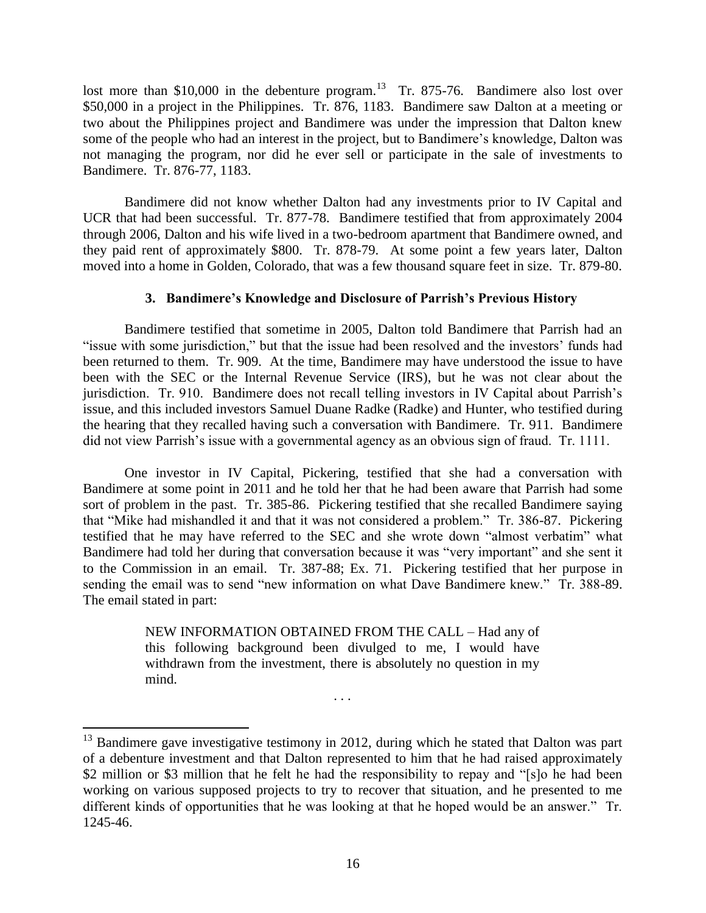lost more than \$10,000 in the debenture program.<sup>13</sup> Tr. 875-76. Bandimere also lost over \$50,000 in a project in the Philippines. Tr. 876, 1183. Bandimere saw Dalton at a meeting or two about the Philippines project and Bandimere was under the impression that Dalton knew some of the people who had an interest in the project, but to Bandimere's knowledge, Dalton was not managing the program, nor did he ever sell or participate in the sale of investments to Bandimere. Tr. 876-77, 1183.

Bandimere did not know whether Dalton had any investments prior to IV Capital and UCR that had been successful. Tr. 877-78. Bandimere testified that from approximately 2004 through 2006, Dalton and his wife lived in a two-bedroom apartment that Bandimere owned, and they paid rent of approximately \$800. Tr. 878-79. At some point a few years later, Dalton moved into a home in Golden, Colorado, that was a few thousand square feet in size. Tr. 879-80.

# **3. Bandimere's Knowledge and Disclosure of Parrish's Previous History**

Bandimere testified that sometime in 2005, Dalton told Bandimere that Parrish had an "issue with some jurisdiction," but that the issue had been resolved and the investors' funds had been returned to them. Tr. 909. At the time, Bandimere may have understood the issue to have been with the SEC or the Internal Revenue Service (IRS), but he was not clear about the jurisdiction. Tr. 910. Bandimere does not recall telling investors in IV Capital about Parrish's issue, and this included investors Samuel Duane Radke (Radke) and Hunter, who testified during the hearing that they recalled having such a conversation with Bandimere. Tr. 911. Bandimere did not view Parrish's issue with a governmental agency as an obvious sign of fraud. Tr. 1111.

One investor in IV Capital, Pickering, testified that she had a conversation with Bandimere at some point in 2011 and he told her that he had been aware that Parrish had some sort of problem in the past. Tr. 385-86. Pickering testified that she recalled Bandimere saying that "Mike had mishandled it and that it was not considered a problem." Tr. 386-87. Pickering testified that he may have referred to the SEC and she wrote down "almost verbatim" what Bandimere had told her during that conversation because it was "very important" and she sent it to the Commission in an email. Tr. 387-88; Ex. 71. Pickering testified that her purpose in sending the email was to send "new information on what Dave Bandimere knew." Tr. 388-89. The email stated in part:

> NEW INFORMATION OBTAINED FROM THE CALL – Had any of this following background been divulged to me, I would have withdrawn from the investment, there is absolutely no question in my mind.

> > . . .

 $\overline{a}$  $13$  Bandimere gave investigative testimony in 2012, during which he stated that Dalton was part of a debenture investment and that Dalton represented to him that he had raised approximately \$2 million or \$3 million that he felt he had the responsibility to repay and "[s]o he had been working on various supposed projects to try to recover that situation, and he presented to me different kinds of opportunities that he was looking at that he hoped would be an answer." Tr. 1245-46.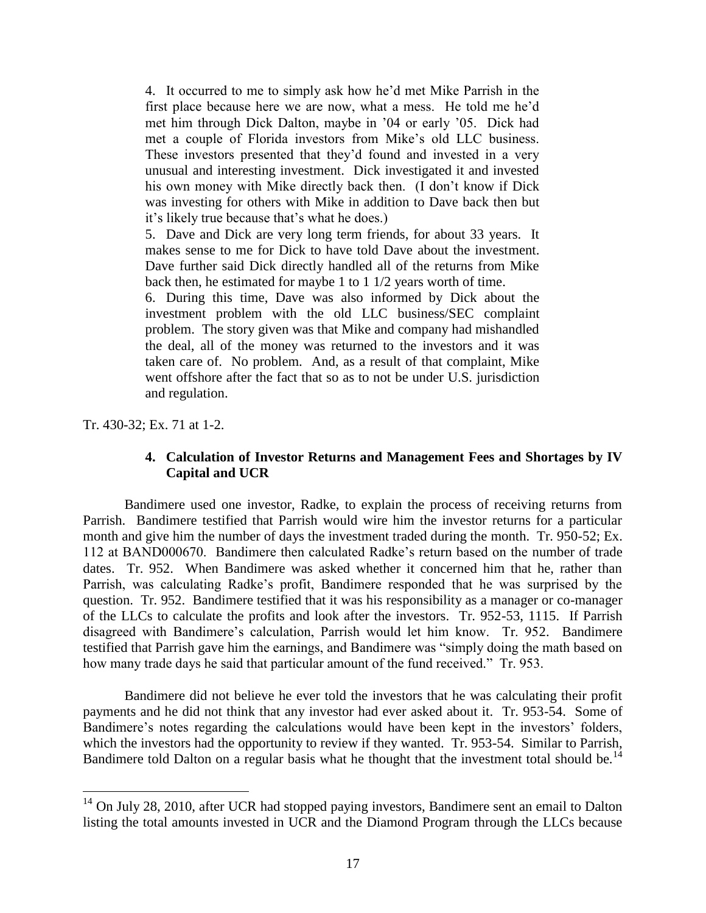4. It occurred to me to simply ask how he'd met Mike Parrish in the first place because here we are now, what a mess. He told me he'd met him through Dick Dalton, maybe in '04 or early '05. Dick had met a couple of Florida investors from Mike's old LLC business. These investors presented that they'd found and invested in a very unusual and interesting investment. Dick investigated it and invested his own money with Mike directly back then. (I don't know if Dick was investing for others with Mike in addition to Dave back then but it's likely true because that's what he does.)

5. Dave and Dick are very long term friends, for about 33 years. It makes sense to me for Dick to have told Dave about the investment. Dave further said Dick directly handled all of the returns from Mike back then, he estimated for maybe 1 to 1 1/2 years worth of time.

6. During this time, Dave was also informed by Dick about the investment problem with the old LLC business/SEC complaint problem. The story given was that Mike and company had mishandled the deal, all of the money was returned to the investors and it was taken care of. No problem. And, as a result of that complaint, Mike went offshore after the fact that so as to not be under U.S. jurisdiction and regulation.

Tr. 430-32; Ex. 71 at 1-2.

 $\overline{a}$ 

## **4. Calculation of Investor Returns and Management Fees and Shortages by IV Capital and UCR**

Bandimere used one investor, Radke, to explain the process of receiving returns from Parrish. Bandimere testified that Parrish would wire him the investor returns for a particular month and give him the number of days the investment traded during the month. Tr. 950-52; Ex. 112 at BAND000670. Bandimere then calculated Radke's return based on the number of trade dates. Tr. 952. When Bandimere was asked whether it concerned him that he, rather than Parrish, was calculating Radke's profit, Bandimere responded that he was surprised by the question. Tr. 952. Bandimere testified that it was his responsibility as a manager or co-manager of the LLCs to calculate the profits and look after the investors. Tr. 952-53, 1115. If Parrish disagreed with Bandimere's calculation, Parrish would let him know. Tr. 952. Bandimere testified that Parrish gave him the earnings, and Bandimere was "simply doing the math based on how many trade days he said that particular amount of the fund received." Tr. 953.

Bandimere did not believe he ever told the investors that he was calculating their profit payments and he did not think that any investor had ever asked about it. Tr. 953-54. Some of Bandimere's notes regarding the calculations would have been kept in the investors' folders, which the investors had the opportunity to review if they wanted. Tr. 953-54. Similar to Parrish, Bandimere told Dalton on a regular basis what he thought that the investment total should be.<sup>14</sup>

<sup>&</sup>lt;sup>14</sup> On July 28, 2010, after UCR had stopped paying investors, Bandimere sent an email to Dalton listing the total amounts invested in UCR and the Diamond Program through the LLCs because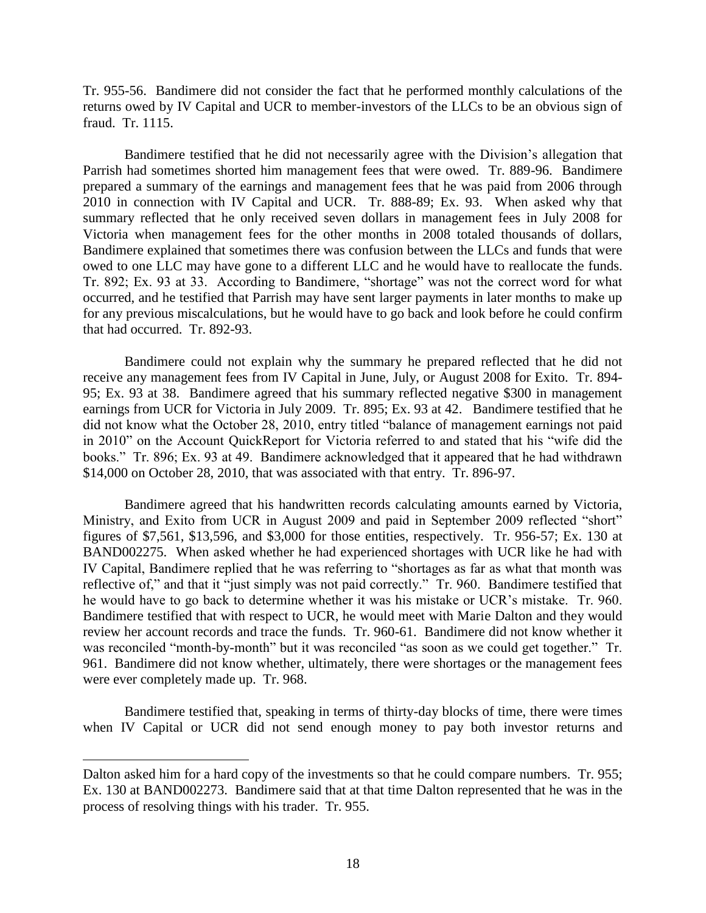Tr. 955-56. Bandimere did not consider the fact that he performed monthly calculations of the returns owed by IV Capital and UCR to member-investors of the LLCs to be an obvious sign of fraud. Tr. 1115.

Bandimere testified that he did not necessarily agree with the Division's allegation that Parrish had sometimes shorted him management fees that were owed. Tr. 889-96. Bandimere prepared a summary of the earnings and management fees that he was paid from 2006 through 2010 in connection with IV Capital and UCR. Tr. 888-89; Ex. 93. When asked why that summary reflected that he only received seven dollars in management fees in July 2008 for Victoria when management fees for the other months in 2008 totaled thousands of dollars, Bandimere explained that sometimes there was confusion between the LLCs and funds that were owed to one LLC may have gone to a different LLC and he would have to reallocate the funds. Tr. 892; Ex. 93 at 33. According to Bandimere, "shortage" was not the correct word for what occurred, and he testified that Parrish may have sent larger payments in later months to make up for any previous miscalculations, but he would have to go back and look before he could confirm that had occurred. Tr. 892-93.

Bandimere could not explain why the summary he prepared reflected that he did not receive any management fees from IV Capital in June, July, or August 2008 for Exito. Tr. 894- 95; Ex. 93 at 38. Bandimere agreed that his summary reflected negative \$300 in management earnings from UCR for Victoria in July 2009. Tr. 895; Ex. 93 at 42. Bandimere testified that he did not know what the October 28, 2010, entry titled "balance of management earnings not paid in 2010" on the Account QuickReport for Victoria referred to and stated that his "wife did the books." Tr. 896; Ex. 93 at 49. Bandimere acknowledged that it appeared that he had withdrawn \$14,000 on October 28, 2010, that was associated with that entry. Tr. 896-97.

Bandimere agreed that his handwritten records calculating amounts earned by Victoria, Ministry, and Exito from UCR in August 2009 and paid in September 2009 reflected "short" figures of \$7,561, \$13,596, and \$3,000 for those entities, respectively. Tr. 956-57; Ex. 130 at BAND002275. When asked whether he had experienced shortages with UCR like he had with IV Capital, Bandimere replied that he was referring to "shortages as far as what that month was reflective of," and that it "just simply was not paid correctly." Tr. 960. Bandimere testified that he would have to go back to determine whether it was his mistake or UCR's mistake. Tr. 960. Bandimere testified that with respect to UCR, he would meet with Marie Dalton and they would review her account records and trace the funds. Tr. 960-61. Bandimere did not know whether it was reconciled "month-by-month" but it was reconciled "as soon as we could get together." Tr. 961. Bandimere did not know whether, ultimately, there were shortages or the management fees were ever completely made up. Tr. 968.

Bandimere testified that, speaking in terms of thirty-day blocks of time, there were times when IV Capital or UCR did not send enough money to pay both investor returns and

Dalton asked him for a hard copy of the investments so that he could compare numbers. Tr. 955; Ex. 130 at BAND002273. Bandimere said that at that time Dalton represented that he was in the process of resolving things with his trader. Tr. 955.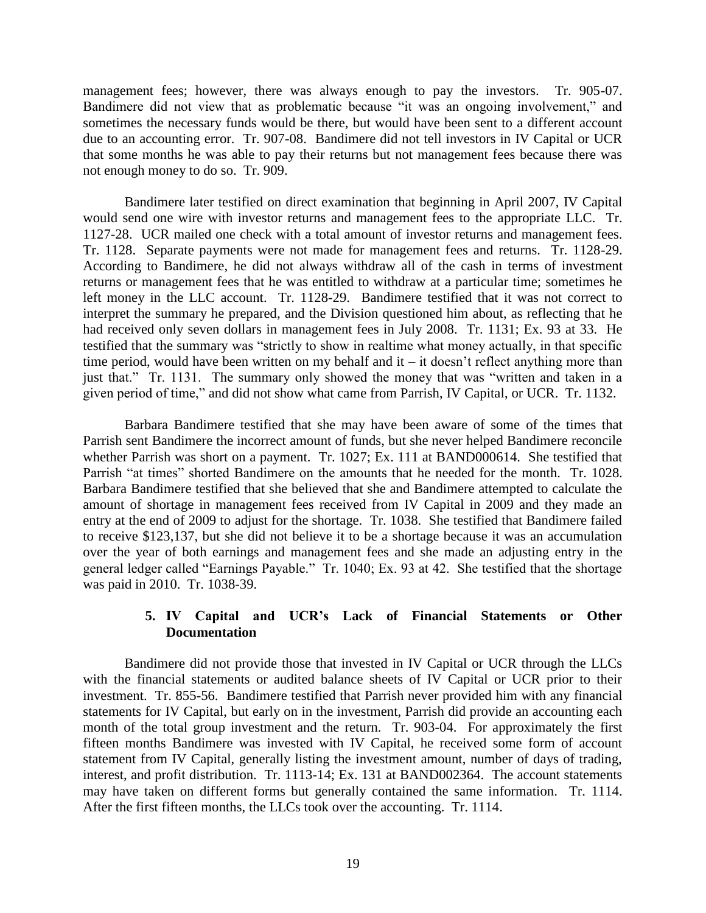management fees; however, there was always enough to pay the investors. Tr. 905-07. Bandimere did not view that as problematic because "it was an ongoing involvement," and sometimes the necessary funds would be there, but would have been sent to a different account due to an accounting error. Tr. 907-08. Bandimere did not tell investors in IV Capital or UCR that some months he was able to pay their returns but not management fees because there was not enough money to do so. Tr. 909.

Bandimere later testified on direct examination that beginning in April 2007, IV Capital would send one wire with investor returns and management fees to the appropriate LLC. Tr. 1127-28. UCR mailed one check with a total amount of investor returns and management fees. Tr. 1128. Separate payments were not made for management fees and returns. Tr. 1128-29. According to Bandimere, he did not always withdraw all of the cash in terms of investment returns or management fees that he was entitled to withdraw at a particular time; sometimes he left money in the LLC account. Tr. 1128-29. Bandimere testified that it was not correct to interpret the summary he prepared, and the Division questioned him about, as reflecting that he had received only seven dollars in management fees in July 2008. Tr. 1131; Ex. 93 at 33. He testified that the summary was "strictly to show in realtime what money actually, in that specific time period, would have been written on my behalf and it – it doesn't reflect anything more than just that." Tr. 1131. The summary only showed the money that was "written and taken in a given period of time," and did not show what came from Parrish, IV Capital, or UCR. Tr. 1132.

Barbara Bandimere testified that she may have been aware of some of the times that Parrish sent Bandimere the incorrect amount of funds, but she never helped Bandimere reconcile whether Parrish was short on a payment. Tr. 1027; Ex. 111 at BAND000614. She testified that Parrish "at times" shorted Bandimere on the amounts that he needed for the month. Tr. 1028. Barbara Bandimere testified that she believed that she and Bandimere attempted to calculate the amount of shortage in management fees received from IV Capital in 2009 and they made an entry at the end of 2009 to adjust for the shortage. Tr. 1038. She testified that Bandimere failed to receive \$123,137, but she did not believe it to be a shortage because it was an accumulation over the year of both earnings and management fees and she made an adjusting entry in the general ledger called "Earnings Payable." Tr. 1040; Ex. 93 at 42. She testified that the shortage was paid in 2010. Tr. 1038-39.

## **5. IV Capital and UCR's Lack of Financial Statements or Other Documentation**

Bandimere did not provide those that invested in IV Capital or UCR through the LLCs with the financial statements or audited balance sheets of IV Capital or UCR prior to their investment. Tr. 855-56. Bandimere testified that Parrish never provided him with any financial statements for IV Capital, but early on in the investment, Parrish did provide an accounting each month of the total group investment and the return. Tr. 903-04. For approximately the first fifteen months Bandimere was invested with IV Capital, he received some form of account statement from IV Capital, generally listing the investment amount, number of days of trading, interest, and profit distribution. Tr. 1113-14; Ex. 131 at BAND002364. The account statements may have taken on different forms but generally contained the same information. Tr. 1114. After the first fifteen months, the LLCs took over the accounting. Tr. 1114.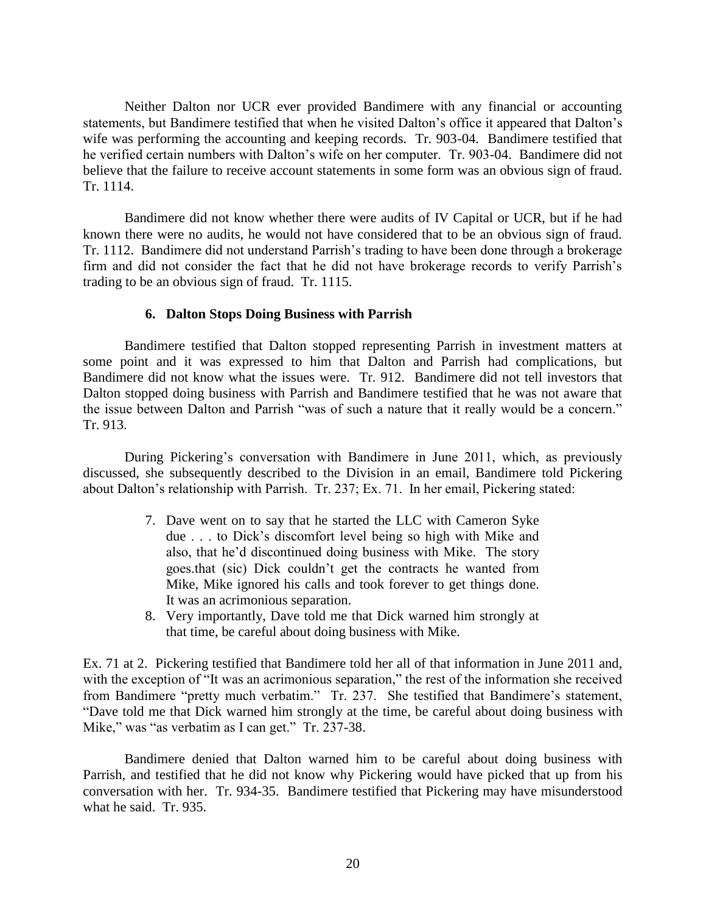Neither Dalton nor UCR ever provided Bandimere with any financial or accounting statements, but Bandimere testified that when he visited Dalton's office it appeared that Dalton's wife was performing the accounting and keeping records. Tr. 903-04. Bandimere testified that he verified certain numbers with Dalton's wife on her computer. Tr. 903-04. Bandimere did not believe that the failure to receive account statements in some form was an obvious sign of fraud. Tr. 1114.

Bandimere did not know whether there were audits of IV Capital or UCR, but if he had known there were no audits, he would not have considered that to be an obvious sign of fraud. Tr. 1112. Bandimere did not understand Parrish's trading to have been done through a brokerage firm and did not consider the fact that he did not have brokerage records to verify Parrish's trading to be an obvious sign of fraud. Tr. 1115.

## **6. Dalton Stops Doing Business with Parrish**

Bandimere testified that Dalton stopped representing Parrish in investment matters at some point and it was expressed to him that Dalton and Parrish had complications, but Bandimere did not know what the issues were. Tr. 912. Bandimere did not tell investors that Dalton stopped doing business with Parrish and Bandimere testified that he was not aware that the issue between Dalton and Parrish "was of such a nature that it really would be a concern." Tr. 913.

During Pickering's conversation with Bandimere in June 2011, which, as previously discussed, she subsequently described to the Division in an email, Bandimere told Pickering about Dalton's relationship with Parrish. Tr. 237; Ex. 71. In her email, Pickering stated:

- 7. Dave went on to say that he started the LLC with Cameron Syke due . . . to Dick's discomfort level being so high with Mike and also, that he'd discontinued doing business with Mike. The story goes.that (sic) Dick couldn't get the contracts he wanted from Mike, Mike ignored his calls and took forever to get things done. It was an acrimonious separation.
- 8. Very importantly, Dave told me that Dick warned him strongly at that time, be careful about doing business with Mike.

Ex. 71 at 2. Pickering testified that Bandimere told her all of that information in June 2011 and, with the exception of "It was an acrimonious separation," the rest of the information she received from Bandimere "pretty much verbatim." Tr. 237. She testified that Bandimere's statement, "Dave told me that Dick warned him strongly at the time, be careful about doing business with Mike," was "as verbatim as I can get." Tr. 237-38.

Bandimere denied that Dalton warned him to be careful about doing business with Parrish, and testified that he did not know why Pickering would have picked that up from his conversation with her. Tr. 934-35. Bandimere testified that Pickering may have misunderstood what he said. Tr. 935.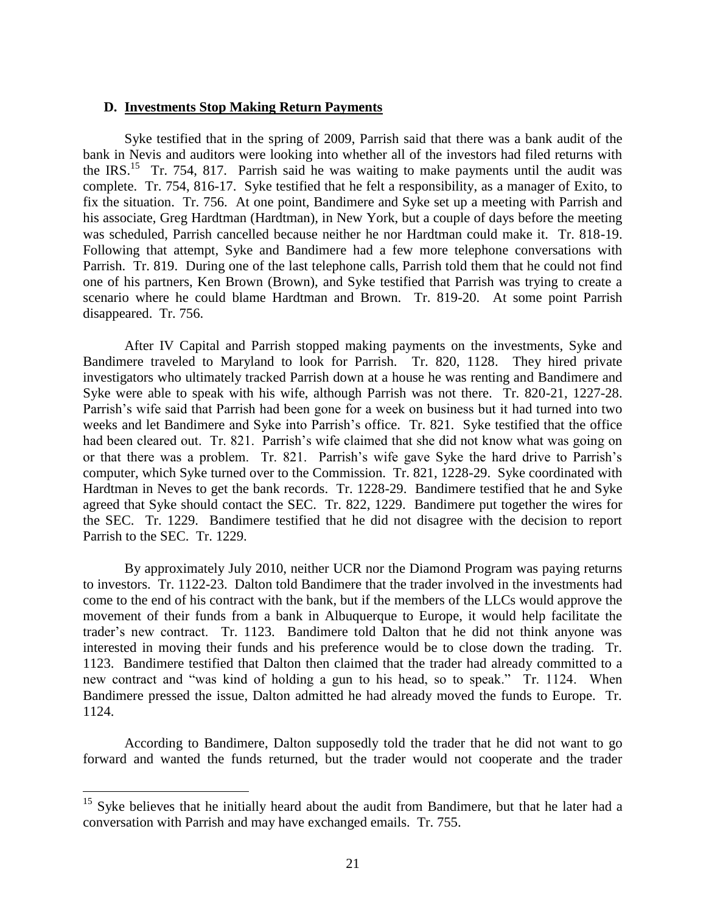#### **D. Investments Stop Making Return Payments**

Syke testified that in the spring of 2009, Parrish said that there was a bank audit of the bank in Nevis and auditors were looking into whether all of the investors had filed returns with the IRS.<sup>15</sup> Tr. 754, 817. Parrish said he was waiting to make payments until the audit was complete. Tr. 754, 816-17. Syke testified that he felt a responsibility, as a manager of Exito, to fix the situation. Tr. 756. At one point, Bandimere and Syke set up a meeting with Parrish and his associate, Greg Hardtman (Hardtman), in New York, but a couple of days before the meeting was scheduled, Parrish cancelled because neither he nor Hardtman could make it. Tr. 818-19. Following that attempt, Syke and Bandimere had a few more telephone conversations with Parrish. Tr. 819. During one of the last telephone calls, Parrish told them that he could not find one of his partners, Ken Brown (Brown), and Syke testified that Parrish was trying to create a scenario where he could blame Hardtman and Brown. Tr. 819-20. At some point Parrish disappeared. Tr. 756.

After IV Capital and Parrish stopped making payments on the investments, Syke and Bandimere traveled to Maryland to look for Parrish. Tr. 820, 1128. They hired private investigators who ultimately tracked Parrish down at a house he was renting and Bandimere and Syke were able to speak with his wife, although Parrish was not there. Tr. 820-21, 1227-28. Parrish's wife said that Parrish had been gone for a week on business but it had turned into two weeks and let Bandimere and Syke into Parrish's office. Tr. 821. Syke testified that the office had been cleared out. Tr. 821. Parrish's wife claimed that she did not know what was going on or that there was a problem. Tr. 821. Parrish's wife gave Syke the hard drive to Parrish's computer, which Syke turned over to the Commission. Tr. 821, 1228-29. Syke coordinated with Hardtman in Neves to get the bank records. Tr. 1228-29. Bandimere testified that he and Syke agreed that Syke should contact the SEC. Tr. 822, 1229. Bandimere put together the wires for the SEC. Tr. 1229. Bandimere testified that he did not disagree with the decision to report Parrish to the SEC. Tr. 1229.

By approximately July 2010, neither UCR nor the Diamond Program was paying returns to investors. Tr. 1122-23. Dalton told Bandimere that the trader involved in the investments had come to the end of his contract with the bank, but if the members of the LLCs would approve the movement of their funds from a bank in Albuquerque to Europe, it would help facilitate the trader's new contract. Tr. 1123. Bandimere told Dalton that he did not think anyone was interested in moving their funds and his preference would be to close down the trading. Tr. 1123. Bandimere testified that Dalton then claimed that the trader had already committed to a new contract and "was kind of holding a gun to his head, so to speak." Tr. 1124. When Bandimere pressed the issue, Dalton admitted he had already moved the funds to Europe. Tr. 1124.

According to Bandimere, Dalton supposedly told the trader that he did not want to go forward and wanted the funds returned, but the trader would not cooperate and the trader

<sup>&</sup>lt;sup>15</sup> Syke believes that he initially heard about the audit from Bandimere, but that he later had a conversation with Parrish and may have exchanged emails. Tr. 755.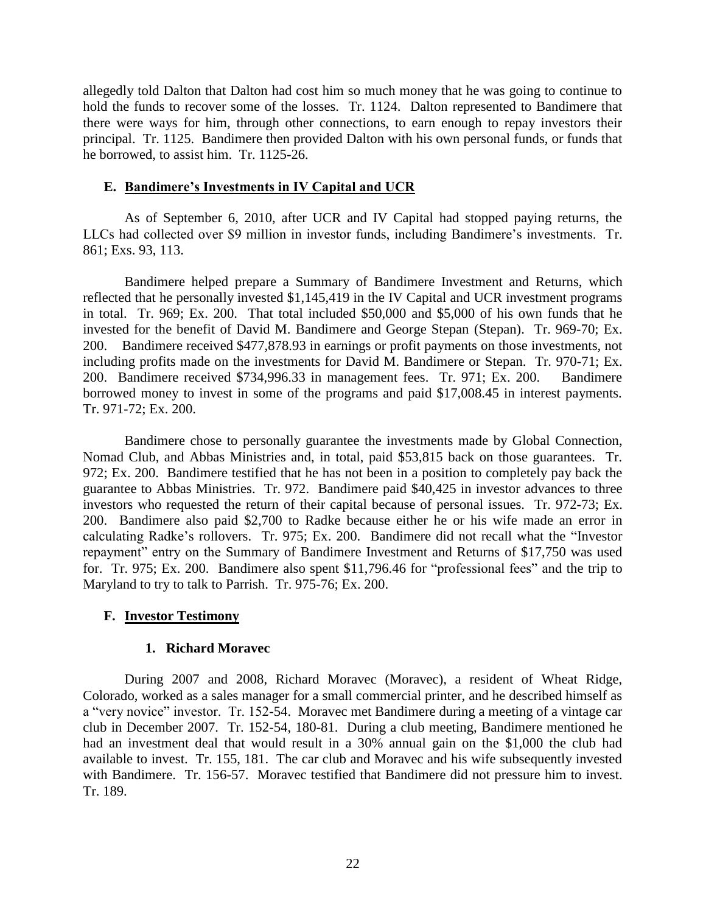allegedly told Dalton that Dalton had cost him so much money that he was going to continue to hold the funds to recover some of the losses. Tr. 1124. Dalton represented to Bandimere that there were ways for him, through other connections, to earn enough to repay investors their principal. Tr. 1125. Bandimere then provided Dalton with his own personal funds, or funds that he borrowed, to assist him. Tr. 1125-26.

#### **E. Bandimere's Investments in IV Capital and UCR**

As of September 6, 2010, after UCR and IV Capital had stopped paying returns, the LLCs had collected over \$9 million in investor funds, including Bandimere's investments. Tr. 861; Exs. 93, 113.

Bandimere helped prepare a Summary of Bandimere Investment and Returns, which reflected that he personally invested \$1,145,419 in the IV Capital and UCR investment programs in total. Tr. 969; Ex. 200. That total included \$50,000 and \$5,000 of his own funds that he invested for the benefit of David M. Bandimere and George Stepan (Stepan). Tr. 969-70; Ex. 200. Bandimere received \$477,878.93 in earnings or profit payments on those investments, not including profits made on the investments for David M. Bandimere or Stepan. Tr. 970-71; Ex. 200. Bandimere received \$734,996.33 in management fees. Tr. 971; Ex. 200. Bandimere borrowed money to invest in some of the programs and paid \$17,008.45 in interest payments. Tr. 971-72; Ex. 200.

Bandimere chose to personally guarantee the investments made by Global Connection, Nomad Club, and Abbas Ministries and, in total, paid \$53,815 back on those guarantees. Tr. 972; Ex. 200. Bandimere testified that he has not been in a position to completely pay back the guarantee to Abbas Ministries. Tr. 972. Bandimere paid \$40,425 in investor advances to three investors who requested the return of their capital because of personal issues. Tr. 972-73; Ex. 200. Bandimere also paid \$2,700 to Radke because either he or his wife made an error in calculating Radke's rollovers. Tr. 975; Ex. 200. Bandimere did not recall what the "Investor repayment" entry on the Summary of Bandimere Investment and Returns of \$17,750 was used for. Tr. 975; Ex. 200. Bandimere also spent \$11,796.46 for "professional fees" and the trip to Maryland to try to talk to Parrish. Tr. 975-76; Ex. 200.

## **F. Investor Testimony**

#### **1. Richard Moravec**

During 2007 and 2008, Richard Moravec (Moravec), a resident of Wheat Ridge, Colorado, worked as a sales manager for a small commercial printer, and he described himself as a "very novice" investor. Tr. 152-54. Moravec met Bandimere during a meeting of a vintage car club in December 2007. Tr. 152-54, 180-81. During a club meeting, Bandimere mentioned he had an investment deal that would result in a 30% annual gain on the \$1,000 the club had available to invest. Tr. 155, 181. The car club and Moravec and his wife subsequently invested with Bandimere. Tr. 156-57. Moravec testified that Bandimere did not pressure him to invest. Tr. 189.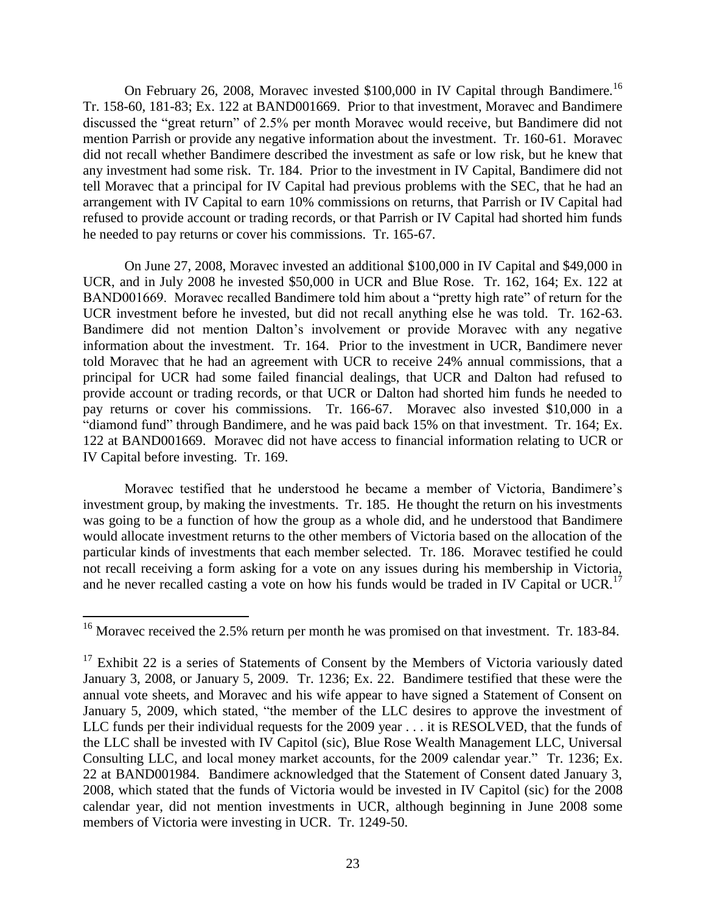On February 26, 2008, Moravec invested \$100,000 in IV Capital through Bandimere.<sup>16</sup> Tr. 158-60, 181-83; Ex. 122 at BAND001669. Prior to that investment, Moravec and Bandimere discussed the "great return" of 2.5% per month Moravec would receive, but Bandimere did not mention Parrish or provide any negative information about the investment. Tr. 160-61. Moravec did not recall whether Bandimere described the investment as safe or low risk, but he knew that any investment had some risk. Tr. 184. Prior to the investment in IV Capital, Bandimere did not tell Moravec that a principal for IV Capital had previous problems with the SEC, that he had an arrangement with IV Capital to earn 10% commissions on returns, that Parrish or IV Capital had refused to provide account or trading records, or that Parrish or IV Capital had shorted him funds he needed to pay returns or cover his commissions. Tr. 165-67.

On June 27, 2008, Moravec invested an additional \$100,000 in IV Capital and \$49,000 in UCR, and in July 2008 he invested \$50,000 in UCR and Blue Rose. Tr. 162, 164; Ex. 122 at BAND001669. Moravec recalled Bandimere told him about a "pretty high rate" of return for the UCR investment before he invested, but did not recall anything else he was told. Tr. 162-63. Bandimere did not mention Dalton's involvement or provide Moravec with any negative information about the investment. Tr. 164. Prior to the investment in UCR, Bandimere never told Moravec that he had an agreement with UCR to receive 24% annual commissions, that a principal for UCR had some failed financial dealings, that UCR and Dalton had refused to provide account or trading records, or that UCR or Dalton had shorted him funds he needed to pay returns or cover his commissions. Tr. 166-67. Moravec also invested \$10,000 in a "diamond fund" through Bandimere, and he was paid back 15% on that investment. Tr. 164; Ex. 122 at BAND001669. Moravec did not have access to financial information relating to UCR or IV Capital before investing. Tr. 169.

Moravec testified that he understood he became a member of Victoria, Bandimere's investment group, by making the investments. Tr. 185. He thought the return on his investments was going to be a function of how the group as a whole did, and he understood that Bandimere would allocate investment returns to the other members of Victoria based on the allocation of the particular kinds of investments that each member selected. Tr. 186. Moravec testified he could not recall receiving a form asking for a vote on any issues during his membership in Victoria, and he never recalled casting a vote on how his funds would be traded in IV Capital or UCR.<sup>17</sup>

<sup>&</sup>lt;sup>16</sup> Moravec received the 2.5% return per month he was promised on that investment. Tr. 183-84.

 $17$  Exhibit 22 is a series of Statements of Consent by the Members of Victoria variously dated January 3, 2008, or January 5, 2009. Tr. 1236; Ex. 22. Bandimere testified that these were the annual vote sheets, and Moravec and his wife appear to have signed a Statement of Consent on January 5, 2009, which stated, "the member of the LLC desires to approve the investment of LLC funds per their individual requests for the 2009 year . . . it is RESOLVED, that the funds of the LLC shall be invested with IV Capitol (sic), Blue Rose Wealth Management LLC, Universal Consulting LLC, and local money market accounts, for the 2009 calendar year." Tr. 1236; Ex. 22 at BAND001984. Bandimere acknowledged that the Statement of Consent dated January 3, 2008, which stated that the funds of Victoria would be invested in IV Capitol (sic) for the 2008 calendar year, did not mention investments in UCR, although beginning in June 2008 some members of Victoria were investing in UCR. Tr. 1249-50.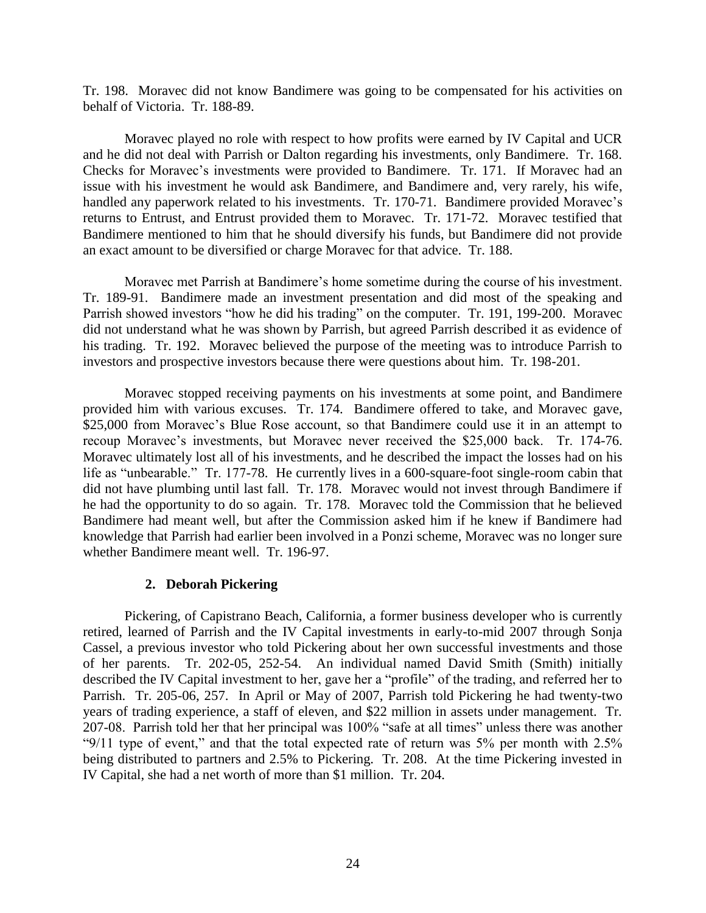Tr. 198. Moravec did not know Bandimere was going to be compensated for his activities on behalf of Victoria. Tr. 188-89.

Moravec played no role with respect to how profits were earned by IV Capital and UCR and he did not deal with Parrish or Dalton regarding his investments, only Bandimere. Tr. 168. Checks for Moravec's investments were provided to Bandimere. Tr. 171. If Moravec had an issue with his investment he would ask Bandimere, and Bandimere and, very rarely, his wife, handled any paperwork related to his investments. Tr. 170-71. Bandimere provided Moravec's returns to Entrust, and Entrust provided them to Moravec. Tr. 171-72. Moravec testified that Bandimere mentioned to him that he should diversify his funds, but Bandimere did not provide an exact amount to be diversified or charge Moravec for that advice. Tr. 188.

Moravec met Parrish at Bandimere's home sometime during the course of his investment. Tr. 189-91. Bandimere made an investment presentation and did most of the speaking and Parrish showed investors "how he did his trading" on the computer. Tr. 191, 199-200. Moravec did not understand what he was shown by Parrish, but agreed Parrish described it as evidence of his trading. Tr. 192. Moravec believed the purpose of the meeting was to introduce Parrish to investors and prospective investors because there were questions about him. Tr. 198-201.

Moravec stopped receiving payments on his investments at some point, and Bandimere provided him with various excuses. Tr. 174. Bandimere offered to take, and Moravec gave, \$25,000 from Moravec's Blue Rose account, so that Bandimere could use it in an attempt to recoup Moravec's investments, but Moravec never received the \$25,000 back. Tr. 174-76. Moravec ultimately lost all of his investments, and he described the impact the losses had on his life as "unbearable." Tr. 177-78. He currently lives in a 600-square-foot single-room cabin that did not have plumbing until last fall. Tr. 178. Moravec would not invest through Bandimere if he had the opportunity to do so again. Tr. 178. Moravec told the Commission that he believed Bandimere had meant well, but after the Commission asked him if he knew if Bandimere had knowledge that Parrish had earlier been involved in a Ponzi scheme, Moravec was no longer sure whether Bandimere meant well. Tr. 196-97.

## **2. Deborah Pickering**

Pickering, of Capistrano Beach, California, a former business developer who is currently retired, learned of Parrish and the IV Capital investments in early-to-mid 2007 through Sonja Cassel, a previous investor who told Pickering about her own successful investments and those of her parents. Tr. 202-05, 252-54. An individual named David Smith (Smith) initially described the IV Capital investment to her, gave her a "profile" of the trading, and referred her to Parrish. Tr. 205-06, 257. In April or May of 2007, Parrish told Pickering he had twenty-two years of trading experience, a staff of eleven, and \$22 million in assets under management. Tr. 207-08. Parrish told her that her principal was 100% "safe at all times" unless there was another "9/11 type of event," and that the total expected rate of return was 5% per month with 2.5% being distributed to partners and 2.5% to Pickering. Tr. 208. At the time Pickering invested in IV Capital, she had a net worth of more than \$1 million. Tr. 204.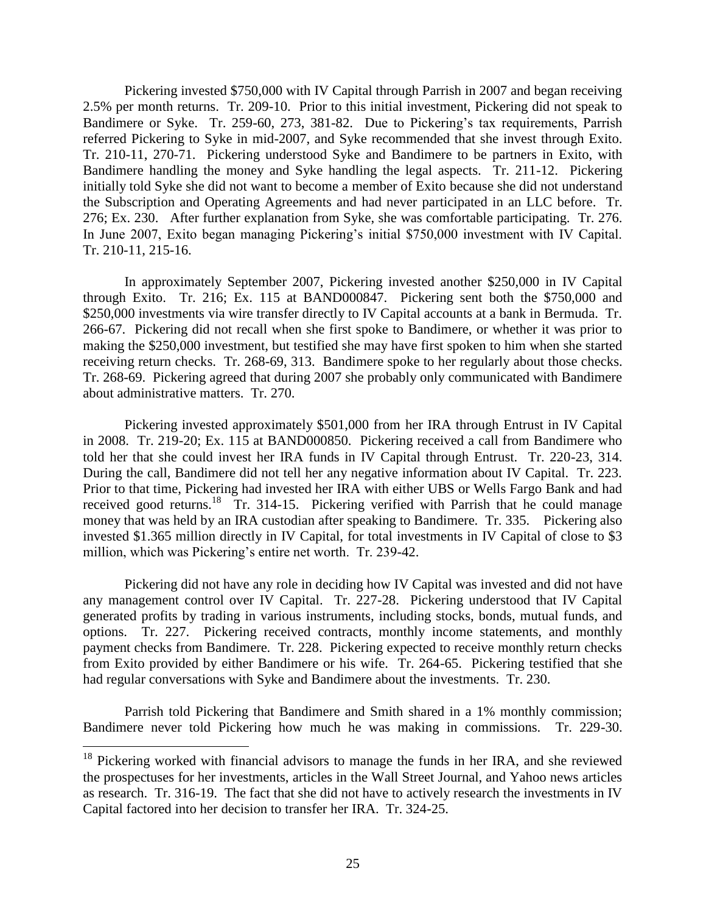Pickering invested \$750,000 with IV Capital through Parrish in 2007 and began receiving 2.5% per month returns. Tr. 209-10. Prior to this initial investment, Pickering did not speak to Bandimere or Syke. Tr. 259-60, 273, 381-82. Due to Pickering's tax requirements, Parrish referred Pickering to Syke in mid-2007, and Syke recommended that she invest through Exito. Tr. 210-11, 270-71. Pickering understood Syke and Bandimere to be partners in Exito, with Bandimere handling the money and Syke handling the legal aspects. Tr. 211-12. Pickering initially told Syke she did not want to become a member of Exito because she did not understand the Subscription and Operating Agreements and had never participated in an LLC before. Tr. 276; Ex. 230. After further explanation from Syke, she was comfortable participating. Tr. 276. In June 2007, Exito began managing Pickering's initial \$750,000 investment with IV Capital. Tr. 210-11, 215-16.

In approximately September 2007, Pickering invested another \$250,000 in IV Capital through Exito. Tr. 216; Ex. 115 at BAND000847. Pickering sent both the \$750,000 and \$250,000 investments via wire transfer directly to IV Capital accounts at a bank in Bermuda. Tr. 266-67. Pickering did not recall when she first spoke to Bandimere, or whether it was prior to making the \$250,000 investment, but testified she may have first spoken to him when she started receiving return checks. Tr. 268-69, 313. Bandimere spoke to her regularly about those checks. Tr. 268-69. Pickering agreed that during 2007 she probably only communicated with Bandimere about administrative matters. Tr. 270.

Pickering invested approximately \$501,000 from her IRA through Entrust in IV Capital in 2008. Tr. 219-20; Ex. 115 at BAND000850. Pickering received a call from Bandimere who told her that she could invest her IRA funds in IV Capital through Entrust. Tr. 220-23, 314. During the call, Bandimere did not tell her any negative information about IV Capital. Tr. 223. Prior to that time, Pickering had invested her IRA with either UBS or Wells Fargo Bank and had received good returns.<sup>18</sup> Tr. 314-15. Pickering verified with Parrish that he could manage money that was held by an IRA custodian after speaking to Bandimere. Tr. 335. Pickering also invested \$1.365 million directly in IV Capital, for total investments in IV Capital of close to \$3 million, which was Pickering's entire net worth. Tr. 239-42.

Pickering did not have any role in deciding how IV Capital was invested and did not have any management control over IV Capital. Tr. 227-28. Pickering understood that IV Capital generated profits by trading in various instruments, including stocks, bonds, mutual funds, and options. Tr. 227. Pickering received contracts, monthly income statements, and monthly payment checks from Bandimere. Tr. 228. Pickering expected to receive monthly return checks from Exito provided by either Bandimere or his wife. Tr. 264-65. Pickering testified that she had regular conversations with Syke and Bandimere about the investments. Tr. 230.

Parrish told Pickering that Bandimere and Smith shared in a 1% monthly commission; Bandimere never told Pickering how much he was making in commissions. Tr. 229-30.

 $18$  Pickering worked with financial advisors to manage the funds in her IRA, and she reviewed the prospectuses for her investments, articles in the Wall Street Journal, and Yahoo news articles as research. Tr. 316-19. The fact that she did not have to actively research the investments in IV Capital factored into her decision to transfer her IRA. Tr. 324-25.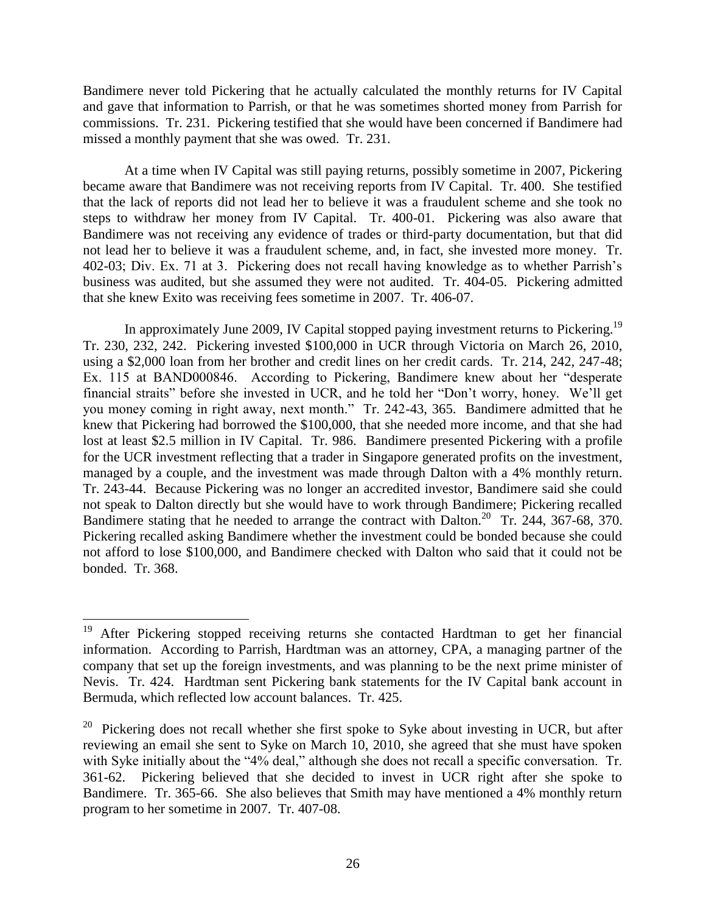Bandimere never told Pickering that he actually calculated the monthly returns for IV Capital and gave that information to Parrish, or that he was sometimes shorted money from Parrish for commissions. Tr. 231. Pickering testified that she would have been concerned if Bandimere had missed a monthly payment that she was owed. Tr. 231.

At a time when IV Capital was still paying returns, possibly sometime in 2007, Pickering became aware that Bandimere was not receiving reports from IV Capital. Tr. 400. She testified that the lack of reports did not lead her to believe it was a fraudulent scheme and she took no steps to withdraw her money from IV Capital. Tr. 400-01. Pickering was also aware that Bandimere was not receiving any evidence of trades or third-party documentation, but that did not lead her to believe it was a fraudulent scheme, and, in fact, she invested more money. Tr. 402-03; Div. Ex. 71 at 3. Pickering does not recall having knowledge as to whether Parrish's business was audited, but she assumed they were not audited. Tr. 404-05. Pickering admitted that she knew Exito was receiving fees sometime in 2007. Tr. 406-07.

In approximately June 2009, IV Capital stopped paying investment returns to Pickering.<sup>19</sup> Tr. 230, 232, 242. Pickering invested \$100,000 in UCR through Victoria on March 26, 2010, using a \$2,000 loan from her brother and credit lines on her credit cards. Tr. 214, 242, 247-48; Ex. 115 at BAND000846. According to Pickering, Bandimere knew about her "desperate financial straits" before she invested in UCR, and he told her "Don't worry, honey. We'll get you money coming in right away, next month." Tr. 242-43, 365. Bandimere admitted that he knew that Pickering had borrowed the \$100,000, that she needed more income, and that she had lost at least \$2.5 million in IV Capital. Tr. 986. Bandimere presented Pickering with a profile for the UCR investment reflecting that a trader in Singapore generated profits on the investment, managed by a couple, and the investment was made through Dalton with a 4% monthly return. Tr. 243-44. Because Pickering was no longer an accredited investor, Bandimere said she could not speak to Dalton directly but she would have to work through Bandimere; Pickering recalled Bandimere stating that he needed to arrange the contract with Dalton.<sup>20</sup> Tr. 244, 367-68, 370. Pickering recalled asking Bandimere whether the investment could be bonded because she could not afford to lose \$100,000, and Bandimere checked with Dalton who said that it could not be bonded. Tr. 368.

After Pickering stopped receiving returns she contacted Hardtman to get her financial information. According to Parrish, Hardtman was an attorney, CPA, a managing partner of the company that set up the foreign investments, and was planning to be the next prime minister of Nevis. Tr. 424. Hardtman sent Pickering bank statements for the IV Capital bank account in Bermuda, which reflected low account balances. Tr. 425.

<sup>20</sup> Pickering does not recall whether she first spoke to Syke about investing in UCR, but after reviewing an email she sent to Syke on March 10, 2010, she agreed that she must have spoken with Syke initially about the "4% deal," although she does not recall a specific conversation. Tr. 361-62. Pickering believed that she decided to invest in UCR right after she spoke to Bandimere. Tr. 365-66. She also believes that Smith may have mentioned a 4% monthly return program to her sometime in 2007. Tr. 407-08.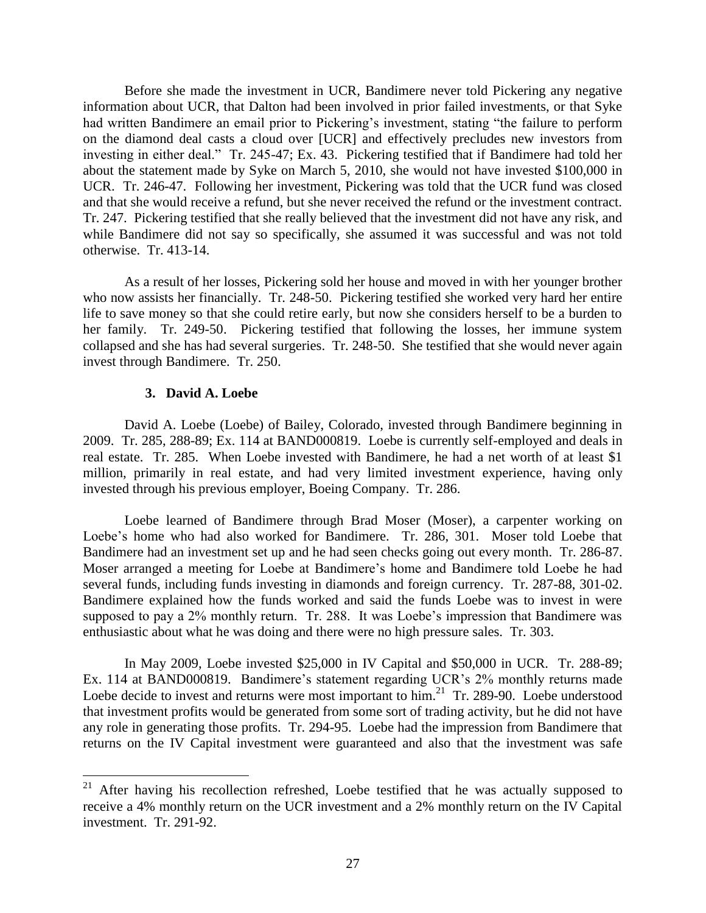Before she made the investment in UCR, Bandimere never told Pickering any negative information about UCR, that Dalton had been involved in prior failed investments, or that Syke had written Bandimere an email prior to Pickering's investment, stating "the failure to perform on the diamond deal casts a cloud over [UCR] and effectively precludes new investors from investing in either deal." Tr. 245-47; Ex. 43. Pickering testified that if Bandimere had told her about the statement made by Syke on March 5, 2010, she would not have invested \$100,000 in UCR. Tr. 246-47. Following her investment, Pickering was told that the UCR fund was closed and that she would receive a refund, but she never received the refund or the investment contract. Tr. 247. Pickering testified that she really believed that the investment did not have any risk, and while Bandimere did not say so specifically, she assumed it was successful and was not told otherwise. Tr. 413-14.

As a result of her losses, Pickering sold her house and moved in with her younger brother who now assists her financially. Tr. 248-50. Pickering testified she worked very hard her entire life to save money so that she could retire early, but now she considers herself to be a burden to her family. Tr. 249-50. Pickering testified that following the losses, her immune system collapsed and she has had several surgeries. Tr. 248-50. She testified that she would never again invest through Bandimere. Tr. 250.

#### **3. David A. Loebe**

 $\overline{a}$ 

David A. Loebe (Loebe) of Bailey, Colorado, invested through Bandimere beginning in 2009. Tr. 285, 288-89; Ex. 114 at BAND000819. Loebe is currently self-employed and deals in real estate. Tr. 285. When Loebe invested with Bandimere, he had a net worth of at least \$1 million, primarily in real estate, and had very limited investment experience, having only invested through his previous employer, Boeing Company. Tr. 286.

Loebe learned of Bandimere through Brad Moser (Moser), a carpenter working on Loebe's home who had also worked for Bandimere. Tr. 286, 301. Moser told Loebe that Bandimere had an investment set up and he had seen checks going out every month. Tr. 286-87. Moser arranged a meeting for Loebe at Bandimere's home and Bandimere told Loebe he had several funds, including funds investing in diamonds and foreign currency. Tr. 287-88, 301-02. Bandimere explained how the funds worked and said the funds Loebe was to invest in were supposed to pay a 2% monthly return. Tr. 288. It was Loebe's impression that Bandimere was enthusiastic about what he was doing and there were no high pressure sales. Tr. 303.

In May 2009, Loebe invested \$25,000 in IV Capital and \$50,000 in UCR. Tr. 288-89; Ex. 114 at BAND000819. Bandimere's statement regarding UCR's 2% monthly returns made Loebe decide to invest and returns were most important to  $\lim_{n \to \infty} 21$  Tr. 289-90. Loebe understood that investment profits would be generated from some sort of trading activity, but he did not have any role in generating those profits. Tr. 294-95. Loebe had the impression from Bandimere that returns on the IV Capital investment were guaranteed and also that the investment was safe

 $21$  After having his recollection refreshed, Loebe testified that he was actually supposed to receive a 4% monthly return on the UCR investment and a 2% monthly return on the IV Capital investment. Tr. 291-92.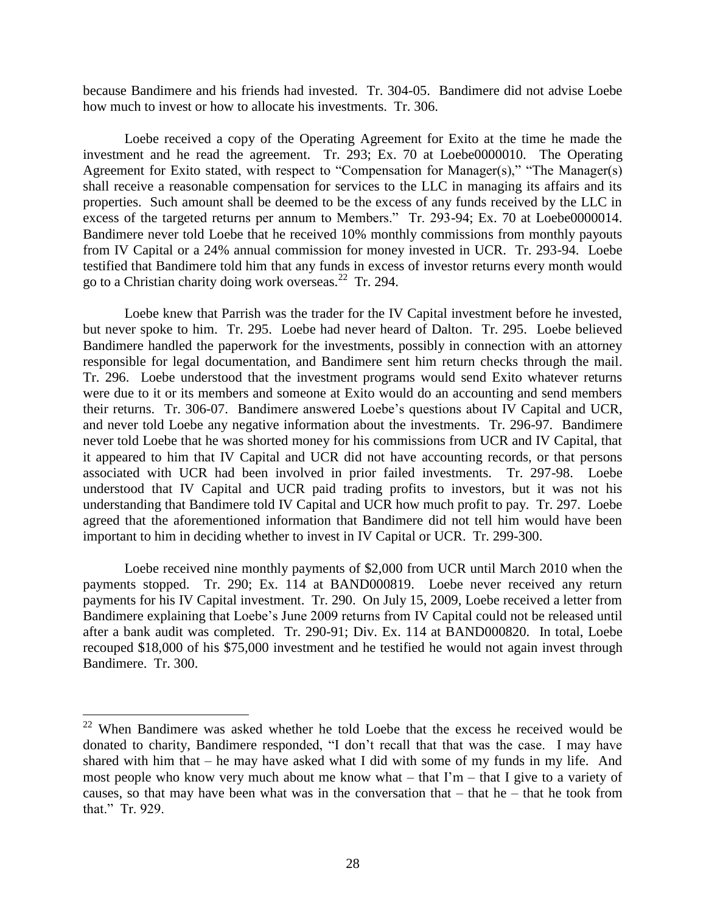because Bandimere and his friends had invested. Tr. 304-05. Bandimere did not advise Loebe how much to invest or how to allocate his investments. Tr. 306.

Loebe received a copy of the Operating Agreement for Exito at the time he made the investment and he read the agreement. Tr. 293; Ex. 70 at Loebe0000010. The Operating Agreement for Exito stated, with respect to "Compensation for Manager(s)," "The Manager(s) shall receive a reasonable compensation for services to the LLC in managing its affairs and its properties. Such amount shall be deemed to be the excess of any funds received by the LLC in excess of the targeted returns per annum to Members." Tr. 293-94; Ex. 70 at Loebe0000014. Bandimere never told Loebe that he received 10% monthly commissions from monthly payouts from IV Capital or a 24% annual commission for money invested in UCR. Tr. 293-94. Loebe testified that Bandimere told him that any funds in excess of investor returns every month would go to a Christian charity doing work overseas.<sup>22</sup> Tr. 294.

Loebe knew that Parrish was the trader for the IV Capital investment before he invested, but never spoke to him. Tr. 295. Loebe had never heard of Dalton. Tr. 295. Loebe believed Bandimere handled the paperwork for the investments, possibly in connection with an attorney responsible for legal documentation, and Bandimere sent him return checks through the mail. Tr. 296. Loebe understood that the investment programs would send Exito whatever returns were due to it or its members and someone at Exito would do an accounting and send members their returns. Tr. 306-07. Bandimere answered Loebe's questions about IV Capital and UCR, and never told Loebe any negative information about the investments. Tr. 296-97. Bandimere never told Loebe that he was shorted money for his commissions from UCR and IV Capital, that it appeared to him that IV Capital and UCR did not have accounting records, or that persons associated with UCR had been involved in prior failed investments. Tr. 297-98. Loebe understood that IV Capital and UCR paid trading profits to investors, but it was not his understanding that Bandimere told IV Capital and UCR how much profit to pay. Tr. 297. Loebe agreed that the aforementioned information that Bandimere did not tell him would have been important to him in deciding whether to invest in IV Capital or UCR. Tr. 299-300.

Loebe received nine monthly payments of \$2,000 from UCR until March 2010 when the payments stopped. Tr. 290; Ex. 114 at BAND000819. Loebe never received any return payments for his IV Capital investment. Tr. 290. On July 15, 2009, Loebe received a letter from Bandimere explaining that Loebe's June 2009 returns from IV Capital could not be released until after a bank audit was completed. Tr. 290-91; Div. Ex. 114 at BAND000820. In total, Loebe recouped \$18,000 of his \$75,000 investment and he testified he would not again invest through Bandimere. Tr. 300.

 $22$  When Bandimere was asked whether he told Loebe that the excess he received would be donated to charity, Bandimere responded, "I don't recall that that was the case. I may have shared with him that – he may have asked what I did with some of my funds in my life. And most people who know very much about me know what – that  $\Gamma m$  – that I give to a variety of causes, so that may have been what was in the conversation that  $-$  that he  $-$  that he took from that." Tr. 929.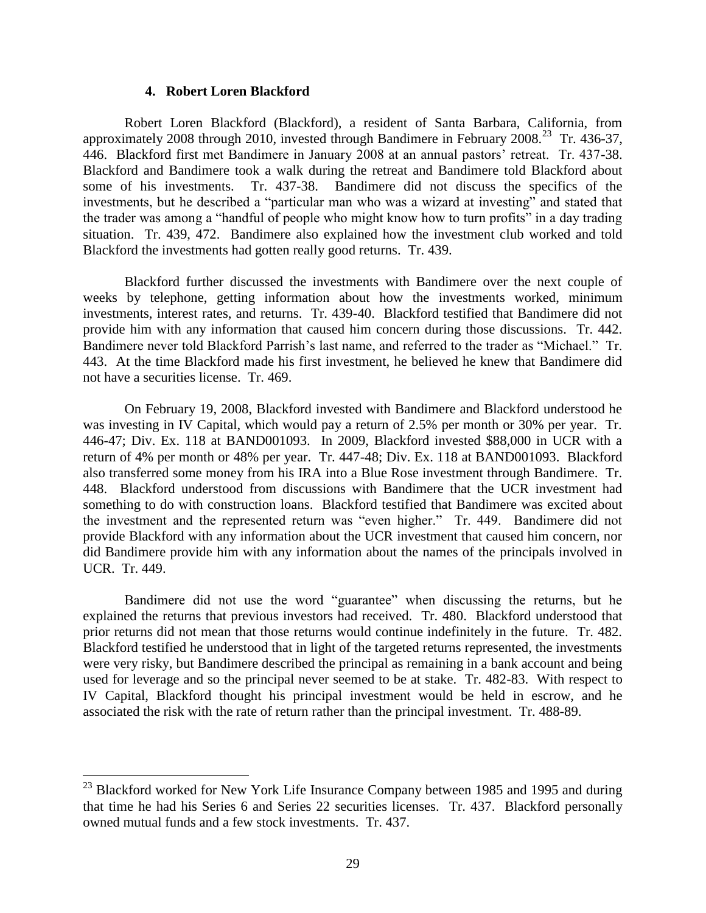#### **4. Robert Loren Blackford**

Robert Loren Blackford (Blackford), a resident of Santa Barbara, California, from approximately 2008 through 2010, invested through Bandimere in February 2008.<sup>23</sup> Tr. 436-37, 446. Blackford first met Bandimere in January 2008 at an annual pastors' retreat. Tr. 437-38. Blackford and Bandimere took a walk during the retreat and Bandimere told Blackford about some of his investments. Tr. 437-38. Bandimere did not discuss the specifics of the investments, but he described a "particular man who was a wizard at investing" and stated that the trader was among a "handful of people who might know how to turn profits" in a day trading situation. Tr. 439, 472. Bandimere also explained how the investment club worked and told Blackford the investments had gotten really good returns. Tr. 439.

Blackford further discussed the investments with Bandimere over the next couple of weeks by telephone, getting information about how the investments worked, minimum investments, interest rates, and returns. Tr. 439-40. Blackford testified that Bandimere did not provide him with any information that caused him concern during those discussions. Tr. 442. Bandimere never told Blackford Parrish's last name, and referred to the trader as "Michael." Tr. 443. At the time Blackford made his first investment, he believed he knew that Bandimere did not have a securities license. Tr. 469.

On February 19, 2008, Blackford invested with Bandimere and Blackford understood he was investing in IV Capital, which would pay a return of 2.5% per month or 30% per year. Tr. 446-47; Div. Ex. 118 at BAND001093. In 2009, Blackford invested \$88,000 in UCR with a return of 4% per month or 48% per year. Tr. 447-48; Div. Ex. 118 at BAND001093. Blackford also transferred some money from his IRA into a Blue Rose investment through Bandimere. Tr. 448. Blackford understood from discussions with Bandimere that the UCR investment had something to do with construction loans. Blackford testified that Bandimere was excited about the investment and the represented return was "even higher." Tr. 449. Bandimere did not provide Blackford with any information about the UCR investment that caused him concern, nor did Bandimere provide him with any information about the names of the principals involved in UCR. Tr. 449.

Bandimere did not use the word "guarantee" when discussing the returns, but he explained the returns that previous investors had received. Tr. 480. Blackford understood that prior returns did not mean that those returns would continue indefinitely in the future. Tr. 482. Blackford testified he understood that in light of the targeted returns represented, the investments were very risky, but Bandimere described the principal as remaining in a bank account and being used for leverage and so the principal never seemed to be at stake. Tr. 482-83. With respect to IV Capital, Blackford thought his principal investment would be held in escrow, and he associated the risk with the rate of return rather than the principal investment. Tr. 488-89.

 $^{23}$  Blackford worked for New York Life Insurance Company between 1985 and 1995 and during that time he had his Series 6 and Series 22 securities licenses. Tr. 437. Blackford personally owned mutual funds and a few stock investments. Tr. 437.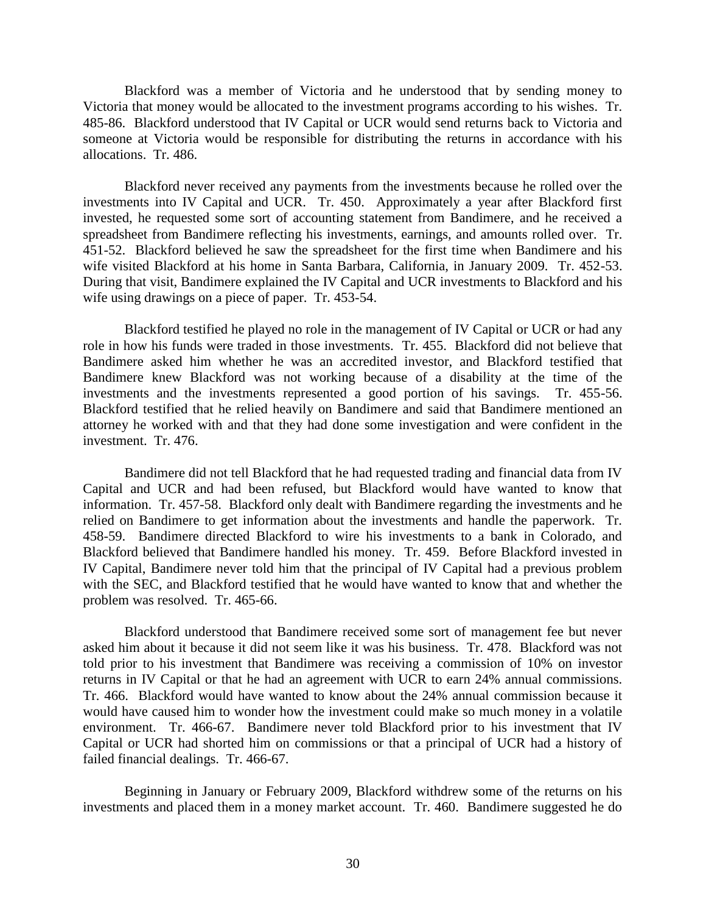Blackford was a member of Victoria and he understood that by sending money to Victoria that money would be allocated to the investment programs according to his wishes. Tr. 485-86. Blackford understood that IV Capital or UCR would send returns back to Victoria and someone at Victoria would be responsible for distributing the returns in accordance with his allocations. Tr. 486.

Blackford never received any payments from the investments because he rolled over the investments into IV Capital and UCR. Tr. 450. Approximately a year after Blackford first invested, he requested some sort of accounting statement from Bandimere, and he received a spreadsheet from Bandimere reflecting his investments, earnings, and amounts rolled over. Tr. 451-52. Blackford believed he saw the spreadsheet for the first time when Bandimere and his wife visited Blackford at his home in Santa Barbara, California, in January 2009. Tr. 452-53. During that visit, Bandimere explained the IV Capital and UCR investments to Blackford and his wife using drawings on a piece of paper. Tr. 453-54.

Blackford testified he played no role in the management of IV Capital or UCR or had any role in how his funds were traded in those investments. Tr. 455. Blackford did not believe that Bandimere asked him whether he was an accredited investor, and Blackford testified that Bandimere knew Blackford was not working because of a disability at the time of the investments and the investments represented a good portion of his savings. Tr. 455-56. Blackford testified that he relied heavily on Bandimere and said that Bandimere mentioned an attorney he worked with and that they had done some investigation and were confident in the investment. Tr. 476.

Bandimere did not tell Blackford that he had requested trading and financial data from IV Capital and UCR and had been refused, but Blackford would have wanted to know that information. Tr. 457-58. Blackford only dealt with Bandimere regarding the investments and he relied on Bandimere to get information about the investments and handle the paperwork. Tr. 458-59. Bandimere directed Blackford to wire his investments to a bank in Colorado, and Blackford believed that Bandimere handled his money. Tr. 459. Before Blackford invested in IV Capital, Bandimere never told him that the principal of IV Capital had a previous problem with the SEC, and Blackford testified that he would have wanted to know that and whether the problem was resolved. Tr. 465-66.

Blackford understood that Bandimere received some sort of management fee but never asked him about it because it did not seem like it was his business. Tr. 478. Blackford was not told prior to his investment that Bandimere was receiving a commission of 10% on investor returns in IV Capital or that he had an agreement with UCR to earn 24% annual commissions. Tr. 466. Blackford would have wanted to know about the 24% annual commission because it would have caused him to wonder how the investment could make so much money in a volatile environment. Tr. 466-67. Bandimere never told Blackford prior to his investment that IV Capital or UCR had shorted him on commissions or that a principal of UCR had a history of failed financial dealings. Tr. 466-67.

Beginning in January or February 2009, Blackford withdrew some of the returns on his investments and placed them in a money market account. Tr. 460. Bandimere suggested he do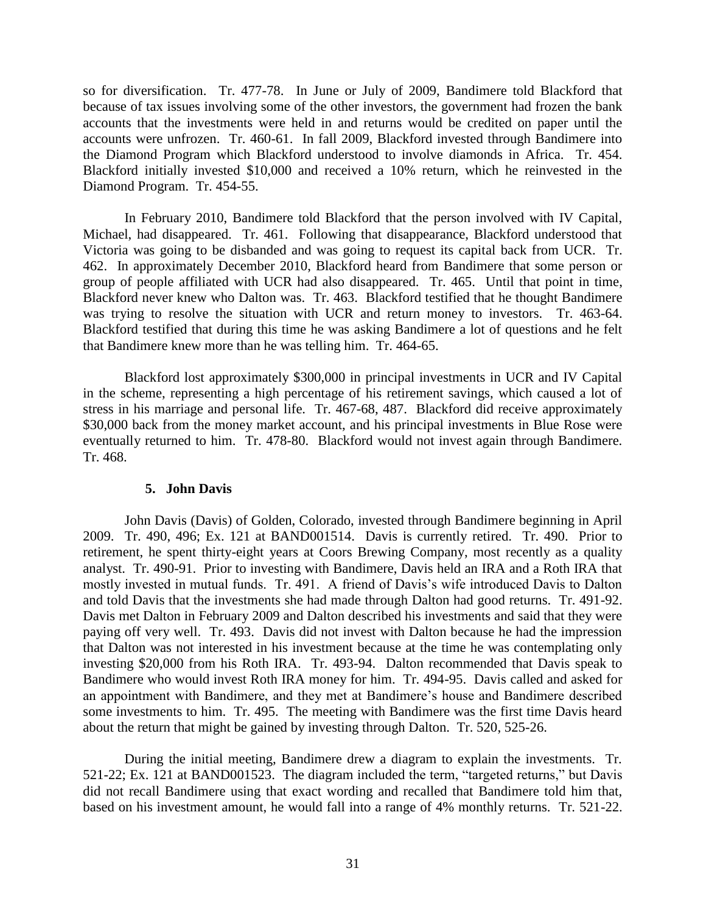so for diversification. Tr. 477-78. In June or July of 2009, Bandimere told Blackford that because of tax issues involving some of the other investors, the government had frozen the bank accounts that the investments were held in and returns would be credited on paper until the accounts were unfrozen. Tr. 460-61. In fall 2009, Blackford invested through Bandimere into the Diamond Program which Blackford understood to involve diamonds in Africa. Tr. 454. Blackford initially invested \$10,000 and received a 10% return, which he reinvested in the Diamond Program. Tr. 454-55.

In February 2010, Bandimere told Blackford that the person involved with IV Capital, Michael, had disappeared. Tr. 461. Following that disappearance, Blackford understood that Victoria was going to be disbanded and was going to request its capital back from UCR. Tr. 462. In approximately December 2010, Blackford heard from Bandimere that some person or group of people affiliated with UCR had also disappeared. Tr. 465. Until that point in time, Blackford never knew who Dalton was. Tr. 463. Blackford testified that he thought Bandimere was trying to resolve the situation with UCR and return money to investors. Tr. 463-64. Blackford testified that during this time he was asking Bandimere a lot of questions and he felt that Bandimere knew more than he was telling him. Tr. 464-65.

Blackford lost approximately \$300,000 in principal investments in UCR and IV Capital in the scheme, representing a high percentage of his retirement savings, which caused a lot of stress in his marriage and personal life. Tr. 467-68, 487. Blackford did receive approximately \$30,000 back from the money market account, and his principal investments in Blue Rose were eventually returned to him. Tr. 478-80. Blackford would not invest again through Bandimere. Tr. 468.

#### **5. John Davis**

John Davis (Davis) of Golden, Colorado, invested through Bandimere beginning in April 2009. Tr. 490, 496; Ex. 121 at BAND001514. Davis is currently retired. Tr. 490. Prior to retirement, he spent thirty-eight years at Coors Brewing Company, most recently as a quality analyst. Tr. 490-91. Prior to investing with Bandimere, Davis held an IRA and a Roth IRA that mostly invested in mutual funds. Tr. 491. A friend of Davis's wife introduced Davis to Dalton and told Davis that the investments she had made through Dalton had good returns. Tr. 491-92. Davis met Dalton in February 2009 and Dalton described his investments and said that they were paying off very well. Tr. 493. Davis did not invest with Dalton because he had the impression that Dalton was not interested in his investment because at the time he was contemplating only investing \$20,000 from his Roth IRA. Tr. 493-94. Dalton recommended that Davis speak to Bandimere who would invest Roth IRA money for him. Tr. 494-95. Davis called and asked for an appointment with Bandimere, and they met at Bandimere's house and Bandimere described some investments to him. Tr. 495. The meeting with Bandimere was the first time Davis heard about the return that might be gained by investing through Dalton. Tr. 520, 525-26.

During the initial meeting, Bandimere drew a diagram to explain the investments. Tr. 521-22; Ex. 121 at BAND001523. The diagram included the term, "targeted returns," but Davis did not recall Bandimere using that exact wording and recalled that Bandimere told him that, based on his investment amount, he would fall into a range of 4% monthly returns. Tr. 521-22.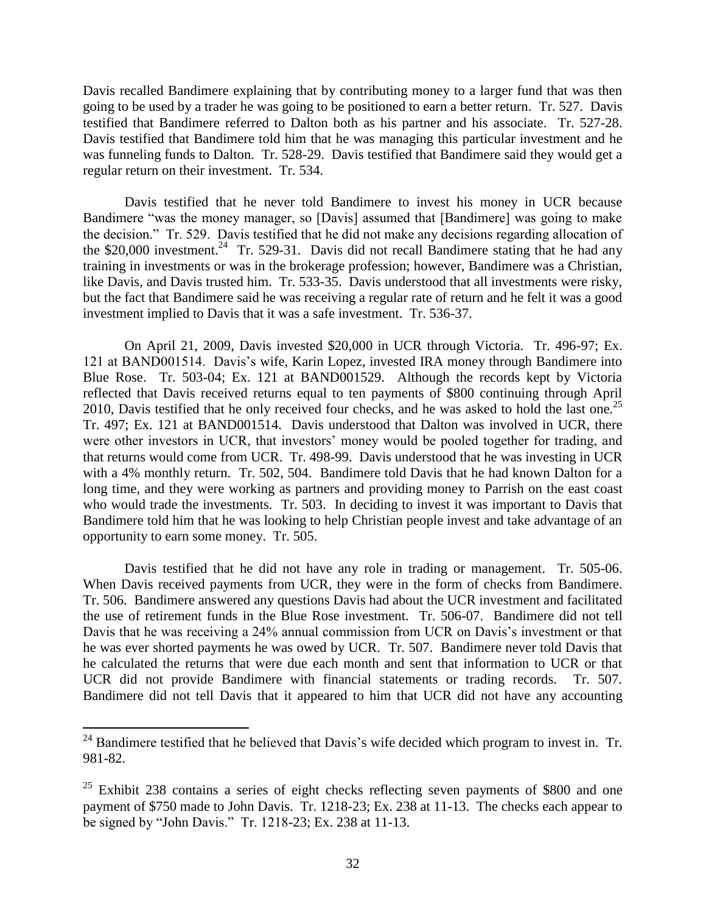Davis recalled Bandimere explaining that by contributing money to a larger fund that was then going to be used by a trader he was going to be positioned to earn a better return. Tr. 527. Davis testified that Bandimere referred to Dalton both as his partner and his associate. Tr. 527-28. Davis testified that Bandimere told him that he was managing this particular investment and he was funneling funds to Dalton. Tr. 528-29. Davis testified that Bandimere said they would get a regular return on their investment. Tr. 534.

Davis testified that he never told Bandimere to invest his money in UCR because Bandimere "was the money manager, so [Davis] assumed that [Bandimere] was going to make the decision." Tr. 529. Davis testified that he did not make any decisions regarding allocation of the \$20,000 investment.<sup>24</sup> Tr. 529-31. Davis did not recall Bandimere stating that he had any training in investments or was in the brokerage profession; however, Bandimere was a Christian, like Davis, and Davis trusted him. Tr. 533-35. Davis understood that all investments were risky, but the fact that Bandimere said he was receiving a regular rate of return and he felt it was a good investment implied to Davis that it was a safe investment. Tr. 536-37.

On April 21, 2009, Davis invested \$20,000 in UCR through Victoria. Tr. 496-97; Ex. 121 at BAND001514. Davis's wife, Karin Lopez, invested IRA money through Bandimere into Blue Rose. Tr. 503-04; Ex. 121 at BAND001529. Although the records kept by Victoria reflected that Davis received returns equal to ten payments of \$800 continuing through April 2010, Davis testified that he only received four checks, and he was asked to hold the last one.<sup>25</sup> Tr. 497; Ex. 121 at BAND001514. Davis understood that Dalton was involved in UCR, there were other investors in UCR, that investors' money would be pooled together for trading, and that returns would come from UCR. Tr. 498-99. Davis understood that he was investing in UCR with a 4% monthly return. Tr. 502, 504. Bandimere told Davis that he had known Dalton for a long time, and they were working as partners and providing money to Parrish on the east coast who would trade the investments. Tr. 503. In deciding to invest it was important to Davis that Bandimere told him that he was looking to help Christian people invest and take advantage of an opportunity to earn some money. Tr. 505.

Davis testified that he did not have any role in trading or management. Tr. 505-06. When Davis received payments from UCR, they were in the form of checks from Bandimere. Tr. 506. Bandimere answered any questions Davis had about the UCR investment and facilitated the use of retirement funds in the Blue Rose investment. Tr. 506-07. Bandimere did not tell Davis that he was receiving a 24% annual commission from UCR on Davis's investment or that he was ever shorted payments he was owed by UCR. Tr. 507. Bandimere never told Davis that he calculated the returns that were due each month and sent that information to UCR or that UCR did not provide Bandimere with financial statements or trading records. Tr. 507. Bandimere did not tell Davis that it appeared to him that UCR did not have any accounting

<sup>&</sup>lt;sup>24</sup> Bandimere testified that he believed that Davis's wife decided which program to invest in. Tr. 981-82.

 $25$  Exhibit 238 contains a series of eight checks reflecting seven payments of \$800 and one payment of \$750 made to John Davis. Tr. 1218-23; Ex. 238 at 11-13. The checks each appear to be signed by "John Davis." Tr. 1218-23; Ex. 238 at 11-13.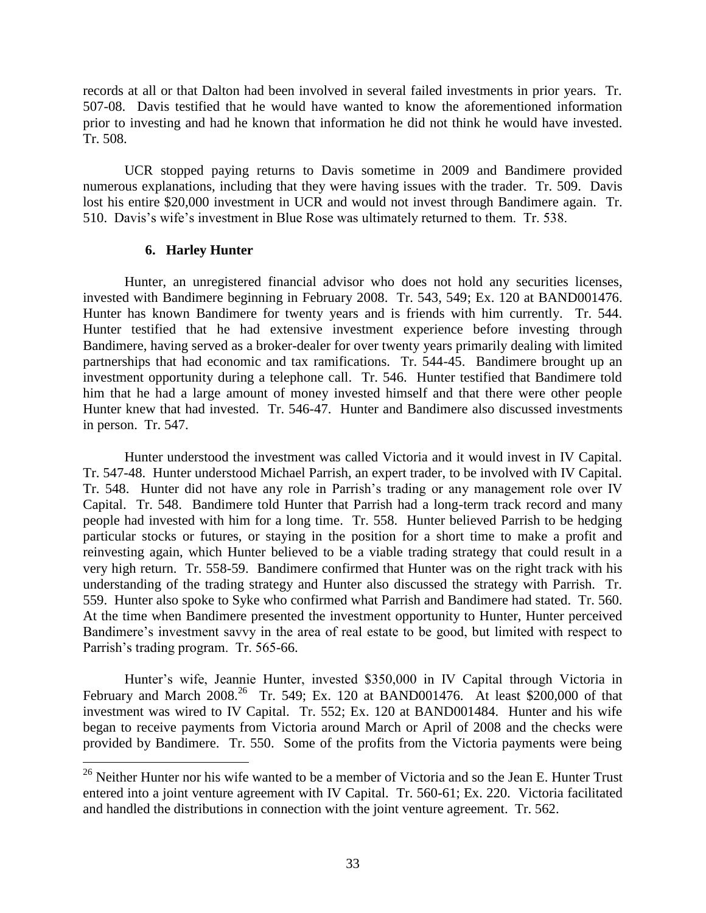records at all or that Dalton had been involved in several failed investments in prior years. Tr. 507-08. Davis testified that he would have wanted to know the aforementioned information prior to investing and had he known that information he did not think he would have invested. Tr. 508.

UCR stopped paying returns to Davis sometime in 2009 and Bandimere provided numerous explanations, including that they were having issues with the trader. Tr. 509. Davis lost his entire \$20,000 investment in UCR and would not invest through Bandimere again. Tr. 510. Davis's wife's investment in Blue Rose was ultimately returned to them. Tr. 538.

## **6. Harley Hunter**

 $\overline{a}$ 

Hunter, an unregistered financial advisor who does not hold any securities licenses, invested with Bandimere beginning in February 2008. Tr. 543, 549; Ex. 120 at BAND001476. Hunter has known Bandimere for twenty years and is friends with him currently. Tr. 544. Hunter testified that he had extensive investment experience before investing through Bandimere, having served as a broker-dealer for over twenty years primarily dealing with limited partnerships that had economic and tax ramifications. Tr. 544-45. Bandimere brought up an investment opportunity during a telephone call. Tr. 546. Hunter testified that Bandimere told him that he had a large amount of money invested himself and that there were other people Hunter knew that had invested. Tr. 546-47. Hunter and Bandimere also discussed investments in person. Tr. 547.

Hunter understood the investment was called Victoria and it would invest in IV Capital. Tr. 547-48. Hunter understood Michael Parrish, an expert trader, to be involved with IV Capital. Tr. 548. Hunter did not have any role in Parrish's trading or any management role over IV Capital. Tr. 548. Bandimere told Hunter that Parrish had a long-term track record and many people had invested with him for a long time. Tr. 558. Hunter believed Parrish to be hedging particular stocks or futures, or staying in the position for a short time to make a profit and reinvesting again, which Hunter believed to be a viable trading strategy that could result in a very high return. Tr. 558-59. Bandimere confirmed that Hunter was on the right track with his understanding of the trading strategy and Hunter also discussed the strategy with Parrish. Tr. 559. Hunter also spoke to Syke who confirmed what Parrish and Bandimere had stated. Tr. 560. At the time when Bandimere presented the investment opportunity to Hunter, Hunter perceived Bandimere's investment savvy in the area of real estate to be good, but limited with respect to Parrish's trading program. Tr. 565-66.

Hunter's wife, Jeannie Hunter, invested \$350,000 in IV Capital through Victoria in February and March 2008.<sup>26</sup> Tr. 549; Ex. 120 at BAND001476. At least \$200,000 of that investment was wired to IV Capital. Tr. 552; Ex. 120 at BAND001484. Hunter and his wife began to receive payments from Victoria around March or April of 2008 and the checks were provided by Bandimere. Tr. 550. Some of the profits from the Victoria payments were being

<sup>&</sup>lt;sup>26</sup> Neither Hunter nor his wife wanted to be a member of Victoria and so the Jean E. Hunter Trust entered into a joint venture agreement with IV Capital. Tr. 560-61; Ex. 220. Victoria facilitated and handled the distributions in connection with the joint venture agreement. Tr. 562.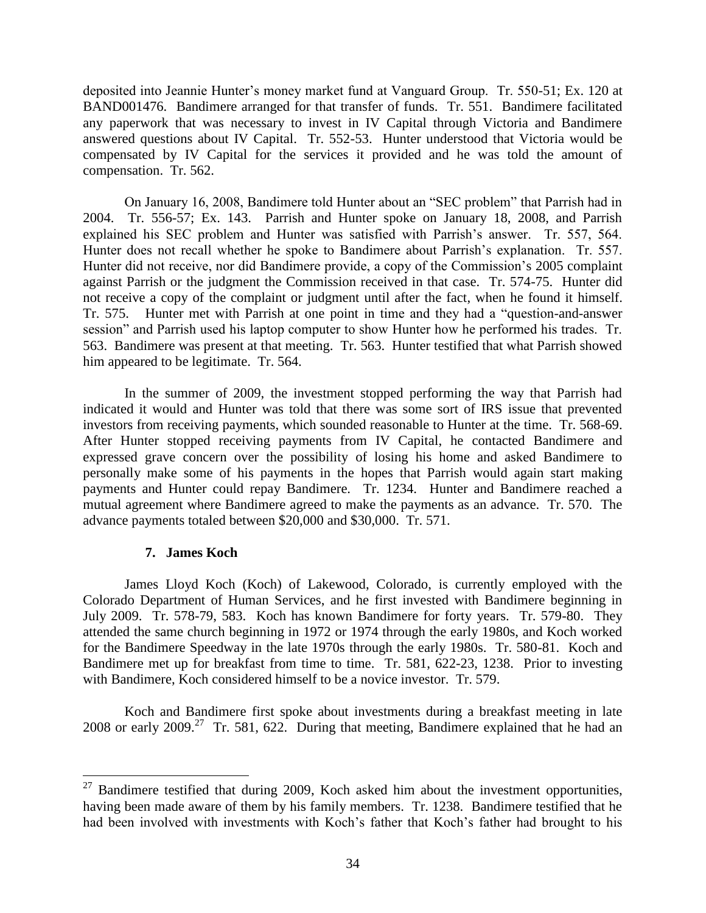deposited into Jeannie Hunter's money market fund at Vanguard Group. Tr. 550-51; Ex. 120 at BAND001476. Bandimere arranged for that transfer of funds. Tr. 551. Bandimere facilitated any paperwork that was necessary to invest in IV Capital through Victoria and Bandimere answered questions about IV Capital. Tr. 552-53. Hunter understood that Victoria would be compensated by IV Capital for the services it provided and he was told the amount of compensation. Tr. 562.

On January 16, 2008, Bandimere told Hunter about an "SEC problem" that Parrish had in 2004. Tr. 556-57; Ex. 143. Parrish and Hunter spoke on January 18, 2008, and Parrish explained his SEC problem and Hunter was satisfied with Parrish's answer. Tr. 557, 564. Hunter does not recall whether he spoke to Bandimere about Parrish's explanation. Tr. 557. Hunter did not receive, nor did Bandimere provide, a copy of the Commission's 2005 complaint against Parrish or the judgment the Commission received in that case. Tr. 574-75. Hunter did not receive a copy of the complaint or judgment until after the fact, when he found it himself. Tr. 575. Hunter met with Parrish at one point in time and they had a "question-and-answer session" and Parrish used his laptop computer to show Hunter how he performed his trades. Tr. 563. Bandimere was present at that meeting. Tr. 563. Hunter testified that what Parrish showed him appeared to be legitimate. Tr. 564.

In the summer of 2009, the investment stopped performing the way that Parrish had indicated it would and Hunter was told that there was some sort of IRS issue that prevented investors from receiving payments, which sounded reasonable to Hunter at the time. Tr. 568-69. After Hunter stopped receiving payments from IV Capital, he contacted Bandimere and expressed grave concern over the possibility of losing his home and asked Bandimere to personally make some of his payments in the hopes that Parrish would again start making payments and Hunter could repay Bandimere. Tr. 1234. Hunter and Bandimere reached a mutual agreement where Bandimere agreed to make the payments as an advance. Tr. 570. The advance payments totaled between \$20,000 and \$30,000. Tr. 571.

## **7. James Koch**

 $\overline{a}$ 

James Lloyd Koch (Koch) of Lakewood, Colorado, is currently employed with the Colorado Department of Human Services, and he first invested with Bandimere beginning in July 2009. Tr. 578-79, 583. Koch has known Bandimere for forty years. Tr. 579-80. They attended the same church beginning in 1972 or 1974 through the early 1980s, and Koch worked for the Bandimere Speedway in the late 1970s through the early 1980s. Tr. 580-81. Koch and Bandimere met up for breakfast from time to time. Tr. 581, 622-23, 1238. Prior to investing with Bandimere, Koch considered himself to be a novice investor. Tr. 579.

Koch and Bandimere first spoke about investments during a breakfast meeting in late 2008 or early 2009.<sup>27</sup> Tr. 581, 622. During that meeting, Bandimere explained that he had an

 $27$  Bandimere testified that during 2009, Koch asked him about the investment opportunities, having been made aware of them by his family members. Tr. 1238. Bandimere testified that he had been involved with investments with Koch's father that Koch's father had brought to his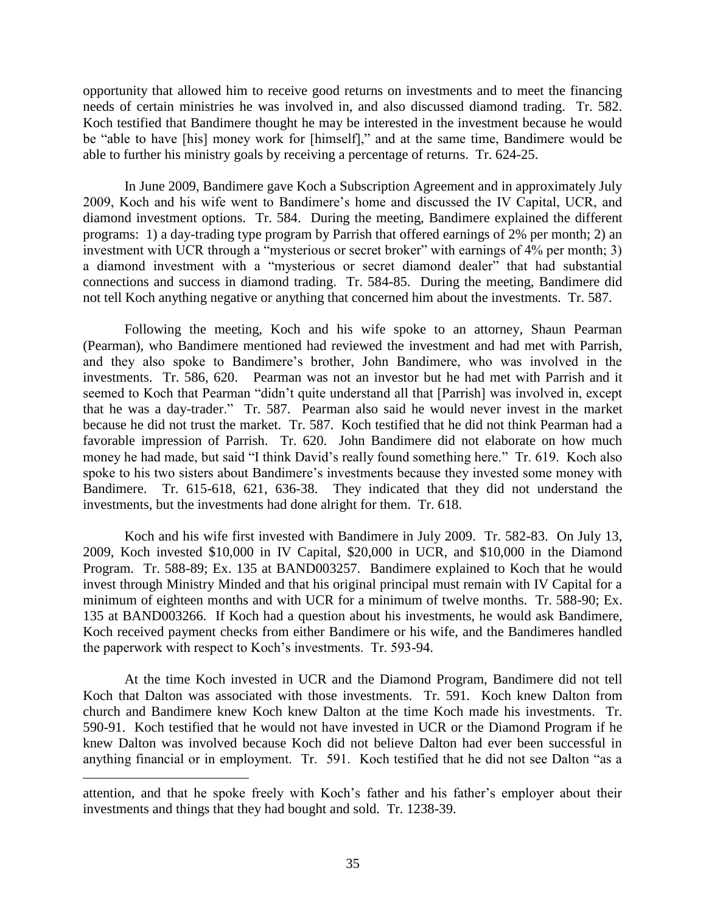opportunity that allowed him to receive good returns on investments and to meet the financing needs of certain ministries he was involved in, and also discussed diamond trading. Tr. 582. Koch testified that Bandimere thought he may be interested in the investment because he would be "able to have [his] money work for [himself]," and at the same time, Bandimere would be able to further his ministry goals by receiving a percentage of returns. Tr. 624-25.

In June 2009, Bandimere gave Koch a Subscription Agreement and in approximately July 2009, Koch and his wife went to Bandimere's home and discussed the IV Capital, UCR, and diamond investment options. Tr. 584. During the meeting, Bandimere explained the different programs: 1) a day-trading type program by Parrish that offered earnings of 2% per month; 2) an investment with UCR through a "mysterious or secret broker" with earnings of 4% per month; 3) a diamond investment with a "mysterious or secret diamond dealer" that had substantial connections and success in diamond trading. Tr. 584-85. During the meeting, Bandimere did not tell Koch anything negative or anything that concerned him about the investments. Tr. 587.

Following the meeting, Koch and his wife spoke to an attorney, Shaun Pearman (Pearman), who Bandimere mentioned had reviewed the investment and had met with Parrish, and they also spoke to Bandimere's brother, John Bandimere, who was involved in the investments. Tr. 586, 620. Pearman was not an investor but he had met with Parrish and it seemed to Koch that Pearman "didn't quite understand all that [Parrish] was involved in, except that he was a day-trader." Tr. 587. Pearman also said he would never invest in the market because he did not trust the market. Tr. 587. Koch testified that he did not think Pearman had a favorable impression of Parrish. Tr. 620. John Bandimere did not elaborate on how much money he had made, but said "I think David's really found something here." Tr. 619. Koch also spoke to his two sisters about Bandimere's investments because they invested some money with Bandimere. Tr. 615-618, 621, 636-38. They indicated that they did not understand the investments, but the investments had done alright for them. Tr. 618.

Koch and his wife first invested with Bandimere in July 2009. Tr. 582-83. On July 13, 2009, Koch invested \$10,000 in IV Capital, \$20,000 in UCR, and \$10,000 in the Diamond Program. Tr. 588-89; Ex. 135 at BAND003257. Bandimere explained to Koch that he would invest through Ministry Minded and that his original principal must remain with IV Capital for a minimum of eighteen months and with UCR for a minimum of twelve months. Tr. 588-90; Ex. 135 at BAND003266. If Koch had a question about his investments, he would ask Bandimere, Koch received payment checks from either Bandimere or his wife, and the Bandimeres handled the paperwork with respect to Koch's investments. Tr. 593-94.

At the time Koch invested in UCR and the Diamond Program, Bandimere did not tell Koch that Dalton was associated with those investments. Tr. 591. Koch knew Dalton from church and Bandimere knew Koch knew Dalton at the time Koch made his investments. Tr. 590-91. Koch testified that he would not have invested in UCR or the Diamond Program if he knew Dalton was involved because Koch did not believe Dalton had ever been successful in anything financial or in employment. Tr. 591. Koch testified that he did not see Dalton "as a

attention, and that he spoke freely with Koch's father and his father's employer about their investments and things that they had bought and sold. Tr. 1238-39.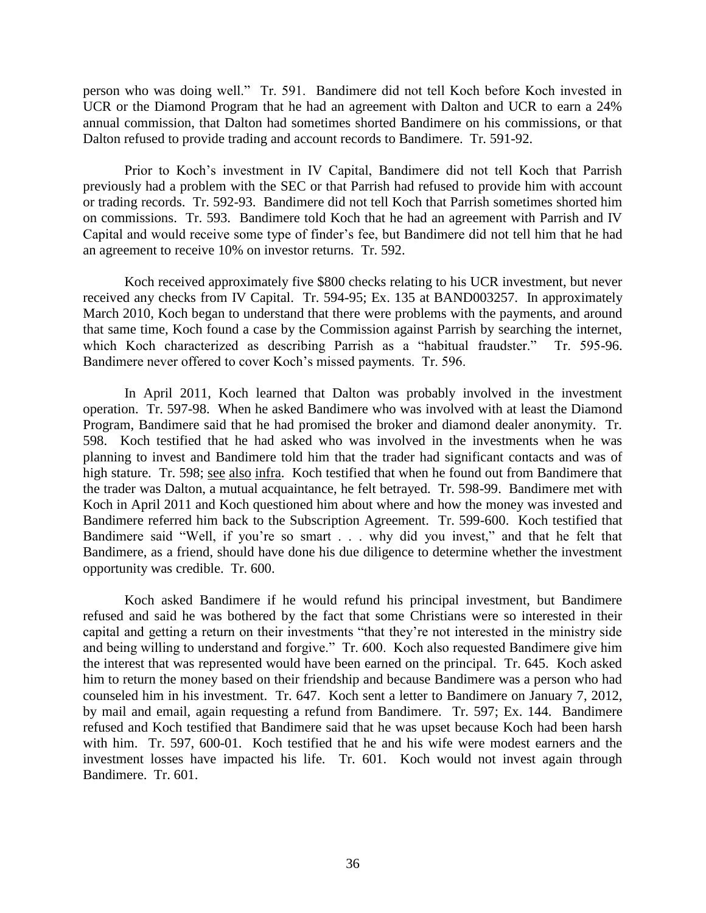person who was doing well." Tr. 591. Bandimere did not tell Koch before Koch invested in UCR or the Diamond Program that he had an agreement with Dalton and UCR to earn a 24% annual commission, that Dalton had sometimes shorted Bandimere on his commissions, or that Dalton refused to provide trading and account records to Bandimere. Tr. 591-92.

Prior to Koch's investment in IV Capital, Bandimere did not tell Koch that Parrish previously had a problem with the SEC or that Parrish had refused to provide him with account or trading records. Tr. 592-93. Bandimere did not tell Koch that Parrish sometimes shorted him on commissions. Tr. 593. Bandimere told Koch that he had an agreement with Parrish and IV Capital and would receive some type of finder's fee, but Bandimere did not tell him that he had an agreement to receive 10% on investor returns. Tr. 592.

Koch received approximately five \$800 checks relating to his UCR investment, but never received any checks from IV Capital. Tr. 594-95; Ex. 135 at BAND003257. In approximately March 2010, Koch began to understand that there were problems with the payments, and around that same time, Koch found a case by the Commission against Parrish by searching the internet, which Koch characterized as describing Parrish as a "habitual fraudster." Tr. 595-96. Bandimere never offered to cover Koch's missed payments. Tr. 596.

In April 2011, Koch learned that Dalton was probably involved in the investment operation. Tr. 597-98. When he asked Bandimere who was involved with at least the Diamond Program, Bandimere said that he had promised the broker and diamond dealer anonymity. Tr. 598. Koch testified that he had asked who was involved in the investments when he was planning to invest and Bandimere told him that the trader had significant contacts and was of high stature. Tr. 598; see also infra. Koch testified that when he found out from Bandimere that the trader was Dalton, a mutual acquaintance, he felt betrayed. Tr. 598-99. Bandimere met with Koch in April 2011 and Koch questioned him about where and how the money was invested and Bandimere referred him back to the Subscription Agreement. Tr. 599-600. Koch testified that Bandimere said "Well, if you're so smart . . . why did you invest," and that he felt that Bandimere, as a friend, should have done his due diligence to determine whether the investment opportunity was credible. Tr. 600.

Koch asked Bandimere if he would refund his principal investment, but Bandimere refused and said he was bothered by the fact that some Christians were so interested in their capital and getting a return on their investments "that they're not interested in the ministry side and being willing to understand and forgive." Tr. 600. Koch also requested Bandimere give him the interest that was represented would have been earned on the principal. Tr. 645. Koch asked him to return the money based on their friendship and because Bandimere was a person who had counseled him in his investment. Tr. 647. Koch sent a letter to Bandimere on January 7, 2012, by mail and email, again requesting a refund from Bandimere. Tr. 597; Ex. 144. Bandimere refused and Koch testified that Bandimere said that he was upset because Koch had been harsh with him. Tr. 597, 600-01. Koch testified that he and his wife were modest earners and the investment losses have impacted his life. Tr. 601. Koch would not invest again through Bandimere. Tr. 601.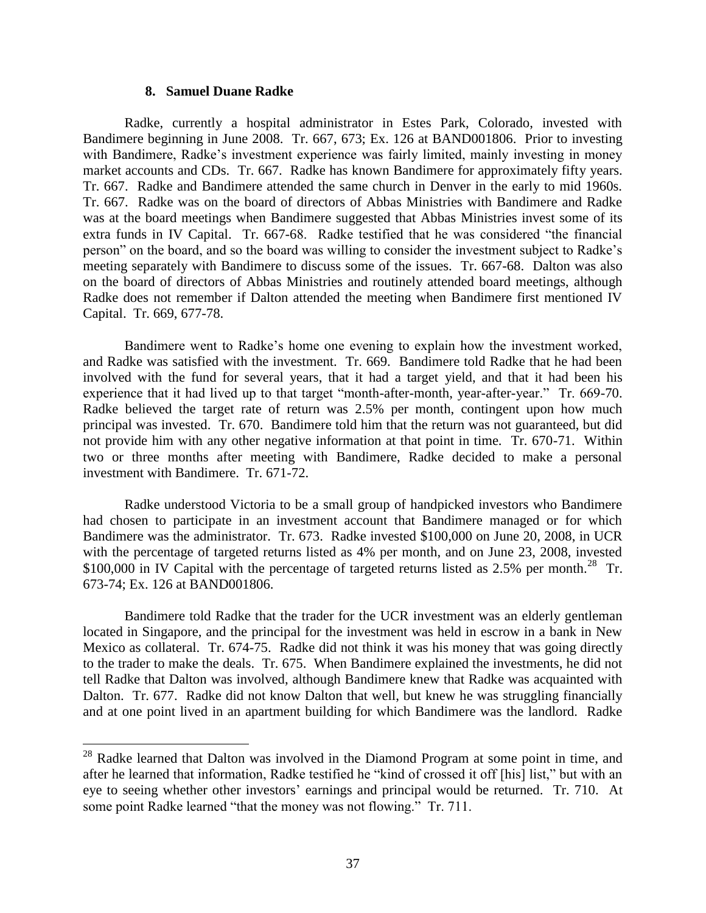#### **8. Samuel Duane Radke**

 $\overline{a}$ 

Radke, currently a hospital administrator in Estes Park, Colorado, invested with Bandimere beginning in June 2008. Tr. 667, 673; Ex. 126 at BAND001806. Prior to investing with Bandimere, Radke's investment experience was fairly limited, mainly investing in money market accounts and CDs. Tr. 667. Radke has known Bandimere for approximately fifty years. Tr. 667. Radke and Bandimere attended the same church in Denver in the early to mid 1960s. Tr. 667. Radke was on the board of directors of Abbas Ministries with Bandimere and Radke was at the board meetings when Bandimere suggested that Abbas Ministries invest some of its extra funds in IV Capital. Tr. 667-68. Radke testified that he was considered "the financial person" on the board, and so the board was willing to consider the investment subject to Radke's meeting separately with Bandimere to discuss some of the issues. Tr. 667-68. Dalton was also on the board of directors of Abbas Ministries and routinely attended board meetings, although Radke does not remember if Dalton attended the meeting when Bandimere first mentioned IV Capital. Tr. 669, 677-78.

Bandimere went to Radke's home one evening to explain how the investment worked, and Radke was satisfied with the investment. Tr. 669. Bandimere told Radke that he had been involved with the fund for several years, that it had a target yield, and that it had been his experience that it had lived up to that target "month-after-month, year-after-year." Tr. 669-70. Radke believed the target rate of return was 2.5% per month, contingent upon how much principal was invested. Tr. 670. Bandimere told him that the return was not guaranteed, but did not provide him with any other negative information at that point in time. Tr. 670-71. Within two or three months after meeting with Bandimere, Radke decided to make a personal investment with Bandimere. Tr. 671-72.

Radke understood Victoria to be a small group of handpicked investors who Bandimere had chosen to participate in an investment account that Bandimere managed or for which Bandimere was the administrator. Tr. 673. Radke invested \$100,000 on June 20, 2008, in UCR with the percentage of targeted returns listed as 4% per month, and on June 23, 2008, invested  $$100,000$  in IV Capital with the percentage of targeted returns listed as 2.5% per month.<sup>28</sup> Tr. 673-74; Ex. 126 at BAND001806.

Bandimere told Radke that the trader for the UCR investment was an elderly gentleman located in Singapore, and the principal for the investment was held in escrow in a bank in New Mexico as collateral. Tr. 674-75. Radke did not think it was his money that was going directly to the trader to make the deals. Tr. 675. When Bandimere explained the investments, he did not tell Radke that Dalton was involved, although Bandimere knew that Radke was acquainted with Dalton. Tr. 677. Radke did not know Dalton that well, but knew he was struggling financially and at one point lived in an apartment building for which Bandimere was the landlord. Radke

 $28$  Radke learned that Dalton was involved in the Diamond Program at some point in time, and after he learned that information, Radke testified he "kind of crossed it off [his] list," but with an eye to seeing whether other investors' earnings and principal would be returned. Tr. 710. At some point Radke learned "that the money was not flowing." Tr. 711.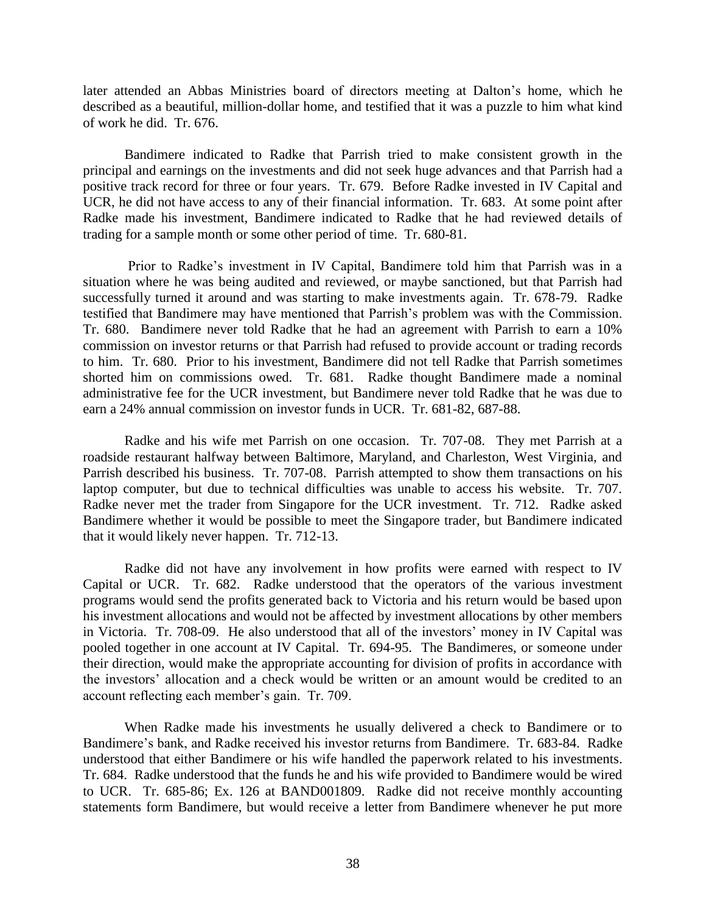later attended an Abbas Ministries board of directors meeting at Dalton's home, which he described as a beautiful, million-dollar home, and testified that it was a puzzle to him what kind of work he did. Tr. 676.

Bandimere indicated to Radke that Parrish tried to make consistent growth in the principal and earnings on the investments and did not seek huge advances and that Parrish had a positive track record for three or four years. Tr. 679. Before Radke invested in IV Capital and UCR, he did not have access to any of their financial information. Tr. 683. At some point after Radke made his investment, Bandimere indicated to Radke that he had reviewed details of trading for a sample month or some other period of time. Tr. 680-81.

Prior to Radke's investment in IV Capital, Bandimere told him that Parrish was in a situation where he was being audited and reviewed, or maybe sanctioned, but that Parrish had successfully turned it around and was starting to make investments again. Tr. 678-79. Radke testified that Bandimere may have mentioned that Parrish's problem was with the Commission. Tr. 680. Bandimere never told Radke that he had an agreement with Parrish to earn a 10% commission on investor returns or that Parrish had refused to provide account or trading records to him. Tr. 680. Prior to his investment, Bandimere did not tell Radke that Parrish sometimes shorted him on commissions owed. Tr. 681. Radke thought Bandimere made a nominal administrative fee for the UCR investment, but Bandimere never told Radke that he was due to earn a 24% annual commission on investor funds in UCR. Tr. 681-82, 687-88.

Radke and his wife met Parrish on one occasion. Tr. 707-08. They met Parrish at a roadside restaurant halfway between Baltimore, Maryland, and Charleston, West Virginia, and Parrish described his business. Tr. 707-08. Parrish attempted to show them transactions on his laptop computer, but due to technical difficulties was unable to access his website. Tr. 707. Radke never met the trader from Singapore for the UCR investment. Tr. 712. Radke asked Bandimere whether it would be possible to meet the Singapore trader, but Bandimere indicated that it would likely never happen. Tr. 712-13.

Radke did not have any involvement in how profits were earned with respect to IV Capital or UCR. Tr. 682. Radke understood that the operators of the various investment programs would send the profits generated back to Victoria and his return would be based upon his investment allocations and would not be affected by investment allocations by other members in Victoria. Tr. 708-09. He also understood that all of the investors' money in IV Capital was pooled together in one account at IV Capital. Tr. 694-95. The Bandimeres, or someone under their direction, would make the appropriate accounting for division of profits in accordance with the investors' allocation and a check would be written or an amount would be credited to an account reflecting each member's gain. Tr. 709.

When Radke made his investments he usually delivered a check to Bandimere or to Bandimere's bank, and Radke received his investor returns from Bandimere. Tr. 683-84. Radke understood that either Bandimere or his wife handled the paperwork related to his investments. Tr. 684. Radke understood that the funds he and his wife provided to Bandimere would be wired to UCR. Tr. 685-86; Ex. 126 at BAND001809. Radke did not receive monthly accounting statements form Bandimere, but would receive a letter from Bandimere whenever he put more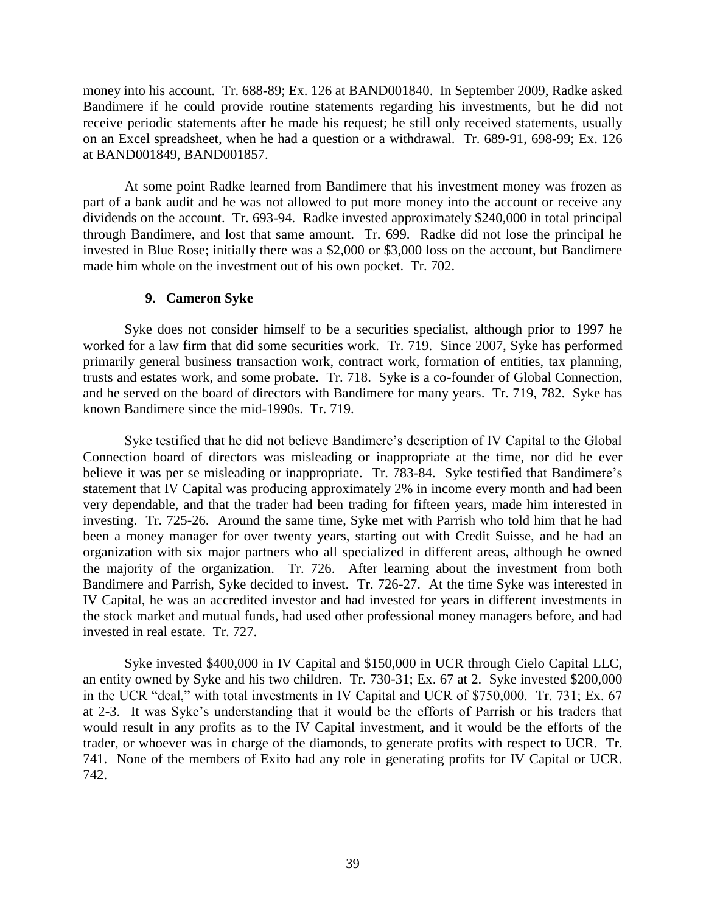money into his account. Tr. 688-89; Ex. 126 at BAND001840. In September 2009, Radke asked Bandimere if he could provide routine statements regarding his investments, but he did not receive periodic statements after he made his request; he still only received statements, usually on an Excel spreadsheet, when he had a question or a withdrawal. Tr. 689-91, 698-99; Ex. 126 at BAND001849, BAND001857.

At some point Radke learned from Bandimere that his investment money was frozen as part of a bank audit and he was not allowed to put more money into the account or receive any dividends on the account. Tr. 693-94. Radke invested approximately \$240,000 in total principal through Bandimere, and lost that same amount. Tr. 699. Radke did not lose the principal he invested in Blue Rose; initially there was a \$2,000 or \$3,000 loss on the account, but Bandimere made him whole on the investment out of his own pocket. Tr. 702.

## **9. Cameron Syke**

Syke does not consider himself to be a securities specialist, although prior to 1997 he worked for a law firm that did some securities work. Tr. 719. Since 2007, Syke has performed primarily general business transaction work, contract work, formation of entities, tax planning, trusts and estates work, and some probate. Tr. 718. Syke is a co-founder of Global Connection, and he served on the board of directors with Bandimere for many years. Tr. 719, 782. Syke has known Bandimere since the mid-1990s. Tr. 719.

Syke testified that he did not believe Bandimere's description of IV Capital to the Global Connection board of directors was misleading or inappropriate at the time, nor did he ever believe it was per se misleading or inappropriate. Tr. 783-84. Syke testified that Bandimere's statement that IV Capital was producing approximately 2% in income every month and had been very dependable, and that the trader had been trading for fifteen years, made him interested in investing. Tr. 725-26. Around the same time, Syke met with Parrish who told him that he had been a money manager for over twenty years, starting out with Credit Suisse, and he had an organization with six major partners who all specialized in different areas, although he owned the majority of the organization. Tr. 726. After learning about the investment from both Bandimere and Parrish, Syke decided to invest. Tr. 726-27. At the time Syke was interested in IV Capital, he was an accredited investor and had invested for years in different investments in the stock market and mutual funds, had used other professional money managers before, and had invested in real estate. Tr. 727.

Syke invested \$400,000 in IV Capital and \$150,000 in UCR through Cielo Capital LLC, an entity owned by Syke and his two children. Tr. 730-31; Ex. 67 at 2. Syke invested \$200,000 in the UCR "deal," with total investments in IV Capital and UCR of \$750,000. Tr. 731; Ex. 67 at 2-3. It was Syke's understanding that it would be the efforts of Parrish or his traders that would result in any profits as to the IV Capital investment, and it would be the efforts of the trader, or whoever was in charge of the diamonds, to generate profits with respect to UCR. Tr. 741. None of the members of Exito had any role in generating profits for IV Capital or UCR. 742.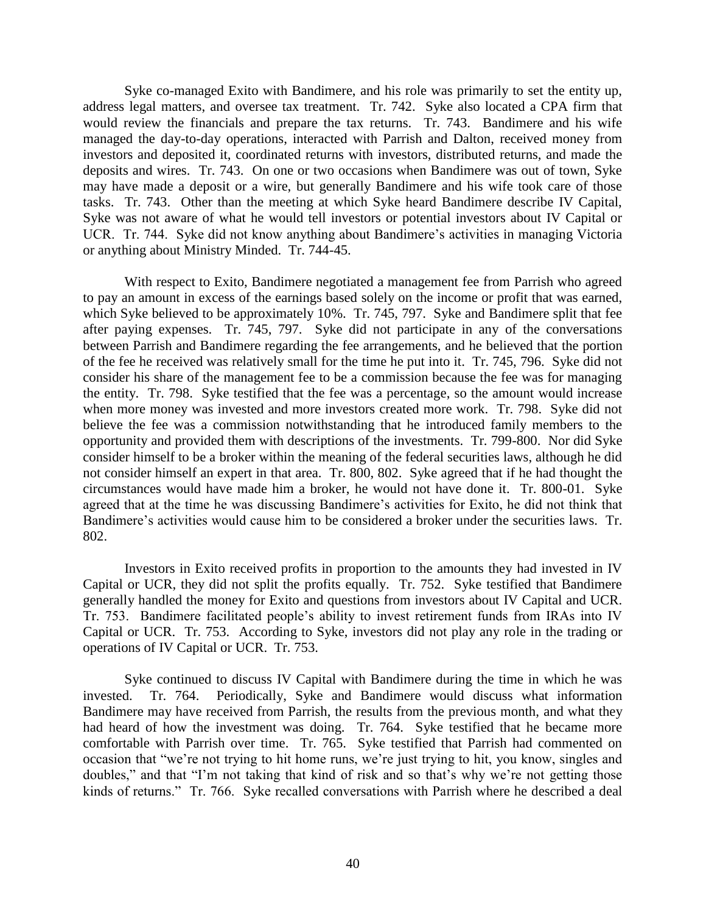Syke co-managed Exito with Bandimere, and his role was primarily to set the entity up, address legal matters, and oversee tax treatment. Tr. 742. Syke also located a CPA firm that would review the financials and prepare the tax returns. Tr. 743. Bandimere and his wife managed the day-to-day operations, interacted with Parrish and Dalton, received money from investors and deposited it, coordinated returns with investors, distributed returns, and made the deposits and wires. Tr. 743. On one or two occasions when Bandimere was out of town, Syke may have made a deposit or a wire, but generally Bandimere and his wife took care of those tasks. Tr. 743. Other than the meeting at which Syke heard Bandimere describe IV Capital, Syke was not aware of what he would tell investors or potential investors about IV Capital or UCR. Tr. 744. Syke did not know anything about Bandimere's activities in managing Victoria or anything about Ministry Minded. Tr. 744-45.

With respect to Exito, Bandimere negotiated a management fee from Parrish who agreed to pay an amount in excess of the earnings based solely on the income or profit that was earned, which Syke believed to be approximately 10%. Tr. 745, 797. Syke and Bandimere split that fee after paying expenses. Tr. 745, 797. Syke did not participate in any of the conversations between Parrish and Bandimere regarding the fee arrangements, and he believed that the portion of the fee he received was relatively small for the time he put into it. Tr. 745, 796. Syke did not consider his share of the management fee to be a commission because the fee was for managing the entity. Tr. 798. Syke testified that the fee was a percentage, so the amount would increase when more money was invested and more investors created more work. Tr. 798. Syke did not believe the fee was a commission notwithstanding that he introduced family members to the opportunity and provided them with descriptions of the investments. Tr. 799-800. Nor did Syke consider himself to be a broker within the meaning of the federal securities laws, although he did not consider himself an expert in that area. Tr. 800, 802. Syke agreed that if he had thought the circumstances would have made him a broker, he would not have done it. Tr. 800-01. Syke agreed that at the time he was discussing Bandimere's activities for Exito, he did not think that Bandimere's activities would cause him to be considered a broker under the securities laws. Tr. 802.

Investors in Exito received profits in proportion to the amounts they had invested in IV Capital or UCR, they did not split the profits equally. Tr. 752. Syke testified that Bandimere generally handled the money for Exito and questions from investors about IV Capital and UCR. Tr. 753. Bandimere facilitated people's ability to invest retirement funds from IRAs into IV Capital or UCR. Tr. 753. According to Syke, investors did not play any role in the trading or operations of IV Capital or UCR. Tr. 753.

Syke continued to discuss IV Capital with Bandimere during the time in which he was invested. Tr. 764. Periodically, Syke and Bandimere would discuss what information Bandimere may have received from Parrish, the results from the previous month, and what they had heard of how the investment was doing. Tr. 764. Syke testified that he became more comfortable with Parrish over time. Tr. 765. Syke testified that Parrish had commented on occasion that "we're not trying to hit home runs, we're just trying to hit, you know, singles and doubles," and that "I'm not taking that kind of risk and so that's why we're not getting those kinds of returns." Tr. 766. Syke recalled conversations with Parrish where he described a deal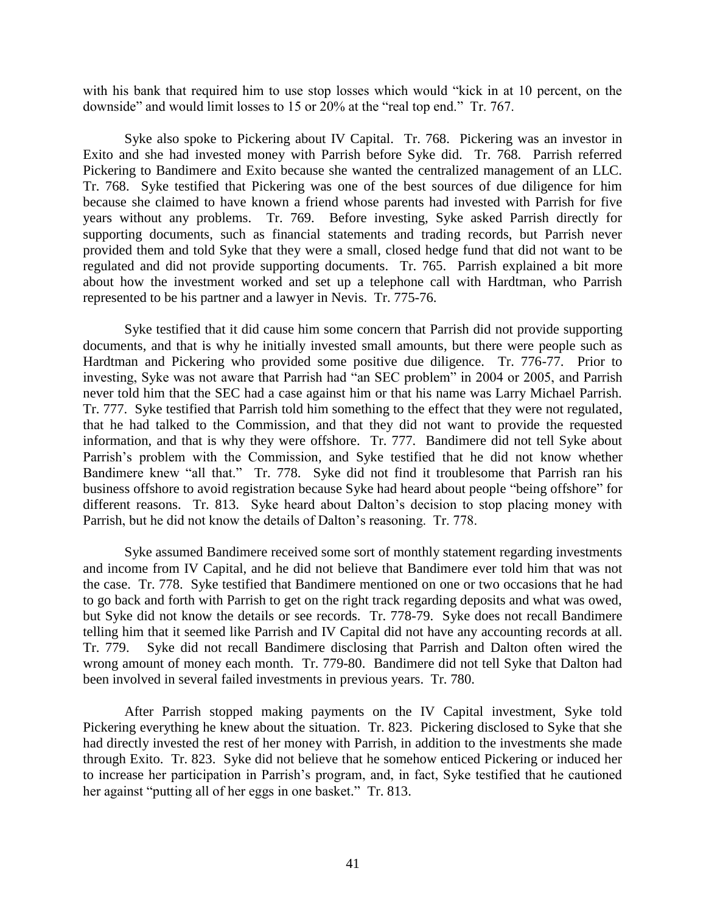with his bank that required him to use stop losses which would "kick in at 10 percent, on the downside" and would limit losses to 15 or 20% at the "real top end." Tr. 767.

Syke also spoke to Pickering about IV Capital. Tr. 768. Pickering was an investor in Exito and she had invested money with Parrish before Syke did. Tr. 768. Parrish referred Pickering to Bandimere and Exito because she wanted the centralized management of an LLC. Tr. 768. Syke testified that Pickering was one of the best sources of due diligence for him because she claimed to have known a friend whose parents had invested with Parrish for five years without any problems. Tr. 769. Before investing, Syke asked Parrish directly for supporting documents, such as financial statements and trading records, but Parrish never provided them and told Syke that they were a small, closed hedge fund that did not want to be regulated and did not provide supporting documents. Tr. 765. Parrish explained a bit more about how the investment worked and set up a telephone call with Hardtman, who Parrish represented to be his partner and a lawyer in Nevis. Tr. 775-76.

Syke testified that it did cause him some concern that Parrish did not provide supporting documents, and that is why he initially invested small amounts, but there were people such as Hardtman and Pickering who provided some positive due diligence. Tr. 776-77. Prior to investing, Syke was not aware that Parrish had "an SEC problem" in 2004 or 2005, and Parrish never told him that the SEC had a case against him or that his name was Larry Michael Parrish. Tr. 777. Syke testified that Parrish told him something to the effect that they were not regulated, that he had talked to the Commission, and that they did not want to provide the requested information, and that is why they were offshore. Tr. 777. Bandimere did not tell Syke about Parrish's problem with the Commission, and Syke testified that he did not know whether Bandimere knew "all that." Tr. 778. Syke did not find it troublesome that Parrish ran his business offshore to avoid registration because Syke had heard about people "being offshore" for different reasons. Tr. 813. Syke heard about Dalton's decision to stop placing money with Parrish, but he did not know the details of Dalton's reasoning. Tr. 778.

Syke assumed Bandimere received some sort of monthly statement regarding investments and income from IV Capital, and he did not believe that Bandimere ever told him that was not the case. Tr. 778. Syke testified that Bandimere mentioned on one or two occasions that he had to go back and forth with Parrish to get on the right track regarding deposits and what was owed, but Syke did not know the details or see records. Tr. 778-79. Syke does not recall Bandimere telling him that it seemed like Parrish and IV Capital did not have any accounting records at all. Tr. 779. Syke did not recall Bandimere disclosing that Parrish and Dalton often wired the wrong amount of money each month. Tr. 779-80. Bandimere did not tell Syke that Dalton had been involved in several failed investments in previous years. Tr. 780.

After Parrish stopped making payments on the IV Capital investment, Syke told Pickering everything he knew about the situation. Tr. 823. Pickering disclosed to Syke that she had directly invested the rest of her money with Parrish, in addition to the investments she made through Exito. Tr. 823. Syke did not believe that he somehow enticed Pickering or induced her to increase her participation in Parrish's program, and, in fact, Syke testified that he cautioned her against "putting all of her eggs in one basket." Tr. 813.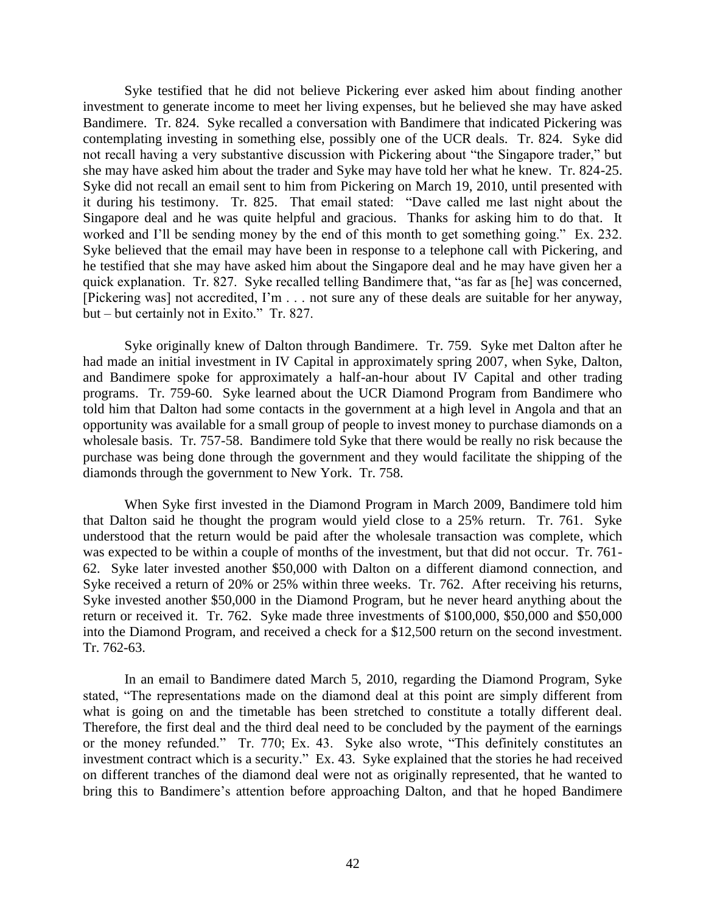Syke testified that he did not believe Pickering ever asked him about finding another investment to generate income to meet her living expenses, but he believed she may have asked Bandimere. Tr. 824. Syke recalled a conversation with Bandimere that indicated Pickering was contemplating investing in something else, possibly one of the UCR deals. Tr. 824. Syke did not recall having a very substantive discussion with Pickering about "the Singapore trader," but she may have asked him about the trader and Syke may have told her what he knew. Tr. 824-25. Syke did not recall an email sent to him from Pickering on March 19, 2010, until presented with it during his testimony. Tr. 825. That email stated: "Dave called me last night about the Singapore deal and he was quite helpful and gracious. Thanks for asking him to do that. It worked and I'll be sending money by the end of this month to get something going." Ex. 232. Syke believed that the email may have been in response to a telephone call with Pickering, and he testified that she may have asked him about the Singapore deal and he may have given her a quick explanation. Tr. 827. Syke recalled telling Bandimere that, "as far as [he] was concerned, [Pickering was] not accredited, I'm . . . not sure any of these deals are suitable for her anyway, but – but certainly not in Exito." Tr. 827.

Syke originally knew of Dalton through Bandimere. Tr. 759. Syke met Dalton after he had made an initial investment in IV Capital in approximately spring 2007, when Syke, Dalton, and Bandimere spoke for approximately a half-an-hour about IV Capital and other trading programs. Tr. 759-60. Syke learned about the UCR Diamond Program from Bandimere who told him that Dalton had some contacts in the government at a high level in Angola and that an opportunity was available for a small group of people to invest money to purchase diamonds on a wholesale basis. Tr. 757-58. Bandimere told Syke that there would be really no risk because the purchase was being done through the government and they would facilitate the shipping of the diamonds through the government to New York. Tr. 758.

When Syke first invested in the Diamond Program in March 2009, Bandimere told him that Dalton said he thought the program would yield close to a 25% return. Tr. 761. Syke understood that the return would be paid after the wholesale transaction was complete, which was expected to be within a couple of months of the investment, but that did not occur. Tr. 761- 62. Syke later invested another \$50,000 with Dalton on a different diamond connection, and Syke received a return of 20% or 25% within three weeks. Tr. 762. After receiving his returns, Syke invested another \$50,000 in the Diamond Program, but he never heard anything about the return or received it. Tr. 762. Syke made three investments of \$100,000, \$50,000 and \$50,000 into the Diamond Program, and received a check for a \$12,500 return on the second investment. Tr. 762-63.

In an email to Bandimere dated March 5, 2010, regarding the Diamond Program, Syke stated, "The representations made on the diamond deal at this point are simply different from what is going on and the timetable has been stretched to constitute a totally different deal. Therefore, the first deal and the third deal need to be concluded by the payment of the earnings or the money refunded." Tr. 770; Ex. 43. Syke also wrote, "This definitely constitutes an investment contract which is a security." Ex. 43. Syke explained that the stories he had received on different tranches of the diamond deal were not as originally represented, that he wanted to bring this to Bandimere's attention before approaching Dalton, and that he hoped Bandimere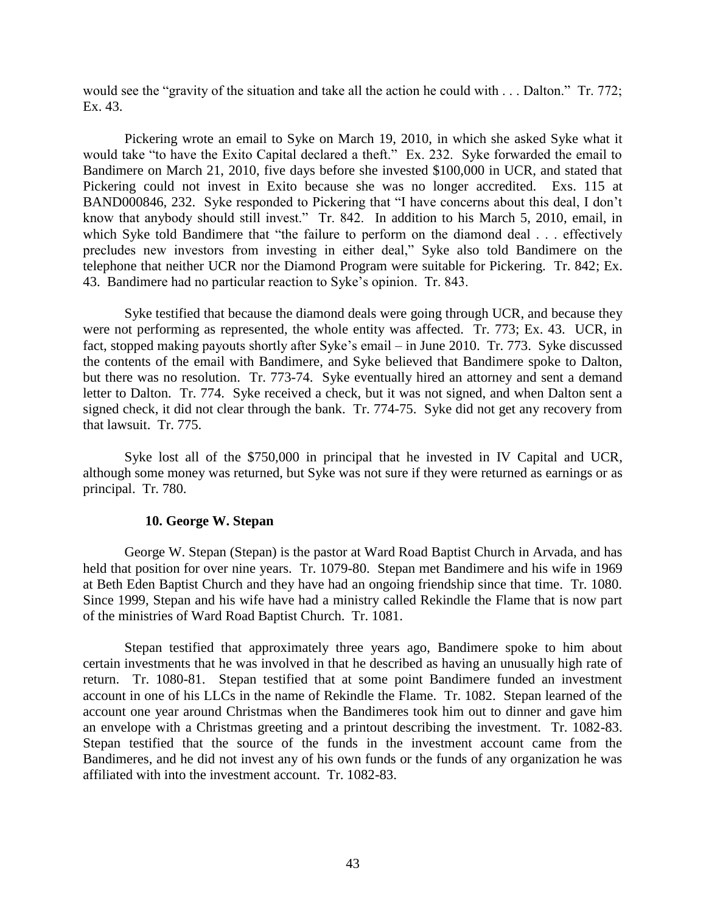would see the "gravity of the situation and take all the action he could with . . . Dalton." Tr. 772; Ex. 43.

Pickering wrote an email to Syke on March 19, 2010, in which she asked Syke what it would take "to have the Exito Capital declared a theft." Ex. 232. Syke forwarded the email to Bandimere on March 21, 2010, five days before she invested \$100,000 in UCR, and stated that Pickering could not invest in Exito because she was no longer accredited. Exs. 115 at BAND000846, 232. Syke responded to Pickering that "I have concerns about this deal, I don't know that anybody should still invest." Tr. 842. In addition to his March 5, 2010, email, in which Syke told Bandimere that "the failure to perform on the diamond deal . . . effectively precludes new investors from investing in either deal," Syke also told Bandimere on the telephone that neither UCR nor the Diamond Program were suitable for Pickering. Tr. 842; Ex. 43. Bandimere had no particular reaction to Syke's opinion. Tr. 843.

Syke testified that because the diamond deals were going through UCR, and because they were not performing as represented, the whole entity was affected. Tr. 773; Ex. 43. UCR, in fact, stopped making payouts shortly after Syke's email – in June 2010. Tr. 773. Syke discussed the contents of the email with Bandimere, and Syke believed that Bandimere spoke to Dalton, but there was no resolution. Tr. 773-74. Syke eventually hired an attorney and sent a demand letter to Dalton. Tr. 774. Syke received a check, but it was not signed, and when Dalton sent a signed check, it did not clear through the bank. Tr. 774-75. Syke did not get any recovery from that lawsuit. Tr. 775.

Syke lost all of the \$750,000 in principal that he invested in IV Capital and UCR, although some money was returned, but Syke was not sure if they were returned as earnings or as principal. Tr. 780.

## **10. George W. Stepan**

George W. Stepan (Stepan) is the pastor at Ward Road Baptist Church in Arvada, and has held that position for over nine years. Tr. 1079-80. Stepan met Bandimere and his wife in 1969 at Beth Eden Baptist Church and they have had an ongoing friendship since that time. Tr. 1080. Since 1999, Stepan and his wife have had a ministry called Rekindle the Flame that is now part of the ministries of Ward Road Baptist Church. Tr. 1081.

Stepan testified that approximately three years ago, Bandimere spoke to him about certain investments that he was involved in that he described as having an unusually high rate of return. Tr. 1080-81. Stepan testified that at some point Bandimere funded an investment account in one of his LLCs in the name of Rekindle the Flame. Tr. 1082. Stepan learned of the account one year around Christmas when the Bandimeres took him out to dinner and gave him an envelope with a Christmas greeting and a printout describing the investment. Tr. 1082-83. Stepan testified that the source of the funds in the investment account came from the Bandimeres, and he did not invest any of his own funds or the funds of any organization he was affiliated with into the investment account. Tr. 1082-83.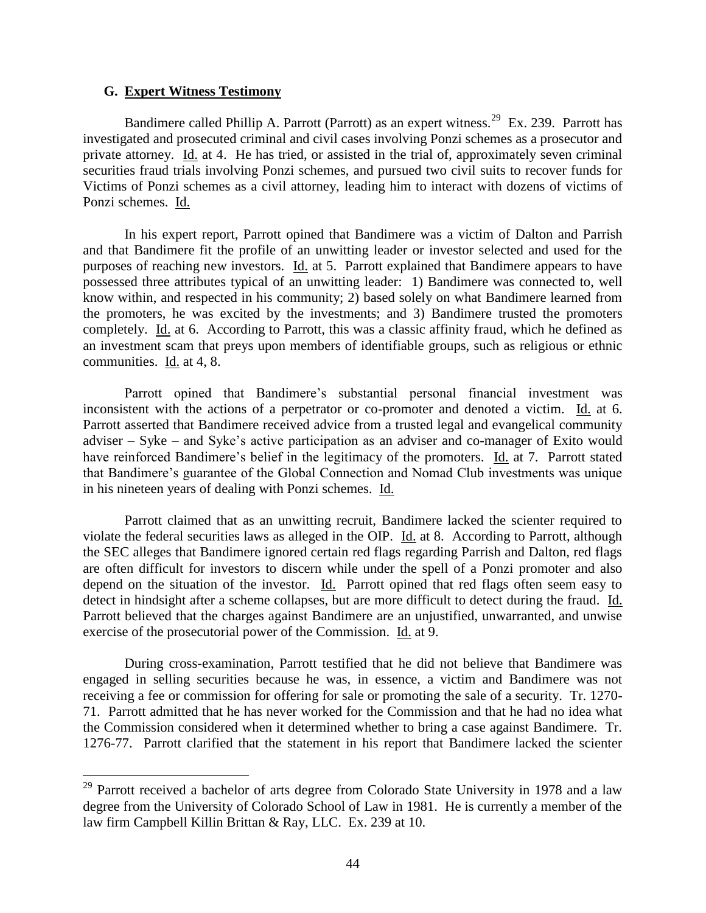#### **G. Expert Witness Testimony**

 $\overline{a}$ 

Bandimere called Phillip A. Parrott (Parrott) as an expert witness.<sup>29</sup> Ex. 239. Parrott has investigated and prosecuted criminal and civil cases involving Ponzi schemes as a prosecutor and private attorney. Id. at 4. He has tried, or assisted in the trial of, approximately seven criminal securities fraud trials involving Ponzi schemes, and pursued two civil suits to recover funds for Victims of Ponzi schemes as a civil attorney, leading him to interact with dozens of victims of Ponzi schemes. Id.

In his expert report, Parrott opined that Bandimere was a victim of Dalton and Parrish and that Bandimere fit the profile of an unwitting leader or investor selected and used for the purposes of reaching new investors. Id. at 5. Parrott explained that Bandimere appears to have possessed three attributes typical of an unwitting leader: 1) Bandimere was connected to, well know within, and respected in his community; 2) based solely on what Bandimere learned from the promoters, he was excited by the investments; and 3) Bandimere trusted the promoters completely. Id. at 6. According to Parrott, this was a classic affinity fraud, which he defined as an investment scam that preys upon members of identifiable groups, such as religious or ethnic communities. Id. at 4, 8.

Parrott opined that Bandimere's substantial personal financial investment was inconsistent with the actions of a perpetrator or co-promoter and denoted a victim. Id. at 6. Parrott asserted that Bandimere received advice from a trusted legal and evangelical community adviser – Syke – and Syke's active participation as an adviser and co-manager of Exito would have reinforced Bandimere's belief in the legitimacy of the promoters. Id. at 7. Parrott stated that Bandimere's guarantee of the Global Connection and Nomad Club investments was unique in his nineteen years of dealing with Ponzi schemes. Id.

Parrott claimed that as an unwitting recruit, Bandimere lacked the scienter required to violate the federal securities laws as alleged in the OIP. Id. at 8. According to Parrott, although the SEC alleges that Bandimere ignored certain red flags regarding Parrish and Dalton, red flags are often difficult for investors to discern while under the spell of a Ponzi promoter and also depend on the situation of the investor. Id. Parrott opined that red flags often seem easy to detect in hindsight after a scheme collapses, but are more difficult to detect during the fraud. Id. Parrott believed that the charges against Bandimere are an unjustified, unwarranted, and unwise exercise of the prosecutorial power of the Commission. Id. at 9.

During cross-examination, Parrott testified that he did not believe that Bandimere was engaged in selling securities because he was, in essence, a victim and Bandimere was not receiving a fee or commission for offering for sale or promoting the sale of a security. Tr. 1270- 71. Parrott admitted that he has never worked for the Commission and that he had no idea what the Commission considered when it determined whether to bring a case against Bandimere. Tr. 1276-77. Parrott clarified that the statement in his report that Bandimere lacked the scienter

 $29$  Parrott received a bachelor of arts degree from Colorado State University in 1978 and a law degree from the University of Colorado School of Law in 1981. He is currently a member of the law firm Campbell Killin Brittan & Ray, LLC. Ex. 239 at 10.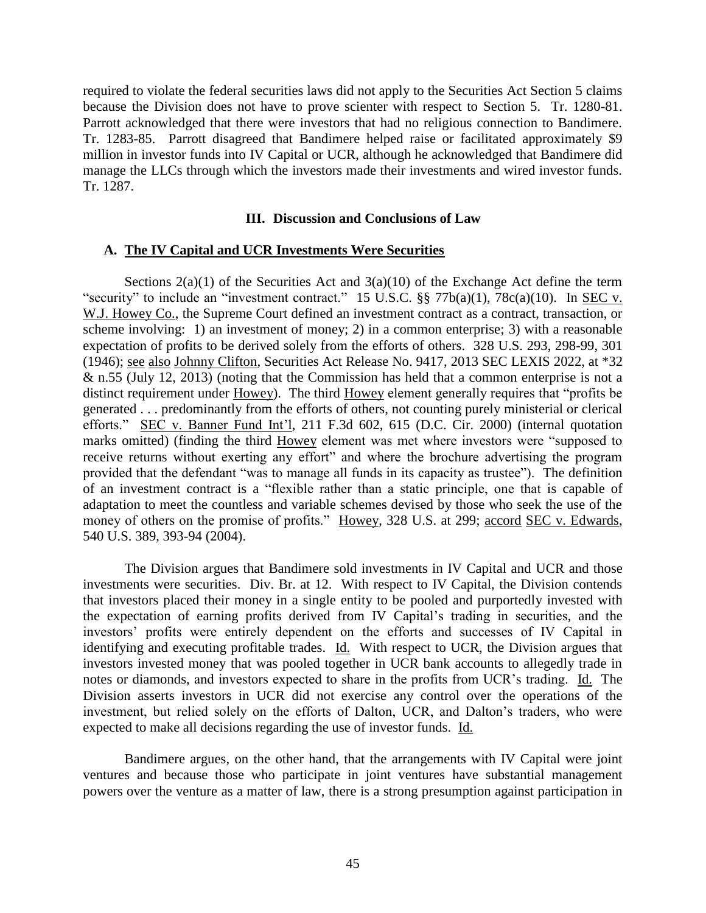required to violate the federal securities laws did not apply to the Securities Act Section 5 claims because the Division does not have to prove scienter with respect to Section 5. Tr. 1280-81. Parrott acknowledged that there were investors that had no religious connection to Bandimere. Tr. 1283-85. Parrott disagreed that Bandimere helped raise or facilitated approximately \$9 million in investor funds into IV Capital or UCR, although he acknowledged that Bandimere did manage the LLCs through which the investors made their investments and wired investor funds. Tr. 1287.

### **III. Discussion and Conclusions of Law**

#### **A. The IV Capital and UCR Investments Were Securities**

Sections  $2(a)(1)$  of the Securities Act and  $3(a)(10)$  of the Exchange Act define the term "security" to include an "investment contract." 15 U.S.C.  $\S$  77b(a)(1), 78c(a)(10). In SEC v. W.J. Howey Co., the Supreme Court defined an investment contract as a contract, transaction, or scheme involving: 1) an investment of money; 2) in a common enterprise; 3) with a reasonable expectation of profits to be derived solely from the efforts of others. 328 U.S. 293, 298-99, 301 (1946); see also Johnny Clifton, Securities Act Release No. 9417, 2013 SEC LEXIS 2022, at \*32 & n.55 (July 12, 2013) (noting that the Commission has held that a common enterprise is not a distinct requirement under Howey). The third Howey element generally requires that "profits be generated . . . predominantly from the efforts of others, not counting purely ministerial or clerical efforts." SEC v. Banner Fund Int'l, 211 F.3d 602, 615 (D.C. Cir. 2000) (internal quotation marks omitted) (finding the third Howey element was met where investors were "supposed to receive returns without exerting any effort" and where the brochure advertising the program provided that the defendant "was to manage all funds in its capacity as trustee"). The definition of an investment contract is a "flexible rather than a static principle, one that is capable of adaptation to meet the countless and variable schemes devised by those who seek the use of the money of others on the promise of profits." Howey, 328 U.S. at 299; accord SEC v. Edwards, 540 U.S. 389, 393-94 (2004).

The Division argues that Bandimere sold investments in IV Capital and UCR and those investments were securities. Div. Br. at 12. With respect to IV Capital, the Division contends that investors placed their money in a single entity to be pooled and purportedly invested with the expectation of earning profits derived from IV Capital's trading in securities, and the investors' profits were entirely dependent on the efforts and successes of IV Capital in identifying and executing profitable trades. Id. With respect to UCR, the Division argues that investors invested money that was pooled together in UCR bank accounts to allegedly trade in notes or diamonds, and investors expected to share in the profits from UCR's trading. Id. The Division asserts investors in UCR did not exercise any control over the operations of the investment, but relied solely on the efforts of Dalton, UCR, and Dalton's traders, who were expected to make all decisions regarding the use of investor funds. Id.

Bandimere argues, on the other hand, that the arrangements with IV Capital were joint ventures and because those who participate in joint ventures have substantial management powers over the venture as a matter of law, there is a strong presumption against participation in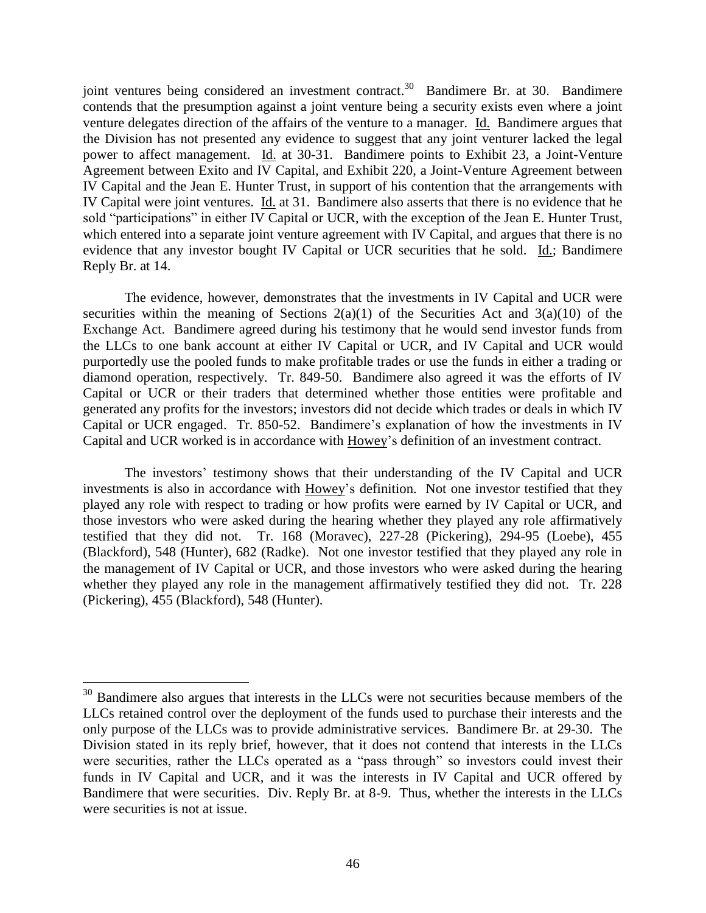joint ventures being considered an investment contract.<sup>30</sup> Bandimere Br. at 30. Bandimere contends that the presumption against a joint venture being a security exists even where a joint venture delegates direction of the affairs of the venture to a manager. Id. Bandimere argues that the Division has not presented any evidence to suggest that any joint venturer lacked the legal power to affect management. Id. at 30-31. Bandimere points to Exhibit 23, a Joint-Venture Agreement between Exito and IV Capital, and Exhibit 220, a Joint-Venture Agreement between IV Capital and the Jean E. Hunter Trust, in support of his contention that the arrangements with IV Capital were joint ventures. Id. at 31. Bandimere also asserts that there is no evidence that he sold "participations" in either IV Capital or UCR, with the exception of the Jean E. Hunter Trust, which entered into a separate joint venture agreement with IV Capital, and argues that there is no evidence that any investor bought IV Capital or UCR securities that he sold. Id.; Bandimere Reply Br. at 14.

The evidence, however, demonstrates that the investments in IV Capital and UCR were securities within the meaning of Sections  $2(a)(1)$  of the Securities Act and  $3(a)(10)$  of the Exchange Act. Bandimere agreed during his testimony that he would send investor funds from the LLCs to one bank account at either IV Capital or UCR, and IV Capital and UCR would purportedly use the pooled funds to make profitable trades or use the funds in either a trading or diamond operation, respectively. Tr. 849-50. Bandimere also agreed it was the efforts of IV Capital or UCR or their traders that determined whether those entities were profitable and generated any profits for the investors; investors did not decide which trades or deals in which IV Capital or UCR engaged. Tr. 850-52. Bandimere's explanation of how the investments in IV Capital and UCR worked is in accordance with Howey's definition of an investment contract.

The investors' testimony shows that their understanding of the IV Capital and UCR investments is also in accordance with Howey's definition. Not one investor testified that they played any role with respect to trading or how profits were earned by IV Capital or UCR, and those investors who were asked during the hearing whether they played any role affirmatively testified that they did not. Tr. 168 (Moravec), 227-28 (Pickering), 294-95 (Loebe), 455 (Blackford), 548 (Hunter), 682 (Radke). Not one investor testified that they played any role in the management of IV Capital or UCR, and those investors who were asked during the hearing whether they played any role in the management affirmatively testified they did not. Tr. 228 (Pickering), 455 (Blackford), 548 (Hunter).

 $30$  Bandimere also argues that interests in the LLCs were not securities because members of the LLCs retained control over the deployment of the funds used to purchase their interests and the only purpose of the LLCs was to provide administrative services. Bandimere Br. at 29-30. The Division stated in its reply brief, however, that it does not contend that interests in the LLCs were securities, rather the LLCs operated as a "pass through" so investors could invest their funds in IV Capital and UCR, and it was the interests in IV Capital and UCR offered by Bandimere that were securities. Div. Reply Br. at 8-9. Thus, whether the interests in the LLCs were securities is not at issue.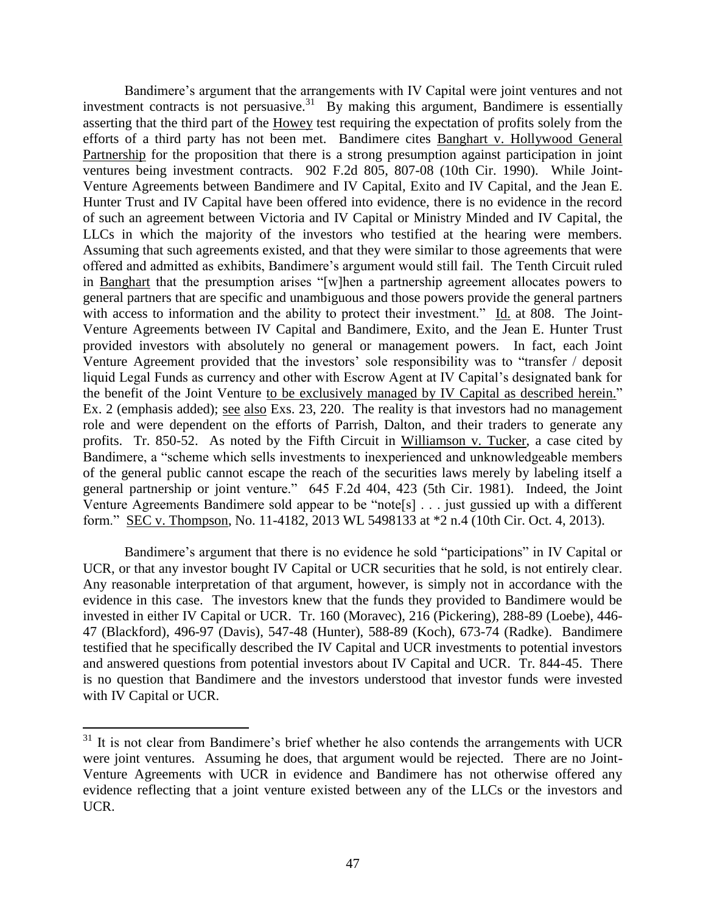Bandimere's argument that the arrangements with IV Capital were joint ventures and not investment contracts is not persuasive.<sup>31</sup> By making this argument, Bandimere is essentially asserting that the third part of the Howey test requiring the expectation of profits solely from the efforts of a third party has not been met. Bandimere cites Banghart v. Hollywood General Partnership for the proposition that there is a strong presumption against participation in joint ventures being investment contracts. 902 F.2d 805, 807-08 (10th Cir. 1990). While Joint-Venture Agreements between Bandimere and IV Capital, Exito and IV Capital, and the Jean E. Hunter Trust and IV Capital have been offered into evidence, there is no evidence in the record of such an agreement between Victoria and IV Capital or Ministry Minded and IV Capital, the LLCs in which the majority of the investors who testified at the hearing were members. Assuming that such agreements existed, and that they were similar to those agreements that were offered and admitted as exhibits, Bandimere's argument would still fail. The Tenth Circuit ruled in Banghart that the presumption arises "[w]hen a partnership agreement allocates powers to general partners that are specific and unambiguous and those powers provide the general partners with access to information and the ability to protect their investment." Id. at 808. The Joint-Venture Agreements between IV Capital and Bandimere, Exito, and the Jean E. Hunter Trust provided investors with absolutely no general or management powers. In fact, each Joint Venture Agreement provided that the investors' sole responsibility was to "transfer / deposit liquid Legal Funds as currency and other with Escrow Agent at IV Capital's designated bank for the benefit of the Joint Venture to be exclusively managed by IV Capital as described herein." Ex. 2 (emphasis added); see also Exs. 23, 220. The reality is that investors had no management role and were dependent on the efforts of Parrish, Dalton, and their traders to generate any profits. Tr. 850-52. As noted by the Fifth Circuit in Williamson v. Tucker, a case cited by Bandimere, a "scheme which sells investments to inexperienced and unknowledgeable members of the general public cannot escape the reach of the securities laws merely by labeling itself a general partnership or joint venture." 645 F.2d 404, 423 (5th Cir. 1981). Indeed, the Joint Venture Agreements Bandimere sold appear to be "note[s] . . . just gussied up with a different form." SEC v. Thompson, No. 11-4182, 2013 WL 5498133 at \*2 n.4 (10th Cir. Oct. 4, 2013).

Bandimere's argument that there is no evidence he sold "participations" in IV Capital or UCR, or that any investor bought IV Capital or UCR securities that he sold, is not entirely clear. Any reasonable interpretation of that argument, however, is simply not in accordance with the evidence in this case. The investors knew that the funds they provided to Bandimere would be invested in either IV Capital or UCR. Tr. 160 (Moravec), 216 (Pickering), 288-89 (Loebe), 446- 47 (Blackford), 496-97 (Davis), 547-48 (Hunter), 588-89 (Koch), 673-74 (Radke). Bandimere testified that he specifically described the IV Capital and UCR investments to potential investors and answered questions from potential investors about IV Capital and UCR. Tr. 844-45. There is no question that Bandimere and the investors understood that investor funds were invested with IV Capital or UCR.

 $31$  It is not clear from Bandimere's brief whether he also contends the arrangements with UCR were joint ventures. Assuming he does, that argument would be rejected. There are no Joint-Venture Agreements with UCR in evidence and Bandimere has not otherwise offered any evidence reflecting that a joint venture existed between any of the LLCs or the investors and UCR.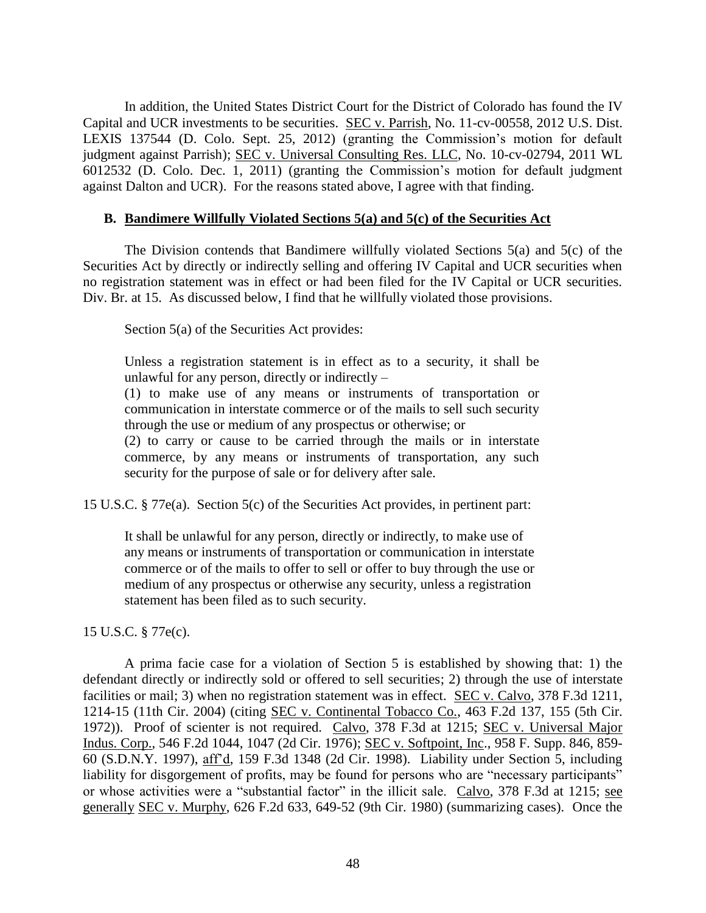In addition, the United States District Court for the District of Colorado has found the IV Capital and UCR investments to be securities. SEC v. Parrish, No. 11-cv-00558, 2012 U.S. Dist. LEXIS 137544 (D. Colo. Sept. 25, 2012) (granting the Commission's motion for default judgment against Parrish); SEC v. Universal Consulting Res. LLC, No. 10-cv-02794, 2011 WL 6012532 (D. Colo. Dec. 1, 2011) (granting the Commission's motion for default judgment against Dalton and UCR). For the reasons stated above, I agree with that finding.

### **B. Bandimere Willfully Violated Sections 5(a) and 5(c) of the Securities Act**

The Division contends that Bandimere willfully violated Sections 5(a) and 5(c) of the Securities Act by directly or indirectly selling and offering IV Capital and UCR securities when no registration statement was in effect or had been filed for the IV Capital or UCR securities. Div. Br. at 15. As discussed below, I find that he willfully violated those provisions.

Section 5(a) of the Securities Act provides:

Unless a registration statement is in effect as to a security, it shall be unlawful for any person, directly or indirectly  $-$ 

(1) to make use of any means or instruments of transportation or communication in interstate commerce or of the mails to sell such security through the use or medium of any prospectus or otherwise; or

(2) to carry or cause to be carried through the mails or in interstate commerce, by any means or instruments of transportation, any such security for the purpose of sale or for delivery after sale.

15 U.S.C. § 77e(a). Section 5(c) of the Securities Act provides, in pertinent part:

It shall be unlawful for any person, directly or indirectly, to make use of any means or instruments of transportation or communication in interstate commerce or of the mails to offer to sell or offer to buy through the use or medium of any prospectus or otherwise any security, unless a registration statement has been filed as to such security.

15 U.S.C. § 77e(c).

A prima facie case for a violation of Section 5 is established by showing that: 1) the defendant directly or indirectly sold or offered to sell securities; 2) through the use of interstate facilities or mail; 3) when no registration statement was in effect. SEC v. Calvo, 378 F.3d 1211, 1214-15 (11th Cir. 2004) (citing SEC v. Continental Tobacco Co., 463 F.2d 137, 155 (5th Cir. 1972)). Proof of scienter is not required. Calvo, 378 F.3d at 1215; SEC v. Universal Major Indus. Corp., 546 F.2d 1044, 1047 (2d Cir. 1976); SEC v. Softpoint, Inc., 958 F. Supp. 846, 859- 60 (S.D.N.Y. 1997), aff'd, 159 F.3d 1348 (2d Cir. 1998). Liability under Section 5, including liability for disgorgement of profits, may be found for persons who are "necessary participants" or whose activities were a "substantial factor" in the illicit sale. Calvo, 378 F.3d at 1215; see generally SEC v. Murphy, 626 F.2d 633, 649-52 (9th Cir. 1980) (summarizing cases). Once the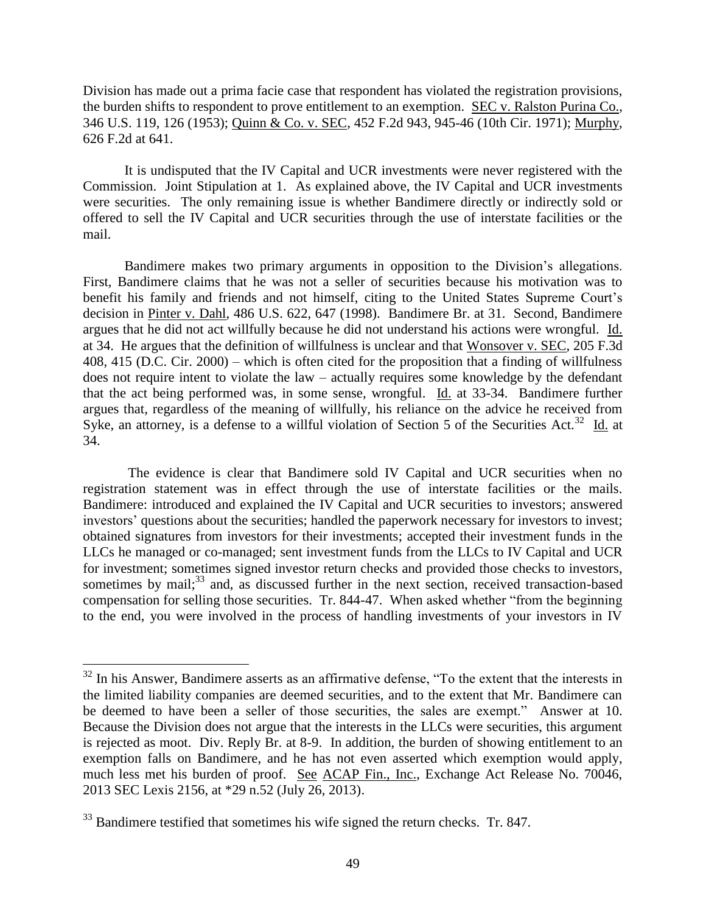Division has made out a prima facie case that respondent has violated the registration provisions, the burden shifts to respondent to prove entitlement to an exemption. SEC v. Ralston Purina Co., 346 U.S. 119, 126 (1953); Quinn & Co. v. SEC, 452 F.2d 943, 945-46 (10th Cir. 1971); Murphy, 626 F.2d at 641.

It is undisputed that the IV Capital and UCR investments were never registered with the Commission. Joint Stipulation at 1. As explained above, the IV Capital and UCR investments were securities. The only remaining issue is whether Bandimere directly or indirectly sold or offered to sell the IV Capital and UCR securities through the use of interstate facilities or the mail.

Bandimere makes two primary arguments in opposition to the Division's allegations. First, Bandimere claims that he was not a seller of securities because his motivation was to benefit his family and friends and not himself, citing to the United States Supreme Court's decision in Pinter v. Dahl, 486 U.S. 622, 647 (1998). Bandimere Br. at 31. Second, Bandimere argues that he did not act willfully because he did not understand his actions were wrongful. Id. at 34. He argues that the definition of willfulness is unclear and that Wonsover v. SEC, 205 F.3d 408, 415 (D.C. Cir. 2000) – which is often cited for the proposition that a finding of willfulness does not require intent to violate the law – actually requires some knowledge by the defendant that the act being performed was, in some sense, wrongful. Id. at 33-34. Bandimere further argues that, regardless of the meaning of willfully, his reliance on the advice he received from Syke, an attorney, is a defense to a willful violation of Section 5 of the Securities Act.<sup>32</sup> Id. at 34.

The evidence is clear that Bandimere sold IV Capital and UCR securities when no registration statement was in effect through the use of interstate facilities or the mails. Bandimere: introduced and explained the IV Capital and UCR securities to investors; answered investors' questions about the securities; handled the paperwork necessary for investors to invest; obtained signatures from investors for their investments; accepted their investment funds in the LLCs he managed or co-managed; sent investment funds from the LLCs to IV Capital and UCR for investment; sometimes signed investor return checks and provided those checks to investors, sometimes by mail;<sup>33</sup> and, as discussed further in the next section, received transaction-based compensation for selling those securities. Tr. 844-47. When asked whether "from the beginning to the end, you were involved in the process of handling investments of your investors in IV

 $32$  In his Answer, Bandimere asserts as an affirmative defense, "To the extent that the interests in the limited liability companies are deemed securities, and to the extent that Mr. Bandimere can be deemed to have been a seller of those securities, the sales are exempt." Answer at 10. Because the Division does not argue that the interests in the LLCs were securities, this argument is rejected as moot. Div. Reply Br. at 8-9. In addition, the burden of showing entitlement to an exemption falls on Bandimere, and he has not even asserted which exemption would apply, much less met his burden of proof. See ACAP Fin., Inc., Exchange Act Release No. 70046, 2013 SEC Lexis 2156, at \*29 n.52 (July 26, 2013).

<sup>&</sup>lt;sup>33</sup> Bandimere testified that sometimes his wife signed the return checks. Tr. 847.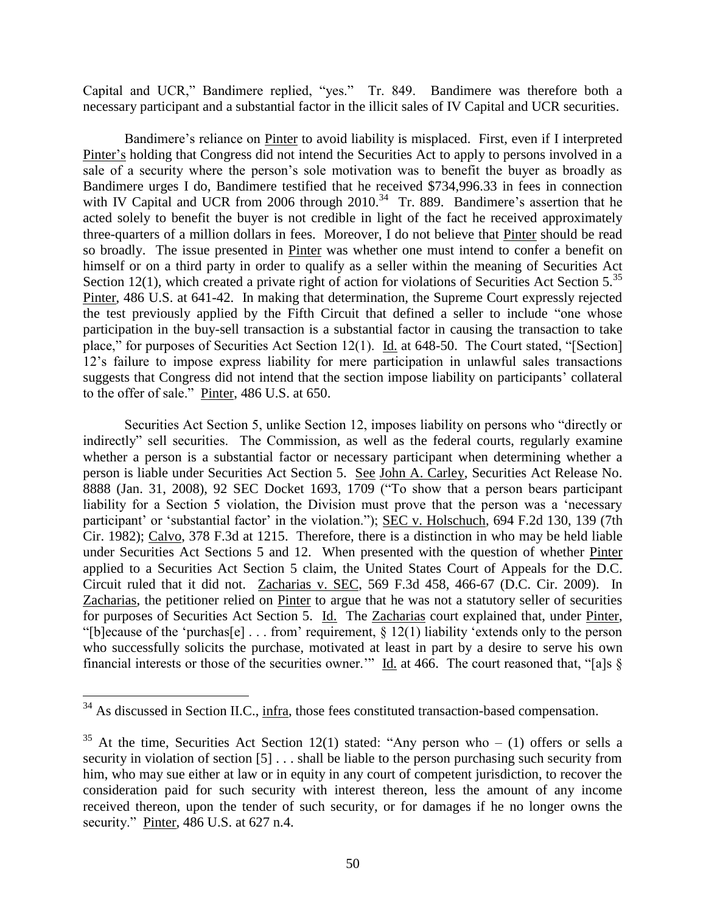Capital and UCR," Bandimere replied, "yes." Tr. 849. Bandimere was therefore both a necessary participant and a substantial factor in the illicit sales of IV Capital and UCR securities.

Bandimere's reliance on Pinter to avoid liability is misplaced. First, even if I interpreted Pinter's holding that Congress did not intend the Securities Act to apply to persons involved in a sale of a security where the person's sole motivation was to benefit the buyer as broadly as Bandimere urges I do, Bandimere testified that he received \$734,996.33 in fees in connection with IV Capital and UCR from 2006 through  $2010<sup>34</sup>$  Tr. 889. Bandimere's assertion that he acted solely to benefit the buyer is not credible in light of the fact he received approximately three-quarters of a million dollars in fees. Moreover, I do not believe that Pinter should be read so broadly. The issue presented in Pinter was whether one must intend to confer a benefit on himself or on a third party in order to qualify as a seller within the meaning of Securities Act Section 12(1), which created a private right of action for violations of Securities Act Section  $5^{35}$ Pinter, 486 U.S. at 641-42. In making that determination, the Supreme Court expressly rejected the test previously applied by the Fifth Circuit that defined a seller to include "one whose participation in the buy-sell transaction is a substantial factor in causing the transaction to take place," for purposes of Securities Act Section 12(1). Id. at 648-50. The Court stated, "[Section] 12's failure to impose express liability for mere participation in unlawful sales transactions suggests that Congress did not intend that the section impose liability on participants' collateral to the offer of sale." Pinter, 486 U.S. at 650.

Securities Act Section 5, unlike Section 12, imposes liability on persons who "directly or indirectly" sell securities. The Commission, as well as the federal courts, regularly examine whether a person is a substantial factor or necessary participant when determining whether a person is liable under Securities Act Section 5. See John A. Carley, Securities Act Release No. 8888 (Jan. 31, 2008), 92 SEC Docket 1693, 1709 ("To show that a person bears participant liability for a Section 5 violation, the Division must prove that the person was a 'necessary participant' or 'substantial factor' in the violation."); SEC v. Holschuch, 694 F.2d 130, 139 (7th Cir. 1982); Calvo, 378 F.3d at 1215. Therefore, there is a distinction in who may be held liable under Securities Act Sections 5 and 12. When presented with the question of whether Pinter applied to a Securities Act Section 5 claim, the United States Court of Appeals for the D.C. Circuit ruled that it did not. Zacharias v. SEC, 569 F.3d 458, 466-67 (D.C. Cir. 2009). In Zacharias, the petitioner relied on Pinter to argue that he was not a statutory seller of securities for purposes of Securities Act Section 5. Id. The Zacharias court explained that, under Pinter, "[b]ecause of the 'purchas[e] . . . from' requirement,  $\S 12(1)$  liability 'extends only to the person who successfully solicits the purchase, motivated at least in part by a desire to serve his own financial interests or those of the securities owner.'" Id. at 466. The court reasoned that, "[a]s  $\S$ 

 $34$  As discussed in Section II.C., infra, those fees constituted transaction-based compensation.

 $35$  At the time, Securities Act Section 12(1) stated: "Any person who – (1) offers or sells a security in violation of section [5] . . . shall be liable to the person purchasing such security from him, who may sue either at law or in equity in any court of competent jurisdiction, to recover the consideration paid for such security with interest thereon, less the amount of any income received thereon, upon the tender of such security, or for damages if he no longer owns the security." Pinter, 486 U.S. at 627 n.4.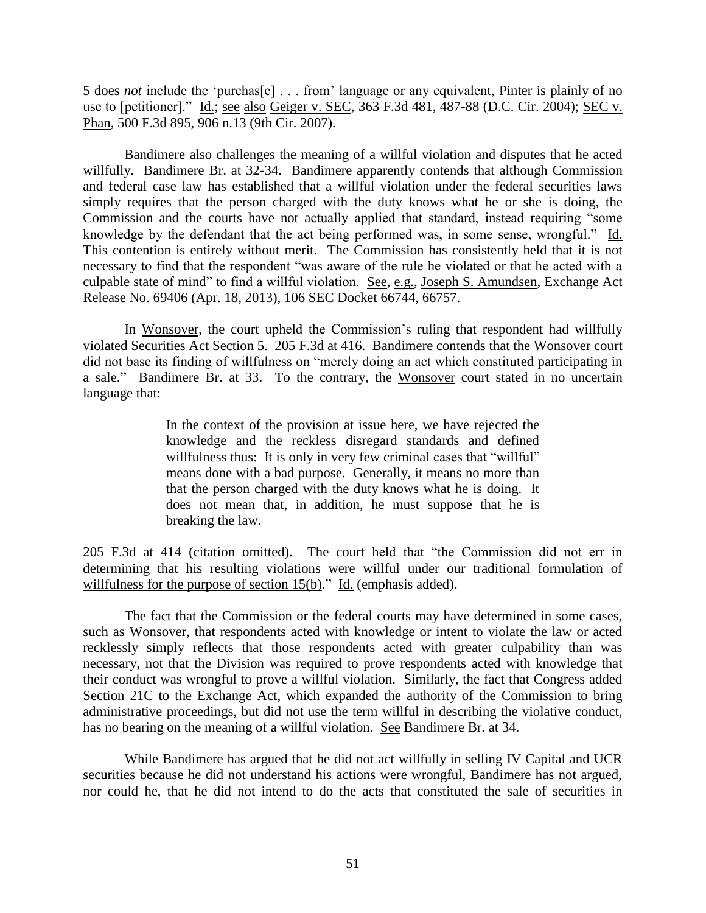5 does *not* include the 'purchas[e] . . . from' language or any equivalent, Pinter is plainly of no use to [petitioner]." Id.; see also Geiger v. SEC, 363 F.3d 481, 487-88 (D.C. Cir. 2004); SEC v. Phan, 500 F.3d 895, 906 n.13 (9th Cir. 2007).

Bandimere also challenges the meaning of a willful violation and disputes that he acted willfully. Bandimere Br. at 32-34. Bandimere apparently contends that although Commission and federal case law has established that a willful violation under the federal securities laws simply requires that the person charged with the duty knows what he or she is doing, the Commission and the courts have not actually applied that standard, instead requiring "some knowledge by the defendant that the act being performed was, in some sense, wrongful." Id. This contention is entirely without merit. The Commission has consistently held that it is not necessary to find that the respondent "was aware of the rule he violated or that he acted with a culpable state of mind" to find a willful violation. See, e.g., Joseph S. Amundsen, Exchange Act Release No. 69406 (Apr. 18, 2013), 106 SEC Docket 66744, 66757.

In Wonsover, the court upheld the Commission's ruling that respondent had willfully violated Securities Act Section 5. 205 F.3d at 416. Bandimere contends that the Wonsover court did not base its finding of willfulness on "merely doing an act which constituted participating in a sale." Bandimere Br. at 33. To the contrary, the Wonsover court stated in no uncertain language that:

> In the context of the provision at issue here, we have rejected the knowledge and the reckless disregard standards and defined willfulness thus: It is only in very few criminal cases that "willful" means done with a bad purpose. Generally, it means no more than that the person charged with the duty knows what he is doing. It does not mean that, in addition, he must suppose that he is breaking the law.

205 F.3d at 414 (citation omitted). The court held that "the Commission did not err in determining that his resulting violations were willful under our traditional formulation of willfulness for the purpose of section 15(b)." Id. (emphasis added).

The fact that the Commission or the federal courts may have determined in some cases, such as Wonsover, that respondents acted with knowledge or intent to violate the law or acted recklessly simply reflects that those respondents acted with greater culpability than was necessary, not that the Division was required to prove respondents acted with knowledge that their conduct was wrongful to prove a willful violation. Similarly, the fact that Congress added Section 21C to the Exchange Act, which expanded the authority of the Commission to bring administrative proceedings, but did not use the term willful in describing the violative conduct, has no bearing on the meaning of a willful violation. See Bandimere Br. at 34.

While Bandimere has argued that he did not act willfully in selling IV Capital and UCR securities because he did not understand his actions were wrongful, Bandimere has not argued, nor could he, that he did not intend to do the acts that constituted the sale of securities in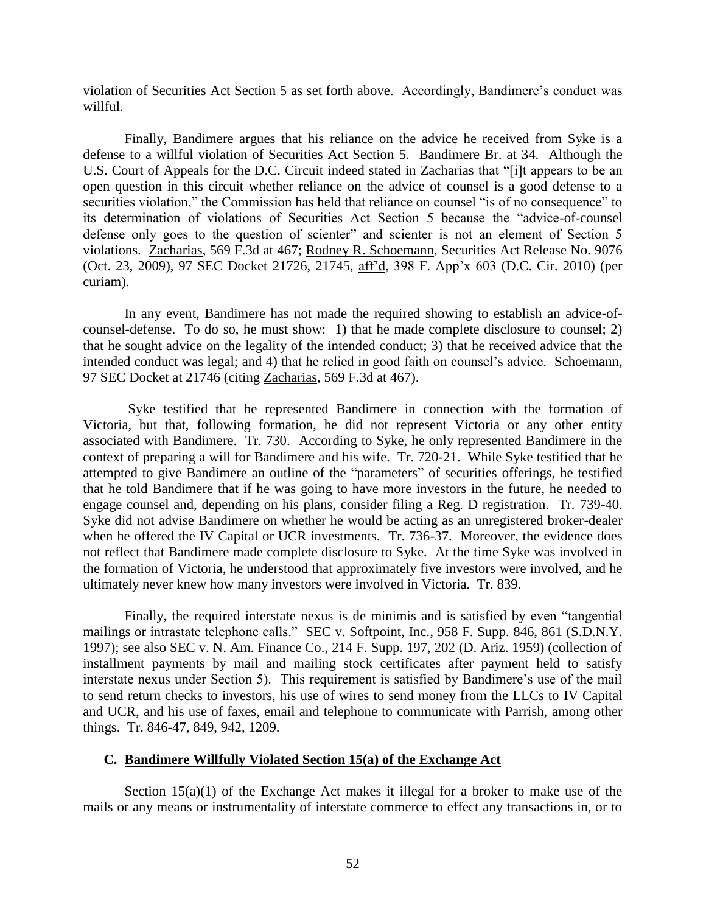violation of Securities Act Section 5 as set forth above. Accordingly, Bandimere's conduct was willful.

Finally, Bandimere argues that his reliance on the advice he received from Syke is a defense to a willful violation of Securities Act Section 5. Bandimere Br. at 34. Although the U.S. Court of Appeals for the D.C. Circuit indeed stated in Zacharias that "[i]t appears to be an open question in this circuit whether reliance on the advice of counsel is a good defense to a securities violation," the Commission has held that reliance on counsel "is of no consequence" to its determination of violations of Securities Act Section 5 because the "advice-of-counsel defense only goes to the question of scienter" and scienter is not an element of Section 5 violations. Zacharias, 569 F.3d at 467; Rodney R. Schoemann, Securities Act Release No. 9076 (Oct. 23, 2009), 97 SEC Docket 21726, 21745, aff'd, 398 F. App'x 603 (D.C. Cir. 2010) (per curiam).

In any event, Bandimere has not made the required showing to establish an advice-ofcounsel-defense. To do so, he must show: 1) that he made complete disclosure to counsel; 2) that he sought advice on the legality of the intended conduct; 3) that he received advice that the intended conduct was legal; and 4) that he relied in good faith on counsel's advice. Schoemann, 97 SEC Docket at 21746 (citing Zacharias, 569 F.3d at 467).

Syke testified that he represented Bandimere in connection with the formation of Victoria, but that, following formation, he did not represent Victoria or any other entity associated with Bandimere. Tr. 730. According to Syke, he only represented Bandimere in the context of preparing a will for Bandimere and his wife. Tr. 720-21. While Syke testified that he attempted to give Bandimere an outline of the "parameters" of securities offerings, he testified that he told Bandimere that if he was going to have more investors in the future, he needed to engage counsel and, depending on his plans, consider filing a Reg. D registration. Tr. 739-40. Syke did not advise Bandimere on whether he would be acting as an unregistered broker-dealer when he offered the IV Capital or UCR investments. Tr. 736-37. Moreover, the evidence does not reflect that Bandimere made complete disclosure to Syke. At the time Syke was involved in the formation of Victoria, he understood that approximately five investors were involved, and he ultimately never knew how many investors were involved in Victoria. Tr. 839.

Finally, the required interstate nexus is de minimis and is satisfied by even "tangential mailings or intrastate telephone calls." SEC v. Softpoint, Inc., 958 F. Supp. 846, 861 (S.D.N.Y. 1997); see also SEC v. N. Am. Finance Co., 214 F. Supp. 197, 202 (D. Ariz. 1959) (collection of installment payments by mail and mailing stock certificates after payment held to satisfy interstate nexus under Section 5). This requirement is satisfied by Bandimere's use of the mail to send return checks to investors, his use of wires to send money from the LLCs to IV Capital and UCR, and his use of faxes, email and telephone to communicate with Parrish, among other things. Tr. 846-47, 849, 942, 1209.

#### **C. Bandimere Willfully Violated Section 15(a) of the Exchange Act**

Section  $15(a)(1)$  of the Exchange Act makes it illegal for a broker to make use of the mails or any means or instrumentality of interstate commerce to effect any transactions in, or to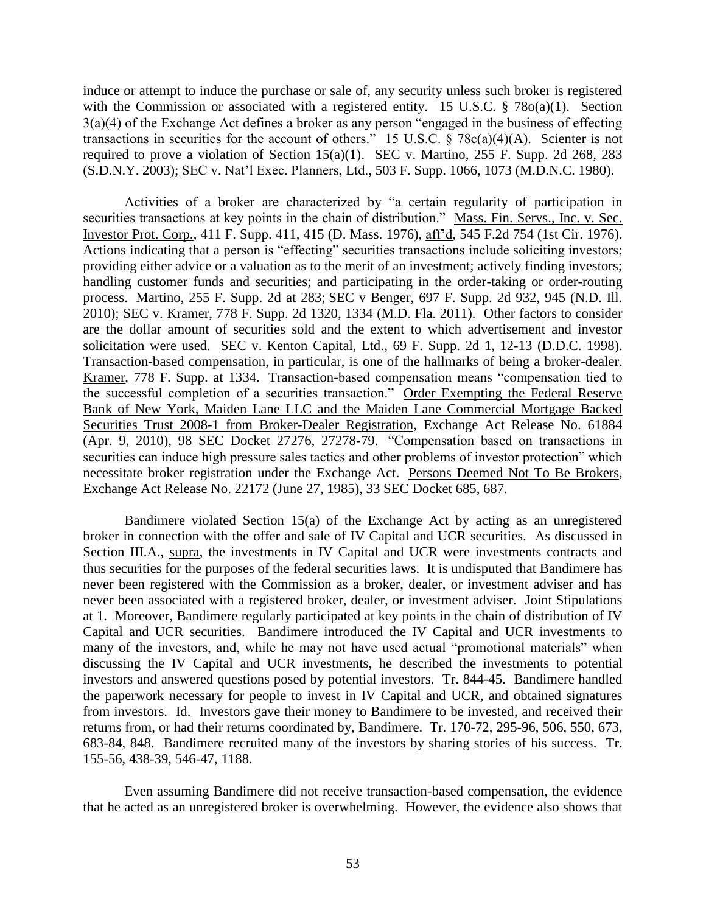induce or attempt to induce the purchase or sale of, any security unless such broker is registered with the Commission or associated with a registered entity. 15 U.S.C. § 78o(a)(1). Section 3(a)(4) of the Exchange Act defines a broker as any person "engaged in the business of effecting transactions in securities for the account of others." 15 U.S.C. § 78c(a)(4)(A). Scienter is not required to prove a violation of Section 15(a)(1). SEC v. Martino, 255 F. Supp. 2d 268, 283 (S.D.N.Y. 2003); SEC v. Nat'l Exec. Planners, Ltd., 503 F. Supp. 1066, 1073 (M.D.N.C. 1980).

Activities of a broker are characterized by "a certain regularity of participation in securities transactions at key points in the chain of distribution." Mass. Fin. Servs., Inc. v. Sec. Investor Prot. Corp., 411 F. Supp. 411, 415 (D. Mass. 1976), aff'd, 545 F.2d 754 (1st Cir. 1976). Actions indicating that a person is "effecting" securities transactions include soliciting investors; providing either advice or a valuation as to the merit of an investment; actively finding investors; handling customer funds and securities; and participating in the order-taking or order-routing process. Martino, 255 F. Supp. 2d at 283; SEC v Benger, 697 F. Supp. 2d 932, 945 (N.D. Ill. 2010); SEC v. Kramer, 778 F. Supp. 2d 1320, 1334 (M.D. Fla. 2011). Other factors to consider are the dollar amount of securities sold and the extent to which advertisement and investor solicitation were used. SEC v. Kenton Capital, Ltd., 69 F. Supp. 2d 1, 12-13 (D.D.C. 1998). Transaction-based compensation, in particular, is one of the hallmarks of being a broker-dealer. Kramer, 778 F. Supp. at 1334. Transaction-based compensation means "compensation tied to the successful completion of a securities transaction." Order Exempting the Federal Reserve Bank of New York, Maiden Lane LLC and the Maiden Lane Commercial Mortgage Backed Securities Trust 2008-1 from Broker-Dealer Registration, Exchange Act Release No. 61884 (Apr. 9, 2010), 98 SEC Docket 27276, 27278-79. "Compensation based on transactions in securities can induce high pressure sales tactics and other problems of investor protection" which necessitate broker registration under the Exchange Act. Persons Deemed Not To Be Brokers, Exchange Act Release No. 22172 (June 27, 1985), 33 SEC Docket 685, 687.

Bandimere violated Section 15(a) of the Exchange Act by acting as an unregistered broker in connection with the offer and sale of IV Capital and UCR securities. As discussed in Section III.A., supra, the investments in IV Capital and UCR were investments contracts and thus securities for the purposes of the federal securities laws. It is undisputed that Bandimere has never been registered with the Commission as a broker, dealer, or investment adviser and has never been associated with a registered broker, dealer, or investment adviser. Joint Stipulations at 1. Moreover, Bandimere regularly participated at key points in the chain of distribution of IV Capital and UCR securities. Bandimere introduced the IV Capital and UCR investments to many of the investors, and, while he may not have used actual "promotional materials" when discussing the IV Capital and UCR investments, he described the investments to potential investors and answered questions posed by potential investors. Tr. 844-45. Bandimere handled the paperwork necessary for people to invest in IV Capital and UCR, and obtained signatures from investors. Id. Investors gave their money to Bandimere to be invested, and received their returns from, or had their returns coordinated by, Bandimere. Tr. 170-72, 295-96, 506, 550, 673, 683-84, 848. Bandimere recruited many of the investors by sharing stories of his success. Tr. 155-56, 438-39, 546-47, 1188.

Even assuming Bandimere did not receive transaction-based compensation, the evidence that he acted as an unregistered broker is overwhelming. However, the evidence also shows that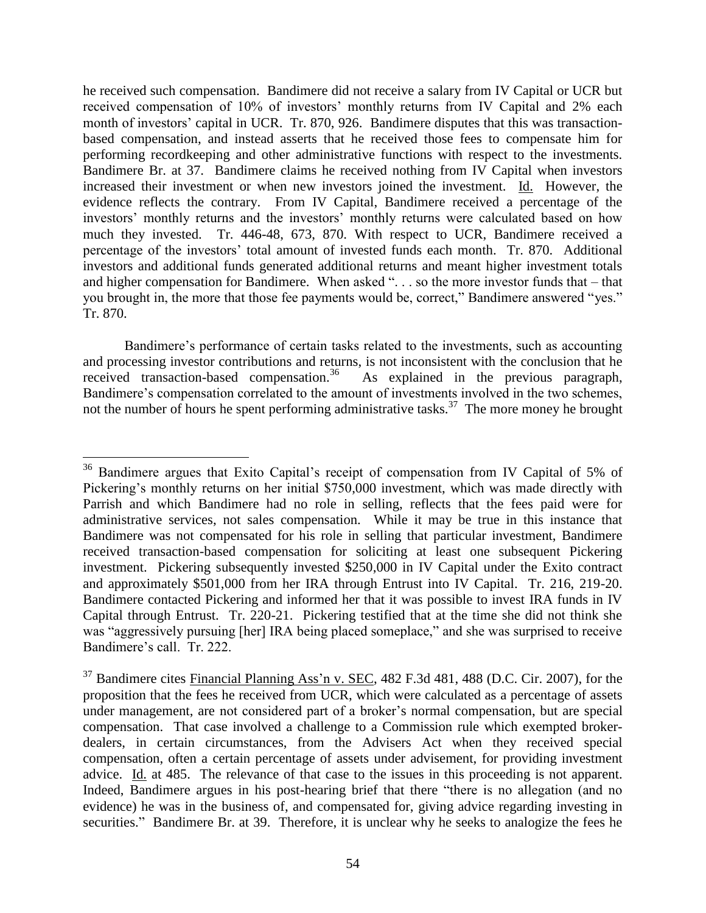he received such compensation. Bandimere did not receive a salary from IV Capital or UCR but received compensation of 10% of investors' monthly returns from IV Capital and 2% each month of investors' capital in UCR. Tr. 870, 926. Bandimere disputes that this was transactionbased compensation, and instead asserts that he received those fees to compensate him for performing recordkeeping and other administrative functions with respect to the investments. Bandimere Br. at 37. Bandimere claims he received nothing from IV Capital when investors increased their investment or when new investors joined the investment. Id. However, the evidence reflects the contrary. From IV Capital, Bandimere received a percentage of the investors' monthly returns and the investors' monthly returns were calculated based on how much they invested. Tr. 446-48, 673, 870. With respect to UCR, Bandimere received a percentage of the investors' total amount of invested funds each month. Tr. 870. Additional investors and additional funds generated additional returns and meant higher investment totals and higher compensation for Bandimere. When asked ". . . so the more investor funds that – that you brought in, the more that those fee payments would be, correct," Bandimere answered "yes." Tr. 870.

Bandimere's performance of certain tasks related to the investments, such as accounting and processing investor contributions and returns, is not inconsistent with the conclusion that he received transaction-based compensation.<sup>36</sup> As explained in the previous paragraph, Bandimere's compensation correlated to the amount of investments involved in the two schemes, not the number of hours he spent performing administrative tasks.<sup>37</sup> The more money he brought

<sup>&</sup>lt;sup>36</sup> Bandimere argues that Exito Capital's receipt of compensation from IV Capital of 5% of Pickering's monthly returns on her initial \$750,000 investment, which was made directly with Parrish and which Bandimere had no role in selling, reflects that the fees paid were for administrative services, not sales compensation. While it may be true in this instance that Bandimere was not compensated for his role in selling that particular investment, Bandimere received transaction-based compensation for soliciting at least one subsequent Pickering investment. Pickering subsequently invested \$250,000 in IV Capital under the Exito contract and approximately \$501,000 from her IRA through Entrust into IV Capital. Tr. 216, 219-20. Bandimere contacted Pickering and informed her that it was possible to invest IRA funds in IV Capital through Entrust. Tr. 220-21. Pickering testified that at the time she did not think she was "aggressively pursuing [her] IRA being placed someplace," and she was surprised to receive Bandimere's call. Tr. 222.

<sup>&</sup>lt;sup>37</sup> Bandimere cites Financial Planning Ass'n v. SEC, 482 F.3d 481, 488 (D.C. Cir. 2007), for the proposition that the fees he received from UCR, which were calculated as a percentage of assets under management, are not considered part of a broker's normal compensation, but are special compensation. That case involved a challenge to a Commission rule which exempted brokerdealers, in certain circumstances, from the Advisers Act when they received special compensation, often a certain percentage of assets under advisement, for providing investment advice. Id. at 485. The relevance of that case to the issues in this proceeding is not apparent. Indeed, Bandimere argues in his post-hearing brief that there "there is no allegation (and no evidence) he was in the business of, and compensated for, giving advice regarding investing in securities." Bandimere Br. at 39. Therefore, it is unclear why he seeks to analogize the fees he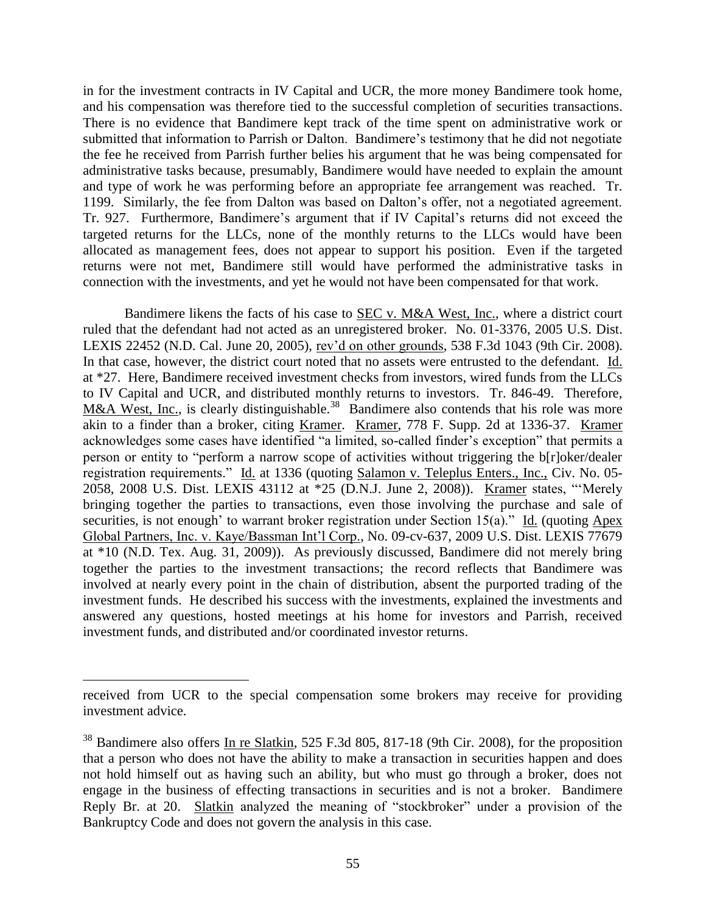in for the investment contracts in IV Capital and UCR, the more money Bandimere took home, and his compensation was therefore tied to the successful completion of securities transactions. There is no evidence that Bandimere kept track of the time spent on administrative work or submitted that information to Parrish or Dalton. Bandimere's testimony that he did not negotiate the fee he received from Parrish further belies his argument that he was being compensated for administrative tasks because, presumably, Bandimere would have needed to explain the amount and type of work he was performing before an appropriate fee arrangement was reached. Tr. 1199. Similarly, the fee from Dalton was based on Dalton's offer, not a negotiated agreement. Tr. 927. Furthermore, Bandimere's argument that if IV Capital's returns did not exceed the targeted returns for the LLCs, none of the monthly returns to the LLCs would have been allocated as management fees, does not appear to support his position. Even if the targeted returns were not met, Bandimere still would have performed the administrative tasks in connection with the investments, and yet he would not have been compensated for that work.

Bandimere likens the facts of his case to SEC v. M&A West, Inc., where a district court ruled that the defendant had not acted as an unregistered broker. No. 01-3376, 2005 U.S. Dist. LEXIS 22452 (N.D. Cal. June 20, 2005), rev'd on other grounds, 538 F.3d 1043 (9th Cir. 2008). In that case, however, the district court noted that no assets were entrusted to the defendant. Id. at \*27. Here, Bandimere received investment checks from investors, wired funds from the LLCs to IV Capital and UCR, and distributed monthly returns to investors. Tr. 846-49. Therefore, M&A West, Inc., is clearly distinguishable.<sup>38</sup> Bandimere also contends that his role was more akin to a finder than a broker, citing Kramer. Kramer, 778 F. Supp. 2d at 1336-37. Kramer acknowledges some cases have identified "a limited, so-called finder's exception" that permits a person or entity to "perform a narrow scope of activities without triggering the b[r]oker/dealer registration requirements." Id. at 1336 (quoting Salamon v. Teleplus Enters., Inc., Civ. No. 05- 2058, 2008 U.S. Dist. LEXIS 43112 at \*25 (D.N.J. June 2, 2008)). Kramer states, "'Merely bringing together the parties to transactions, even those involving the purchase and sale of securities, is not enough' to warrant broker registration under Section 15(a)." Id. (quoting Apex Global Partners, Inc. v. Kaye/Bassman Int'l Corp., No. 09-cv-637, 2009 U.S. Dist. LEXIS 77679 at \*10 (N.D. Tex. Aug. 31, 2009)). As previously discussed, Bandimere did not merely bring together the parties to the investment transactions; the record reflects that Bandimere was involved at nearly every point in the chain of distribution, absent the purported trading of the investment funds. He described his success with the investments, explained the investments and answered any questions, hosted meetings at his home for investors and Parrish, received investment funds, and distributed and/or coordinated investor returns.

received from UCR to the special compensation some brokers may receive for providing investment advice.

<sup>&</sup>lt;sup>38</sup> Bandimere also offers In re Slatkin, 525 F.3d 805, 817-18 (9th Cir. 2008), for the proposition that a person who does not have the ability to make a transaction in securities happen and does not hold himself out as having such an ability, but who must go through a broker, does not engage in the business of effecting transactions in securities and is not a broker. Bandimere Reply Br. at 20. Slatkin analyzed the meaning of "stockbroker" under a provision of the Bankruptcy Code and does not govern the analysis in this case.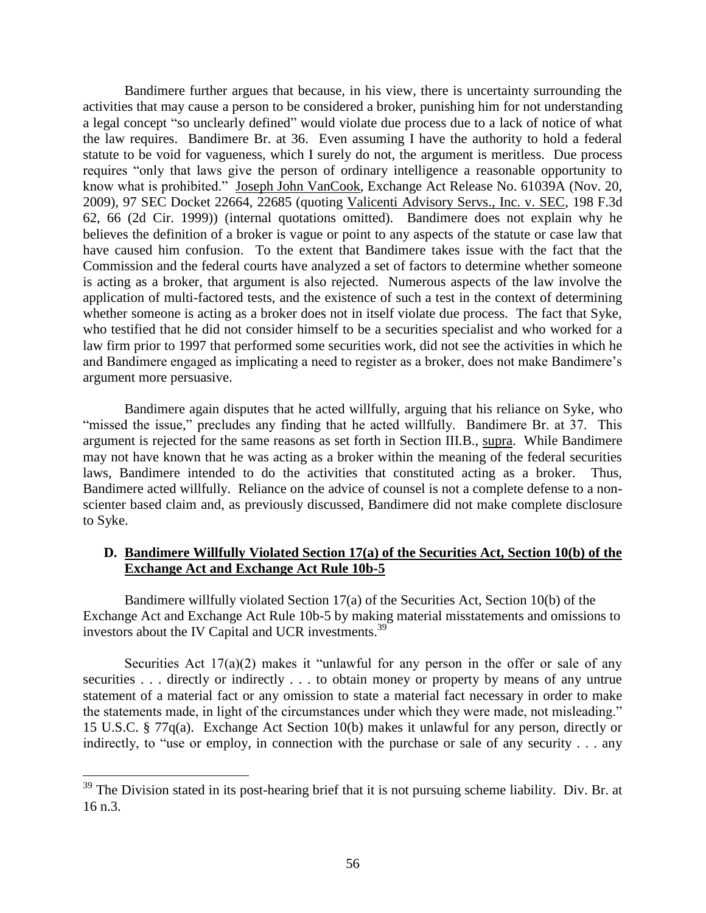Bandimere further argues that because, in his view, there is uncertainty surrounding the activities that may cause a person to be considered a broker, punishing him for not understanding a legal concept "so unclearly defined" would violate due process due to a lack of notice of what the law requires. Bandimere Br. at 36. Even assuming I have the authority to hold a federal statute to be void for vagueness, which I surely do not, the argument is meritless. Due process requires "only that laws give the person of ordinary intelligence a reasonable opportunity to know what is prohibited." Joseph John VanCook, Exchange Act Release No. 61039A (Nov. 20, 2009), 97 SEC Docket 22664, 22685 (quoting Valicenti Advisory Servs., Inc. v. SEC, 198 F.3d 62, 66 (2d Cir. 1999)) (internal quotations omitted). Bandimere does not explain why he believes the definition of a broker is vague or point to any aspects of the statute or case law that have caused him confusion. To the extent that Bandimere takes issue with the fact that the Commission and the federal courts have analyzed a set of factors to determine whether someone is acting as a broker, that argument is also rejected. Numerous aspects of the law involve the application of multi-factored tests, and the existence of such a test in the context of determining whether someone is acting as a broker does not in itself violate due process. The fact that Syke, who testified that he did not consider himself to be a securities specialist and who worked for a law firm prior to 1997 that performed some securities work, did not see the activities in which he and Bandimere engaged as implicating a need to register as a broker, does not make Bandimere's argument more persuasive.

Bandimere again disputes that he acted willfully, arguing that his reliance on Syke, who "missed the issue," precludes any finding that he acted willfully. Bandimere Br. at 37. This argument is rejected for the same reasons as set forth in Section III.B., supra. While Bandimere may not have known that he was acting as a broker within the meaning of the federal securities laws, Bandimere intended to do the activities that constituted acting as a broker. Thus, Bandimere acted willfully. Reliance on the advice of counsel is not a complete defense to a nonscienter based claim and, as previously discussed, Bandimere did not make complete disclosure to Syke.

# **D. Bandimere Willfully Violated Section 17(a) of the Securities Act, Section 10(b) of the Exchange Act and Exchange Act Rule 10b-5**

Bandimere willfully violated Section 17(a) of the Securities Act, Section 10(b) of the Exchange Act and Exchange Act Rule 10b-5 by making material misstatements and omissions to investors about the IV Capital and UCR investments.<sup>39</sup>

Securities Act  $17(a)(2)$  makes it "unlawful for any person in the offer or sale of any securities . . . directly or indirectly . . . to obtain money or property by means of any untrue statement of a material fact or any omission to state a material fact necessary in order to make the statements made, in light of the circumstances under which they were made, not misleading." 15 U.S.C. § 77q(a). Exchange Act Section 10(b) makes it unlawful for any person, directly or indirectly, to "use or employ, in connection with the purchase or sale of any security . . . any

 $39$  The Division stated in its post-hearing brief that it is not pursuing scheme liability. Div. Br. at 16 n.3.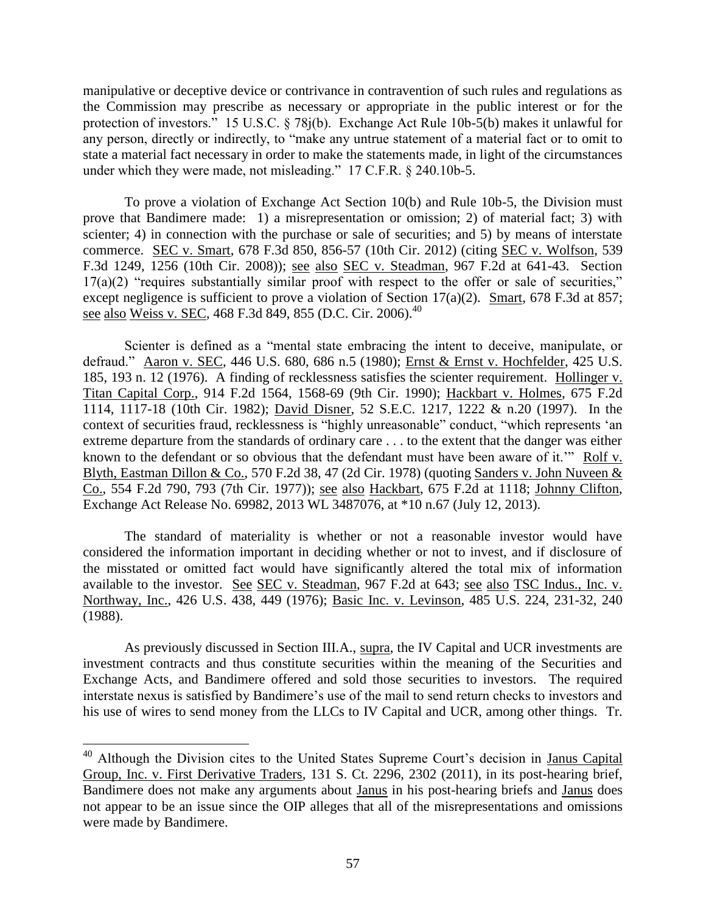manipulative or deceptive device or contrivance in contravention of such rules and regulations as the Commission may prescribe as necessary or appropriate in the public interest or for the protection of investors." 15 U.S.C. § 78j(b). Exchange Act Rule 10b-5(b) makes it unlawful for any person, directly or indirectly, to "make any untrue statement of a material fact or to omit to state a material fact necessary in order to make the statements made, in light of the circumstances under which they were made, not misleading." 17 C.F.R. § 240.10b-5.

To prove a violation of Exchange Act Section 10(b) and Rule 10b-5, the Division must prove that Bandimere made: 1) a misrepresentation or omission; 2) of material fact; 3) with scienter; 4) in connection with the purchase or sale of securities; and 5) by means of interstate commerce. SEC v. Smart, 678 F.3d 850, 856-57 (10th Cir. 2012) (citing SEC v. Wolfson, 539 F.3d 1249, 1256 (10th Cir. 2008)); see also SEC v. Steadman, 967 F.2d at 641-43. Section  $17(a)(2)$  "requires substantially similar proof with respect to the offer or sale of securities," except negligence is sufficient to prove a violation of Section 17(a)(2). Smart, 678 F.3d at 857; see also Weiss v. SEC, 468 F.3d 849, 855 (D.C. Cir. 2006).<sup>40</sup>

Scienter is defined as a "mental state embracing the intent to deceive, manipulate, or defraud." Aaron v. SEC, 446 U.S. 680, 686 n.5 (1980); Ernst & Ernst v. Hochfelder, 425 U.S. 185, 193 n. 12 (1976). A finding of recklessness satisfies the scienter requirement. Hollinger v. Titan Capital Corp., 914 F.2d 1564, 1568-69 (9th Cir. 1990); Hackbart v. Holmes, 675 F.2d 1114, 1117-18 (10th Cir. 1982); David Disner, 52 S.E.C. 1217, 1222 & n.20 (1997). In the context of securities fraud, recklessness is "highly unreasonable" conduct, "which represents 'an extreme departure from the standards of ordinary care . . . to the extent that the danger was either known to the defendant or so obvious that the defendant must have been aware of it.'" [Rolf v.](http://www.lexis.com/research/buttonTFLink?_m=1b2b123a3d6e7b496a3fd7f296ed5fb9&_xfercite=%3ccite%20cc%3d%22USA%22%3e%3c%21%5bCDATA%5b2013%20SEC%20LEXIS%201973%5d%5d%3e%3c%2fcite%3e&_butType=3&_butStat=2&_butNum=16&_butInline=1&_butinfo=%3ccite%20cc%3d%22USA%22%3e%3c%21%5bCDATA%5b570%20F.2d%2038%2cat%2047%5d%5d%3e%3c%2fcite%3e&_fmtstr=FULL&docnum=3&_startdoc=1&wchp=dGLbVzk-zSkAb&_md5=2e90e72626f6ae7b378a0125ad80c4fa)  [Blyth, Eastman Dillon & Co., 570 F.2d 38, 47 \(2d Cir. 1978\)](http://www.lexis.com/research/buttonTFLink?_m=1b2b123a3d6e7b496a3fd7f296ed5fb9&_xfercite=%3ccite%20cc%3d%22USA%22%3e%3c%21%5bCDATA%5b2013%20SEC%20LEXIS%201973%5d%5d%3e%3c%2fcite%3e&_butType=3&_butStat=2&_butNum=16&_butInline=1&_butinfo=%3ccite%20cc%3d%22USA%22%3e%3c%21%5bCDATA%5b570%20F.2d%2038%2cat%2047%5d%5d%3e%3c%2fcite%3e&_fmtstr=FULL&docnum=3&_startdoc=1&wchp=dGLbVzk-zSkAb&_md5=2e90e72626f6ae7b378a0125ad80c4fa) (quoting [Sanders v. John Nuveen &](http://www.lexis.com/research/buttonTFLink?_m=1b2b123a3d6e7b496a3fd7f296ed5fb9&_xfercite=%3ccite%20cc%3d%22USA%22%3e%3c%21%5bCDATA%5b2013%20SEC%20LEXIS%201973%5d%5d%3e%3c%2fcite%3e&_butType=3&_butStat=2&_butNum=17&_butInline=1&_butinfo=%3ccite%20cc%3d%22USA%22%3e%3c%21%5bCDATA%5b554%20F.2d%20790%2cat%20793%5d%5d%3e%3c%2fcite%3e&_fmtstr=FULL&docnum=3&_startdoc=1&wchp=dGLbVzk-zSkAb&_md5=adc0e29627db2cd58e646955f9cb4102)  [Co., 554 F.2d 790, 793 \(7th Cir. 1977\)\);](http://www.lexis.com/research/buttonTFLink?_m=1b2b123a3d6e7b496a3fd7f296ed5fb9&_xfercite=%3ccite%20cc%3d%22USA%22%3e%3c%21%5bCDATA%5b2013%20SEC%20LEXIS%201973%5d%5d%3e%3c%2fcite%3e&_butType=3&_butStat=2&_butNum=17&_butInline=1&_butinfo=%3ccite%20cc%3d%22USA%22%3e%3c%21%5bCDATA%5b554%20F.2d%20790%2cat%20793%5d%5d%3e%3c%2fcite%3e&_fmtstr=FULL&docnum=3&_startdoc=1&wchp=dGLbVzk-zSkAb&_md5=adc0e29627db2cd58e646955f9cb4102) see also Hackbart, 675 F.2d at 1118; Johnny Clifton, Exchange Act [Release No. 6998](http://www.lexis.com/research/buttonLink?_m=1b2b123a3d6e7b496a3fd7f296ed5fb9&_xfercite=%3ccite%20cc%3d%22USA%22%3e%3c%21%5bCDATA%5b2013%20SEC%20LEXIS%201973%5d%5d%3e%3c%2fcite%3e&_butType=1&_butStat=0&_butNum=18&_butInline=1&_butinfo=.cl%3bFEDSEC%3bSECREL%3brelease-no%2869930%29%3b.fu&_fmtstr=FULL&docnum=3&_startdoc=1&wchp=dGLbVzk-zSkAb&_md5=90ae60850a434c738d1a985f2a6c1903)2, 2013 WL 3487076, at \*10 n.67 (July 12, 2013).

The standard of materiality is whether or not a reasonable investor would have considered the information important in deciding whether or not to invest, and if disclosure of the misstated or omitted fact would have significantly altered the total mix of information available to the investor. See SEC v. Steadman, 967 F.2d at 643; see also TSC Indus., Inc. v. Northway, Inc., 426 U.S. 438, 449 (1976); Basic Inc. v. Levinson, 485 U.S. 224, 231-32, 240 (1988).

As previously discussed in Section III.A., supra, the IV Capital and UCR investments are investment contracts and thus constitute securities within the meaning of the Securities and Exchange Acts, and Bandimere offered and sold those securities to investors. The required interstate nexus is satisfied by Bandimere's use of the mail to send return checks to investors and his use of wires to send money from the LLCs to IV Capital and UCR, among other things. Tr.

<sup>&</sup>lt;sup>40</sup> Although the Division cites to the United States Supreme Court's decision in Janus Capital Group, Inc. v. First Derivative Traders, 131 S. Ct. 2296, 2302 (2011), in its post-hearing brief, Bandimere does not make any arguments about Janus in his post-hearing briefs and Janus does not appear to be an issue since the OIP alleges that all of the misrepresentations and omissions were made by Bandimere.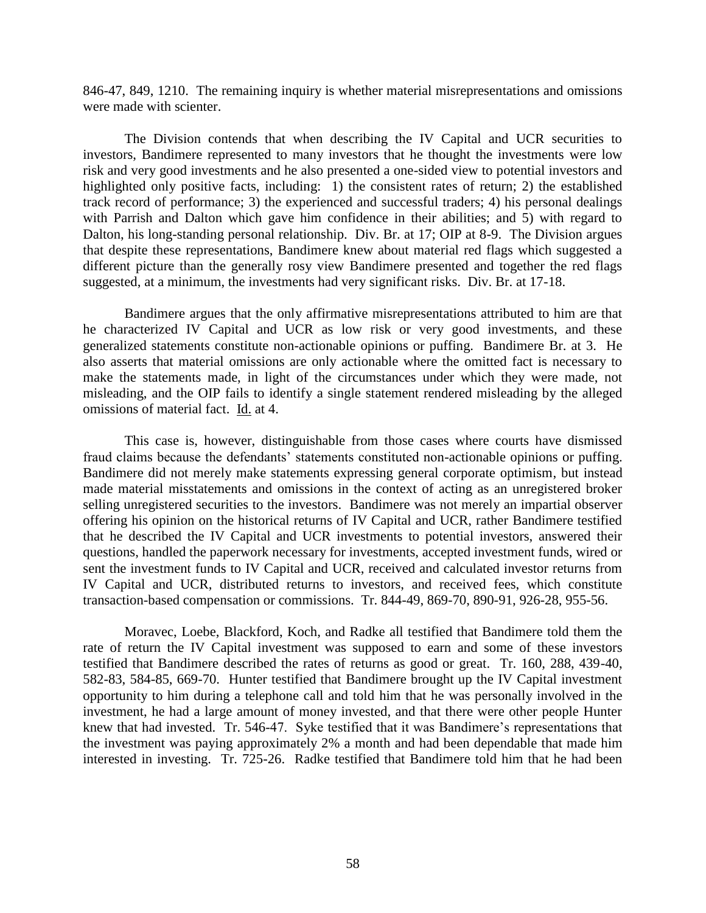846-47, 849, 1210. The remaining inquiry is whether material misrepresentations and omissions were made with scienter.

The Division contends that when describing the IV Capital and UCR securities to investors, Bandimere represented to many investors that he thought the investments were low risk and very good investments and he also presented a one-sided view to potential investors and highlighted only positive facts, including: 1) the consistent rates of return; 2) the established track record of performance; 3) the experienced and successful traders; 4) his personal dealings with Parrish and Dalton which gave him confidence in their abilities; and 5) with regard to Dalton, his long-standing personal relationship. Div. Br. at 17; OIP at 8-9. The Division argues that despite these representations, Bandimere knew about material red flags which suggested a different picture than the generally rosy view Bandimere presented and together the red flags suggested, at a minimum, the investments had very significant risks. Div. Br. at 17-18.

Bandimere argues that the only affirmative misrepresentations attributed to him are that he characterized IV Capital and UCR as low risk or very good investments, and these generalized statements constitute non-actionable opinions or puffing. Bandimere Br. at 3. He also asserts that material omissions are only actionable where the omitted fact is necessary to make the statements made, in light of the circumstances under which they were made, not misleading, and the OIP fails to identify a single statement rendered misleading by the alleged omissions of material fact. Id. at 4.

This case is, however, distinguishable from those cases where courts have dismissed fraud claims because the defendants' statements constituted non-actionable opinions or puffing. Bandimere did not merely make statements expressing general corporate optimism, but instead made material misstatements and omissions in the context of acting as an unregistered broker selling unregistered securities to the investors. Bandimere was not merely an impartial observer offering his opinion on the historical returns of IV Capital and UCR, rather Bandimere testified that he described the IV Capital and UCR investments to potential investors, answered their questions, handled the paperwork necessary for investments, accepted investment funds, wired or sent the investment funds to IV Capital and UCR, received and calculated investor returns from IV Capital and UCR, distributed returns to investors, and received fees, which constitute transaction-based compensation or commissions. Tr. 844-49, 869-70, 890-91, 926-28, 955-56.

Moravec, Loebe, Blackford, Koch, and Radke all testified that Bandimere told them the rate of return the IV Capital investment was supposed to earn and some of these investors testified that Bandimere described the rates of returns as good or great. Tr. 160, 288, 439-40, 582-83, 584-85, 669-70. Hunter testified that Bandimere brought up the IV Capital investment opportunity to him during a telephone call and told him that he was personally involved in the investment, he had a large amount of money invested, and that there were other people Hunter knew that had invested. Tr. 546-47. Syke testified that it was Bandimere's representations that the investment was paying approximately 2% a month and had been dependable that made him interested in investing. Tr. 725-26. Radke testified that Bandimere told him that he had been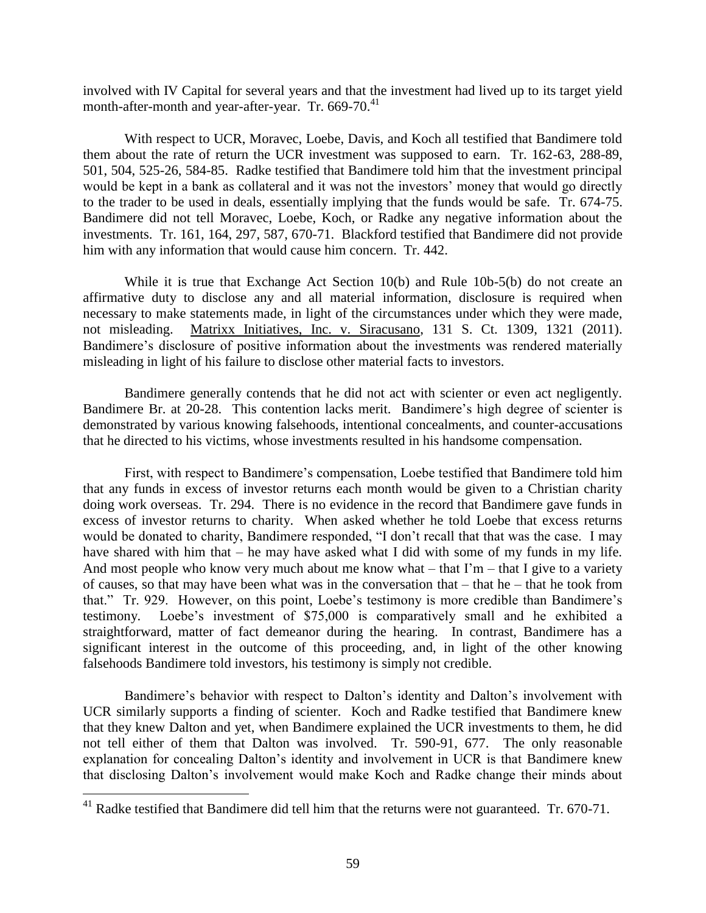involved with IV Capital for several years and that the investment had lived up to its target yield month-after-month and year-after-year. Tr. 669-70.<sup>41</sup>

With respect to UCR, Moravec, Loebe, Davis, and Koch all testified that Bandimere told them about the rate of return the UCR investment was supposed to earn. Tr. 162-63, 288-89, 501, 504, 525-26, 584-85. Radke testified that Bandimere told him that the investment principal would be kept in a bank as collateral and it was not the investors' money that would go directly to the trader to be used in deals, essentially implying that the funds would be safe. Tr. 674-75. Bandimere did not tell Moravec, Loebe, Koch, or Radke any negative information about the investments. Tr. 161, 164, 297, 587, 670-71. Blackford testified that Bandimere did not provide him with any information that would cause him concern. Tr. 442.

While it is true that Exchange Act Section 10(b) and Rule 10b-5(b) do not create an affirmative duty to disclose any and all material information, disclosure is required when necessary to make statements made, in light of the circumstances under which they were made, not misleading. Matrixx Initiatives, Inc. v. Siracusano, 131 S. Ct. 1309, 1321 (2011). Bandimere's disclosure of positive information about the investments was rendered materially misleading in light of his failure to disclose other material facts to investors.

Bandimere generally contends that he did not act with scienter or even act negligently. Bandimere Br. at 20-28. This contention lacks merit. Bandimere's high degree of scienter is demonstrated by various knowing falsehoods, intentional concealments, and counter-accusations that he directed to his victims, whose investments resulted in his handsome compensation.

First, with respect to Bandimere's compensation, Loebe testified that Bandimere told him that any funds in excess of investor returns each month would be given to a Christian charity doing work overseas. Tr. 294. There is no evidence in the record that Bandimere gave funds in excess of investor returns to charity. When asked whether he told Loebe that excess returns would be donated to charity, Bandimere responded, "I don't recall that that was the case. I may have shared with him that – he may have asked what I did with some of my funds in my life. And most people who know very much about me know what – that  $\Gamma m$  – that I give to a variety of causes, so that may have been what was in the conversation that – that he – that he took from that." Tr. 929. However, on this point, Loebe's testimony is more credible than Bandimere's testimony. Loebe's investment of \$75,000 is comparatively small and he exhibited a straightforward, matter of fact demeanor during the hearing. In contrast, Bandimere has a significant interest in the outcome of this proceeding, and, in light of the other knowing falsehoods Bandimere told investors, his testimony is simply not credible.

Bandimere's behavior with respect to Dalton's identity and Dalton's involvement with UCR similarly supports a finding of scienter. Koch and Radke testified that Bandimere knew that they knew Dalton and yet, when Bandimere explained the UCR investments to them, he did not tell either of them that Dalton was involved. Tr. 590-91, 677. The only reasonable explanation for concealing Dalton's identity and involvement in UCR is that Bandimere knew that disclosing Dalton's involvement would make Koch and Radke change their minds about

 $^{41}$  Radke testified that Bandimere did tell him that the returns were not guaranteed. Tr. 670-71.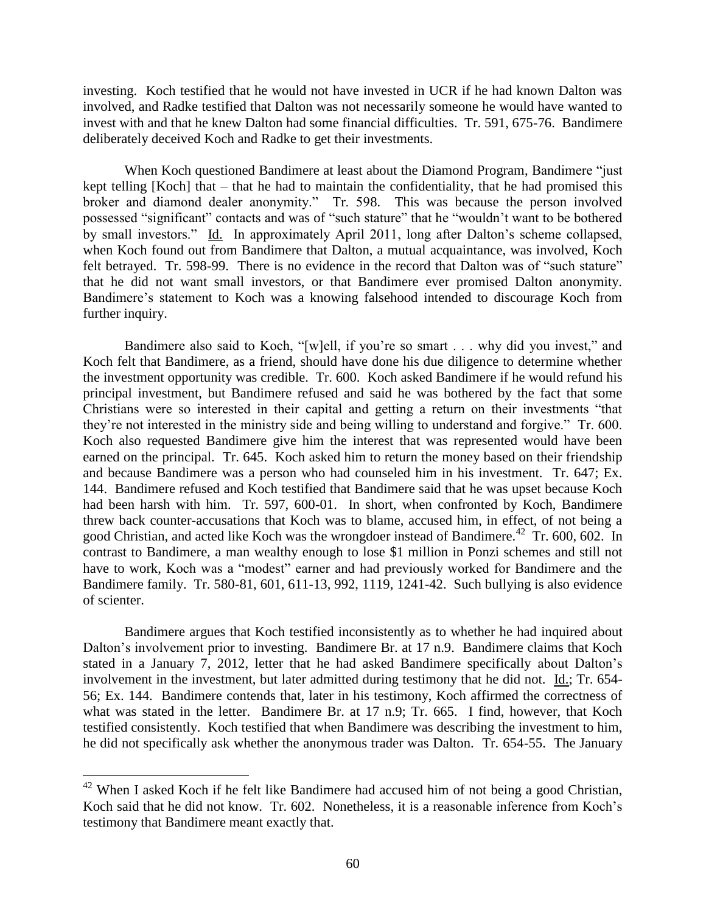investing. Koch testified that he would not have invested in UCR if he had known Dalton was involved, and Radke testified that Dalton was not necessarily someone he would have wanted to invest with and that he knew Dalton had some financial difficulties. Tr. 591, 675-76. Bandimere deliberately deceived Koch and Radke to get their investments.

When Koch questioned Bandimere at least about the Diamond Program, Bandimere "just kept telling [Koch] that – that he had to maintain the confidentiality, that he had promised this broker and diamond dealer anonymity." Tr. 598. This was because the person involved possessed "significant" contacts and was of "such stature" that he "wouldn't want to be bothered by small investors." Id. In approximately April 2011, long after Dalton's scheme collapsed, when Koch found out from Bandimere that Dalton, a mutual acquaintance, was involved, Koch felt betrayed. Tr. 598-99. There is no evidence in the record that Dalton was of "such stature" that he did not want small investors, or that Bandimere ever promised Dalton anonymity. Bandimere's statement to Koch was a knowing falsehood intended to discourage Koch from further inquiry.

Bandimere also said to Koch, "[w]ell, if you're so smart . . . why did you invest," and Koch felt that Bandimere, as a friend, should have done his due diligence to determine whether the investment opportunity was credible. Tr. 600. Koch asked Bandimere if he would refund his principal investment, but Bandimere refused and said he was bothered by the fact that some Christians were so interested in their capital and getting a return on their investments "that they're not interested in the ministry side and being willing to understand and forgive." Tr. 600. Koch also requested Bandimere give him the interest that was represented would have been earned on the principal. Tr. 645. Koch asked him to return the money based on their friendship and because Bandimere was a person who had counseled him in his investment. Tr. 647; Ex. 144. Bandimere refused and Koch testified that Bandimere said that he was upset because Koch had been harsh with him. Tr. 597, 600-01. In short, when confronted by Koch, Bandimere threw back counter-accusations that Koch was to blame, accused him, in effect, of not being a good Christian, and acted like Koch was the wrongdoer instead of Bandimere.<sup>42</sup> Tr. 600, 602. In contrast to Bandimere, a man wealthy enough to lose \$1 million in Ponzi schemes and still not have to work, Koch was a "modest" earner and had previously worked for Bandimere and the Bandimere family. Tr. 580-81, 601, 611-13, 992, 1119, 1241-42. Such bullying is also evidence of scienter.

Bandimere argues that Koch testified inconsistently as to whether he had inquired about Dalton's involvement prior to investing. Bandimere Br. at 17 n.9. Bandimere claims that Koch stated in a January 7, 2012, letter that he had asked Bandimere specifically about Dalton's involvement in the investment, but later admitted during testimony that he did not. Id.; Tr. 654- 56; Ex. 144. Bandimere contends that, later in his testimony, Koch affirmed the correctness of what was stated in the letter. Bandimere Br. at 17 n.9; Tr. 665. I find, however, that Koch testified consistently. Koch testified that when Bandimere was describing the investment to him, he did not specifically ask whether the anonymous trader was Dalton. Tr. 654-55. The January

 $42$  When I asked Koch if he felt like Bandimere had accused him of not being a good Christian, Koch said that he did not know. Tr. 602. Nonetheless, it is a reasonable inference from Koch's testimony that Bandimere meant exactly that.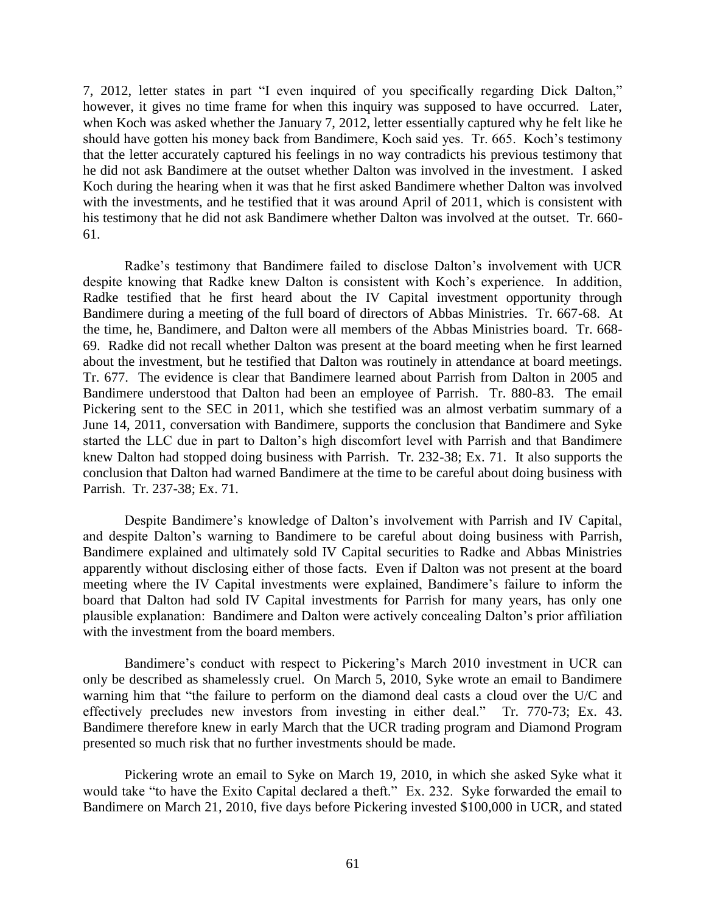7, 2012, letter states in part "I even inquired of you specifically regarding Dick Dalton," however, it gives no time frame for when this inquiry was supposed to have occurred. Later, when Koch was asked whether the January 7, 2012, letter essentially captured why he felt like he should have gotten his money back from Bandimere, Koch said yes. Tr. 665. Koch's testimony that the letter accurately captured his feelings in no way contradicts his previous testimony that he did not ask Bandimere at the outset whether Dalton was involved in the investment. I asked Koch during the hearing when it was that he first asked Bandimere whether Dalton was involved with the investments, and he testified that it was around April of 2011, which is consistent with his testimony that he did not ask Bandimere whether Dalton was involved at the outset. Tr. 660- 61.

Radke's testimony that Bandimere failed to disclose Dalton's involvement with UCR despite knowing that Radke knew Dalton is consistent with Koch's experience. In addition, Radke testified that he first heard about the IV Capital investment opportunity through Bandimere during a meeting of the full board of directors of Abbas Ministries. Tr. 667-68. At the time, he, Bandimere, and Dalton were all members of the Abbas Ministries board. Tr. 668- 69. Radke did not recall whether Dalton was present at the board meeting when he first learned about the investment, but he testified that Dalton was routinely in attendance at board meetings. Tr. 677. The evidence is clear that Bandimere learned about Parrish from Dalton in 2005 and Bandimere understood that Dalton had been an employee of Parrish. Tr. 880-83. The email Pickering sent to the SEC in 2011, which she testified was an almost verbatim summary of a June 14, 2011, conversation with Bandimere, supports the conclusion that Bandimere and Syke started the LLC due in part to Dalton's high discomfort level with Parrish and that Bandimere knew Dalton had stopped doing business with Parrish. Tr. 232-38; Ex. 71. It also supports the conclusion that Dalton had warned Bandimere at the time to be careful about doing business with Parrish. Tr. 237-38; Ex. 71.

Despite Bandimere's knowledge of Dalton's involvement with Parrish and IV Capital, and despite Dalton's warning to Bandimere to be careful about doing business with Parrish, Bandimere explained and ultimately sold IV Capital securities to Radke and Abbas Ministries apparently without disclosing either of those facts. Even if Dalton was not present at the board meeting where the IV Capital investments were explained, Bandimere's failure to inform the board that Dalton had sold IV Capital investments for Parrish for many years, has only one plausible explanation: Bandimere and Dalton were actively concealing Dalton's prior affiliation with the investment from the board members.

Bandimere's conduct with respect to Pickering's March 2010 investment in UCR can only be described as shamelessly cruel. On March 5, 2010, Syke wrote an email to Bandimere warning him that "the failure to perform on the diamond deal casts a cloud over the U/C and effectively precludes new investors from investing in either deal." Tr. 770-73; Ex. 43. Bandimere therefore knew in early March that the UCR trading program and Diamond Program presented so much risk that no further investments should be made.

Pickering wrote an email to Syke on March 19, 2010, in which she asked Syke what it would take "to have the Exito Capital declared a theft." Ex. 232. Syke forwarded the email to Bandimere on March 21, 2010, five days before Pickering invested \$100,000 in UCR, and stated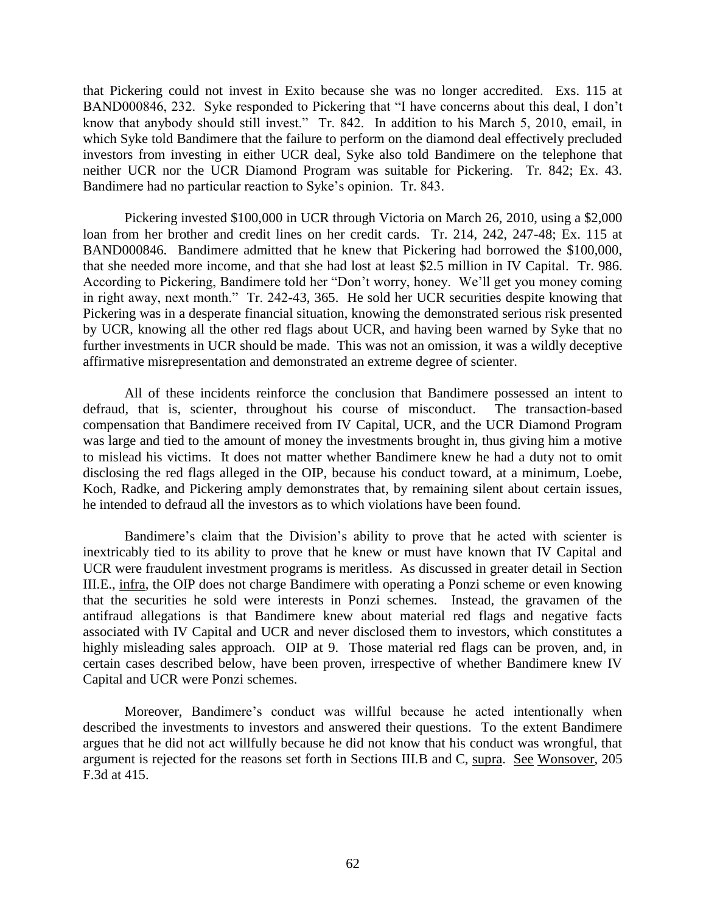that Pickering could not invest in Exito because she was no longer accredited. Exs. 115 at BAND000846, 232. Syke responded to Pickering that "I have concerns about this deal, I don't know that anybody should still invest." Tr. 842. In addition to his March 5, 2010, email, in which Syke told Bandimere that the failure to perform on the diamond deal effectively precluded investors from investing in either UCR deal, Syke also told Bandimere on the telephone that neither UCR nor the UCR Diamond Program was suitable for Pickering. Tr. 842; Ex. 43. Bandimere had no particular reaction to Syke's opinion. Tr. 843.

Pickering invested \$100,000 in UCR through Victoria on March 26, 2010, using a \$2,000 loan from her brother and credit lines on her credit cards. Tr. 214, 242, 247-48; Ex. 115 at BAND000846. Bandimere admitted that he knew that Pickering had borrowed the \$100,000, that she needed more income, and that she had lost at least \$2.5 million in IV Capital. Tr. 986. According to Pickering, Bandimere told her "Don't worry, honey. We'll get you money coming in right away, next month." Tr. 242-43, 365. He sold her UCR securities despite knowing that Pickering was in a desperate financial situation, knowing the demonstrated serious risk presented by UCR, knowing all the other red flags about UCR, and having been warned by Syke that no further investments in UCR should be made. This was not an omission, it was a wildly deceptive affirmative misrepresentation and demonstrated an extreme degree of scienter.

All of these incidents reinforce the conclusion that Bandimere possessed an intent to defraud, that is, scienter, throughout his course of misconduct. The transaction-based compensation that Bandimere received from IV Capital, UCR, and the UCR Diamond Program was large and tied to the amount of money the investments brought in, thus giving him a motive to mislead his victims. It does not matter whether Bandimere knew he had a duty not to omit disclosing the red flags alleged in the OIP, because his conduct toward, at a minimum, Loebe, Koch, Radke, and Pickering amply demonstrates that, by remaining silent about certain issues, he intended to defraud all the investors as to which violations have been found.

Bandimere's claim that the Division's ability to prove that he acted with scienter is inextricably tied to its ability to prove that he knew or must have known that IV Capital and UCR were fraudulent investment programs is meritless. As discussed in greater detail in Section III.E., infra, the OIP does not charge Bandimere with operating a Ponzi scheme or even knowing that the securities he sold were interests in Ponzi schemes. Instead, the gravamen of the antifraud allegations is that Bandimere knew about material red flags and negative facts associated with IV Capital and UCR and never disclosed them to investors, which constitutes a highly misleading sales approach. OIP at 9. Those material red flags can be proven, and, in certain cases described below, have been proven, irrespective of whether Bandimere knew IV Capital and UCR were Ponzi schemes.

Moreover, Bandimere's conduct was willful because he acted intentionally when described the investments to investors and answered their questions. To the extent Bandimere argues that he did not act willfully because he did not know that his conduct was wrongful, that argument is rejected for the reasons set forth in Sections III.B and C, supra. See Wonsover, 205 F.3d at 415.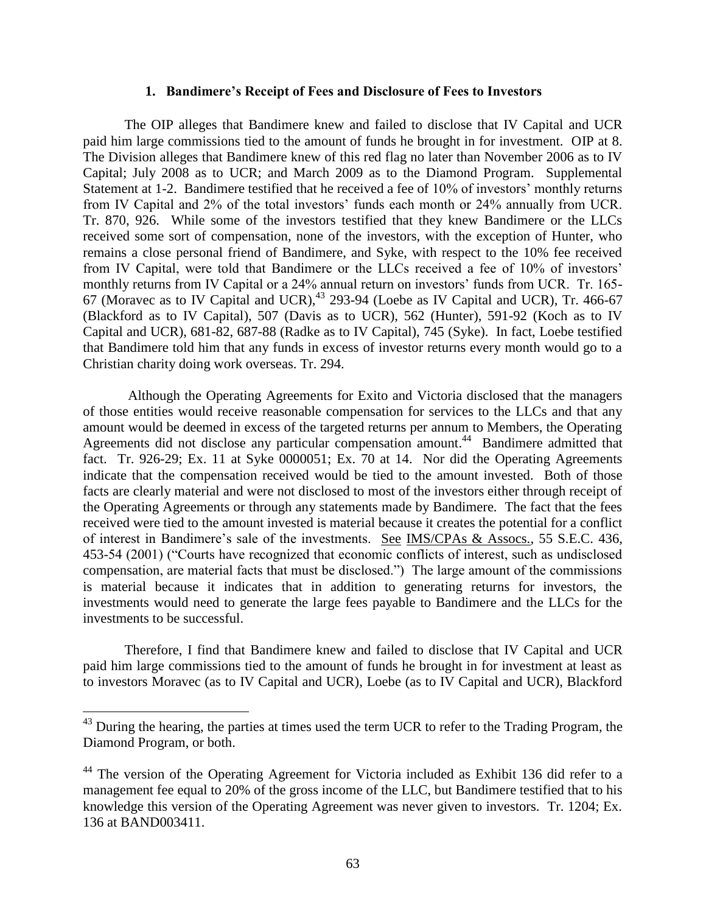#### **1. Bandimere's Receipt of Fees and Disclosure of Fees to Investors**

The OIP alleges that Bandimere knew and failed to disclose that IV Capital and UCR paid him large commissions tied to the amount of funds he brought in for investment. OIP at 8. The Division alleges that Bandimere knew of this red flag no later than November 2006 as to IV Capital; July 2008 as to UCR; and March 2009 as to the Diamond Program. Supplemental Statement at 1-2. Bandimere testified that he received a fee of 10% of investors' monthly returns from IV Capital and 2% of the total investors' funds each month or 24% annually from UCR. Tr. 870, 926. While some of the investors testified that they knew Bandimere or the LLCs received some sort of compensation, none of the investors, with the exception of Hunter, who remains a close personal friend of Bandimere, and Syke, with respect to the 10% fee received from IV Capital, were told that Bandimere or the LLCs received a fee of 10% of investors' monthly returns from IV Capital or a 24% annual return on investors' funds from UCR. Tr. 165- 67 (Moravec as to IV Capital and UCR),  $^{43}$  293-94 (Loebe as IV Capital and UCR), Tr. 466-67 (Blackford as to IV Capital), 507 (Davis as to UCR), 562 (Hunter), 591-92 (Koch as to IV Capital and UCR), 681-82, 687-88 (Radke as to IV Capital), 745 (Syke). In fact, Loebe testified that Bandimere told him that any funds in excess of investor returns every month would go to a Christian charity doing work overseas. Tr. 294.

Although the Operating Agreements for Exito and Victoria disclosed that the managers of those entities would receive reasonable compensation for services to the LLCs and that any amount would be deemed in excess of the targeted returns per annum to Members, the Operating Agreements did not disclose any particular compensation amount. 44 Bandimere admitted that fact. Tr. 926-29; Ex. 11 at Syke 0000051; Ex. 70 at 14. Nor did the Operating Agreements indicate that the compensation received would be tied to the amount invested. Both of those facts are clearly material and were not disclosed to most of the investors either through receipt of the Operating Agreements or through any statements made by Bandimere. The fact that the fees received were tied to the amount invested is material because it creates the potential for a conflict of interest in Bandimere's sale of the investments. See IMS/CPAs & Assocs., 55 S.E.C. 436, 453-54 (2001) ("Courts have recognized that economic conflicts of interest, such as undisclosed compensation, are material facts that must be disclosed.") The large amount of the commissions is material because it indicates that in addition to generating returns for investors, the investments would need to generate the large fees payable to Bandimere and the LLCs for the investments to be successful.

Therefore, I find that Bandimere knew and failed to disclose that IV Capital and UCR paid him large commissions tied to the amount of funds he brought in for investment at least as to investors Moravec (as to IV Capital and UCR), Loebe (as to IV Capital and UCR), Blackford

 $43$  During the hearing, the parties at times used the term UCR to refer to the Trading Program, the Diamond Program, or both.

<sup>&</sup>lt;sup>44</sup> The version of the Operating Agreement for Victoria included as Exhibit 136 did refer to a management fee equal to 20% of the gross income of the LLC, but Bandimere testified that to his knowledge this version of the Operating Agreement was never given to investors. Tr. 1204; Ex. 136 at BAND003411.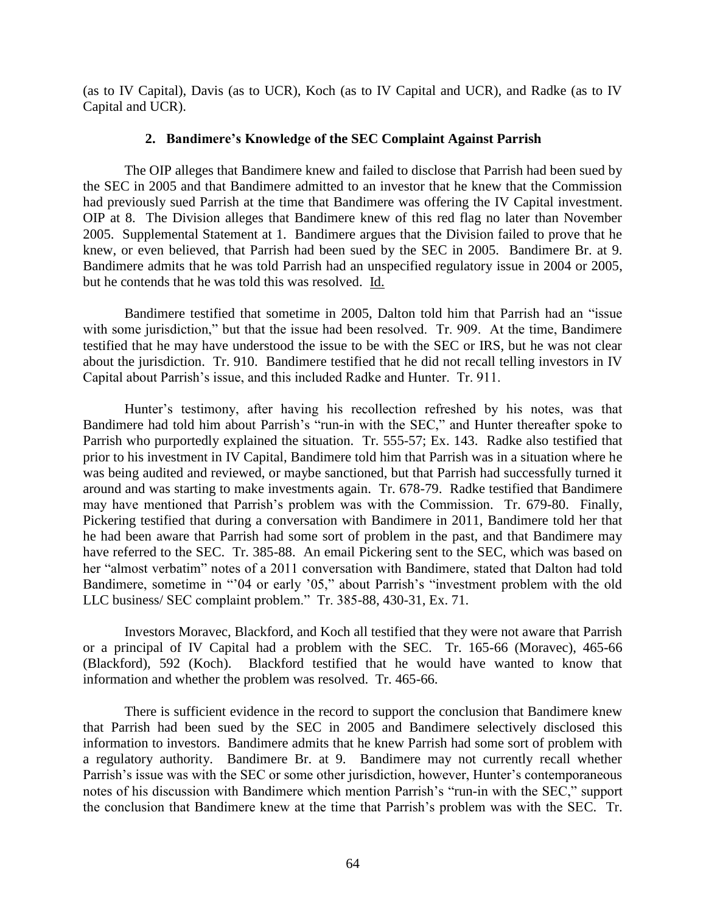(as to IV Capital), Davis (as to UCR), Koch (as to IV Capital and UCR), and Radke (as to IV Capital and UCR).

## **2. Bandimere's Knowledge of the SEC Complaint Against Parrish**

The OIP alleges that Bandimere knew and failed to disclose that Parrish had been sued by the SEC in 2005 and that Bandimere admitted to an investor that he knew that the Commission had previously sued Parrish at the time that Bandimere was offering the IV Capital investment. OIP at 8. The Division alleges that Bandimere knew of this red flag no later than November 2005. Supplemental Statement at 1. Bandimere argues that the Division failed to prove that he knew, or even believed, that Parrish had been sued by the SEC in 2005. Bandimere Br. at 9. Bandimere admits that he was told Parrish had an unspecified regulatory issue in 2004 or 2005, but he contends that he was told this was resolved. Id.

Bandimere testified that sometime in 2005, Dalton told him that Parrish had an "issue with some jurisdiction," but that the issue had been resolved. Tr. 909. At the time, Bandimere testified that he may have understood the issue to be with the SEC or IRS, but he was not clear about the jurisdiction. Tr. 910. Bandimere testified that he did not recall telling investors in IV Capital about Parrish's issue, and this included Radke and Hunter. Tr. 911.

Hunter's testimony, after having his recollection refreshed by his notes, was that Bandimere had told him about Parrish's "run-in with the SEC," and Hunter thereafter spoke to Parrish who purportedly explained the situation. Tr. 555-57; Ex. 143. Radke also testified that prior to his investment in IV Capital, Bandimere told him that Parrish was in a situation where he was being audited and reviewed, or maybe sanctioned, but that Parrish had successfully turned it around and was starting to make investments again. Tr. 678-79. Radke testified that Bandimere may have mentioned that Parrish's problem was with the Commission. Tr. 679-80. Finally, Pickering testified that during a conversation with Bandimere in 2011, Bandimere told her that he had been aware that Parrish had some sort of problem in the past, and that Bandimere may have referred to the SEC. Tr. 385-88. An email Pickering sent to the SEC, which was based on her "almost verbatim" notes of a 2011 conversation with Bandimere, stated that Dalton had told Bandimere, sometime in "'04 or early '05," about Parrish's "investment problem with the old LLC business/ SEC complaint problem." Tr. 385-88, 430-31, Ex. 71.

Investors Moravec, Blackford, and Koch all testified that they were not aware that Parrish or a principal of IV Capital had a problem with the SEC. Tr. 165-66 (Moravec), 465-66 (Blackford), 592 (Koch). Blackford testified that he would have wanted to know that information and whether the problem was resolved. Tr. 465-66.

There is sufficient evidence in the record to support the conclusion that Bandimere knew that Parrish had been sued by the SEC in 2005 and Bandimere selectively disclosed this information to investors. Bandimere admits that he knew Parrish had some sort of problem with a regulatory authority. Bandimere Br. at 9. Bandimere may not currently recall whether Parrish's issue was with the SEC or some other jurisdiction, however, Hunter's contemporaneous notes of his discussion with Bandimere which mention Parrish's "run-in with the SEC," support the conclusion that Bandimere knew at the time that Parrish's problem was with the SEC. Tr.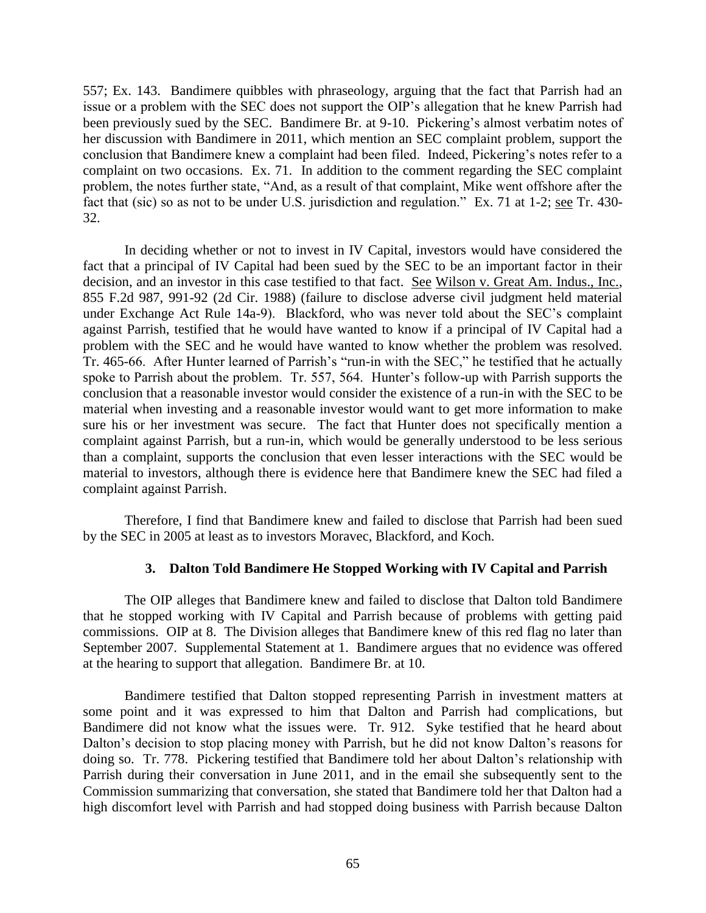557; Ex. 143. Bandimere quibbles with phraseology, arguing that the fact that Parrish had an issue or a problem with the SEC does not support the OIP's allegation that he knew Parrish had been previously sued by the SEC. Bandimere Br. at 9-10. Pickering's almost verbatim notes of her discussion with Bandimere in 2011, which mention an SEC complaint problem, support the conclusion that Bandimere knew a complaint had been filed. Indeed, Pickering's notes refer to a complaint on two occasions. Ex. 71. In addition to the comment regarding the SEC complaint problem, the notes further state, "And, as a result of that complaint, Mike went offshore after the fact that (sic) so as not to be under U.S. jurisdiction and regulation." Ex. 71 at 1-2; see Tr. 430- 32.

In deciding whether or not to invest in IV Capital, investors would have considered the fact that a principal of IV Capital had been sued by the SEC to be an important factor in their decision, and an investor in this case testified to that fact. See Wilson v. Great Am. Indus., Inc., 855 F.2d 987, 991-92 (2d Cir. 1988) (failure to disclose adverse civil judgment held material under Exchange Act Rule 14a-9). Blackford, who was never told about the SEC's complaint against Parrish, testified that he would have wanted to know if a principal of IV Capital had a problem with the SEC and he would have wanted to know whether the problem was resolved. Tr. 465-66. After Hunter learned of Parrish's "run-in with the SEC," he testified that he actually spoke to Parrish about the problem. Tr. 557, 564. Hunter's follow-up with Parrish supports the conclusion that a reasonable investor would consider the existence of a run-in with the SEC to be material when investing and a reasonable investor would want to get more information to make sure his or her investment was secure. The fact that Hunter does not specifically mention a complaint against Parrish, but a run-in, which would be generally understood to be less serious than a complaint, supports the conclusion that even lesser interactions with the SEC would be material to investors, although there is evidence here that Bandimere knew the SEC had filed a complaint against Parrish.

Therefore, I find that Bandimere knew and failed to disclose that Parrish had been sued by the SEC in 2005 at least as to investors Moravec, Blackford, and Koch.

# **3. Dalton Told Bandimere He Stopped Working with IV Capital and Parrish**

The OIP alleges that Bandimere knew and failed to disclose that Dalton told Bandimere that he stopped working with IV Capital and Parrish because of problems with getting paid commissions. OIP at 8. The Division alleges that Bandimere knew of this red flag no later than September 2007. Supplemental Statement at 1. Bandimere argues that no evidence was offered at the hearing to support that allegation. Bandimere Br. at 10.

Bandimere testified that Dalton stopped representing Parrish in investment matters at some point and it was expressed to him that Dalton and Parrish had complications, but Bandimere did not know what the issues were. Tr. 912. Syke testified that he heard about Dalton's decision to stop placing money with Parrish, but he did not know Dalton's reasons for doing so. Tr. 778. Pickering testified that Bandimere told her about Dalton's relationship with Parrish during their conversation in June 2011, and in the email she subsequently sent to the Commission summarizing that conversation, she stated that Bandimere told her that Dalton had a high discomfort level with Parrish and had stopped doing business with Parrish because Dalton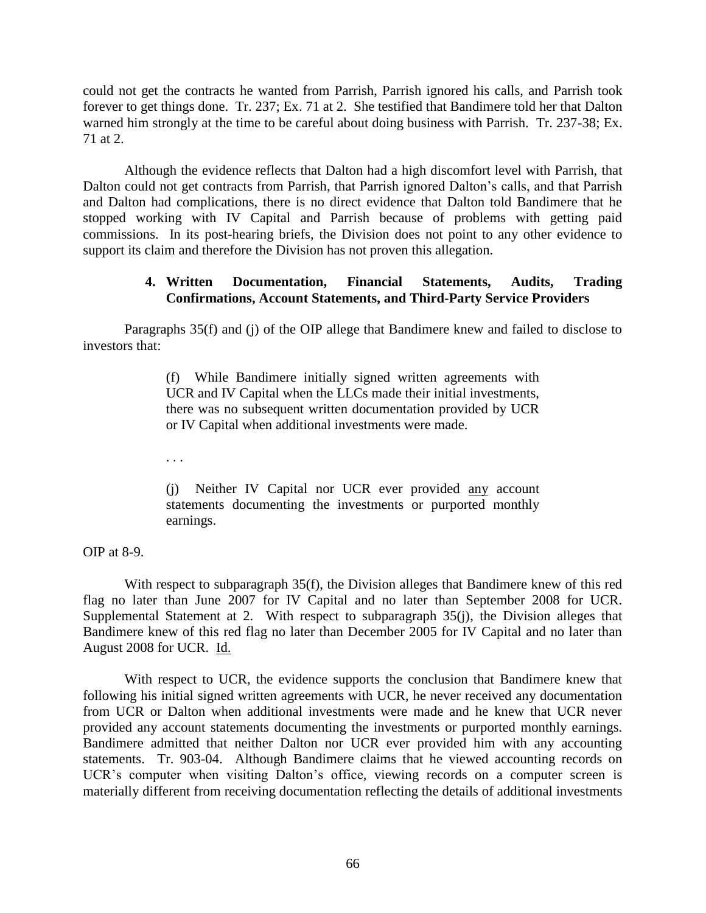could not get the contracts he wanted from Parrish, Parrish ignored his calls, and Parrish took forever to get things done. Tr. 237; Ex. 71 at 2. She testified that Bandimere told her that Dalton warned him strongly at the time to be careful about doing business with Parrish. Tr. 237-38; Ex. 71 at 2.

Although the evidence reflects that Dalton had a high discomfort level with Parrish, that Dalton could not get contracts from Parrish, that Parrish ignored Dalton's calls, and that Parrish and Dalton had complications, there is no direct evidence that Dalton told Bandimere that he stopped working with IV Capital and Parrish because of problems with getting paid commissions. In its post-hearing briefs, the Division does not point to any other evidence to support its claim and therefore the Division has not proven this allegation.

## **4. Written Documentation, Financial Statements, Audits, Trading Confirmations, Account Statements, and Third-Party Service Providers**

Paragraphs 35(f) and (j) of the OIP allege that Bandimere knew and failed to disclose to investors that:

> (f) While Bandimere initially signed written agreements with UCR and IV Capital when the LLCs made their initial investments, there was no subsequent written documentation provided by UCR or IV Capital when additional investments were made.

. . .

(j) Neither IV Capital nor UCR ever provided any account statements documenting the investments or purported monthly earnings.

OIP at 8-9.

With respect to subparagraph 35(f), the Division alleges that Bandimere knew of this red flag no later than June 2007 for IV Capital and no later than September 2008 for UCR. Supplemental Statement at 2. With respect to subparagraph 35(j), the Division alleges that Bandimere knew of this red flag no later than December 2005 for IV Capital and no later than August 2008 for UCR. Id.

With respect to UCR, the evidence supports the conclusion that Bandimere knew that following his initial signed written agreements with UCR, he never received any documentation from UCR or Dalton when additional investments were made and he knew that UCR never provided any account statements documenting the investments or purported monthly earnings. Bandimere admitted that neither Dalton nor UCR ever provided him with any accounting statements. Tr. 903-04. Although Bandimere claims that he viewed accounting records on UCR's computer when visiting Dalton's office, viewing records on a computer screen is materially different from receiving documentation reflecting the details of additional investments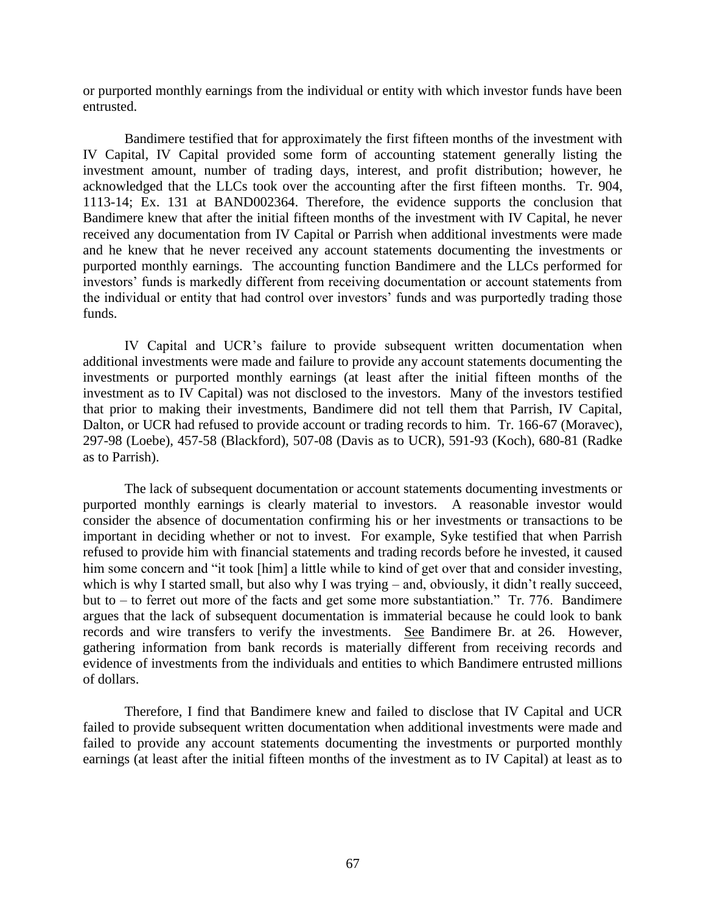or purported monthly earnings from the individual or entity with which investor funds have been entrusted.

Bandimere testified that for approximately the first fifteen months of the investment with IV Capital, IV Capital provided some form of accounting statement generally listing the investment amount, number of trading days, interest, and profit distribution; however, he acknowledged that the LLCs took over the accounting after the first fifteen months. Tr. 904, 1113-14; Ex. 131 at BAND002364. Therefore, the evidence supports the conclusion that Bandimere knew that after the initial fifteen months of the investment with IV Capital, he never received any documentation from IV Capital or Parrish when additional investments were made and he knew that he never received any account statements documenting the investments or purported monthly earnings. The accounting function Bandimere and the LLCs performed for investors' funds is markedly different from receiving documentation or account statements from the individual or entity that had control over investors' funds and was purportedly trading those funds.

IV Capital and UCR's failure to provide subsequent written documentation when additional investments were made and failure to provide any account statements documenting the investments or purported monthly earnings (at least after the initial fifteen months of the investment as to IV Capital) was not disclosed to the investors. Many of the investors testified that prior to making their investments, Bandimere did not tell them that Parrish, IV Capital, Dalton, or UCR had refused to provide account or trading records to him. Tr. 166-67 (Moravec), 297-98 (Loebe), 457-58 (Blackford), 507-08 (Davis as to UCR), 591-93 (Koch), 680-81 (Radke as to Parrish).

The lack of subsequent documentation or account statements documenting investments or purported monthly earnings is clearly material to investors. A reasonable investor would consider the absence of documentation confirming his or her investments or transactions to be important in deciding whether or not to invest. For example, Syke testified that when Parrish refused to provide him with financial statements and trading records before he invested, it caused him some concern and "it took [him] a little while to kind of get over that and consider investing, which is why I started small, but also why I was trying – and, obviously, it didn't really succeed, but to – to ferret out more of the facts and get some more substantiation." Tr. 776. Bandimere argues that the lack of subsequent documentation is immaterial because he could look to bank records and wire transfers to verify the investments. See Bandimere Br. at 26. However, gathering information from bank records is materially different from receiving records and evidence of investments from the individuals and entities to which Bandimere entrusted millions of dollars.

Therefore, I find that Bandimere knew and failed to disclose that IV Capital and UCR failed to provide subsequent written documentation when additional investments were made and failed to provide any account statements documenting the investments or purported monthly earnings (at least after the initial fifteen months of the investment as to IV Capital) at least as to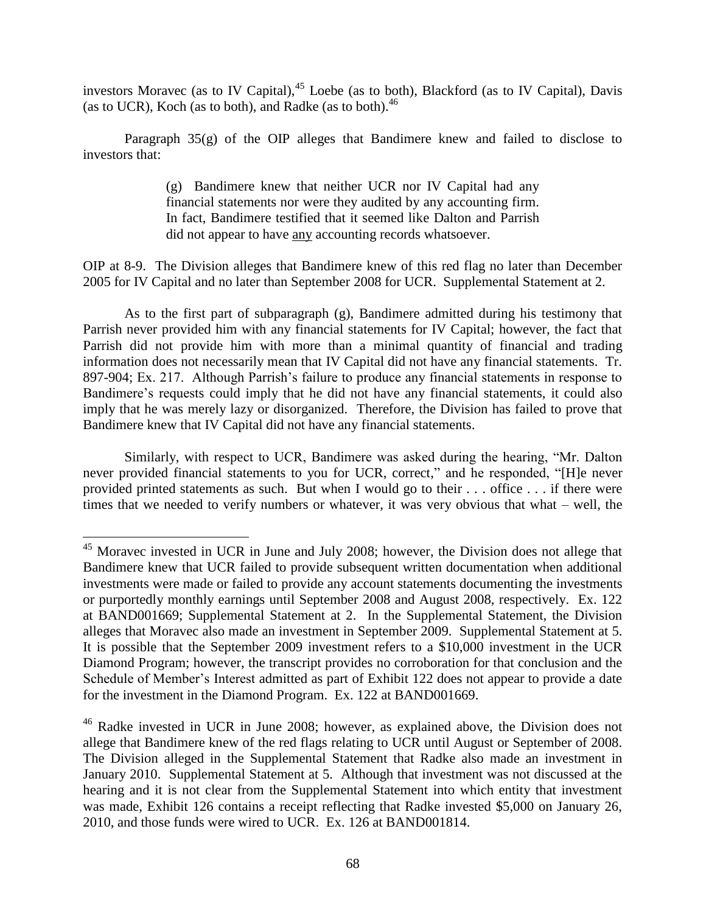investors Moravec (as to IV Capital),<sup>45</sup> Loebe (as to both), Blackford (as to IV Capital), Davis (as to UCR), Koch (as to both), and Radke (as to both). 46

Paragraph 35(g) of the OIP alleges that Bandimere knew and failed to disclose to investors that:

> (g) Bandimere knew that neither UCR nor IV Capital had any financial statements nor were they audited by any accounting firm. In fact, Bandimere testified that it seemed like Dalton and Parrish did not appear to have any accounting records whatsoever.

OIP at 8-9. The Division alleges that Bandimere knew of this red flag no later than December 2005 for IV Capital and no later than September 2008 for UCR. Supplemental Statement at 2.

As to the first part of subparagraph (g), Bandimere admitted during his testimony that Parrish never provided him with any financial statements for IV Capital; however, the fact that Parrish did not provide him with more than a minimal quantity of financial and trading information does not necessarily mean that IV Capital did not have any financial statements. Tr. 897-904; Ex. 217. Although Parrish's failure to produce any financial statements in response to Bandimere's requests could imply that he did not have any financial statements, it could also imply that he was merely lazy or disorganized. Therefore, the Division has failed to prove that Bandimere knew that IV Capital did not have any financial statements.

Similarly, with respect to UCR, Bandimere was asked during the hearing, "Mr. Dalton never provided financial statements to you for UCR, correct," and he responded, "[H]e never provided printed statements as such. But when I would go to their . . . office . . . if there were times that we needed to verify numbers or whatever, it was very obvious that what – well, the

<sup>&</sup>lt;sup>45</sup> Moravec invested in UCR in June and July 2008; however, the Division does not allege that Bandimere knew that UCR failed to provide subsequent written documentation when additional investments were made or failed to provide any account statements documenting the investments or purportedly monthly earnings until September 2008 and August 2008, respectively. Ex. 122 at BAND001669; Supplemental Statement at 2. In the Supplemental Statement, the Division alleges that Moravec also made an investment in September 2009. Supplemental Statement at 5. It is possible that the September 2009 investment refers to a \$10,000 investment in the UCR Diamond Program; however, the transcript provides no corroboration for that conclusion and the Schedule of Member's Interest admitted as part of Exhibit 122 does not appear to provide a date for the investment in the Diamond Program. Ex. 122 at BAND001669.

<sup>46</sup> Radke invested in UCR in June 2008; however, as explained above, the Division does not allege that Bandimere knew of the red flags relating to UCR until August or September of 2008. The Division alleged in the Supplemental Statement that Radke also made an investment in January 2010. Supplemental Statement at 5. Although that investment was not discussed at the hearing and it is not clear from the Supplemental Statement into which entity that investment was made, Exhibit 126 contains a receipt reflecting that Radke invested \$5,000 on January 26, 2010, and those funds were wired to UCR. Ex. 126 at BAND001814.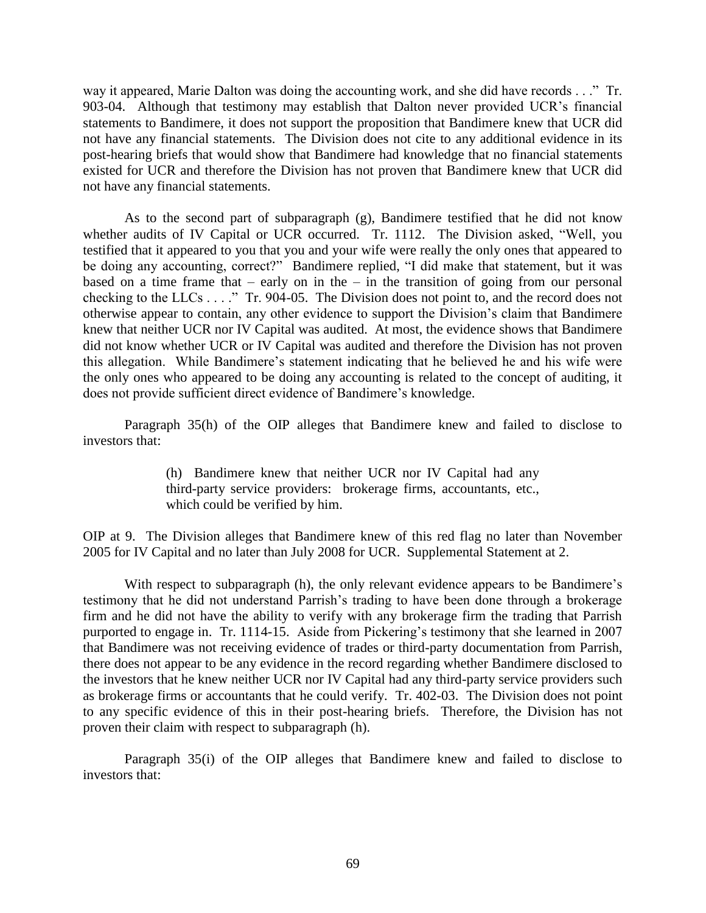way it appeared, Marie Dalton was doing the accounting work, and she did have records . . ." Tr. 903-04. Although that testimony may establish that Dalton never provided UCR's financial statements to Bandimere, it does not support the proposition that Bandimere knew that UCR did not have any financial statements. The Division does not cite to any additional evidence in its post-hearing briefs that would show that Bandimere had knowledge that no financial statements existed for UCR and therefore the Division has not proven that Bandimere knew that UCR did not have any financial statements.

As to the second part of subparagraph (g), Bandimere testified that he did not know whether audits of IV Capital or UCR occurred. Tr. 1112. The Division asked, "Well, you testified that it appeared to you that you and your wife were really the only ones that appeared to be doing any accounting, correct?" Bandimere replied, "I did make that statement, but it was based on a time frame that – early on in the – in the transition of going from our personal checking to the LLCs . . . ." Tr. 904-05. The Division does not point to, and the record does not otherwise appear to contain, any other evidence to support the Division's claim that Bandimere knew that neither UCR nor IV Capital was audited. At most, the evidence shows that Bandimere did not know whether UCR or IV Capital was audited and therefore the Division has not proven this allegation. While Bandimere's statement indicating that he believed he and his wife were the only ones who appeared to be doing any accounting is related to the concept of auditing, it does not provide sufficient direct evidence of Bandimere's knowledge.

Paragraph 35(h) of the OIP alleges that Bandimere knew and failed to disclose to investors that:

> (h) Bandimere knew that neither UCR nor IV Capital had any third-party service providers: brokerage firms, accountants, etc., which could be verified by him.

OIP at 9. The Division alleges that Bandimere knew of this red flag no later than November 2005 for IV Capital and no later than July 2008 for UCR. Supplemental Statement at 2.

With respect to subparagraph (h), the only relevant evidence appears to be Bandimere's testimony that he did not understand Parrish's trading to have been done through a brokerage firm and he did not have the ability to verify with any brokerage firm the trading that Parrish purported to engage in. Tr. 1114-15. Aside from Pickering's testimony that she learned in 2007 that Bandimere was not receiving evidence of trades or third-party documentation from Parrish, there does not appear to be any evidence in the record regarding whether Bandimere disclosed to the investors that he knew neither UCR nor IV Capital had any third-party service providers such as brokerage firms or accountants that he could verify. Tr. 402-03. The Division does not point to any specific evidence of this in their post-hearing briefs. Therefore, the Division has not proven their claim with respect to subparagraph (h).

Paragraph 35(i) of the OIP alleges that Bandimere knew and failed to disclose to investors that: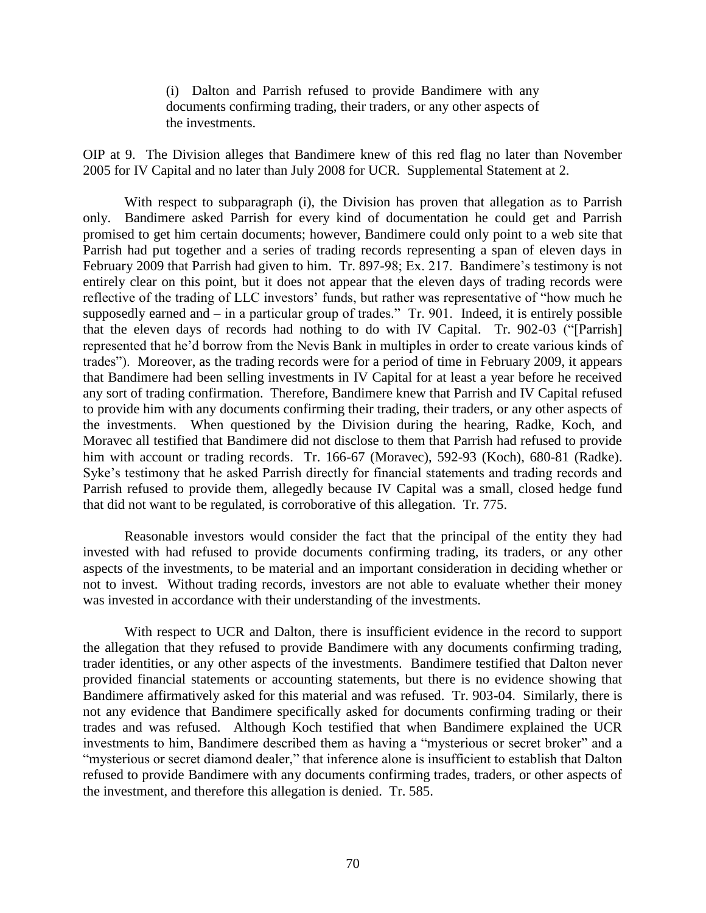(i) Dalton and Parrish refused to provide Bandimere with any documents confirming trading, their traders, or any other aspects of the investments.

OIP at 9. The Division alleges that Bandimere knew of this red flag no later than November 2005 for IV Capital and no later than July 2008 for UCR. Supplemental Statement at 2.

With respect to subparagraph (i), the Division has proven that allegation as to Parrish only. Bandimere asked Parrish for every kind of documentation he could get and Parrish promised to get him certain documents; however, Bandimere could only point to a web site that Parrish had put together and a series of trading records representing a span of eleven days in February 2009 that Parrish had given to him. Tr. 897-98; Ex. 217. Bandimere's testimony is not entirely clear on this point, but it does not appear that the eleven days of trading records were reflective of the trading of LLC investors' funds, but rather was representative of "how much he supposedly earned and  $-$  in a particular group of trades." Tr. 901. Indeed, it is entirely possible that the eleven days of records had nothing to do with IV Capital. Tr. 902-03 ("[Parrish] represented that he'd borrow from the Nevis Bank in multiples in order to create various kinds of trades"). Moreover, as the trading records were for a period of time in February 2009, it appears that Bandimere had been selling investments in IV Capital for at least a year before he received any sort of trading confirmation. Therefore, Bandimere knew that Parrish and IV Capital refused to provide him with any documents confirming their trading, their traders, or any other aspects of the investments. When questioned by the Division during the hearing, Radke, Koch, and Moravec all testified that Bandimere did not disclose to them that Parrish had refused to provide him with account or trading records. Tr. 166-67 (Moravec), 592-93 (Koch), 680-81 (Radke). Syke's testimony that he asked Parrish directly for financial statements and trading records and Parrish refused to provide them, allegedly because IV Capital was a small, closed hedge fund that did not want to be regulated, is corroborative of this allegation. Tr. 775.

Reasonable investors would consider the fact that the principal of the entity they had invested with had refused to provide documents confirming trading, its traders, or any other aspects of the investments, to be material and an important consideration in deciding whether or not to invest. Without trading records, investors are not able to evaluate whether their money was invested in accordance with their understanding of the investments.

With respect to UCR and Dalton, there is insufficient evidence in the record to support the allegation that they refused to provide Bandimere with any documents confirming trading, trader identities, or any other aspects of the investments. Bandimere testified that Dalton never provided financial statements or accounting statements, but there is no evidence showing that Bandimere affirmatively asked for this material and was refused. Tr. 903-04. Similarly, there is not any evidence that Bandimere specifically asked for documents confirming trading or their trades and was refused. Although Koch testified that when Bandimere explained the UCR investments to him, Bandimere described them as having a "mysterious or secret broker" and a "mysterious or secret diamond dealer," that inference alone is insufficient to establish that Dalton refused to provide Bandimere with any documents confirming trades, traders, or other aspects of the investment, and therefore this allegation is denied. Tr. 585.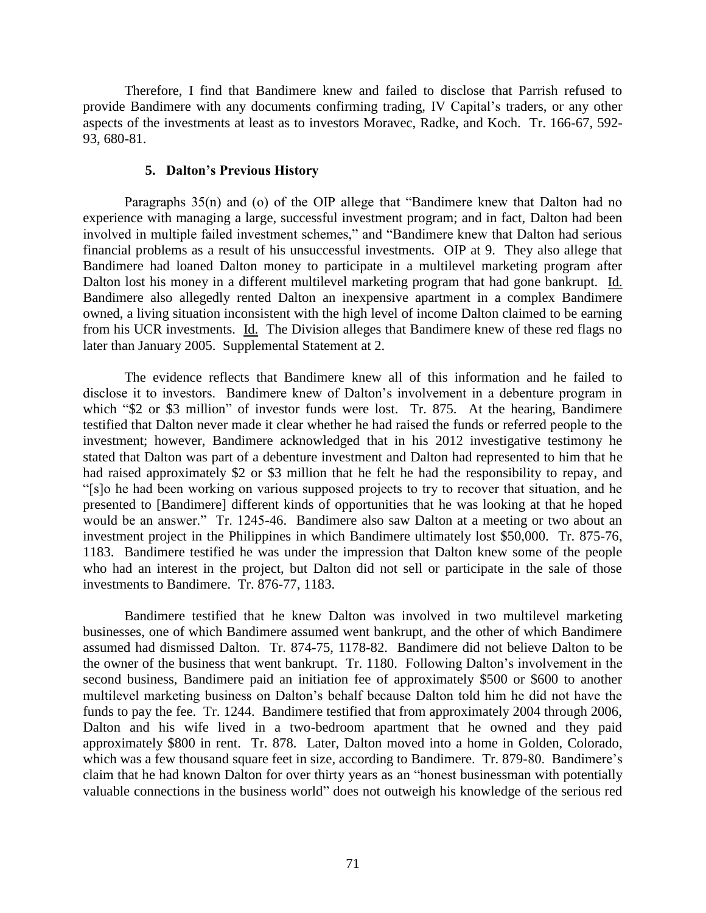Therefore, I find that Bandimere knew and failed to disclose that Parrish refused to provide Bandimere with any documents confirming trading, IV Capital's traders, or any other aspects of the investments at least as to investors Moravec, Radke, and Koch. Tr. 166-67, 592- 93, 680-81.

#### **5. Dalton's Previous History**

Paragraphs 35(n) and (o) of the OIP allege that "Bandimere knew that Dalton had no experience with managing a large, successful investment program; and in fact, Dalton had been involved in multiple failed investment schemes," and "Bandimere knew that Dalton had serious financial problems as a result of his unsuccessful investments. OIP at 9. They also allege that Bandimere had loaned Dalton money to participate in a multilevel marketing program after Dalton lost his money in a different multilevel marketing program that had gone bankrupt. Id. Bandimere also allegedly rented Dalton an inexpensive apartment in a complex Bandimere owned, a living situation inconsistent with the high level of income Dalton claimed to be earning from his UCR investments. Id. The Division alleges that Bandimere knew of these red flags no later than January 2005. Supplemental Statement at 2.

The evidence reflects that Bandimere knew all of this information and he failed to disclose it to investors. Bandimere knew of Dalton's involvement in a debenture program in which "\$2 or \$3 million" of investor funds were lost. Tr. 875. At the hearing, Bandimere testified that Dalton never made it clear whether he had raised the funds or referred people to the investment; however, Bandimere acknowledged that in his 2012 investigative testimony he stated that Dalton was part of a debenture investment and Dalton had represented to him that he had raised approximately \$2 or \$3 million that he felt he had the responsibility to repay, and "[s]o he had been working on various supposed projects to try to recover that situation, and he presented to [Bandimere] different kinds of opportunities that he was looking at that he hoped would be an answer." Tr. 1245-46. Bandimere also saw Dalton at a meeting or two about an investment project in the Philippines in which Bandimere ultimately lost \$50,000. Tr. 875-76, 1183. Bandimere testified he was under the impression that Dalton knew some of the people who had an interest in the project, but Dalton did not sell or participate in the sale of those investments to Bandimere. Tr. 876-77, 1183.

Bandimere testified that he knew Dalton was involved in two multilevel marketing businesses, one of which Bandimere assumed went bankrupt, and the other of which Bandimere assumed had dismissed Dalton. Tr. 874-75, 1178-82. Bandimere did not believe Dalton to be the owner of the business that went bankrupt. Tr. 1180. Following Dalton's involvement in the second business, Bandimere paid an initiation fee of approximately \$500 or \$600 to another multilevel marketing business on Dalton's behalf because Dalton told him he did not have the funds to pay the fee. Tr. 1244. Bandimere testified that from approximately 2004 through 2006, Dalton and his wife lived in a two-bedroom apartment that he owned and they paid approximately \$800 in rent. Tr. 878. Later, Dalton moved into a home in Golden, Colorado, which was a few thousand square feet in size, according to Bandimere. Tr. 879-80. Bandimere's claim that he had known Dalton for over thirty years as an "honest businessman with potentially valuable connections in the business world" does not outweigh his knowledge of the serious red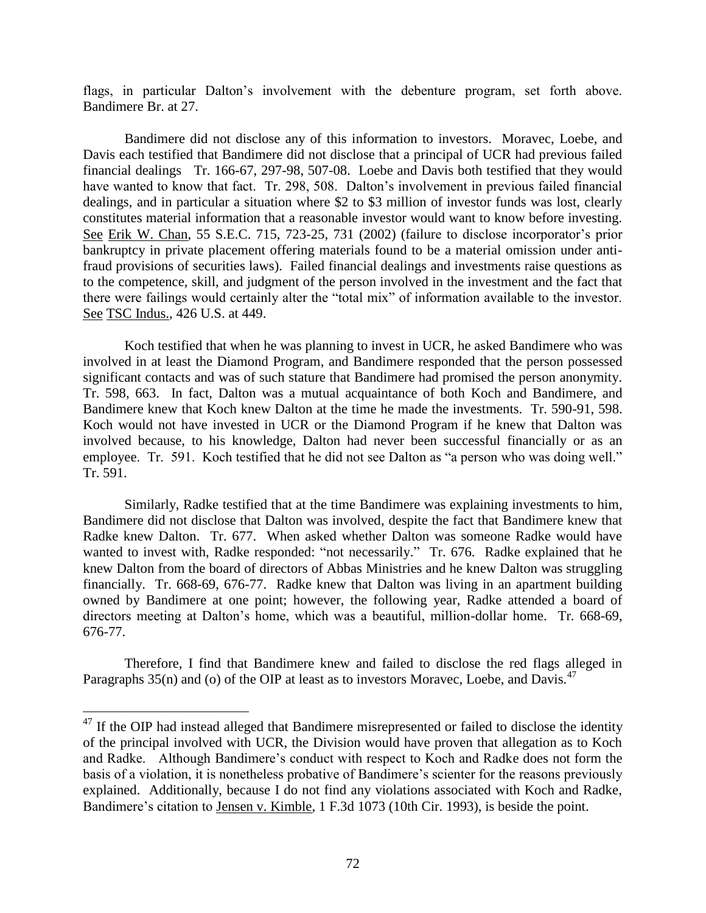flags, in particular Dalton's involvement with the debenture program, set forth above. Bandimere Br. at 27.

Bandimere did not disclose any of this information to investors. Moravec, Loebe, and Davis each testified that Bandimere did not disclose that a principal of UCR had previous failed financial dealings Tr. 166-67, 297-98, 507-08. Loebe and Davis both testified that they would have wanted to know that fact. Tr. 298, 508. Dalton's involvement in previous failed financial dealings, and in particular a situation where \$2 to \$3 million of investor funds was lost, clearly constitutes material information that a reasonable investor would want to know before investing. See Erik W. Chan, 55 S.E.C. 715, 723-25, 731 (2002) (failure to disclose incorporator's prior bankruptcy in private placement offering materials found to be a material omission under antifraud provisions of securities laws). Failed financial dealings and investments raise questions as to the competence, skill, and judgment of the person involved in the investment and the fact that there were failings would certainly alter the "total mix" of information available to the investor. See TSC Indus., 426 U.S. at 449.

Koch testified that when he was planning to invest in UCR, he asked Bandimere who was involved in at least the Diamond Program, and Bandimere responded that the person possessed significant contacts and was of such stature that Bandimere had promised the person anonymity. Tr. 598, 663. In fact, Dalton was a mutual acquaintance of both Koch and Bandimere, and Bandimere knew that Koch knew Dalton at the time he made the investments. Tr. 590-91, 598. Koch would not have invested in UCR or the Diamond Program if he knew that Dalton was involved because, to his knowledge, Dalton had never been successful financially or as an employee. Tr. 591. Koch testified that he did not see Dalton as "a person who was doing well." Tr. 591.

Similarly, Radke testified that at the time Bandimere was explaining investments to him, Bandimere did not disclose that Dalton was involved, despite the fact that Bandimere knew that Radke knew Dalton. Tr. 677. When asked whether Dalton was someone Radke would have wanted to invest with, Radke responded: "not necessarily." Tr. 676. Radke explained that he knew Dalton from the board of directors of Abbas Ministries and he knew Dalton was struggling financially. Tr. 668-69, 676-77. Radke knew that Dalton was living in an apartment building owned by Bandimere at one point; however, the following year, Radke attended a board of directors meeting at Dalton's home, which was a beautiful, million-dollar home. Tr. 668-69, 676-77.

Therefore, I find that Bandimere knew and failed to disclose the red flags alleged in Paragraphs 35(n) and (o) of the OIP at least as to investors Moravec, Loebe, and Davis.<sup>47</sup>

 $47$  If the OIP had instead alleged that Bandimere misrepresented or failed to disclose the identity of the principal involved with UCR, the Division would have proven that allegation as to Koch and Radke. Although Bandimere's conduct with respect to Koch and Radke does not form the basis of a violation, it is nonetheless probative of Bandimere's scienter for the reasons previously explained. Additionally, because I do not find any violations associated with Koch and Radke, Bandimere's citation to Jensen v. Kimble, 1 F.3d 1073 (10th Cir. 1993), is beside the point.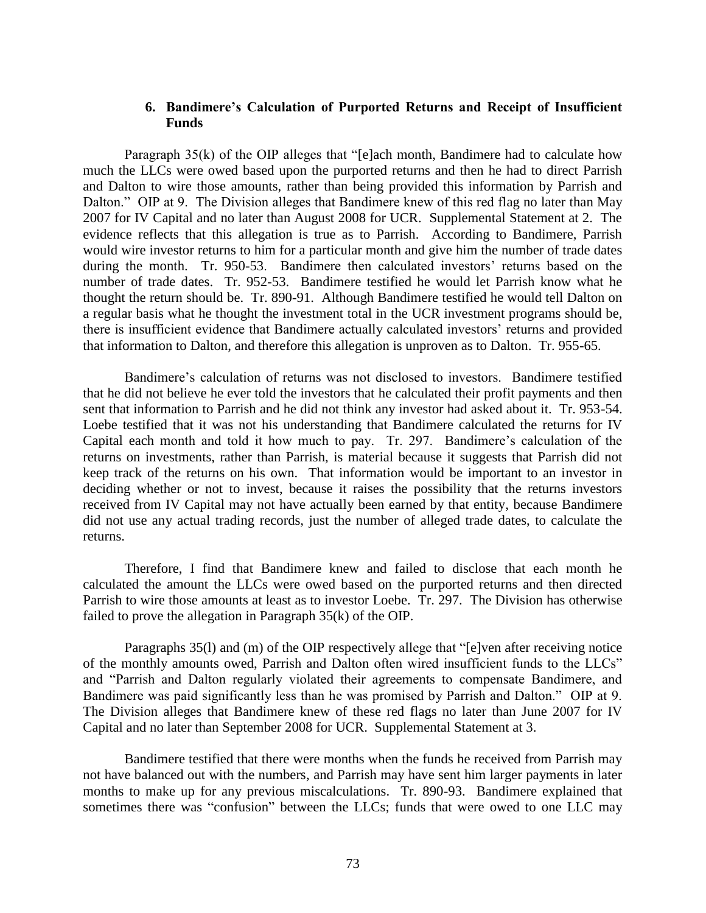# **6. Bandimere's Calculation of Purported Returns and Receipt of Insufficient Funds**

Paragraph 35(k) of the OIP alleges that "[e]ach month, Bandimere had to calculate how much the LLCs were owed based upon the purported returns and then he had to direct Parrish and Dalton to wire those amounts, rather than being provided this information by Parrish and Dalton." OIP at 9. The Division alleges that Bandimere knew of this red flag no later than May 2007 for IV Capital and no later than August 2008 for UCR. Supplemental Statement at 2. The evidence reflects that this allegation is true as to Parrish. According to Bandimere, Parrish would wire investor returns to him for a particular month and give him the number of trade dates during the month. Tr. 950-53. Bandimere then calculated investors' returns based on the number of trade dates. Tr. 952-53. Bandimere testified he would let Parrish know what he thought the return should be. Tr. 890-91. Although Bandimere testified he would tell Dalton on a regular basis what he thought the investment total in the UCR investment programs should be, there is insufficient evidence that Bandimere actually calculated investors' returns and provided that information to Dalton, and therefore this allegation is unproven as to Dalton. Tr. 955-65.

Bandimere's calculation of returns was not disclosed to investors. Bandimere testified that he did not believe he ever told the investors that he calculated their profit payments and then sent that information to Parrish and he did not think any investor had asked about it. Tr. 953-54. Loebe testified that it was not his understanding that Bandimere calculated the returns for IV Capital each month and told it how much to pay. Tr. 297. Bandimere's calculation of the returns on investments, rather than Parrish, is material because it suggests that Parrish did not keep track of the returns on his own. That information would be important to an investor in deciding whether or not to invest, because it raises the possibility that the returns investors received from IV Capital may not have actually been earned by that entity, because Bandimere did not use any actual trading records, just the number of alleged trade dates, to calculate the returns.

Therefore, I find that Bandimere knew and failed to disclose that each month he calculated the amount the LLCs were owed based on the purported returns and then directed Parrish to wire those amounts at least as to investor Loebe. Tr. 297. The Division has otherwise failed to prove the allegation in Paragraph 35(k) of the OIP.

Paragraphs 35(l) and (m) of the OIP respectively allege that "[e]ven after receiving notice of the monthly amounts owed, Parrish and Dalton often wired insufficient funds to the LLCs" and "Parrish and Dalton regularly violated their agreements to compensate Bandimere, and Bandimere was paid significantly less than he was promised by Parrish and Dalton." OIP at 9. The Division alleges that Bandimere knew of these red flags no later than June 2007 for IV Capital and no later than September 2008 for UCR. Supplemental Statement at 3.

Bandimere testified that there were months when the funds he received from Parrish may not have balanced out with the numbers, and Parrish may have sent him larger payments in later months to make up for any previous miscalculations. Tr. 890-93. Bandimere explained that sometimes there was "confusion" between the LLCs; funds that were owed to one LLC may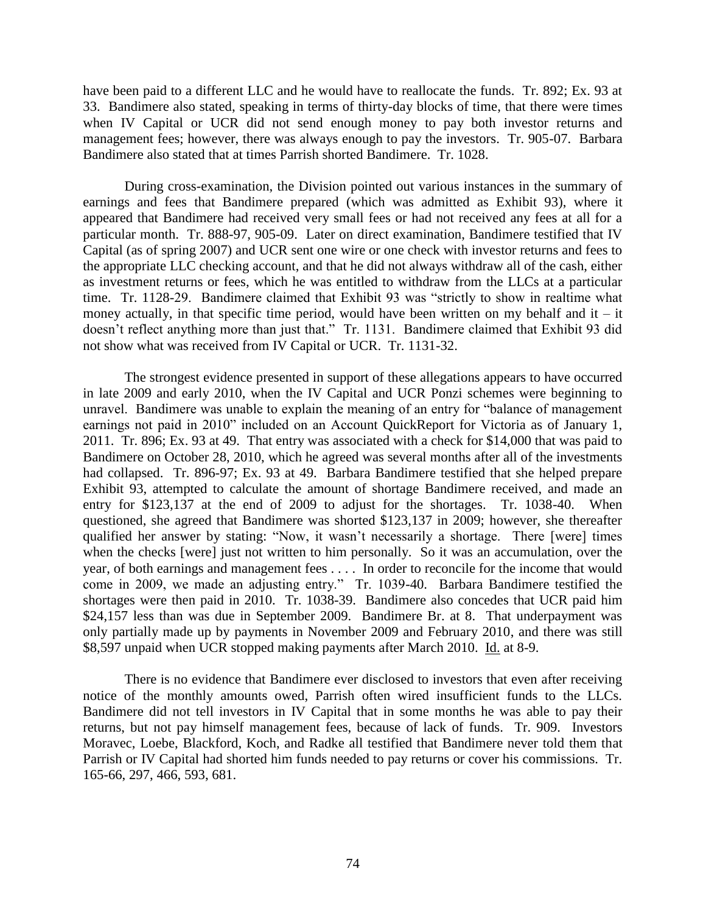have been paid to a different LLC and he would have to reallocate the funds. Tr. 892; Ex. 93 at 33. Bandimere also stated, speaking in terms of thirty-day blocks of time, that there were times when IV Capital or UCR did not send enough money to pay both investor returns and management fees; however, there was always enough to pay the investors. Tr. 905-07. Barbara Bandimere also stated that at times Parrish shorted Bandimere. Tr. 1028.

During cross-examination, the Division pointed out various instances in the summary of earnings and fees that Bandimere prepared (which was admitted as Exhibit 93), where it appeared that Bandimere had received very small fees or had not received any fees at all for a particular month. Tr. 888-97, 905-09. Later on direct examination, Bandimere testified that IV Capital (as of spring 2007) and UCR sent one wire or one check with investor returns and fees to the appropriate LLC checking account, and that he did not always withdraw all of the cash, either as investment returns or fees, which he was entitled to withdraw from the LLCs at a particular time. Tr. 1128-29. Bandimere claimed that Exhibit 93 was "strictly to show in realtime what money actually, in that specific time period, would have been written on my behalf and it – it doesn't reflect anything more than just that." Tr. 1131. Bandimere claimed that Exhibit 93 did not show what was received from IV Capital or UCR. Tr. 1131-32.

The strongest evidence presented in support of these allegations appears to have occurred in late 2009 and early 2010, when the IV Capital and UCR Ponzi schemes were beginning to unravel. Bandimere was unable to explain the meaning of an entry for "balance of management earnings not paid in 2010" included on an Account QuickReport for Victoria as of January 1, 2011. Tr. 896; Ex. 93 at 49. That entry was associated with a check for \$14,000 that was paid to Bandimere on October 28, 2010, which he agreed was several months after all of the investments had collapsed. Tr. 896-97; Ex. 93 at 49. Barbara Bandimere testified that she helped prepare Exhibit 93, attempted to calculate the amount of shortage Bandimere received, and made an entry for \$123,137 at the end of 2009 to adjust for the shortages. Tr. 1038-40. When questioned, she agreed that Bandimere was shorted \$123,137 in 2009; however, she thereafter qualified her answer by stating: "Now, it wasn't necessarily a shortage. There [were] times when the checks [were] just not written to him personally. So it was an accumulation, over the year, of both earnings and management fees . . . . In order to reconcile for the income that would come in 2009, we made an adjusting entry." Tr. 1039-40. Barbara Bandimere testified the shortages were then paid in 2010. Tr. 1038-39. Bandimere also concedes that UCR paid him \$24,157 less than was due in September 2009. Bandimere Br. at 8. That underpayment was only partially made up by payments in November 2009 and February 2010, and there was still \$8,597 unpaid when UCR stopped making payments after March 2010. Id. at 8-9.

There is no evidence that Bandimere ever disclosed to investors that even after receiving notice of the monthly amounts owed, Parrish often wired insufficient funds to the LLCs. Bandimere did not tell investors in IV Capital that in some months he was able to pay their returns, but not pay himself management fees, because of lack of funds. Tr. 909. Investors Moravec, Loebe, Blackford, Koch, and Radke all testified that Bandimere never told them that Parrish or IV Capital had shorted him funds needed to pay returns or cover his commissions. Tr. 165-66, 297, 466, 593, 681.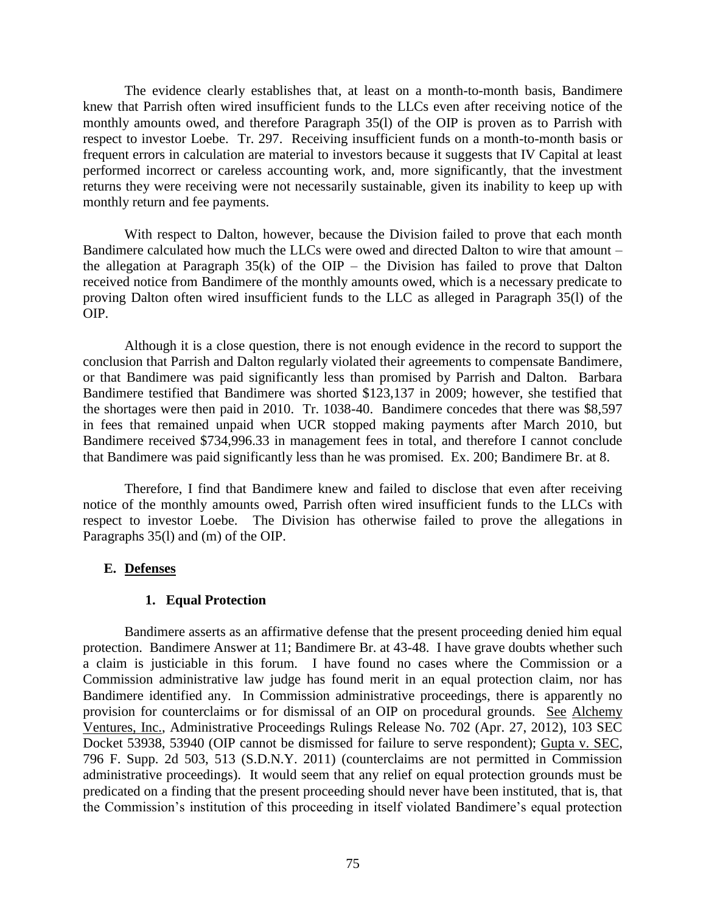The evidence clearly establishes that, at least on a month-to-month basis, Bandimere knew that Parrish often wired insufficient funds to the LLCs even after receiving notice of the monthly amounts owed, and therefore Paragraph 35(l) of the OIP is proven as to Parrish with respect to investor Loebe. Tr. 297. Receiving insufficient funds on a month-to-month basis or frequent errors in calculation are material to investors because it suggests that IV Capital at least performed incorrect or careless accounting work, and, more significantly, that the investment returns they were receiving were not necessarily sustainable, given its inability to keep up with monthly return and fee payments.

With respect to Dalton, however, because the Division failed to prove that each month Bandimere calculated how much the LLCs were owed and directed Dalton to wire that amount – the allegation at Paragraph  $35(k)$  of the OIP – the Division has failed to prove that Dalton received notice from Bandimere of the monthly amounts owed, which is a necessary predicate to proving Dalton often wired insufficient funds to the LLC as alleged in Paragraph 35(l) of the OIP.

Although it is a close question, there is not enough evidence in the record to support the conclusion that Parrish and Dalton regularly violated their agreements to compensate Bandimere, or that Bandimere was paid significantly less than promised by Parrish and Dalton. Barbara Bandimere testified that Bandimere was shorted \$123,137 in 2009; however, she testified that the shortages were then paid in 2010. Tr. 1038-40. Bandimere concedes that there was \$8,597 in fees that remained unpaid when UCR stopped making payments after March 2010, but Bandimere received \$734,996.33 in management fees in total, and therefore I cannot conclude that Bandimere was paid significantly less than he was promised. Ex. 200; Bandimere Br. at 8.

Therefore, I find that Bandimere knew and failed to disclose that even after receiving notice of the monthly amounts owed, Parrish often wired insufficient funds to the LLCs with respect to investor Loebe. The Division has otherwise failed to prove the allegations in Paragraphs 35(l) and (m) of the OIP.

# **E. Defenses**

# **1. Equal Protection**

Bandimere asserts as an affirmative defense that the present proceeding denied him equal protection. Bandimere Answer at 11; Bandimere Br. at 43-48. I have grave doubts whether such a claim is justiciable in this forum. I have found no cases where the Commission or a Commission administrative law judge has found merit in an equal protection claim, nor has Bandimere identified any. In Commission administrative proceedings, there is apparently no provision for counterclaims or for dismissal of an OIP on procedural grounds. See Alchemy Ventures, Inc., Administrative Proceedings Rulings Release No. 702 (Apr. 27, 2012), 103 SEC Docket 53938, 53940 (OIP cannot be dismissed for failure to serve respondent); Gupta v. SEC, 796 F. Supp. 2d 503, 513 (S.D.N.Y. 2011) (counterclaims are not permitted in Commission administrative proceedings). It would seem that any relief on equal protection grounds must be predicated on a finding that the present proceeding should never have been instituted, that is, that the Commission's institution of this proceeding in itself violated Bandimere's equal protection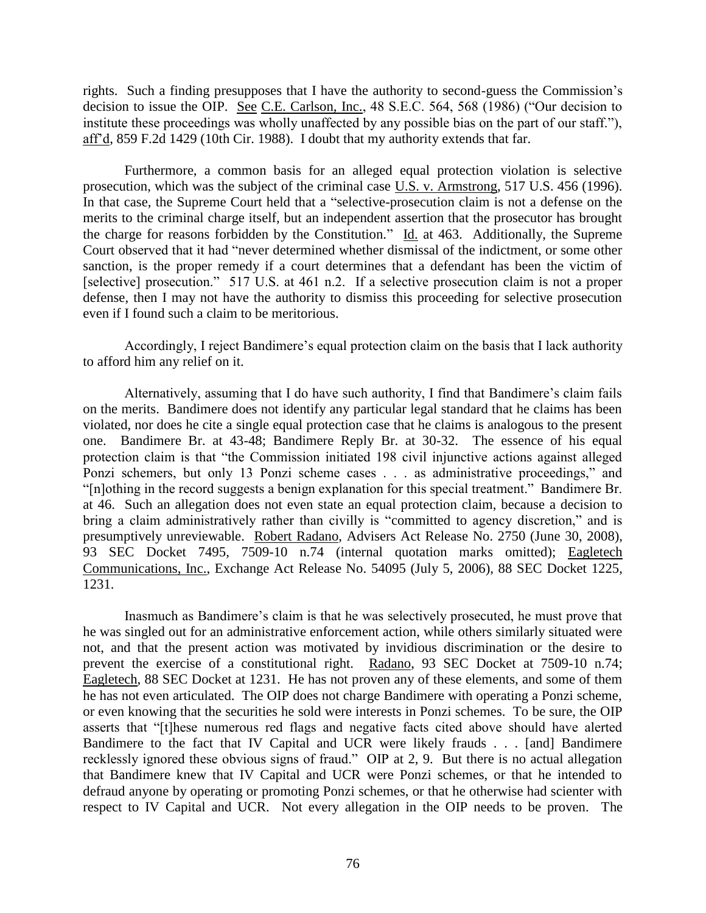rights. Such a finding presupposes that I have the authority to second-guess the Commission's decision to issue the OIP. See C.E. Carlson, Inc., 48 S.E.C. 564, 568 (1986) ("Our decision to institute these proceedings was wholly unaffected by any possible bias on the part of our staff."), aff'd, 859 F.2d 1429 (10th Cir. 1988). I doubt that my authority extends that far.

Furthermore, a common basis for an alleged equal protection violation is selective prosecution, which was the subject of the criminal case U.S. v. Armstrong, 517 U.S. 456 (1996). In that case, the Supreme Court held that a "selective-prosecution claim is not a defense on the merits to the criminal charge itself, but an independent assertion that the prosecutor has brought the charge for reasons forbidden by the Constitution." Id. at 463. Additionally, the Supreme Court observed that it had "never determined whether dismissal of the indictment, or some other sanction, is the proper remedy if a court determines that a defendant has been the victim of [selective] prosecution." 517 U.S. at 461 n.2. If a selective prosecution claim is not a proper defense, then I may not have the authority to dismiss this proceeding for selective prosecution even if I found such a claim to be meritorious.

Accordingly, I reject Bandimere's equal protection claim on the basis that I lack authority to afford him any relief on it.

Alternatively, assuming that I do have such authority, I find that Bandimere's claim fails on the merits. Bandimere does not identify any particular legal standard that he claims has been violated, nor does he cite a single equal protection case that he claims is analogous to the present one. Bandimere Br. at 43-48; Bandimere Reply Br. at 30-32. The essence of his equal protection claim is that "the Commission initiated 198 civil injunctive actions against alleged Ponzi schemers, but only 13 Ponzi scheme cases . . . as administrative proceedings," and "[n]othing in the record suggests a benign explanation for this special treatment." Bandimere Br. at 46. Such an allegation does not even state an equal protection claim, because a decision to bring a claim administratively rather than civilly is "committed to agency discretion," and is presumptively unreviewable. Robert Radano, Advisers Act Release No. 2750 (June 30, 2008), 93 SEC Docket 7495, 7509-10 n.74 (internal quotation marks omitted); Eagletech Communications, Inc., Exchange Act Release No. 54095 (July 5, 2006), 88 SEC Docket 1225, 1231.

Inasmuch as Bandimere's claim is that he was selectively prosecuted, he must prove that he was singled out for an administrative enforcement action, while others similarly situated were not, and that the present action was motivated by invidious discrimination or the desire to prevent the exercise of a constitutional right. Radano, 93 SEC Docket at 7509-10 n.74; Eagletech, 88 SEC Docket at 1231. He has not proven any of these elements, and some of them he has not even articulated. The OIP does not charge Bandimere with operating a Ponzi scheme, or even knowing that the securities he sold were interests in Ponzi schemes. To be sure, the OIP asserts that "[t]hese numerous red flags and negative facts cited above should have alerted Bandimere to the fact that IV Capital and UCR were likely frauds . . . [and] Bandimere recklessly ignored these obvious signs of fraud." OIP at 2, 9. But there is no actual allegation that Bandimere knew that IV Capital and UCR were Ponzi schemes, or that he intended to defraud anyone by operating or promoting Ponzi schemes, or that he otherwise had scienter with respect to IV Capital and UCR. Not every allegation in the OIP needs to be proven. The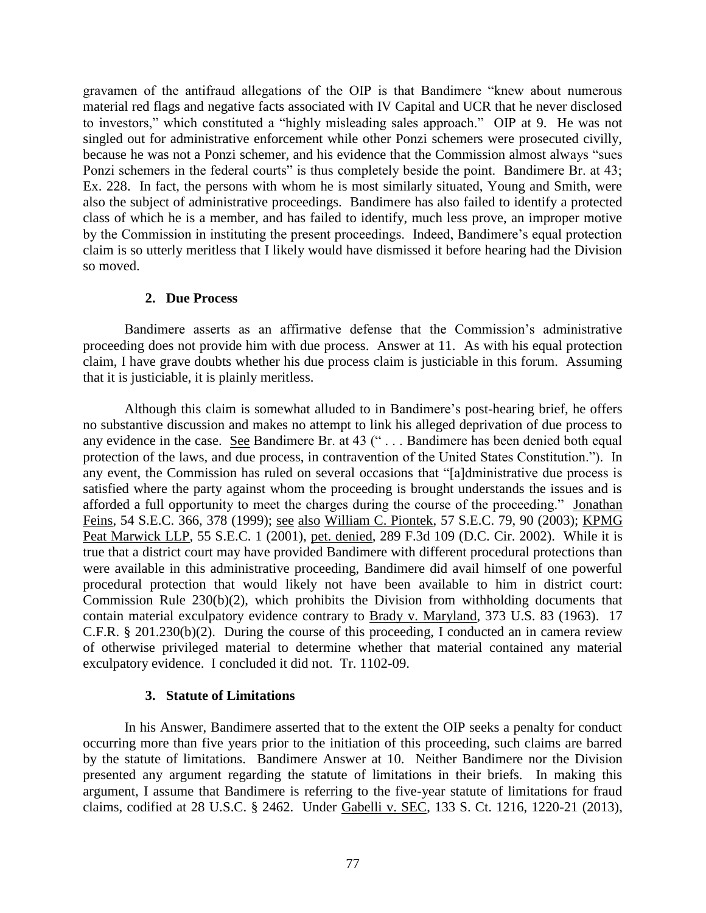gravamen of the antifraud allegations of the OIP is that Bandimere "knew about numerous material red flags and negative facts associated with IV Capital and UCR that he never disclosed to investors," which constituted a "highly misleading sales approach." OIP at 9. He was not singled out for administrative enforcement while other Ponzi schemers were prosecuted civilly, because he was not a Ponzi schemer, and his evidence that the Commission almost always "sues Ponzi schemers in the federal courts" is thus completely beside the point. Bandimere Br. at 43; Ex. 228. In fact, the persons with whom he is most similarly situated, Young and Smith, were also the subject of administrative proceedings. Bandimere has also failed to identify a protected class of which he is a member, and has failed to identify, much less prove, an improper motive by the Commission in instituting the present proceedings. Indeed, Bandimere's equal protection claim is so utterly meritless that I likely would have dismissed it before hearing had the Division so moved.

# **2. Due Process**

Bandimere asserts as an affirmative defense that the Commission's administrative proceeding does not provide him with due process. Answer at 11. As with his equal protection claim, I have grave doubts whether his due process claim is justiciable in this forum. Assuming that it is justiciable, it is plainly meritless.

Although this claim is somewhat alluded to in Bandimere's post-hearing brief, he offers no substantive discussion and makes no attempt to link his alleged deprivation of due process to any evidence in the case. See Bandimere Br. at 43 (" . . . Bandimere has been denied both equal protection of the laws, and due process, in contravention of the United States Constitution."). In any event, the Commission has ruled on several occasions that "[a]dministrative due process is satisfied where the party against whom the proceeding is brought understands the issues and is afforded a full opportunity to meet the charges during the course of the proceeding." Jonathan Feins, 54 S.E.C. 366, 378 (1999); see also William C. Piontek, 57 S.E.C. 79, 90 (2003); KPMG Peat Marwick LLP, 55 S.E.C. 1 (2001), pet. denied, 289 F.3d 109 (D.C. Cir. 2002). While it is true that a district court may have provided Bandimere with different procedural protections than were available in this administrative proceeding, Bandimere did avail himself of one powerful procedural protection that would likely not have been available to him in district court: Commission Rule 230(b)(2), which prohibits the Division from withholding documents that contain material exculpatory evidence contrary to Brady v. Maryland, 373 U.S. 83 (1963). 17 C.F.R. § 201.230(b)(2). During the course of this proceeding, I conducted an in camera review of otherwise privileged material to determine whether that material contained any material exculpatory evidence. I concluded it did not. Tr. 1102-09.

# **3. Statute of Limitations**

In his Answer, Bandimere asserted that to the extent the OIP seeks a penalty for conduct occurring more than five years prior to the initiation of this proceeding, such claims are barred by the statute of limitations. Bandimere Answer at 10. Neither Bandimere nor the Division presented any argument regarding the statute of limitations in their briefs. In making this argument, I assume that Bandimere is referring to the five-year statute of limitations for fraud claims, codified at 28 U.S.C. § 2462. Under Gabelli v. SEC, 133 S. Ct. 1216, 1220-21 (2013),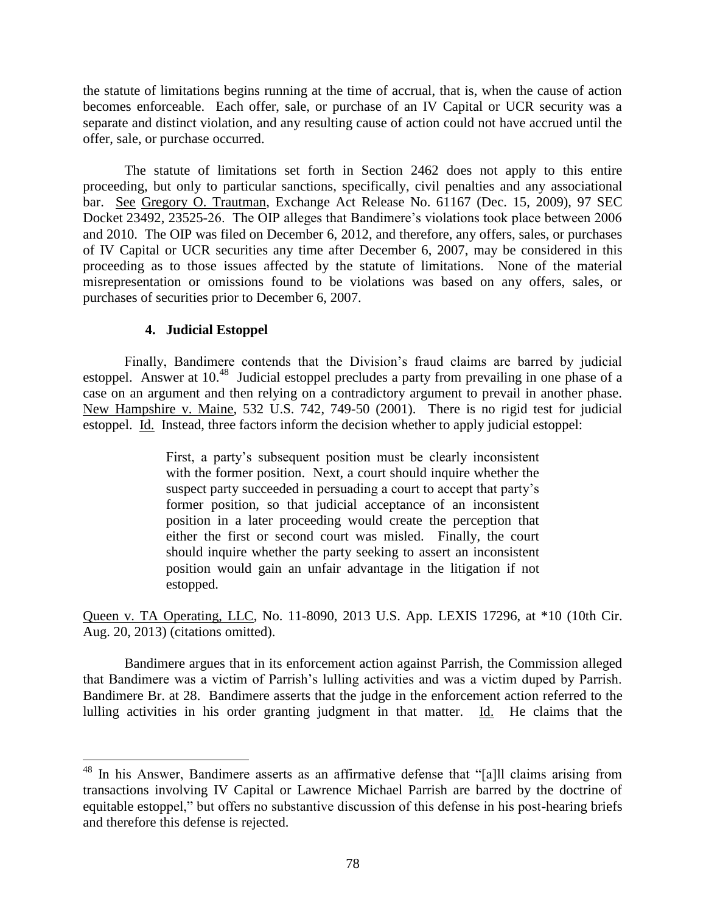the statute of limitations begins running at the time of accrual, that is, when the cause of action becomes enforceable. Each offer, sale, or purchase of an IV Capital or UCR security was a separate and distinct violation, and any resulting cause of action could not have accrued until the offer, sale, or purchase occurred.

The statute of limitations set forth in Section 2462 does not apply to this entire proceeding, but only to particular sanctions, specifically, civil penalties and any associational bar. See Gregory O. Trautman, Exchange Act Release No. 61167 (Dec. 15, 2009), 97 SEC Docket 23492, 23525-26. The OIP alleges that Bandimere's violations took place between 2006 and 2010. The OIP was filed on December 6, 2012, and therefore, any offers, sales, or purchases of IV Capital or UCR securities any time after December 6, 2007, may be considered in this proceeding as to those issues affected by the statute of limitations. None of the material misrepresentation or omissions found to be violations was based on any offers, sales, or purchases of securities prior to December 6, 2007.

# **4. Judicial Estoppel**

 $\overline{a}$ 

Finally, Bandimere contends that the Division's fraud claims are barred by judicial estoppel. Answer at 10.<sup>48</sup> Judicial estoppel precludes a party from prevailing in one phase of a case on an argument and then relying on a contradictory argument to prevail in another phase. New Hampshire v. Maine, 532 U.S. 742, 749-50 (2001). There is no rigid test for judicial estoppel. Id. Instead, three factors inform the decision whether to apply judicial estoppel:

> First, a party's subsequent position must be clearly inconsistent with the former position. Next, a court should inquire whether the suspect party succeeded in persuading a court to accept that party's former position, so that judicial acceptance of an inconsistent position in a later proceeding would create the perception that either the first or second court was misled. Finally, the court should inquire whether the party seeking to assert an inconsistent position would gain an unfair advantage in the litigation if not estopped.

Queen v. TA Operating, LLC, No. 11-8090, 2013 U.S. App. LEXIS 17296, at \*10 (10th Cir. Aug. 20, 2013) (citations omitted).

Bandimere argues that in its enforcement action against Parrish, the Commission alleged that Bandimere was a victim of Parrish's lulling activities and was a victim duped by Parrish. Bandimere Br. at 28. Bandimere asserts that the judge in the enforcement action referred to the lulling activities in his order granting judgment in that matter. Id. He claims that the

<sup>&</sup>lt;sup>48</sup> In his Answer, Bandimere asserts as an affirmative defense that "[a]ll claims arising from transactions involving IV Capital or Lawrence Michael Parrish are barred by the doctrine of equitable estoppel," but offers no substantive discussion of this defense in his post-hearing briefs and therefore this defense is rejected.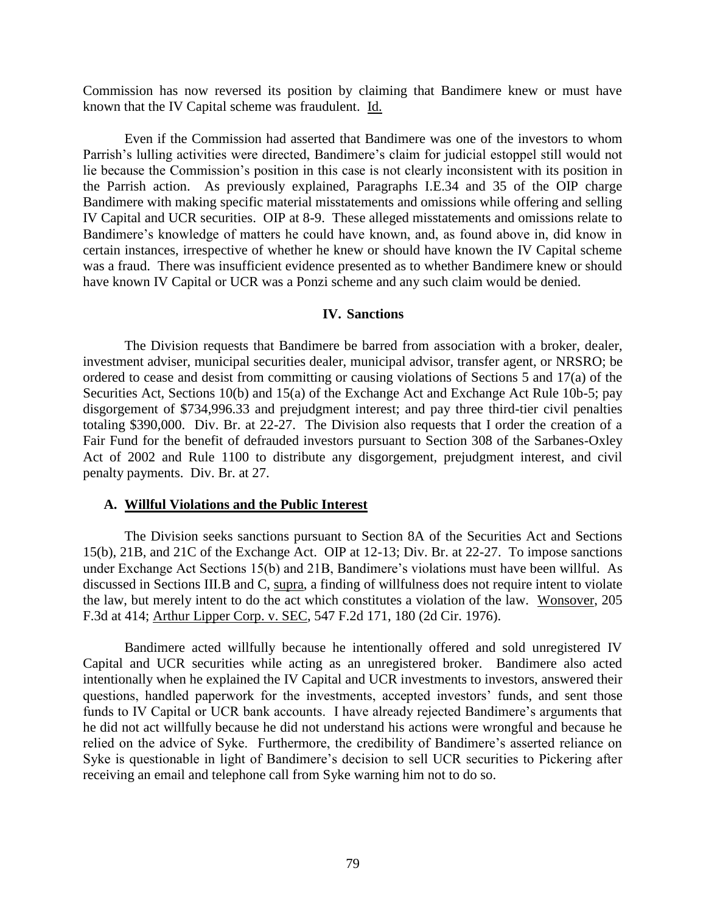Commission has now reversed its position by claiming that Bandimere knew or must have known that the IV Capital scheme was fraudulent. Id.

Even if the Commission had asserted that Bandimere was one of the investors to whom Parrish's lulling activities were directed, Bandimere's claim for judicial estoppel still would not lie because the Commission's position in this case is not clearly inconsistent with its position in the Parrish action. As previously explained, Paragraphs I.E.34 and 35 of the OIP charge Bandimere with making specific material misstatements and omissions while offering and selling IV Capital and UCR securities. OIP at 8-9. These alleged misstatements and omissions relate to Bandimere's knowledge of matters he could have known, and, as found above in, did know in certain instances, irrespective of whether he knew or should have known the IV Capital scheme was a fraud. There was insufficient evidence presented as to whether Bandimere knew or should have known IV Capital or UCR was a Ponzi scheme and any such claim would be denied.

#### **IV. Sanctions**

The Division requests that Bandimere be barred from association with a broker, dealer, investment adviser, municipal securities dealer, municipal advisor, transfer agent, or NRSRO; be ordered to cease and desist from committing or causing violations of Sections 5 and 17(a) of the Securities Act, Sections 10(b) and 15(a) of the Exchange Act and Exchange Act Rule 10b-5; pay disgorgement of \$734,996.33 and prejudgment interest; and pay three third-tier civil penalties totaling \$390,000. Div. Br. at 22-27. The Division also requests that I order the creation of a Fair Fund for the benefit of defrauded investors pursuant to Section 308 of the Sarbanes-Oxley Act of 2002 and Rule 1100 to distribute any disgorgement, prejudgment interest, and civil penalty payments. Div. Br. at 27.

#### **A. Willful Violations and the Public Interest**

The Division seeks sanctions pursuant to Section 8A of the Securities Act and Sections 15(b), 21B, and 21C of the Exchange Act. OIP at 12-13; Div. Br. at 22-27. To impose sanctions under Exchange Act Sections 15(b) and 21B, Bandimere's violations must have been willful. As discussed in Sections III.B and C, supra, a finding of willfulness does not require intent to violate the law, but merely intent to do the act which constitutes a violation of the law. Wonsover, 205 F.3d at 414; Arthur Lipper Corp. v. SEC, 547 F.2d 171, 180 (2d Cir. 1976).

Bandimere acted willfully because he intentionally offered and sold unregistered IV Capital and UCR securities while acting as an unregistered broker. Bandimere also acted intentionally when he explained the IV Capital and UCR investments to investors, answered their questions, handled paperwork for the investments, accepted investors' funds, and sent those funds to IV Capital or UCR bank accounts. I have already rejected Bandimere's arguments that he did not act willfully because he did not understand his actions were wrongful and because he relied on the advice of Syke. Furthermore, the credibility of Bandimere's asserted reliance on Syke is questionable in light of Bandimere's decision to sell UCR securities to Pickering after receiving an email and telephone call from Syke warning him not to do so.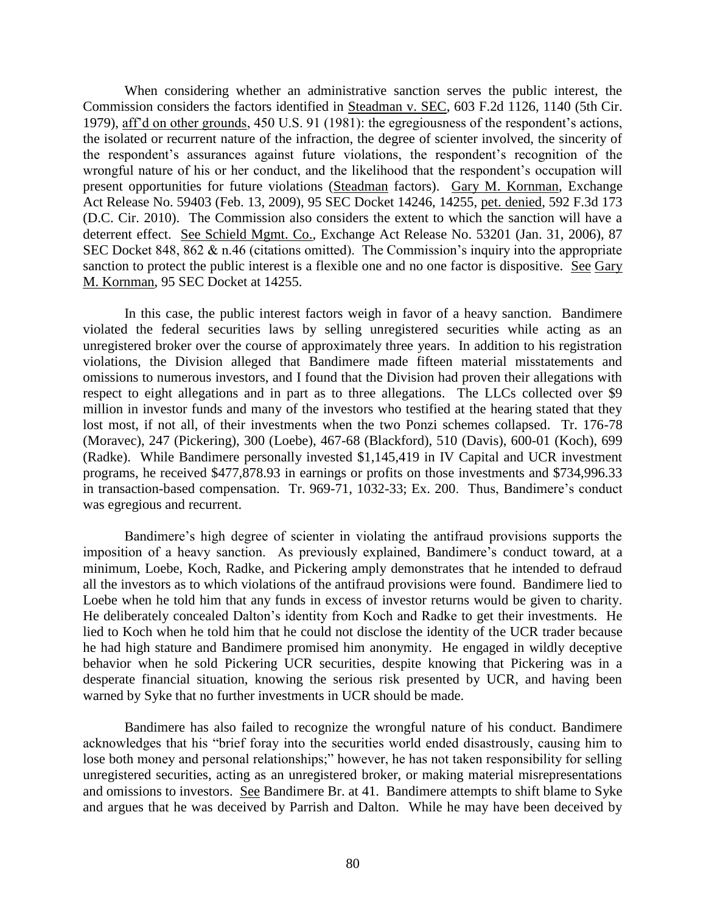When considering whether an administrative sanction serves the public interest, the Commission considers the factors identified in Steadman v. SEC, 603 F.2d 1126, 1140 (5th Cir. 1979), aff'd on other grounds, 450 U.S. 91 (1981): the egregiousness of the respondent's actions, the isolated or recurrent nature of the infraction, the degree of scienter involved, the sincerity of the respondent's assurances against future violations, the respondent's recognition of the wrongful nature of his or her conduct, and the likelihood that the respondent's occupation will present opportunities for future violations (Steadman factors). Gary M. Kornman, Exchange Act Release No. 59403 (Feb. 13, 2009), 95 SEC Docket 14246, 14255, pet. denied, 592 F.3d 173 (D.C. Cir. 2010). The Commission also considers the extent to which the sanction will have a deterrent effect. See Schield Mgmt. Co., Exchange Act Release No. 53201 (Jan. 31, 2006), 87 SEC Docket 848,  $862 \& n.46$  (citations omitted). The Commission's inquiry into the appropriate sanction to protect the public interest is a flexible one and no one factor is dispositive. See Gary M. Kornman, 95 SEC Docket at 14255.

In this case, the public interest factors weigh in favor of a heavy sanction. Bandimere violated the federal securities laws by selling unregistered securities while acting as an unregistered broker over the course of approximately three years. In addition to his registration violations, the Division alleged that Bandimere made fifteen material misstatements and omissions to numerous investors, and I found that the Division had proven their allegations with respect to eight allegations and in part as to three allegations. The LLCs collected over \$9 million in investor funds and many of the investors who testified at the hearing stated that they lost most, if not all, of their investments when the two Ponzi schemes collapsed. Tr. 176-78 (Moravec), 247 (Pickering), 300 (Loebe), 467-68 (Blackford), 510 (Davis), 600-01 (Koch), 699 (Radke). While Bandimere personally invested \$1,145,419 in IV Capital and UCR investment programs, he received \$477,878.93 in earnings or profits on those investments and \$734,996.33 in transaction-based compensation. Tr. 969-71, 1032-33; Ex. 200. Thus, Bandimere's conduct was egregious and recurrent.

Bandimere's high degree of scienter in violating the antifraud provisions supports the imposition of a heavy sanction. As previously explained, Bandimere's conduct toward, at a minimum, Loebe, Koch, Radke, and Pickering amply demonstrates that he intended to defraud all the investors as to which violations of the antifraud provisions were found. Bandimere lied to Loebe when he told him that any funds in excess of investor returns would be given to charity. He deliberately concealed Dalton's identity from Koch and Radke to get their investments. He lied to Koch when he told him that he could not disclose the identity of the UCR trader because he had high stature and Bandimere promised him anonymity. He engaged in wildly deceptive behavior when he sold Pickering UCR securities, despite knowing that Pickering was in a desperate financial situation, knowing the serious risk presented by UCR, and having been warned by Syke that no further investments in UCR should be made.

Bandimere has also failed to recognize the wrongful nature of his conduct. Bandimere acknowledges that his "brief foray into the securities world ended disastrously, causing him to lose both money and personal relationships;" however, he has not taken responsibility for selling unregistered securities, acting as an unregistered broker, or making material misrepresentations and omissions to investors. See Bandimere Br. at 41. Bandimere attempts to shift blame to Syke and argues that he was deceived by Parrish and Dalton. While he may have been deceived by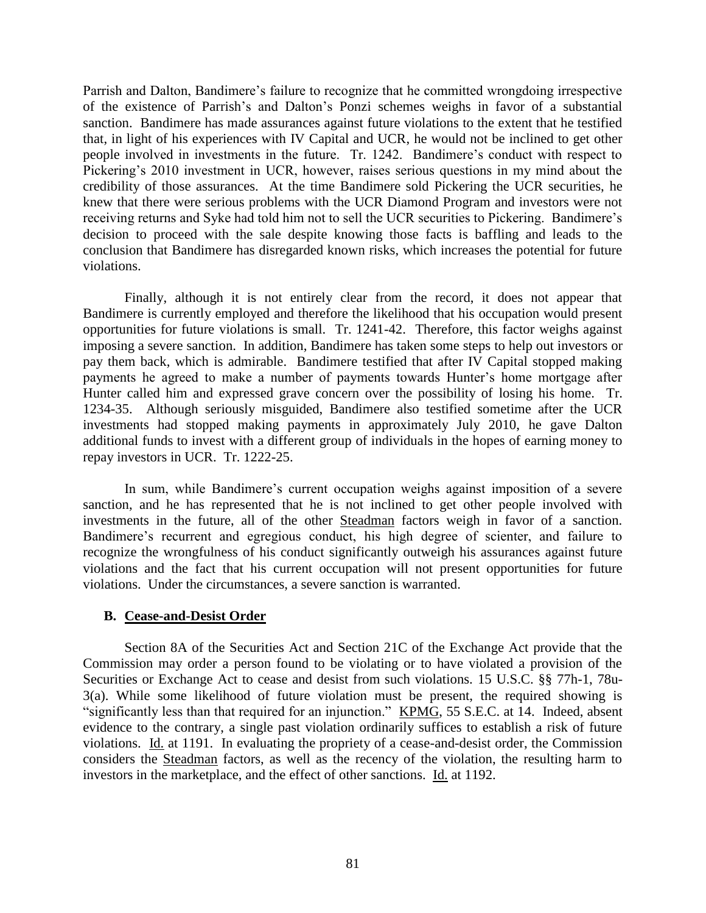Parrish and Dalton, Bandimere's failure to recognize that he committed wrongdoing irrespective of the existence of Parrish's and Dalton's Ponzi schemes weighs in favor of a substantial sanction. Bandimere has made assurances against future violations to the extent that he testified that, in light of his experiences with IV Capital and UCR, he would not be inclined to get other people involved in investments in the future. Tr. 1242. Bandimere's conduct with respect to Pickering's 2010 investment in UCR, however, raises serious questions in my mind about the credibility of those assurances. At the time Bandimere sold Pickering the UCR securities, he knew that there were serious problems with the UCR Diamond Program and investors were not receiving returns and Syke had told him not to sell the UCR securities to Pickering. Bandimere's decision to proceed with the sale despite knowing those facts is baffling and leads to the conclusion that Bandimere has disregarded known risks, which increases the potential for future violations.

Finally, although it is not entirely clear from the record, it does not appear that Bandimere is currently employed and therefore the likelihood that his occupation would present opportunities for future violations is small. Tr. 1241-42. Therefore, this factor weighs against imposing a severe sanction. In addition, Bandimere has taken some steps to help out investors or pay them back, which is admirable. Bandimere testified that after IV Capital stopped making payments he agreed to make a number of payments towards Hunter's home mortgage after Hunter called him and expressed grave concern over the possibility of losing his home. Tr. 1234-35. Although seriously misguided, Bandimere also testified sometime after the UCR investments had stopped making payments in approximately July 2010, he gave Dalton additional funds to invest with a different group of individuals in the hopes of earning money to repay investors in UCR. Tr. 1222-25.

In sum, while Bandimere's current occupation weighs against imposition of a severe sanction, and he has represented that he is not inclined to get other people involved with investments in the future, all of the other Steadman factors weigh in favor of a sanction. Bandimere's recurrent and egregious conduct, his high degree of scienter, and failure to recognize the wrongfulness of his conduct significantly outweigh his assurances against future violations and the fact that his current occupation will not present opportunities for future violations. Under the circumstances, a severe sanction is warranted.

#### **B. Cease-and-Desist Order**

Section 8A of the Securities Act and Section 21C of the Exchange Act provide that the Commission may order a person found to be violating or to have violated a provision of the Securities or Exchange Act to cease and desist from such violations. 15 U.S.C. §§ 77h-1, 78u-3(a). While some likelihood of future violation must be present, the required showing is "significantly less than that required for an injunction." KPMG, 55 S.E.C. at 14. Indeed, absent evidence to the contrary, a single past violation ordinarily suffices to establish a risk of future violations. Id. at 1191. In evaluating the propriety of a cease-and-desist order, the Commission considers the Steadman factors, as well as the recency of the violation, the resulting harm to investors in the marketplace, and the effect of other sanctions. Id. at 1192.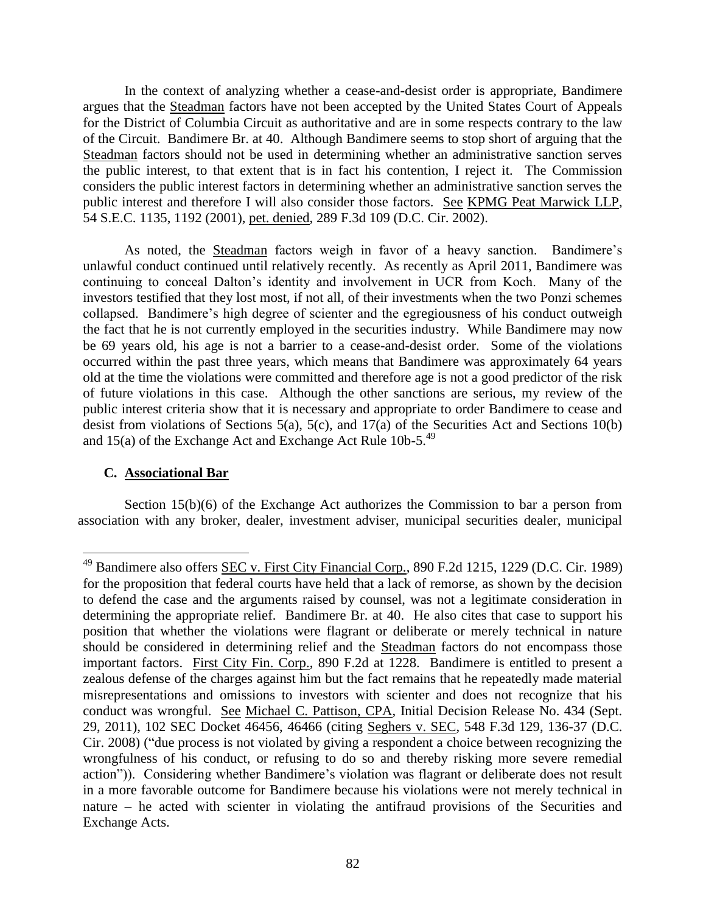In the context of analyzing whether a cease-and-desist order is appropriate, Bandimere argues that the Steadman factors have not been accepted by the United States Court of Appeals for the District of Columbia Circuit as authoritative and are in some respects contrary to the law of the Circuit. Bandimere Br. at 40. Although Bandimere seems to stop short of arguing that the Steadman factors should not be used in determining whether an administrative sanction serves the public interest, to that extent that is in fact his contention, I reject it. The Commission considers the public interest factors in determining whether an administrative sanction serves the public interest and therefore I will also consider those factors. See KPMG Peat Marwick LLP, 54 S.E.C. 1135, 1192 (2001), pet. denied, 289 F.3d 109 (D.C. Cir. 2002).

As noted, the Steadman factors weigh in favor of a heavy sanction. Bandimere's unlawful conduct continued until relatively recently. As recently as April 2011, Bandimere was continuing to conceal Dalton's identity and involvement in UCR from Koch. Many of the investors testified that they lost most, if not all, of their investments when the two Ponzi schemes collapsed. Bandimere's high degree of scienter and the egregiousness of his conduct outweigh the fact that he is not currently employed in the securities industry. While Bandimere may now be 69 years old, his age is not a barrier to a cease-and-desist order. Some of the violations occurred within the past three years, which means that Bandimere was approximately 64 years old at the time the violations were committed and therefore age is not a good predictor of the risk of future violations in this case. Although the other sanctions are serious, my review of the public interest criteria show that it is necessary and appropriate to order Bandimere to cease and desist from violations of Sections 5(a), 5(c), and 17(a) of the Securities Act and Sections 10(b) and 15(a) of the Exchange Act and Exchange Act Rule  $10b-5$ <sup>49</sup>

# **C. Associational Bar**

 $\overline{a}$ 

Section 15(b)(6) of the Exchange Act authorizes the Commission to bar a person from association with any broker, dealer, investment adviser, municipal securities dealer, municipal

<sup>&</sup>lt;sup>49</sup> Bandimere also offers <u>SEC v. First City Financial Corp.</u>, 890 F.2d 1215, 1229 (D.C. Cir. 1989) for the proposition that federal courts have held that a lack of remorse, as shown by the decision to defend the case and the arguments raised by counsel, was not a legitimate consideration in determining the appropriate relief. Bandimere Br. at 40. He also cites that case to support his position that whether the violations were flagrant or deliberate or merely technical in nature should be considered in determining relief and the Steadman factors do not encompass those important factors. First City Fin. Corp., 890 F.2d at 1228. Bandimere is entitled to present a zealous defense of the charges against him but the fact remains that he repeatedly made material misrepresentations and omissions to investors with scienter and does not recognize that his conduct was wrongful. See Michael C. Pattison, CPA, Initial Decision Release No. 434 (Sept. 29, 2011), 102 SEC Docket 46456, 46466 (citing Seghers v. SEC, 548 F.3d 129, 136-37 (D.C. Cir. 2008) ("due process is not violated by giving a respondent a choice between recognizing the wrongfulness of his conduct, or refusing to do so and thereby risking more severe remedial action")). Considering whether Bandimere's violation was flagrant or deliberate does not result in a more favorable outcome for Bandimere because his violations were not merely technical in nature – he acted with scienter in violating the antifraud provisions of the Securities and Exchange Acts.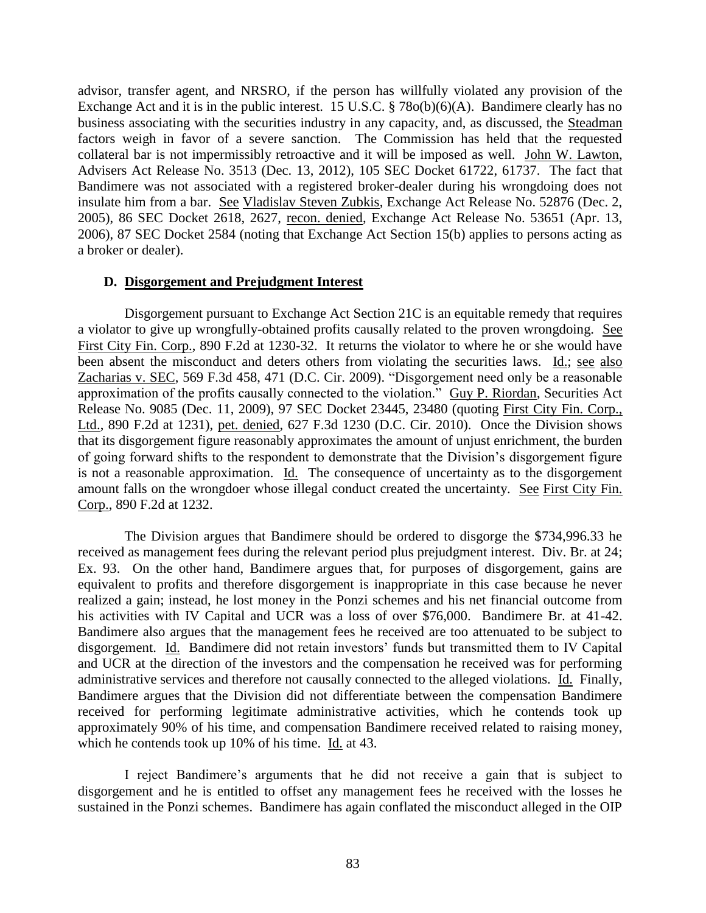advisor, transfer agent, and NRSRO, if the person has willfully violated any provision of the Exchange Act and it is in the public interest. 15 U.S.C. § 78o(b)(6)(A). Bandimere clearly has no business associating with the securities industry in any capacity, and, as discussed, the Steadman factors weigh in favor of a severe sanction. The Commission has held that the requested collateral bar is not impermissibly retroactive and it will be imposed as well. John W. Lawton, Advisers Act Release No. 3513 (Dec. 13, 2012), 105 SEC Docket 61722, 61737. The fact that Bandimere was not associated with a registered broker-dealer during his wrongdoing does not insulate him from a bar. See Vladislav Steven Zubkis, Exchange Act Release No. 52876 (Dec. 2, 2005), 86 SEC Docket 2618, 2627, recon. denied, Exchange Act Release No. 53651 (Apr. 13, 2006), 87 SEC Docket 2584 (noting that Exchange Act Section 15(b) applies to persons acting as a broker or dealer).

#### **D. Disgorgement and Prejudgment Interest**

Disgorgement pursuant to Exchange Act Section 21C is an equitable remedy that requires a violator to give up wrongfully-obtained profits causally related to the proven wrongdoing. See First City Fin. Corp., 890 F.2d at 1230-32. It returns the violator to where he or she would have been absent the misconduct and deters others from violating the securities laws. Id.; see also Zacharias v. SEC, 569 F.3d 458, 471 (D.C. Cir. 2009). "Disgorgement need only be a reasonable approximation of the profits causally connected to the violation." Guy P. Riordan, Securities Act Release No. 9085 (Dec. 11, 2009), 97 SEC Docket 23445, 23480 (quoting First City Fin. Corp., Ltd., 890 F.2d at 1231), pet. denied, 627 F.3d 1230 (D.C. Cir. 2010). Once the Division shows that its disgorgement figure reasonably approximates the amount of unjust enrichment, the burden of going forward shifts to the respondent to demonstrate that the Division's disgorgement figure is not a reasonable approximation. Id. The consequence of uncertainty as to the disgorgement amount falls on the wrongdoer whose illegal conduct created the uncertainty. See First City Fin. Corp., 890 F.2d at 1232.

The Division argues that Bandimere should be ordered to disgorge the \$734,996.33 he received as management fees during the relevant period plus prejudgment interest. Div. Br. at 24; Ex. 93. On the other hand, Bandimere argues that, for purposes of disgorgement, gains are equivalent to profits and therefore disgorgement is inappropriate in this case because he never realized a gain; instead, he lost money in the Ponzi schemes and his net financial outcome from his activities with IV Capital and UCR was a loss of over \$76,000. Bandimere Br. at 41-42. Bandimere also argues that the management fees he received are too attenuated to be subject to disgorgement. Id. Bandimere did not retain investors' funds but transmitted them to IV Capital and UCR at the direction of the investors and the compensation he received was for performing administrative services and therefore not causally connected to the alleged violations. Id. Finally, Bandimere argues that the Division did not differentiate between the compensation Bandimere received for performing legitimate administrative activities, which he contends took up approximately 90% of his time, and compensation Bandimere received related to raising money, which he contends took up 10% of his time. Id. at 43.

I reject Bandimere's arguments that he did not receive a gain that is subject to disgorgement and he is entitled to offset any management fees he received with the losses he sustained in the Ponzi schemes. Bandimere has again conflated the misconduct alleged in the OIP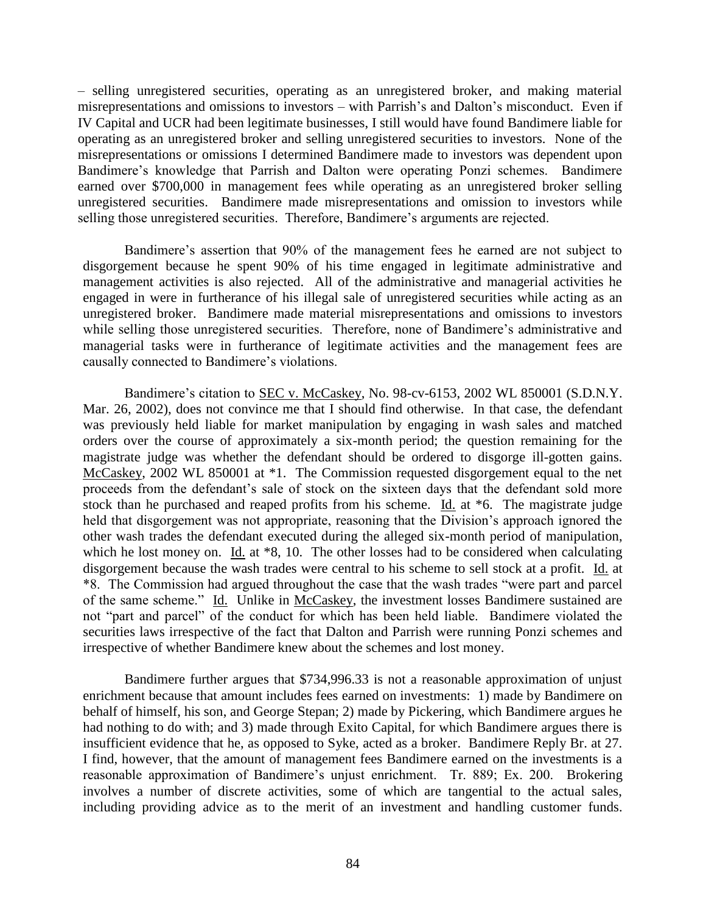– selling unregistered securities, operating as an unregistered broker, and making material misrepresentations and omissions to investors – with Parrish's and Dalton's misconduct. Even if IV Capital and UCR had been legitimate businesses, I still would have found Bandimere liable for operating as an unregistered broker and selling unregistered securities to investors. None of the misrepresentations or omissions I determined Bandimere made to investors was dependent upon Bandimere's knowledge that Parrish and Dalton were operating Ponzi schemes. Bandimere earned over \$700,000 in management fees while operating as an unregistered broker selling unregistered securities. Bandimere made misrepresentations and omission to investors while selling those unregistered securities. Therefore, Bandimere's arguments are rejected.

Bandimere's assertion that 90% of the management fees he earned are not subject to disgorgement because he spent 90% of his time engaged in legitimate administrative and management activities is also rejected. All of the administrative and managerial activities he engaged in were in furtherance of his illegal sale of unregistered securities while acting as an unregistered broker. Bandimere made material misrepresentations and omissions to investors while selling those unregistered securities. Therefore, none of Bandimere's administrative and managerial tasks were in furtherance of legitimate activities and the management fees are causally connected to Bandimere's violations.

Bandimere's citation to SEC v. McCaskey, No. 98-cv-6153, 2002 WL 850001 (S.D.N.Y. Mar. 26, 2002), does not convince me that I should find otherwise. In that case, the defendant was previously held liable for market manipulation by engaging in wash sales and matched orders over the course of approximately a six-month period; the question remaining for the magistrate judge was whether the defendant should be ordered to disgorge ill-gotten gains. McCaskey, 2002 WL 850001 at \*1. The Commission requested disgorgement equal to the net proceeds from the defendant's sale of stock on the sixteen days that the defendant sold more stock than he purchased and reaped profits from his scheme. Id. at  $*6$ . The magistrate judge held that disgorgement was not appropriate, reasoning that the Division's approach ignored the other wash trades the defendant executed during the alleged six-month period of manipulation, which he lost money on. Id. at  $*8$ , 10. The other losses had to be considered when calculating disgorgement because the wash trades were central to his scheme to sell stock at a profit. Id. at \*8. The Commission had argued throughout the case that the wash trades "were part and parcel of the same scheme." Id. Unlike in McCaskey, the investment losses Bandimere sustained are not "part and parcel" of the conduct for which has been held liable. Bandimere violated the securities laws irrespective of the fact that Dalton and Parrish were running Ponzi schemes and irrespective of whether Bandimere knew about the schemes and lost money.

Bandimere further argues that \$734,996.33 is not a reasonable approximation of unjust enrichment because that amount includes fees earned on investments: 1) made by Bandimere on behalf of himself, his son, and George Stepan; 2) made by Pickering, which Bandimere argues he had nothing to do with; and 3) made through Exito Capital, for which Bandimere argues there is insufficient evidence that he, as opposed to Syke, acted as a broker. Bandimere Reply Br. at 27. I find, however, that the amount of management fees Bandimere earned on the investments is a reasonable approximation of Bandimere's unjust enrichment. Tr. 889; Ex. 200. Brokering involves a number of discrete activities, some of which are tangential to the actual sales, including providing advice as to the merit of an investment and handling customer funds.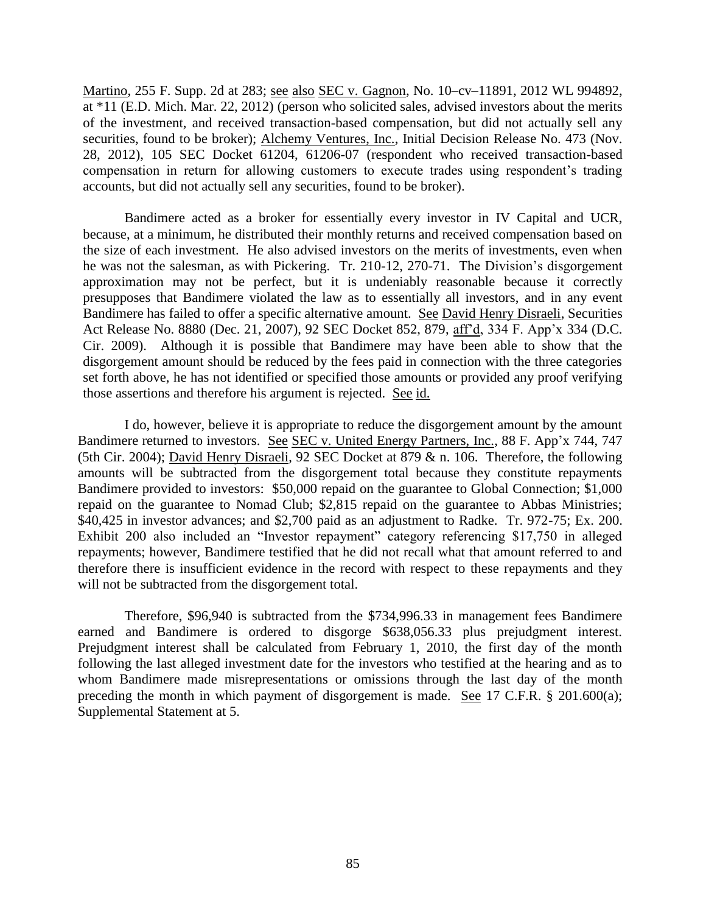Martino, 255 F. Supp. 2d at 283; see also SEC v. Gagnon, No. 10–cv–11891, 2012 WL 994892, at \*11 (E.D. Mich. Mar. 22, 2012) (person who solicited sales, advised investors about the merits of the investment, and received transaction-based compensation, but did not actually sell any securities, found to be broker); Alchemy Ventures, Inc., Initial Decision Release No. 473 (Nov. 28, 2012), 105 SEC Docket 61204, 61206-07 (respondent who received transaction-based compensation in return for allowing customers to execute trades using respondent's trading accounts, but did not actually sell any securities, found to be broker).

Bandimere acted as a broker for essentially every investor in IV Capital and UCR, because, at a minimum, he distributed their monthly returns and received compensation based on the size of each investment. He also advised investors on the merits of investments, even when he was not the salesman, as with Pickering. Tr. 210-12, 270-71. The Division's disgorgement approximation may not be perfect, but it is undeniably reasonable because it correctly presupposes that Bandimere violated the law as to essentially all investors, and in any event Bandimere has failed to offer a specific alternative amount. See David Henry Disraeli, Securities Act Release No. 8880 (Dec. 21, 2007), 92 SEC Docket 852, 879, aff'd, 334 F. App'x 334 (D.C. Cir. 2009). Although it is possible that Bandimere may have been able to show that the disgorgement amount should be reduced by the fees paid in connection with the three categories set forth above, he has not identified or specified those amounts or provided any proof verifying those assertions and therefore his argument is rejected. See id.

I do, however, believe it is appropriate to reduce the disgorgement amount by the amount Bandimere returned to investors. See SEC v. United Energy Partners, Inc., 88 F. App'x 744, 747 (5th Cir. 2004); David Henry Disraeli, 92 SEC Docket at 879 & n. 106. Therefore, the following amounts will be subtracted from the disgorgement total because they constitute repayments Bandimere provided to investors: \$50,000 repaid on the guarantee to Global Connection; \$1,000 repaid on the guarantee to Nomad Club; \$2,815 repaid on the guarantee to Abbas Ministries; \$40,425 in investor advances; and \$2,700 paid as an adjustment to Radke. Tr. 972-75; Ex. 200. Exhibit 200 also included an "Investor repayment" category referencing \$17,750 in alleged repayments; however, Bandimere testified that he did not recall what that amount referred to and therefore there is insufficient evidence in the record with respect to these repayments and they will not be subtracted from the disgorgement total.

Therefore, \$96,940 is subtracted from the \$734,996.33 in management fees Bandimere earned and Bandimere is ordered to disgorge \$638,056.33 plus prejudgment interest. Prejudgment interest shall be calculated from February 1, 2010, the first day of the month following the last alleged investment date for the investors who testified at the hearing and as to whom Bandimere made misrepresentations or omissions through the last day of the month preceding the month in which payment of disgorgement is made. See 17 C.F.R. § 201.600(a); Supplemental Statement at 5.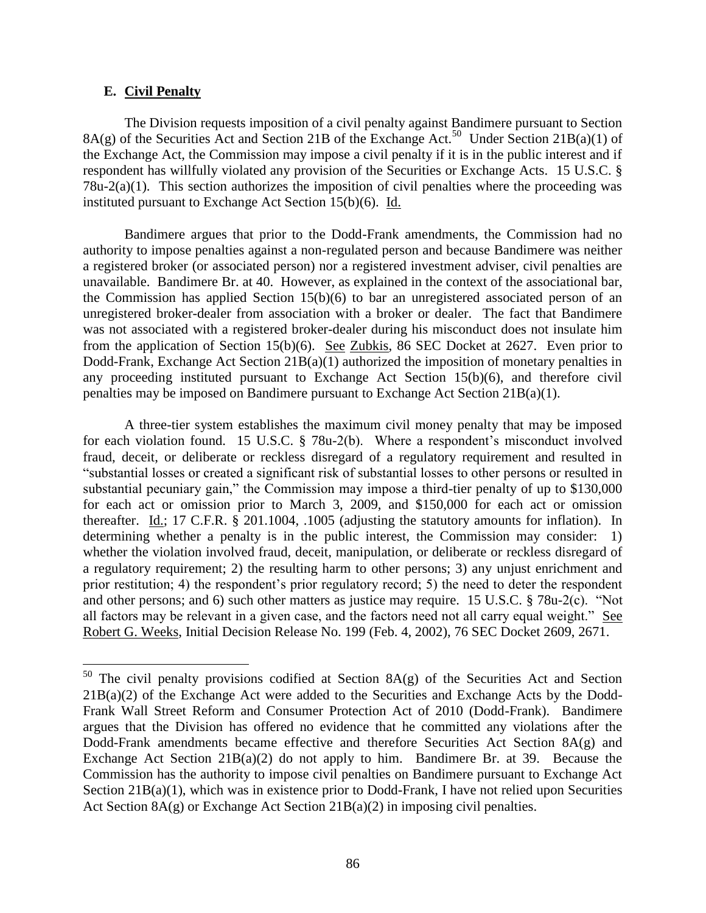## **E. Civil Penalty**

 $\overline{a}$ 

The Division requests imposition of a civil penalty against Bandimere pursuant to Section  $8A(g)$  of the Securities Act and Section 21B of the Exchange Act.<sup>50</sup> Under Section 21B(a)(1) of the Exchange Act, the Commission may impose a civil penalty if it is in the public interest and if respondent has willfully violated any provision of the Securities or Exchange Acts. 15 U.S.C. §  $78u-2(a)(1)$ . This section authorizes the imposition of civil penalties where the proceeding was instituted pursuant to Exchange Act Section 15(b)(6). Id.

Bandimere argues that prior to the Dodd-Frank amendments, the Commission had no authority to impose penalties against a non-regulated person and because Bandimere was neither a registered broker (or associated person) nor a registered investment adviser, civil penalties are unavailable. Bandimere Br. at 40. However, as explained in the context of the associational bar, the Commission has applied Section 15(b)(6) to bar an unregistered associated person of an unregistered broker-dealer from association with a broker or dealer. The fact that Bandimere was not associated with a registered broker-dealer during his misconduct does not insulate him from the application of Section 15(b)(6). See Zubkis, 86 SEC Docket at 2627. Even prior to Dodd-Frank, Exchange Act Section 21B(a)(1) authorized the imposition of monetary penalties in any proceeding instituted pursuant to Exchange Act Section 15(b)(6), and therefore civil penalties may be imposed on Bandimere pursuant to Exchange Act Section 21B(a)(1).

A three-tier system establishes the maximum civil money penalty that may be imposed for each violation found. 15 U.S.C. § 78u-2(b). Where a respondent's misconduct involved fraud, deceit, or deliberate or reckless disregard of a regulatory requirement and resulted in "substantial losses or created a significant risk of substantial losses to other persons or resulted in substantial pecuniary gain," the Commission may impose a third-tier penalty of up to \$130,000 for each act or omission prior to March 3, 2009, and \$150,000 for each act or omission thereafter. Id.; 17 C.F.R. § 201.1004, .1005 (adjusting the statutory amounts for inflation). In determining whether a penalty is in the public interest, the Commission may consider: 1) whether the violation involved fraud, deceit, manipulation, or deliberate or reckless disregard of a regulatory requirement; 2) the resulting harm to other persons; 3) any unjust enrichment and prior restitution; 4) the respondent's prior regulatory record; 5) the need to deter the respondent and other persons; and 6) such other matters as justice may require. 15 U.S.C. § 78u-2(c). "Not all factors may be relevant in a given case, and the factors need not all carry equal weight." See Robert G. Weeks, Initial Decision Release No. 199 (Feb. 4, 2002), 76 SEC Docket 2609, 2671.

 $50$  The civil penalty provisions codified at Section 8A(g) of the Securities Act and Section 21B(a)(2) of the Exchange Act were added to the Securities and Exchange Acts by the Dodd-Frank Wall Street Reform and Consumer Protection Act of 2010 (Dodd-Frank). Bandimere argues that the Division has offered no evidence that he committed any violations after the Dodd-Frank amendments became effective and therefore Securities Act Section 8A(g) and Exchange Act Section  $21B(a)(2)$  do not apply to him. Bandimere Br. at 39. Because the Commission has the authority to impose civil penalties on Bandimere pursuant to Exchange Act Section 21B(a)(1), which was in existence prior to Dodd-Frank, I have not relied upon Securities Act Section  $8A(g)$  or Exchange Act Section  $21B(a)(2)$  in imposing civil penalties.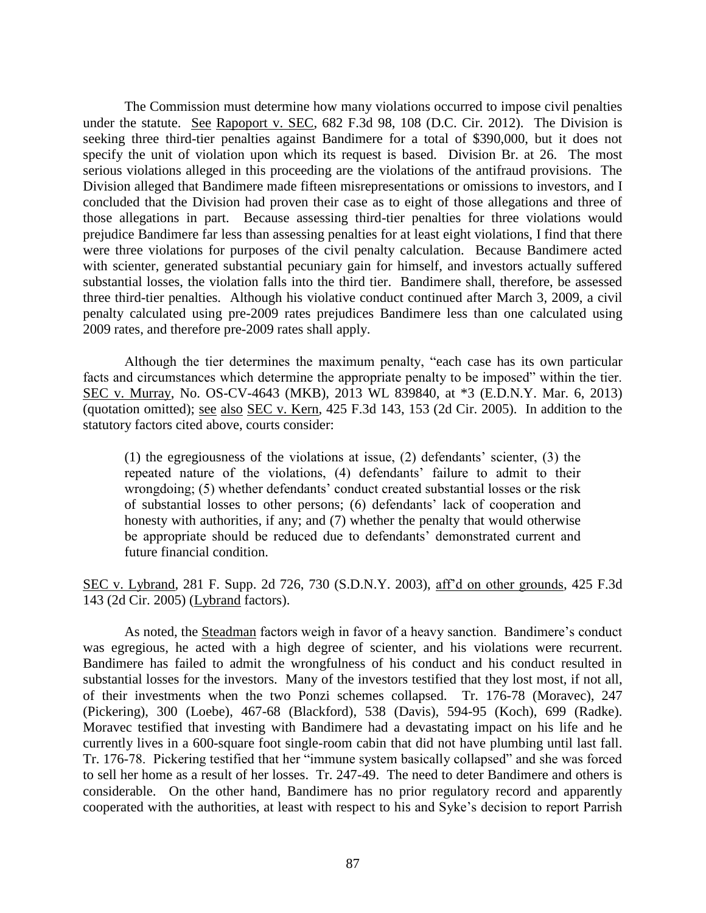The Commission must determine how many violations occurred to impose civil penalties under the statute. See Rapoport v. SEC, 682 F.3d 98, 108 (D.C. Cir. 2012). The Division is seeking three third-tier penalties against Bandimere for a total of \$390,000, but it does not specify the unit of violation upon which its request is based. Division Br. at 26. The most serious violations alleged in this proceeding are the violations of the antifraud provisions. The Division alleged that Bandimere made fifteen misrepresentations or omissions to investors, and I concluded that the Division had proven their case as to eight of those allegations and three of those allegations in part. Because assessing third-tier penalties for three violations would prejudice Bandimere far less than assessing penalties for at least eight violations, I find that there were three violations for purposes of the civil penalty calculation. Because Bandimere acted with scienter, generated substantial pecuniary gain for himself, and investors actually suffered substantial losses, the violation falls into the third tier. Bandimere shall, therefore, be assessed three third-tier penalties. Although his violative conduct continued after March 3, 2009, a civil penalty calculated using pre-2009 rates prejudices Bandimere less than one calculated using 2009 rates, and therefore pre-2009 rates shall apply.

Although the tier determines the maximum penalty, "each case has its own particular facts and circumstances which determine the appropriate penalty to be imposed" within the tier. SEC v. Murray, No. OS-CV-4643 (MKB), 2013 WL 839840, at \*3 (E.D.N.Y. Mar. 6, 2013) (quotation omitted); see also SEC v. Kern, 425 F.3d 143, 153 (2d Cir. 2005). In addition to the statutory factors cited above, courts consider:

(1) the egregiousness of the violations at issue, (2) defendants' scienter, (3) the repeated nature of the violations, (4) defendants' failure to admit to their wrongdoing; (5) whether defendants' conduct created substantial losses or the risk of substantial losses to other persons; (6) defendants' lack of cooperation and honesty with authorities, if any; and (7) whether the penalty that would otherwise be appropriate should be reduced due to defendants' demonstrated current and future financial condition.

SEC v. Lybrand, 281 F. Supp. 2d 726, 730 (S.D.N.Y. 2003), aff'd on other grounds, 425 F.3d 143 (2d Cir. 2005) (Lybrand factors).

As noted, the Steadman factors weigh in favor of a heavy sanction. Bandimere's conduct was egregious, he acted with a high degree of scienter, and his violations were recurrent. Bandimere has failed to admit the wrongfulness of his conduct and his conduct resulted in substantial losses for the investors. Many of the investors testified that they lost most, if not all, of their investments when the two Ponzi schemes collapsed. Tr. 176-78 (Moravec), 247 (Pickering), 300 (Loebe), 467-68 (Blackford), 538 (Davis), 594-95 (Koch), 699 (Radke). Moravec testified that investing with Bandimere had a devastating impact on his life and he currently lives in a 600-square foot single-room cabin that did not have plumbing until last fall. Tr. 176-78. Pickering testified that her "immune system basically collapsed" and she was forced to sell her home as a result of her losses. Tr. 247-49. The need to deter Bandimere and others is considerable. On the other hand, Bandimere has no prior regulatory record and apparently cooperated with the authorities, at least with respect to his and Syke's decision to report Parrish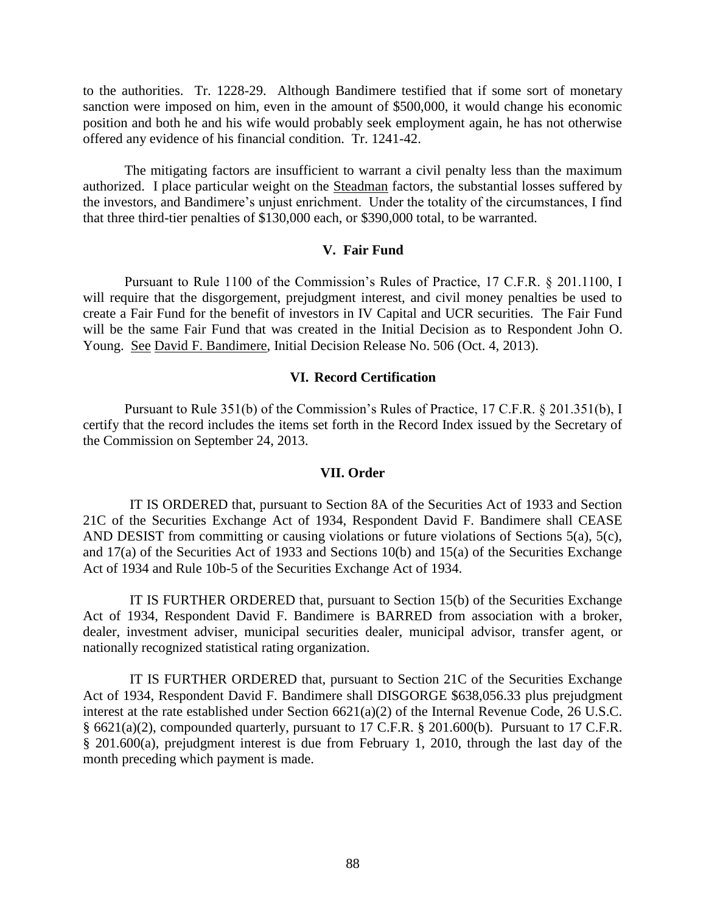to the authorities. Tr. 1228-29. Although Bandimere testified that if some sort of monetary sanction were imposed on him, even in the amount of \$500,000, it would change his economic position and both he and his wife would probably seek employment again, he has not otherwise offered any evidence of his financial condition. Tr. 1241-42.

The mitigating factors are insufficient to warrant a civil penalty less than the maximum authorized. I place particular weight on the Steadman factors, the substantial losses suffered by the investors, and Bandimere's unjust enrichment. Under the totality of the circumstances, I find that three third-tier penalties of \$130,000 each, or \$390,000 total, to be warranted.

## **V. Fair Fund**

Pursuant to Rule 1100 of the Commission's Rules of Practice, 17 C.F.R. § 201.1100, I will require that the disgorgement, prejudgment interest, and civil money penalties be used to create a Fair Fund for the benefit of investors in IV Capital and UCR securities. The Fair Fund will be the same Fair Fund that was created in the Initial Decision as to Respondent John O. Young. See David F. Bandimere, Initial Decision Release No. 506 (Oct. 4, 2013).

## **VI. Record Certification**

Pursuant to Rule 351(b) of the Commission's Rules of Practice, 17 C.F.R. § 201.351(b), I certify that the record includes the items set forth in the Record Index issued by the Secretary of the Commission on September 24, 2013.

#### **VII. Order**

IT IS ORDERED that, pursuant to Section 8A of the Securities Act of 1933 and Section 21C of the Securities Exchange Act of 1934, Respondent David F. Bandimere shall CEASE AND DESIST from committing or causing violations or future violations of Sections 5(a), 5(c), and 17(a) of the Securities Act of 1933 and Sections 10(b) and 15(a) of the Securities Exchange Act of 1934 and Rule 10b-5 of the Securities Exchange Act of 1934.

IT IS FURTHER ORDERED that, pursuant to Section 15(b) of the Securities Exchange Act of 1934, Respondent David F. Bandimere is BARRED from association with a broker, dealer, investment adviser, municipal securities dealer, municipal advisor, transfer agent, or nationally recognized statistical rating organization.

IT IS FURTHER ORDERED that, pursuant to Section 21C of the Securities Exchange Act of 1934, Respondent David F. Bandimere shall DISGORGE \$638,056.33 plus prejudgment interest at the rate established under Section 6621(a)(2) of the Internal Revenue Code, 26 U.S.C. § 6621(a)(2), compounded quarterly, pursuant to 17 C.F.R. § 201.600(b). Pursuant to 17 C.F.R. § 201.600(a), prejudgment interest is due from February 1, 2010, through the last day of the month preceding which payment is made.